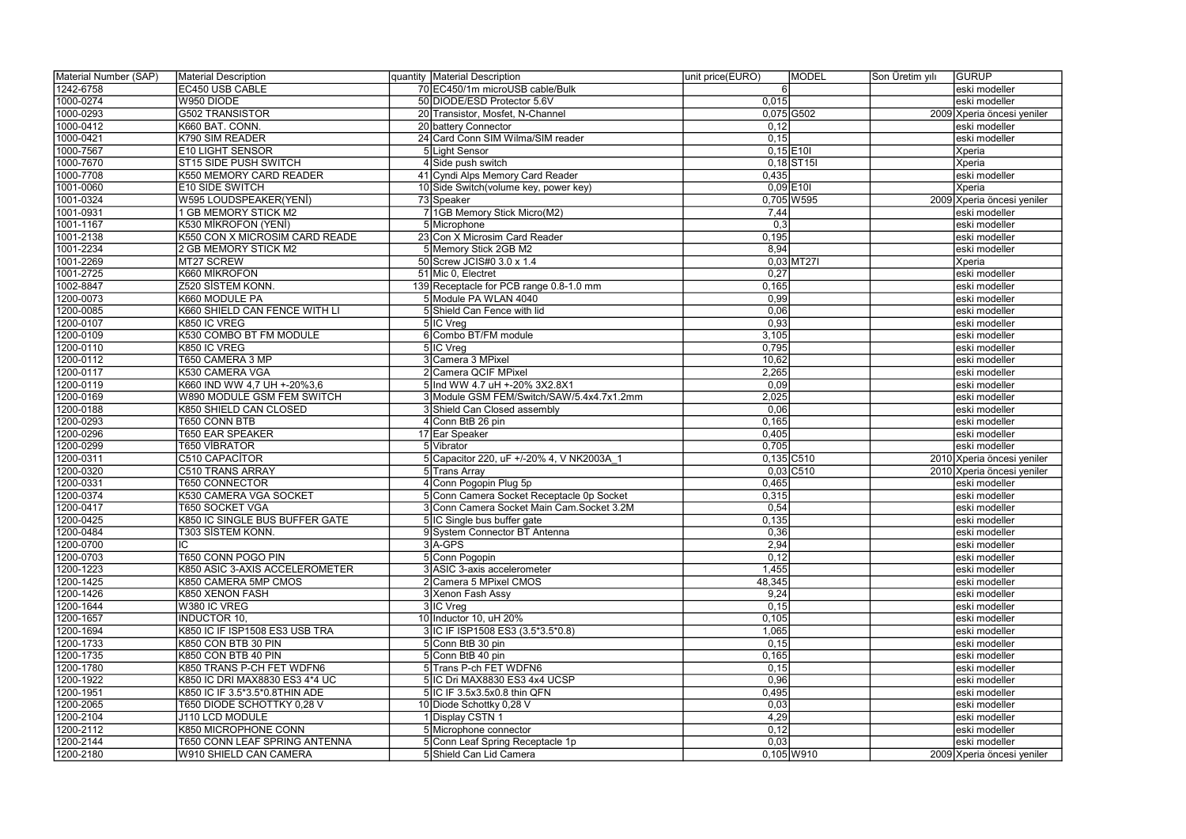| Material Number (SAP) | Material Description           | quantity   Material Description            | unit price(EURO) | <b>MODEL</b>            | Son Üretim yılı | GURUP                      |
|-----------------------|--------------------------------|--------------------------------------------|------------------|-------------------------|-----------------|----------------------------|
| 1242-6758             | <b>EC450 USB CABLE</b>         | 70 EC450/1m microUSB cable/Bulk            |                  |                         |                 | eski modeller              |
| 1000-0274             | W950 DIODE                     | 50 DIODE/ESD Protector 5.6V                | 0,015            |                         |                 | eski modeller              |
| 1000-0293             | <b>G502 TRANSISTOR</b>         | 20 Transistor, Mosfet, N-Channel           |                  | $0,075$ G502            |                 | 2009 Xperia öncesi yeniler |
| 1000-0412             | K660 BAT. CONN.                | 20 battery Connector                       | 0,12             |                         |                 | eski modeller              |
| 1000-0421             | K790 SIM READER                | 24 Card Conn SIM Wilma/SIM reader          | 0,15             |                         |                 | eski modeller              |
| 1000-7567             | <b>E10 LIGHT SENSOR</b>        | 5 Light Sensor                             |                  | $0,15$ E10I             |                 | Xperia                     |
| 1000-7670             | ST15 SIDE PUSH SWITCH          | 4 Side push switch                         |                  | $0,18$ ST <sub>15</sub> |                 | Xperia                     |
| 1000-7708             | K550 MEMORY CARD READER        | 41 Cyndi Alps Memory Card Reader           | 0,435            |                         |                 | eski modeller              |
| 1001-0060             | <b>E10 SIDE SWITCH</b>         | 10 Side Switch (volume key, power key)     |                  | $0,09$ E101             |                 | Xperia                     |
| 1001-0324             | W595 LOUDSPEAKER(YENİ)         | 73 Speaker                                 |                  | $0,705$ W595            |                 | 2009 Xperia öncesi yeniler |
| 1001-0931             | <b>GB MEMORY STICK M2</b>      | 7 1GB Memory Stick Micro(M2)               | 7,44             |                         |                 | eski modeller              |
| 1001-1167             | K530 MİKROFON (YENİ)           | 5 Microphone                               | 0,3              |                         |                 | eski modeller              |
| 1001-2138             | K550 CON X MICROSIM CARD READE | 23 Con X Microsim Card Reader              | 0,195            |                         |                 | eski modeller              |
| 1001-2234             | 2 GB MEMORY STICK M2           | 5 Memory Stick 2GB M2                      | 8,94             |                         |                 | eski modeller              |
| 1001-2269             | MT27 SCREW                     | 50 Screw JCIS#0 3.0 x 1.4                  |                  | $0,03$ MT27I            |                 | Xperia                     |
| 1001-2725             | K660 MİKROFON                  | 51 Mic 0, Electret                         | 0,27             |                         |                 | eski modeller              |
| 1002-8847             | Z520 SİSTEM KONN.              | 139 Receptacle for PCB range 0.8-1.0 mm    | 0,165            |                         |                 | eski modeller              |
| 1200-0073             | K660 MODULE PA                 | 5 Module PA WLAN 4040                      | 0,99             |                         |                 | eski modeller              |
| 1200-0085             | K660 SHIELD CAN FENCE WITH LI  | 5 Shield Can Fence with lid                | 0,06             |                         |                 | eski modeller              |
| 1200-0107             | K850 IC VREG                   | 5 IC Vreg                                  | 0,93             |                         |                 | eski modeller              |
| 1200-0109             | K530 COMBO BT FM MODULE        | 6 Combo BT/FM module                       | 3,105            |                         |                 | eski modeller              |
| 1200-0110             | K850 IC VREG                   | 5 IC Vreg                                  | 0,795            |                         |                 | eski modeller              |
| 1200-0112             | T650 CAMERA 3 MP               | 3 Camera 3 MPixel                          | 10,62            |                         |                 | eski modeller              |
| 1200-0117             | K530 CAMERA VGA                | 2 Camera QCIF MPixel                       | 2,265            |                         |                 | eski modeller              |
| 1200-0119             | K660 IND WW 4,7 UH +-20%3,6    | 5 Ind WW 4.7 uH +-20% 3X2.8X1              | 0,09             |                         |                 | eski modeller              |
| 1200-0169             | W890 MODULE GSM FEM SWITCH     | 3 Module GSM FEM/Switch/SAW/5.4x4.7x1.2mm  | 2,025            |                         |                 | eski modeller              |
| 1200-0188             | K850 SHIELD CAN CLOSED         | 3 Shield Can Closed assembly               | 0,06             |                         |                 | eski modeller              |
| 1200-0293             | T650 CONN BTB                  | 4 Conn BtB 26 pin                          | 0,165            |                         |                 | eski modeller              |
| 1200-0296             | T650 EAR SPEAKER               | 17 Ear Speaker                             | 0,405            |                         |                 | eski modeller              |
| 1200-0299             | <b>T650 VIBRATOR</b>           | 5 Vibrator                                 | 0,705            |                         |                 | eski modeller              |
| 1200-0311             | C510 CAPACITOR                 | 5 Capacitor 220, uF +/-20% 4, V NK2003A    |                  | $0,135$ C510            |                 | 2010 Xperia öncesi yeniler |
| 1200-0320             | C510 TRANS ARRAY               | 5 Trans Array                              |                  | $0,03$ C510             |                 | 2010 Xperia öncesi yeniler |
| 1200-0331             | <b>T650 CONNECTOR</b>          | 4 Conn Pogopin Plug 5p                     | 0,465            |                         |                 | eski modeller              |
| 1200-0374             | K530 CAMERA VGA SOCKET         | 5 Conn Camera Socket Receptacle 0p Socket  | 0,315            |                         |                 | eski modeller              |
| 1200-0417             | <b>T650 SOCKET VGA</b>         | 3 Conn Camera Socket Main Cam. Socket 3.2M | 0,54             |                         |                 | eski modeller              |
| 1200-0425             | K850 IC SINGLE BUS BUFFER GATE | 5 IC Single bus buffer gate                | 0,135            |                         |                 | eski modeller              |
| 1200-0484             | T303 SİSTEM KONN.              | 9 System Connector BT Antenna              | 0,36             |                         |                 | eski modeller              |
| 1200-0700             | IC                             | $3$ $A$ -GPS                               | 2,94             |                         |                 | eski modeller              |
| 1200-0703             | <b>T650 CONN POGO PIN</b>      | 5 Conn Pogopin                             | 0,12             |                         |                 | eski modeller              |
| 1200-1223             | K850 ASIC 3-AXIS ACCELEROMETER | 3 ASIC 3-axis accelerometer                | 1,455            |                         |                 | eski modeller              |
| 1200-1425             | K850 CAMERA 5MP CMOS           | 2 Camera 5 MPixel CMOS                     | 48,345           |                         |                 | eski modeller              |
| 1200-1426             | K850 XENON FASH                | 3 Xenon Fash Assy                          | 9,24             |                         |                 | eski modeller              |
| 1200-1644             | W380 IC VREG                   | 3 IC Vreg                                  | 0,15             |                         |                 | eski modeller              |
| 1200-1657             | <b>INDUCTOR 10.</b>            | 10 Inductor 10, uH 20%                     | 0,105            |                         |                 | eski modeller              |
| 1200-1694             | K850 IC IF ISP1508 ES3 USB TRA | 3 IC IF ISP1508 ES3 (3.5*3.5*0.8)          | 1,065            |                         |                 | eski modeller              |
| 1200-1733             | K850 CON BTB 30 PIN            | 5 Conn BtB 30 pin                          | 0,15             |                         |                 | eski modeller              |
| 1200-1735             | K850 CON BTB 40 PIN            | 5 Conn BtB 40 pin                          | 0,165            |                         |                 | eski modeller              |
| 1200-1780             | K850 TRANS P-CH FET WDFN6      | 5 Trans P-ch FET WDFN6                     | 0,15             |                         |                 | eski modeller              |
| 1200-1922             | K850 IC DRI MAX8830 ES3 4*4 UC | 5 IC Dri MAX8830 ES3 4x4 UCSP              | 0,96             |                         |                 | eski modeller              |
| 1200-1951             | K850 IC IF 3.5*3.5*0.8THIN ADE | 5 IC IF 3.5x3.5x0.8 thin QFN               | 0,495            |                         |                 | eski modeller              |
| 1200-2065             | T650 DIODE SCHOTTKY 0,28 V     | 10 Diode Schottky 0,28 V                   | 0,03             |                         |                 | eski modeller              |
| 1200-2104             | J110 LCD MODULE                | 1 Display CSTN 1                           | 4,29             |                         |                 | eski modeller              |
| 1200-2112             | K850 MICROPHONE CONN           | 5 Microphone connector                     | 0,12             |                         |                 | eski modeller              |
| 1200-2144             | T650 CONN LEAF SPRING ANTENNA  | 5 Conn Leaf Spring Receptacle 1p           | 0,03             |                         |                 | eski modeller              |
| 1200-2180             | W910 SHIELD CAN CAMERA         | 5 Shield Can Lid Camera                    |                  | $0,105$ W910            |                 | 2009 Xperia öncesi yeniler |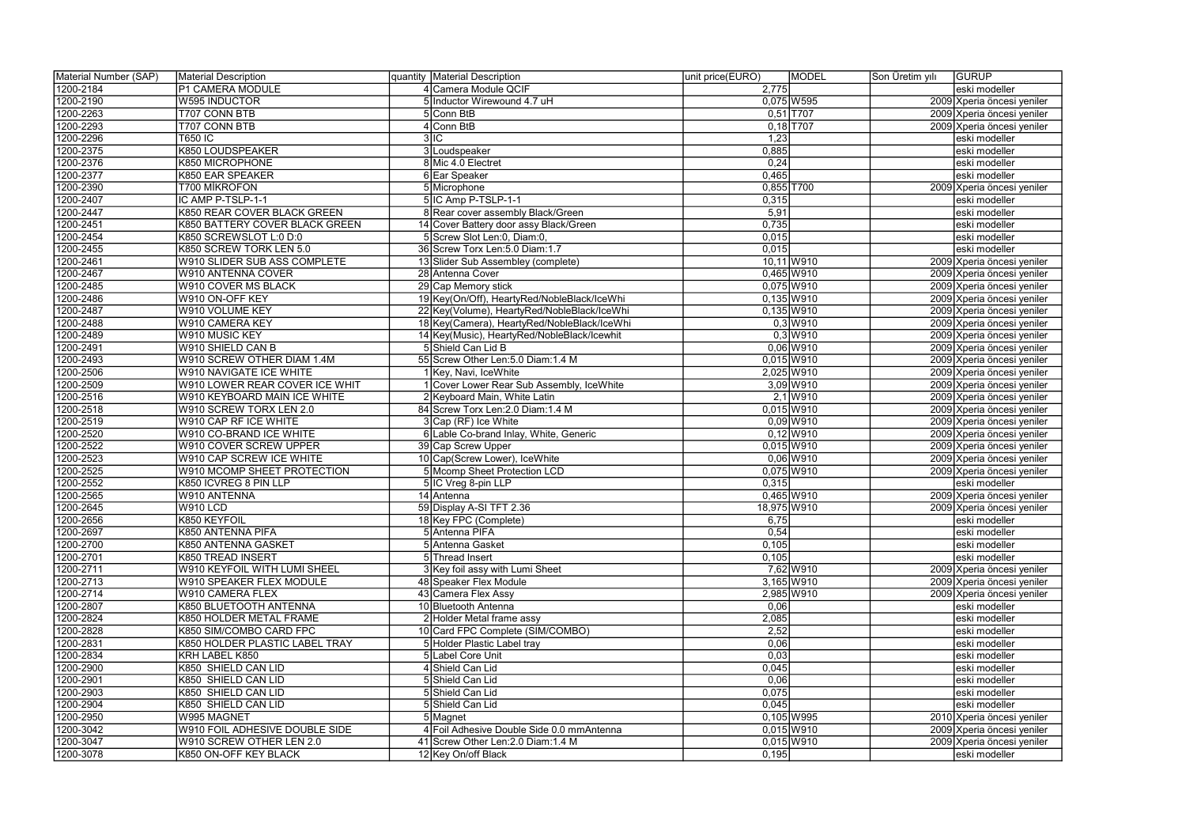| Material Number (SAP) | Material Description                | quantity   Material Description             | unit price(EURO)<br>MODEL  | Son Üretim yılı<br><b>GURUP</b>                          |
|-----------------------|-------------------------------------|---------------------------------------------|----------------------------|----------------------------------------------------------|
| 1200-2184             | P1 CAMERA MODULE                    | 4 Camera Module QCIF                        | 2,775                      | eski modeller                                            |
| 1200-2190             | <b>W595 INDUCTOR</b>                | 5 Inductor Wirewound 4.7 uH                 | $0,075$ W595               | 2009 Xperia öncesi yeniler                               |
| 1200-2263             | T707 CONN BTB                       | 5 Conn BtB                                  | $0,51$ T707                | 2009 Xperia öncesi yeniler                               |
| 1200-2293             | T707 CONN BTB                       | 4 Conn BtB                                  | $0,18$ T707                | 2009 Xperia öncesi yeniler                               |
| 1200-2296             | <b>T650 IC</b>                      | 3 C                                         | 1,23                       | eski modeller                                            |
| 1200-2375             | K850 LOUDSPEAKER                    | 3 Loudspeaker                               | 0,885                      | eski modeller                                            |
| 1200-2376             | K850 MICROPHONE                     | 8 Mic 4.0 Electret                          | 0,24                       | eski modeller                                            |
| 1200-2377             | K850 EAR SPEAKER                    | 6 Ear Speaker                               | 0,465                      | eski modeller                                            |
| 1200-2390             | T700 MİKROFON                       | 5 Microphone                                | $0,855$ T700               | 2009 Xperia öncesi yeniler                               |
| 1200-2407             | IC AMP P-TSLP-1-1                   | 5 IC Amp P-TSLP-1-1                         | 0,315                      | eski modeller                                            |
| 1200-2447             | <b>K850 REAR COVER BLACK GREEN</b>  | 8 Rear cover assembly Black/Green           | 5,91                       | eski modeller                                            |
| 1200-2451             | K850 BATTERY COVER BLACK GREEN      | 14 Cover Battery door assy Black/Green      | 0,735                      | eski modeller                                            |
| 1200-2454             | K850 SCREWSLOT L:0 D:0              | 5 Screw Slot Len:0, Diam:0,                 | 0,015                      | eski modeller                                            |
| 1200-2455             | K850 SCREW TORK LEN 5.0             | 36 Screw Torx Len: 5.0 Diam: 1.7            | 0,015                      | eski modeller                                            |
| 1200-2461             | <b>W910 SLIDER SUB ASS COMPLETE</b> | 13 Slider Sub Assembley (complete)          | 10,11 W910                 | 2009 Xperia öncesi yeniler                               |
| 1200-2467             | W910 ANTENNA COVER                  | 28 Antenna Cover                            | $0,465$ W910               | 2009 Xperia öncesi yeniler                               |
| 1200-2485             | W910 COVER MS BLACK                 | 29 Cap Memory stick                         | $0,075$ W910               |                                                          |
| 1200-2486             | W910 ON-OFF KEY                     |                                             | $0,135$ W910               | 2009 Xperia öncesi yeniler<br>2009 Xperia öncesi yeniler |
|                       |                                     | 19 Key(On/Off), HeartyRed/NobleBlack/IceWhi |                            |                                                          |
| 1200-2487             | W910 VOLUME KEY<br>W910 CAMERA KEY  | 22 Key(Volume), HeartyRed/NobleBlack/IceWhi | $0,135$ W910<br>$0,3$ W910 | 2009 Xperia öncesi yeniler                               |
| 1200-2488             |                                     | 18 Key(Camera), HeartyRed/NobleBlack/IceWhi |                            | 2009 Xperia öncesi yeniler                               |
| 1200-2489             | W910 MUSIC KEY                      | 14 Key(Music), HeartyRed/NobleBlack/Icewhit | $0,3$ W910                 | 2009 Xperia öncesi yeniler                               |
| 1200-2491             | W910 SHIELD CAN B                   | 5 Shield Can Lid B                          | $0,06$ W910                | 2009 Xperia öncesi yeniler                               |
| 1200-2493             | W910 SCREW OTHER DIAM 1.4M          | 55 Screw Other Len: 5.0 Diam: 1.4 M         | $0,015$ W910               | 2009 Xperia öncesi yeniler                               |
| 1200-2506             | W910 NAVIGATE ICE WHITE             | 1 Key, Navi, IceWhite                       | 2,025 W910                 | 2009 Xperia öncesi yeniler                               |
| 1200-2509             | W910 LOWER REAR COVER ICE WHIT      | 1 Cover Lower Rear Sub Assembly, IceWhite   | 3,09 W910                  | 2009 Xperia öncesi yeniler                               |
| 1200-2516             | W910 KEYBOARD MAIN ICE WHITE        | 2 Keyboard Main, White Latin                | $2,1$ W910                 | 2009 Xperia öncesi yeniler                               |
| 1200-2518             | W910 SCREW TORX LEN 2.0             | 84 Screw Torx Len: 2.0 Diam: 1.4 M          | $0,015$ W910               | 2009 Xperia öncesi yeniler                               |
| 1200-2519             | W910 CAP RF ICE WHITE               | 3 Cap (RF) Ice White                        | $0,09$ W910                | 2009 Xperia öncesi yeniler                               |
| 1200-2520             | W910 CO-BRAND ICE WHITE             | 6 Lable Co-brand Inlay, White, Generic      | $0,12$ W910                | 2009 Xperia öncesi yeniler                               |
| 1200-2522             | W910 COVER SCREW UPPER              | 39 Cap Screw Upper                          | $0,015$ W910               | 2009 Xperia öncesi yeniler                               |
| 1200-2523             | W910 CAP SCREW ICE WHITE            | 10 Cap(Screw Lower), IceWhite               | $0,06$ W910                | 2009 Xperia öncesi yeniler                               |
| 1200-2525             | W910 MCOMP SHEET PROTECTION         | 5 Mcomp Sheet Protection LCD                | $0,075$ W910               | 2009 Xperia öncesi yeniler                               |
| 1200-2552             | K850 ICVREG 8 PIN LLP               | 5 IC Vreg 8-pin LLP                         | 0,315                      | eski modeller                                            |
| 1200-2565             | W910 ANTENNA                        | 14 Antenna                                  | $0,465$ W910               | 2009 Xperia öncesi yeniler                               |
| 1200-2645             | $\overline{\text{W910}}$ LCD        | 59 Display A-SI TFT 2.36                    | 18,975 W910                | 2009 Xperia öncesi yeniler                               |
| 1200-2656             | K850 KEYFOIL                        | 18 Key FPC (Complete)                       | 6,75                       | eski modeller                                            |
| 1200-2697             | K850 ANTENNA PIFA                   | 5 Antenna PIFA                              | 0,54                       | eski modeller                                            |
| 1200-2700             | K850 ANTENNA GASKET                 | 5 Antenna Gasket                            | 0,105                      | eski modeller                                            |
| 1200-2701             | <b>K850 TREAD INSERT</b>            | 5 Thread Insert                             | 0,105                      | eski modeller                                            |
| 1200-2711             | W910 KEYFOIL WITH LUMI SHEEL        | 3 Key foil assy with Lumi Sheet             | 7,62 W910                  | 2009 Xperia öncesi yeniler                               |
| 1200-2713             | W910 SPEAKER FLEX MODULE            | 48 Speaker Flex Module                      | $3,165$ W910               | 2009 Xperia öncesi yeniler                               |
| 1200-2714             | W910 CAMERA FLEX                    | 43 Camera Flex Assy                         | 2,985 W910                 | 2009 Xperia öncesi yeniler                               |
| 1200-2807             | K850 BLUETOOTH ANTENNA              | 10 Bluetooth Antenna                        | 0,06                       | eski modeller                                            |
| 1200-2824             | K850 HOLDER METAL FRAME             | 2 Holder Metal frame assy                   | 2,085                      | eski modeller                                            |
| 1200-2828             | K850 SIM/COMBO CARD FPC             | 10 Card FPC Complete (SIM/COMBO)            | 2,52                       | eski modeller                                            |
| 1200-2831             | K850 HOLDER PLASTIC LABEL TRAY      | 5 Holder Plastic Label tray                 | 0,06                       | eski modeller                                            |
| 1200-2834             | KRH LABEL K850                      | 5 Label Core Unit                           | 0,03                       | eski modeller                                            |
| 1200-2900             | K850 SHIELD CAN LID                 | 4 Shield Can Lid                            | 0,045                      | eski modeller                                            |
| 1200-2901             | K850 SHIELD CAN LID                 | 5 Shield Can Lid                            | 0,06                       | eski modeller                                            |
| 1200-2903             | K850 SHIELD CAN LID                 | 5 Shield Can Lid                            | 0,075                      | eski modeller                                            |
| 1200-2904             | K850 SHIELD CAN LID                 | 5 Shield Can Lid                            | 0,045                      | eski modeller                                            |
| 1200-2950             | W995 MAGNET                         | 5 Magnet                                    | $0,105$ W995               | 2010 Xperia öncesi yeniler                               |
| 1200-3042             | W910 FOIL ADHESIVE DOUBLE SIDE      | 4 Foil Adhesive Double Side 0.0 mmAntenna   | $0,015$ W910               | 2009 Xperia öncesi yeniler                               |
| 1200-3047             | W910 SCREW OTHER LEN 2.0            | 41 Screw Other Len: 2.0 Diam: 1.4 M         | $0,015$ W910               | 2009 Xperia öncesi yeniler                               |
| 1200-3078             | K850 ON-OFF KEY BLACK               | 12 Key On/off Black                         | 0,195                      | eski modeller                                            |
|                       |                                     |                                             |                            |                                                          |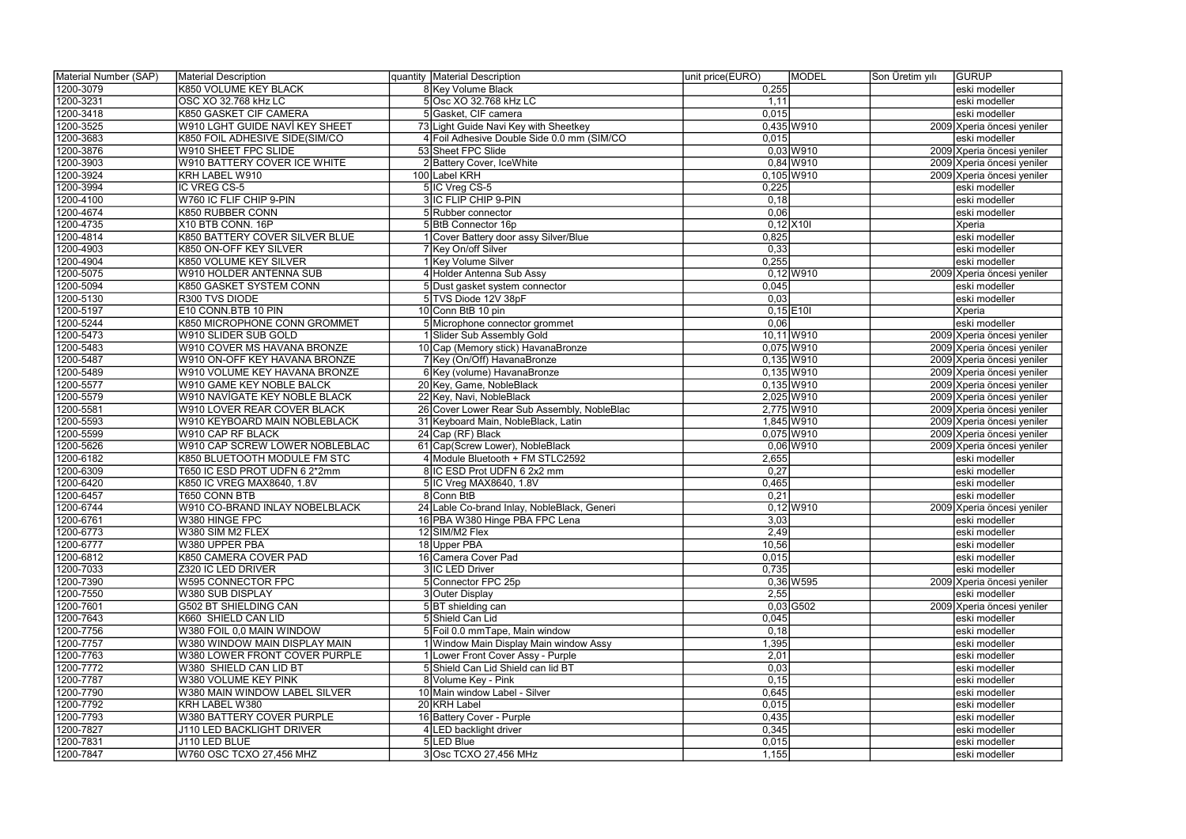| Material Number (SAP) | Material Description           | quantity Material Description               | unit price(EURO)<br>MODEL | <b>GURUP</b><br>Son Üretim yılı |
|-----------------------|--------------------------------|---------------------------------------------|---------------------------|---------------------------------|
| 1200-3079             | K850 VOLUME KEY BLACK          | 8 Key Volume Black                          | 0,255                     | eski modeller                   |
| 1200-3231             | OSC XO 32.768 kHz LC           | 5 Osc XO 32.768 kHz LC                      | 1,11                      | eski modeller                   |
| 1200-3418             | K850 GASKET CIF CAMERA         | 5 Gasket, CIF camera                        | 0,015                     | eski modeller                   |
| 1200-3525             | W910 LGHT GUIDE NAVİ KEY SHEET | 73 Light Guide Navi Key with Sheetkey       | $0,435$ W910              | 2009 Xperia öncesi yeniler      |
| 1200-3683             | K850 FOIL ADHESIVE SIDE(SIM/CO | 4 Foil Adhesive Double Side 0.0 mm (SIM/CO  | 0,015                     | eski modeller                   |
| 1200-3876             | W910 SHEET FPC SLIDE           | 53 Sheet FPC Slide                          | $0,03$ W910               | 2009 Xperia öncesi yeniler      |
| 1200-3903             | W910 BATTERY COVER ICE WHITE   | 2 Battery Cover, IceWhite                   | $0,84$ W910               | 2009 Xperia öncesi yeniler      |
| 1200-3924             | KRH LABEL W910                 | 100 Label KRH                               | $0,105$ W910              | 2009 Xperia öncesi yeniler      |
| 1200-3994             | IC VREG CS-5                   | 5 IC Vreg CS-5                              | 0,225                     | eski modeller                   |
| 1200-4100             | W760 IC FLIF CHIP 9-PIN        | 3 IC FLIP CHIP 9-PIN                        | 0,18                      | eski modeller                   |
| 1200-4674             | K850 RUBBER CONN               | 5 Rubber connector                          | 0,06                      | eski modeller                   |
| 1200-4735             | X10 BTB CONN. 16P              | 5 BtB Connector 16p                         | $0,12$ X10                | Xperia                          |
| 1200-4814             | K850 BATTERY COVER SILVER BLUE | 1 Cover Battery door assy Silver/Blue       | 0,825                     | eski modeller                   |
| 1200-4903             | K850 ON-OFF KEY SILVER         | 7 Key On/off Silver                         | 0,33                      | eski modeller                   |
| 1200-4904             | K850 VOLUME KEY SILVER         | 1 Key Volume Silver                         | 0,255                     | eski modeller                   |
| 1200-5075             | W910 HOLDER ANTENNA SUB        | 4 Holder Antenna Sub Assy                   | $0,12$ W910               | 2009 Xperia öncesi yeniler      |
| 1200-5094             | K850 GASKET SYSTEM CONN        | 5 Dust gasket system connector              | 0,045                     | eski modeller                   |
| 1200-5130             | R300 TVS DIODE                 | 5 TVS Diode 12V 38pF                        | 0,03                      | eski modeller                   |
| 1200-5197             | E10 CONN.BTB 10 PIN            | 10 Conn BtB 10 pin                          | $0,15$ E10I               |                                 |
|                       |                                |                                             | 0,06                      | Xperia                          |
| 1200-5244             | K850 MICROPHONE CONN GROMMET   | 5 Microphone connector grommet              |                           | eski modeller                   |
| 1200-5473             | W910 SLIDER SUB GOLD           | 1 Slider Sub Assembly Gold                  | 10,11 W910                | 2009 Xperia öncesi yeniler      |
| 1200-5483             | W910 COVER MS HAVANA BRONZE    | 10 Cap (Memory stick) HavanaBronze          | $0,075$ W910              | 2009 Xperia öncesi yeniler      |
| 1200-5487             | W910 ON-OFF KEY HAVANA BRONZE  | 7 Key (On/Off) HavanaBronze                 | $0,135$ W910              | 2009 Xperia öncesi yeniler      |
| 1200-5489             | W910 VOLUME KEY HAVANA BRONZE  | 6 Key (volume) HavanaBronze                 | $0,135$ W910              | 2009 Xperia öncesi yeniler      |
| 1200-5577             | W910 GAME KEY NOBLE BALCK      | 20 Key, Game, NobleBlack                    | $0,135$ W910              | 2009 Xperia öncesi yeniler      |
| 1200-5579             | W910 NAVİGATE KEY NOBLE BLACK  | 22 Key, Navi, NobleBlack                    | 2,025 W910                | 2009 Xperia öncesi yeniler      |
| 1200-5581             | W910 LOVER REAR COVER BLACK    | 26 Cover Lower Rear Sub Assembly, NobleBlac | 2,775 W910                | 2009 Xperia öncesi yeniler      |
| 1200-5593             | W910 KEYBOARD MAIN NOBLEBLACK  | 31 Keyboard Main, NobleBlack, Latin         | 1,845 W910                | 2009 Xperia öncesi yeniler      |
| 1200-5599             | W910 CAP RF BLACK              | 24 Cap (RF) Black                           | $0,075$ W910              | 2009 Xperia öncesi yeniler      |
| 1200-5626             | W910 CAP SCREW LOWER NOBLEBLAC | 61 Cap(Screw Lower), NobleBlack             | $0,06$ W910               | 2009 Xperia öncesi yeniler      |
| 1200-6182             | K850 BLUETOOTH MODULE FM STC   | 4 Module Bluetooth + FM STLC2592            | 2,655                     | eski modeller                   |
| 1200-6309             | T650 IC ESD PROT UDFN 6 2*2mm  | 8 IC ESD Prot UDFN 6 2x2 mm                 | 0,27                      | eski modeller                   |
| 1200-6420             | K850 IC VREG MAX8640, 1.8V     | 5 IC Vreg MAX8640, 1.8V                     | 0,465                     | eski modeller                   |
| 1200-6457             | T650 CONN BTB                  | 8 Conn BtB                                  | 0,21                      | eski modeller                   |
| 1200-6744             | W910 CO-BRAND INLAY NOBELBLACK | 24 Lable Co-brand Inlay, NobleBlack, Generi | $0,12$ W910               | 2009 Xperia öncesi yeniler      |
| 1200-6761             | IW380 HINGE FPC                | 16 PBA W380 Hinge PBA FPC Lena              | 3,03                      | leski modeller                  |
| 1200-6773             | W380 SIM M2 FLEX               | 12 SIM/M2 Flex                              | 2,49                      | eski modeller                   |
| 1200-6777             | W380 UPPER PBA                 | 18 Upper PBA                                | 10,56                     | eski modeller                   |
| 1200-6812             | K850 CAMERA COVER PAD          | 16 Camera Cover Pad                         | 0,015                     | eski modeller                   |
| 1200-7033             | Z320 IC LED DRIVER             | 3 IC LED Driver                             | 0,735                     | eski modeller                   |
| 1200-7390             | <b>W595 CONNECTOR FPC</b>      | 5 Connector FPC 25p                         | $0,36$ W595               | 2009 Xperia öncesi yeniler      |
| 1200-7550             | W380 SUB DISPLAY               | 3 Outer Display                             | 2,55                      | eski modeller                   |
| 1200-7601             | <b>G502 BT SHIELDING CAN</b>   | 5 BT shielding can                          | $0,03$ G502               | 2009 Xperia öncesi yeniler      |
| 1200-7643             | K660 SHIELD CAN LID            | 5 Shield Can Lid                            | 0,045                     | eski modeller                   |
| 1200-7756             | W380 FOIL 0,0 MAIN WINDOW      | 5 Foil 0.0 mmTape, Main window              | 0,18                      | eski modeller                   |
| 1200-7757             | W380 WINDOW MAIN DISPLAY MAIN  | 1 Window Main Display Main window Assy      | 1,395                     | eski modeller                   |
| 1200-7763             | W380 LOWER FRONT COVER PURPLE  | 1 Lower Front Cover Assy - Purple           | 2,01                      | eski modeller                   |
| 1200-7772             | W380 SHIELD CAN LID BT         | 5 Shield Can Lid Shield can lid BT          | 0,03                      | eski modeller                   |
| 1200-7787             | W380 VOLUME KEY PINK           | 8 Volume Key - Pink                         | 0,15                      | eski modeller                   |
| 1200-7790             | W380 MAIN WINDOW LABEL SILVER  | 10 Main window Label - Silver               | 0,645                     | eski modeller                   |
| 1200-7792             | KRH LABEL W380                 | 20 KRH Label                                | 0,015                     | eski modeller                   |
| 1200-7793             | W380 BATTERY COVER PURPLE      | 16 Battery Cover - Purple                   | 0,435                     | eski modeller                   |
| 1200-7827             | J110 LED BACKLIGHT DRIVER      | 4 LED backlight driver                      | 0,345                     | eski modeller                   |
| 1200-7831             | J110 LED BLUE                  | 5 LED Blue                                  | 0,015                     | eski modeller                   |
| 1200-7847             | W760 OSC TCXO 27,456 MHZ       | 3 Osc TCXO 27,456 MHz                       | 1,155                     | eski modeller                   |
|                       |                                |                                             |                           |                                 |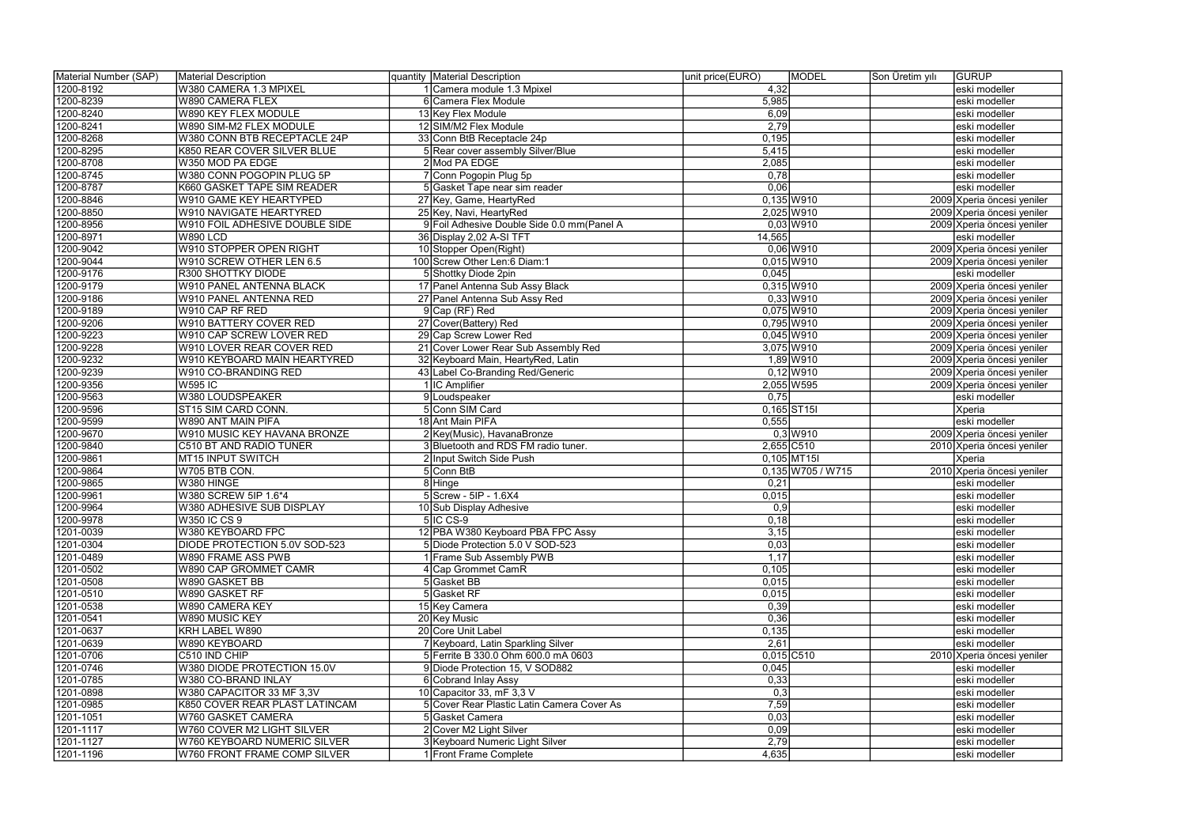| Material Number (SAP) | Material Description            | quantity Material Description               | <b>MODEL</b><br>unit price(EURO) | GURUP<br>Son Üretim yılı   |
|-----------------------|---------------------------------|---------------------------------------------|----------------------------------|----------------------------|
| 1200-8192             | W380 CAMERA 1.3 MPIXEL          | 1 Camera module 1.3 Mpixel                  | 4,32                             | eski modeller              |
| 1200-8239             | <b>W890 CAMERA FLEX</b>         | 6 Camera Flex Module                        | 5,985                            | eski modeller              |
| 1200-8240             | W890 KEY FLEX MODULE            | 13 Key Flex Module                          | 6,09                             | eski modeller              |
| 1200-8241             | W890 SIM-M2 FLEX MODULE         | 12 SIM/M2 Flex Module                       | 2,79                             | eski modeller              |
| 1200-8268             | W380 CONN BTB RECEPTACLE 24P    | 33 Conn BtB Receptacle 24p                  | 0,195                            | eski modeller              |
| 1200-8295             | K850 REAR COVER SILVER BLUE     | 5 Rear cover assembly Silver/Blue           | 5,415                            | eski modeller              |
| 1200-8708             | W350 MOD PA EDGE                | 2 Mod PA EDGE                               | 2,085                            | eski modeller              |
| 1200-8745             | W380 CONN POGOPIN PLUG 5P       | 7 Conn Pogopin Plug 5p                      | 0,78                             | eski modeller              |
| 1200-8787             | K660 GASKET TAPE SIM READER     | 5 Gasket Tape near sim reader               | 0,06                             | eski modeller              |
| 1200-8846             | <b>W910 GAME KEY HEARTYPED</b>  | 27 Key, Game, HeartyRed                     | $0,135$ W910                     | 2009 Xperia öncesi yeniler |
| 1200-8850             | <b>W910 NAVIGATE HEARTYRED</b>  | 25 Key, Navi, HeartyRed                     | 2,025 W910                       | 2009 Xperia öncesi yeniler |
| 1200-8956             | W910 FOIL ADHESIVE DOUBLE SIDE  | 9 Foil Adhesive Double Side 0.0 mm (Panel A | $0,03$ W910                      | 2009 Xperia öncesi yeniler |
| 1200-8971             | <b>W890 LCD</b>                 | 36 Display 2,02 A-SI TFT                    | 14,565                           | eski modeller              |
| 1200-9042             | W910 STOPPER OPEN RIGHT         | 10 Stopper Open(Right)                      | $0,06$ W910                      | 2009 Xperia öncesi yeniler |
| 1200-9044             | W910 SCREW OTHER LEN 6.5        | 100 Screw Other Len:6 Diam:1                | $0,015$ W910                     | 2009 Xperia öncesi yeniler |
| 1200-9176             | R300 SHOTTKY DIODE              | 5 Shottky Diode 2pin                        | 0,045                            | eski modeller              |
| 1200-9179             | <b>W910 PANEL ANTENNA BLACK</b> | 17 Panel Antenna Sub Assy Black             | $0,315$ W910                     | 2009 Xperia öncesi yeniler |
| 1200-9186             | W910 PANEL ANTENNA RED          | 27 Panel Antenna Sub Assy Red               | $0,33$ W910                      | 2009 Xperia öncesi yeniler |
| 1200-9189             | W910 CAP RF RED                 | 9 Cap (RF) Red                              | $0,075$ W910                     | 2009 Xperia öncesi yeniler |
| 1200-9206             | W910 BATTERY COVER RED          | 27 Cover(Battery) Red                       | $0,795$ W910                     | 2009 Xperia öncesi yeniler |
| 1200-9223             | W910 CAP SCREW LOVER RED        | 29 Cap Screw Lower Red                      | $0,045$ W910                     | 2009 Xperia öncesi yeniler |
| 1200-9228             | W910 LOVER REAR COVER RED       | 21 Cover Lower Rear Sub Assembly Red        | 3,075 W910                       | 2009 Xperia öncesi yeniler |
| 1200-9232             | W910 KEYBOARD MAİN HEARTYRED    | 32 Keyboard Main, HeartyRed, Latin          | 1,89 W910                        | 2009 Xperia öncesi yeniler |
| 1200-9239             | W910 CO-BRANDING RED            | 43 Label Co-Branding Red/Generic            | $0,12$ W910                      | 2009 Xperia öncesi yeniler |
| 1200-9356             | <b>W595 IC</b>                  | 1 IC Amplifier                              | 2,055 W595                       | 2009 Xperia öncesi yeniler |
| 1200-9563             | W380 LOUDSPEAKER                | 9 Loudspeaker                               | 0,75                             | eski modeller              |
| 1200-9596             | ST15 SIM CARD CONN.             | 5 Conn SIM Card                             | $0,165$ ST <sub>15I</sub>        | Xperia                     |
| 1200-9599             | W890 ANT MAIN PIFA              | 18 Ant Main PIFA                            | 0,555                            | eski modeller              |
| 1200-9670             | W910 MUSIC KEY HAVANA BRONZE    | 2 Key(Music), HavanaBronze                  | $0,3$ W910                       | 2009 Xperia öncesi yeniler |
| 1200-9840             | <b>C510 BT AND RADIO TUNER</b>  | 3 Bluetooth and RDS FM radio tuner.         | $2,655$ C510                     | 2010 Xperia öncesi yeniler |
| 1200-9861             | MT15 INPUT SWITCH               | 2 Input Switch Side Push                    | $0,105$ MT15I                    | Xperia                     |
| 1200-9864             | W705 BTB CON.                   | 5 Conn BtB                                  | $0,135$ W705 / W715              | 2010 Xperia öncesi yeniler |
| 1200-9865             | W380 HINGE                      | 8 Hinge                                     | 0,21                             | eski modeller              |
| 1200-9961             | W380 SCREW 5IP 1.6*4            | $5$ Screw - 5IP - 1.6X4                     | 0,015                            | eski modeller              |
| 1200-9964             | W380 ADHESIVE SUB DISPLAY       | 10 Sub Display Adhesive                     | $\overline{0,9}$                 | eski modeller              |
| 1200-9978             | W350 IC CS 9                    | 5 IIC CS-9                                  | 0,18                             | leski modeller             |
| 1201-0039             | W380 KEYBOARD FPC               | 12 PBA W380 Keyboard PBA FPC Assy           | 3,15                             | eski modeller              |
| 1201-0304             | DIODE PROTECTION 5.0V SOD-523   | 5 Diode Protection 5.0 V SOD-523            | 0,03                             | eski modeller              |
| 1201-0489             | W890 FRAME ASS PWB              | 1 Frame Sub Assembly PWB                    | 1,17                             | eski modeller              |
| 1201-0502             | W890 CAP GROMMET CAMR           | 4 Cap Grommet CamR                          | 0,105                            | eski modeller              |
| 1201-0508             | W890 GASKET BB                  | 5 Gasket BB                                 | 0,015                            | eski modeller              |
| 1201-0510             | W890 GASKET RF                  | 5 Gasket RF                                 | 0,015                            | eski modeller              |
| 1201-0538             | W890 CAMERA KEY                 | 15 Key Camera                               | 0,39                             | eski modeller              |
| 1201-0541             | W890 MUSIC KEY                  | 20 Key Music                                | 0,36                             | eski modeller              |
| 1201-0637             | KRH LABEL W890                  | 20 Core Unit Label                          | 0,135                            | eski modeller              |
| 1201-0639             | W890 KEYBOARD                   | 7 Keyboard, Latin Sparkling Silver          | 2,61                             | eski modeller              |
| 1201-0706             | C510 IND CHIP                   | 5 Ferrite B 330.0 Ohm 600.0 mA 0603         | $0,015$ C510                     | 2010 Xperia öncesi yeniler |
| 1201-0746             | W380 DIODE PROTECTION 15.0V     | 9 Diode Protection 15, V SOD882             | 0,045                            | eski modeller              |
| 1201-0785             | W380 CO-BRAND INLAY             | 6 Cobrand Inlay Assy                        | 0,33                             | eski modeller              |
| 1201-0898             | W380 CAPACITOR 33 MF 3,3V       | 10 Capacitor 33, mF 3,3 V                   | 0,3                              | eski modeller              |
| 1201-0985             | K850 COVER REAR PLAST LATINCAM  | 5 Cover Rear Plastic Latin Camera Cover As  | 7,59                             | eski modeller              |
| 1201-1051             | W760 GASKET CAMERA              | 5 Gasket Camera                             | 0,03                             | eski modeller              |
| 1201-1117             | W760 COVER M2 LIGHT SILVER      | 2 Cover M2 Light Silver                     | 0,09                             | eski modeller              |
| 1201-1127             | W760 KEYBOARD NUMERIC SILVER    | 3 Keyboard Numeric Light Silver             | 2,79                             | eski modeller              |
| 1201-1196             | W760 FRONT FRAME COMP SILVER    | 1 Front Frame Complete                      | 4,635                            | eski modeller              |
|                       |                                 |                                             |                                  |                            |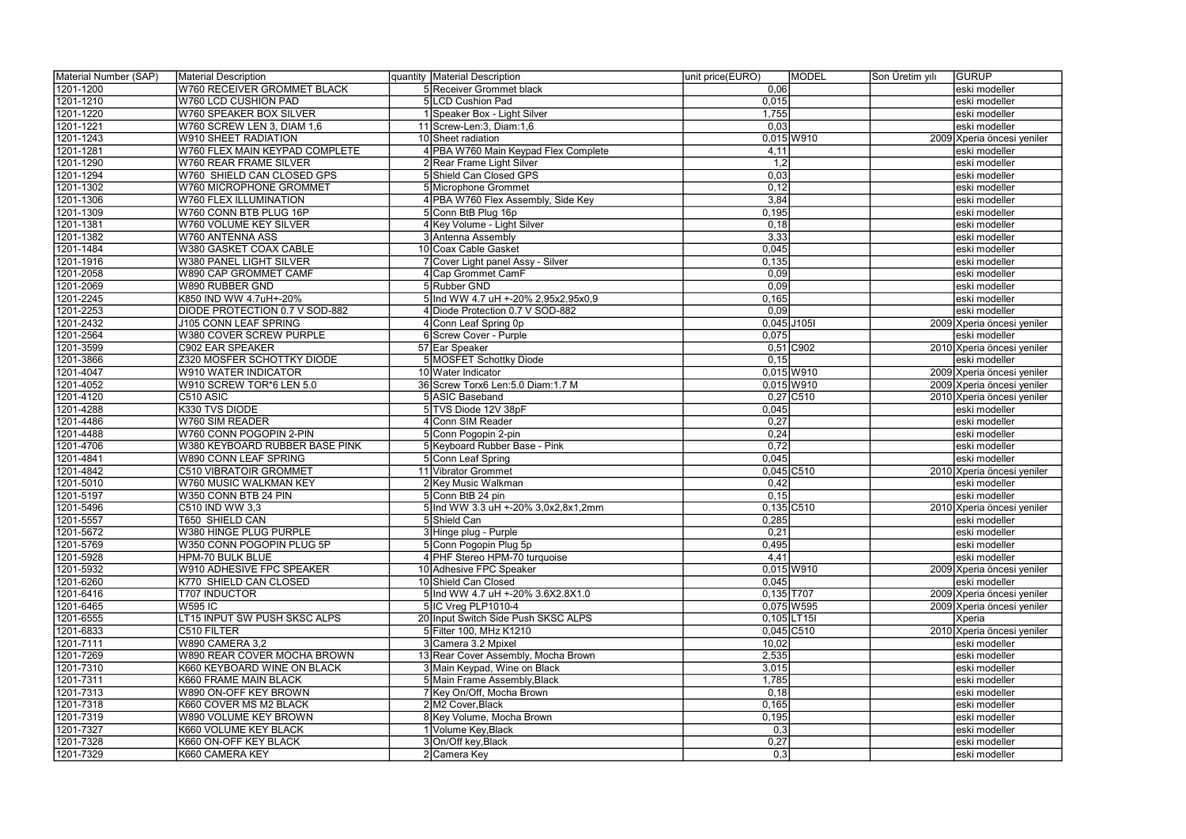| Material Number (SAP) | Material Description               | quantity   Material Description      | unit price(EURO) | MODEL         | Son Üretim yılı | <b>GURUP</b>               |
|-----------------------|------------------------------------|--------------------------------------|------------------|---------------|-----------------|----------------------------|
| 1201-1200             | <b>W760 RECEIVER GROMMET BLACK</b> | 5 Receiver Grommet black             | 0,06             |               |                 | eski modeller              |
| 1201-1210             | W760 LCD CUSHION PAD               | 5 LCD Cushion Pad                    | 0,015            |               |                 | eski modeller              |
| 1201-1220             | W760 SPEAKER BOX SILVER            | 1 Speaker Box - Light Silver         | 1,755            |               |                 | eski modeller              |
| 1201-1221             | W760 SCREW LEN 3, DIAM 1,6         | 11 Screw-Len: 3, Diam: $1,6$         | 0,03             |               |                 | eski modeller              |
| 1201-1243             | W910 SHEET RADIATION               | 10 Sheet radiation                   |                  | $0,015$ W910  |                 | 2009 Xperia öncesi yeniler |
| 1201-1281             | W760 FLEX MAIN KEYPAD COMPLETE     | 4 PBA W760 Main Keypad Flex Complete | 4,11             |               |                 | eski modeller              |
| 1201-1290             | <b>W760 REAR FRAME SILVER</b>      | 2 Rear Frame Light Silver            | 1,2              |               |                 | eski modeller              |
| 1201-1294             | W760 SHIELD CAN CLOSED GPS         | 5 Shield Can Closed GPS              | 0,03             |               |                 | eski modeller              |
| 1201-1302             | W760 MICROPHONE GROMMET            | 5 Microphone Grommet                 | 0,12             |               |                 | eski modeller              |
| 1201-1306             | <b>W760 FLEX ILLUMINATION</b>      | 4 PBA W760 Flex Assembly, Side Key   | 3,84             |               |                 | eski modeller              |
| 1201-1309             | W760 CONN BTB PLUG 16P             | 5 Conn BtB Plug 16p                  | 0,195            |               |                 | eski modeller              |
| 1201-1381             | W760 VOLUME KEY SILVER             | 4 Key Volume - Light Silver          | 0,18             |               |                 | eski modeller              |
| 1201-1382             | W760 ANTENNA ASS                   | 3 Antenna Assembly                   | 3,33             |               |                 | eski modeller              |
| 1201-1484             | W380 GASKET COAX CABLE             | 10 Coax Cable Gasket                 | 0,045            |               |                 | eski modeller              |
| 1201-1916             | <b>W380 PANEL LIGHT SILVER</b>     | 7 Cover Light panel Assy - Silver    | 0,135            |               |                 | eski modeller              |
| 1201-2058             | W890 CAP GROMMET CAMF              | 4 Cap Grommet CamF                   | 0,09             |               |                 | eski modeller              |
| 1201-2069             | W890 RUBBER GND                    | 5 Rubber GND                         | 0,09             |               |                 | eski modeller              |
| 1201-2245             | K850 IND WW 4.7uH+-20%             | 5 Ind WW 4.7 uH +-20% 2,95x2,95x0,9  | 0,165            |               |                 | eski modeller              |
| 1201-2253             | DIODE PROTECTION 0.7 V SOD-882     | 4 Diode Protection 0.7 V SOD-882     | 0,09             |               |                 | eski modeller              |
| 1201-2432             | J105 CONN LEAF SPRING              | 4 Conn Leaf Spring 0p                |                  | $0,045$ J105I |                 | 2009 Xperia öncesi yeniler |
| 1201-2564             | W380 COVER SCREW PURPLE            | 6 Screw Cover - Purple               | 0,075            |               |                 | eski modeller              |
| 1201-3599             | C902 EAR SPEAKER                   | 57 Ear Speaker                       |                  | $0,51$ C902   |                 | 2010 Xperia öncesi yeniler |
| 1201-3866             | Z320 MOSFER SCHOTTKY DIODE         | 5 MOSFET Schottky Diode              | 0, 15            |               |                 | eski modeller              |
| 1201-4047             | <b>W910 WATER INDICATOR</b>        | 10 Water Indicator                   |                  | $0,015$ W910  |                 | 2009 Xperia öncesi yeniler |
| 1201-4052             | W910 SCREW TOR*6 LEN 5.0           | 36 Screw Torx6 Len:5.0 Diam:1.7 M    |                  | $0,015$ W910  |                 | 2009 Xperia öncesi yeniler |
| 1201-4120             | C510 ASIC                          | 5 ASIC Baseband                      |                  | $0,27$ C510   |                 | 2010 Xperia öncesi yeniler |
| 1201-4288             | K330 TVS DIODE                     | 5 TVS Diode 12V 38pF                 | 0,045            |               |                 | eski modeller              |
| 1201-4486             | <b>W760 SIM READER</b>             | 4 Conn SIM Reader                    | 0,27             |               |                 | eski modeller              |
| 1201-4488             | W760 CONN POGOPIN 2-PIN            | 5 Conn Pogopin 2-pin                 | 0,24             |               |                 | eski modeller              |
| 1201-4706             | W380 KEYBOARD RUBBER BASE PINK     | 5 Keyboard Rubber Base - Pink        | 0,72             |               |                 | eski modeller              |
| 1201-4841             | W890 CONN LEAF SPRING              | 5 Conn Leaf Spring                   | 0,045            |               |                 | eski modeller              |
| 1201-4842             | C510 VIBRATOIR GROMMET             | 11 Vibrator Grommet                  |                  | $0,045$ C510  |                 | 2010 Xperia öncesi yeniler |
| 1201-5010             | W760 MUSIC WALKMAN KEY             | 2 Key Music Walkman                  | 0,42             |               |                 | eski modeller              |
| 1201-5197             | W350 CONN BTB 24 PIN               | 5 Conn BtB 24 pin                    | 0,15             |               |                 | eski modeller              |
| 1201-5496             | C510 IND WW 3,3                    | 5 Ind WW 3.3 uH +-20% 3,0x2,8x1,2mm  |                  | $0,135$ C510  |                 | 2010 Xperia öncesi yeniler |
| 1201-5557             | <b>T650 SHIELD CAN</b>             | 5 Shield Can                         | 0,285            |               |                 | eski modeller              |
| 1201-5672             | <b>W380 HINGE PLUG PURPLE</b>      | 3 Hinge plug - Purple                | 0,21             |               |                 | eski modeller              |
| 1201-5769             | W350 CONN POGOPIN PLUG 5P          | 5 Conn Pogopin Plug 5p               | 0,495            |               |                 | eski modeller              |
| 1201-5928             | HPM-70 BULK BLUE                   | 4 PHF Stereo HPM-70 turquoise        | 4,41             |               |                 | eski modeller              |
| 1201-5932             | W910 ADHESIVE FPC SPEAKER          | 10 Adhesive FPC Speaker              |                  | $0,015$ W910  |                 | 2009 Xperia öncesi yeniler |
| 1201-6260             | K770 SHIELD CAN CLOSED             | 10 Shield Can Closed                 | 0,045            |               |                 | eski modeller              |
| 1201-6416             | <b>T707 INDUCTOR</b>               | 5 Ind WW 4.7 uH +-20% 3.6X2.8X1.0    |                  | $0,135$ T707  |                 | 2009 Xperia öncesi yeniler |
| 1201-6465             | <b>W595 IC</b>                     | 5 IC Vreg PLP1010-4                  |                  | 0,075 W595    |                 | 2009 Xperia öncesi yeniler |
| 1201-6555             | LT15 INPUT SW PUSH SKSC ALPS       | 20 Input Switch Side Push SKSC ALPS  |                  | $0,105$ LT15I |                 | Xperia                     |
| 1201-6833             | C510 FILTER                        | 5 Filter 100, MHz K1210              |                  | $0,045$ C510  |                 | 2010 Xperia öncesi yeniler |
| 1201-7111             | <b>W890 CAMERA 3,2</b>             | 3 Camera 3.2 Mpixel                  | 10,02            |               |                 | eski modeller              |
| 1201-7269             | W890 REAR COVER MOCHA BROWN        | 13 Rear Cover Assembly, Mocha Brown  | 2,535            |               |                 | eski modeller              |
| 1201-7310             | K660 KEYBOARD WINE ON BLACK        | 3 Main Keypad, Wine on Black         | 3,015            |               |                 | eski modeller              |
| 1201-7311             | K660 FRAME MAIN BLACK              | 5 Main Frame Assembly, Black         | 1,785            |               |                 | eski modeller              |
| 1201-7313             | W890 ON-OFF KEY BROWN              | 7 Key On/Off, Mocha Brown            | 0,18             |               |                 | eski modeller              |
| 1201-7318             | K660 COVER MS M2 BLACK             | 2 M2 Cover, Black                    | 0,165            |               |                 | eski modeller              |
| 1201-7319             | W890 VOLUME KEY BROWN              | 8 Key Volume, Mocha Brown            | 0,195            |               |                 | eski modeller              |
| 1201-7327             | K660 VOLUME KEY BLACK              | 1 Volume Key, Black                  | 0,3              |               |                 | eski modeller              |
| 1201-7328             | K660 ON-OFF KEY BLACK              | 3 On/Off key, Black                  | 0,27             |               |                 | eski modeller              |
| 1201-7329             | K660 CAMERA KEY                    | 2 Camera Key                         | 0,3              |               |                 | eski modeller              |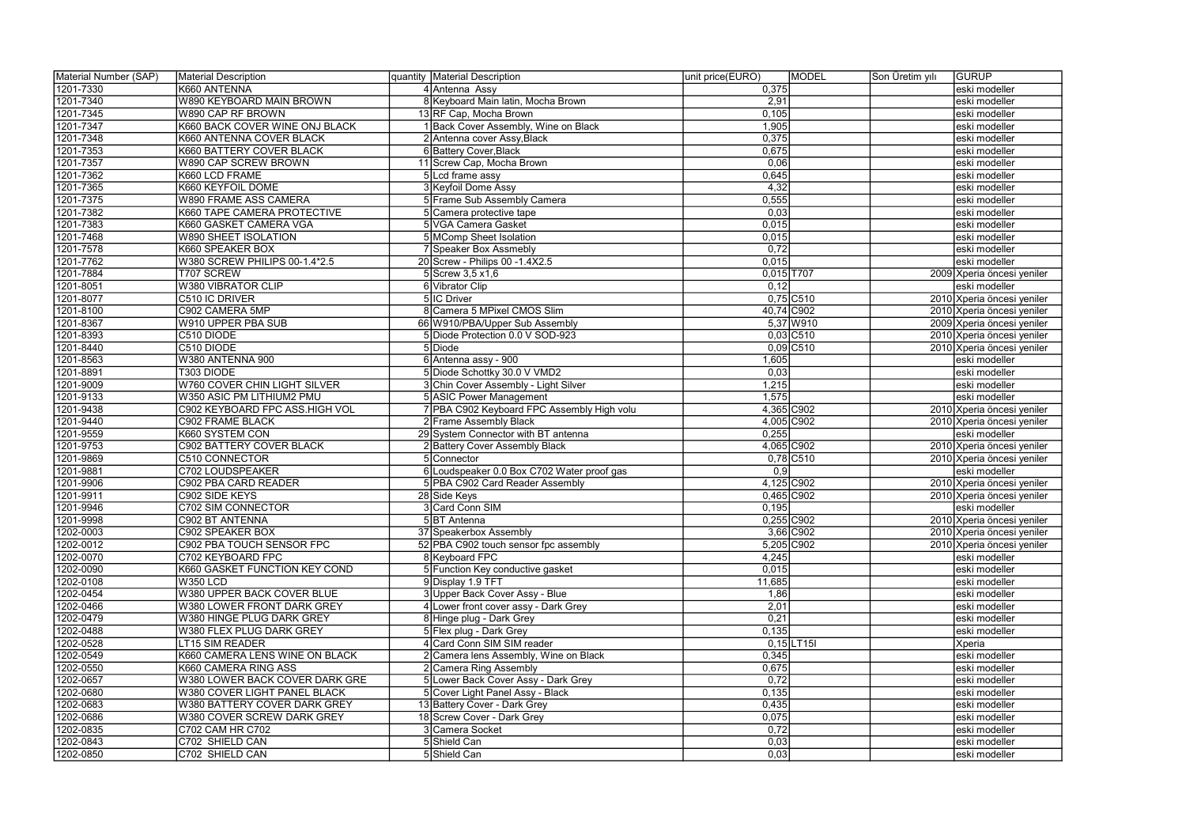| Material Number (SAP)  | Material Description                                         | quantity Material Description                                           | unit price(EURO) | MODEL        | Son Üretim yılı | <b>GURUP</b>                                |
|------------------------|--------------------------------------------------------------|-------------------------------------------------------------------------|------------------|--------------|-----------------|---------------------------------------------|
| 1201-7330              | K660 ANTENNA                                                 | 4 Antenna Assy                                                          | 0,375            |              |                 | eski modeller                               |
| 1201-7340              | W890 KEYBOARD MAIN BROWN                                     | 8 Keyboard Main latin, Mocha Brown                                      | 2,91             |              |                 | eski modeller                               |
| 1201-7345              | W890 CAP RF BROWN                                            | 13 RF Cap, Mocha Brown                                                  | 0,105            |              |                 | eski modeller                               |
| 1201-7347              | K660 BACK COVER WINE ONJ BLACK                               | 1 Back Cover Assembly, Wine on Black                                    | 1,905            |              |                 | eski modeller                               |
| 1201-7348              | K660 ANTENNA COVER BLACK                                     | 2 Antenna cover Assy, Black                                             | 0,375            |              |                 | eski modeller                               |
| 1201-7353              | K660 BATTERY COVER BLACK                                     | 6 Battery Cover, Black                                                  | 0,675            |              |                 | eski modeller                               |
| 1201-7357              | W890 CAP SCREW BROWN                                         | 11 Screw Cap, Mocha Brown                                               | 0,06             |              |                 | eski modeller                               |
| 1201-7362              | K660 LCD FRAME                                               | 5 Lcd frame assy                                                        | 0,645            |              |                 | eski modeller                               |
| 1201-7365              | K660 KEYFOIL DOME                                            | 3 Keyfoil Dome Assy                                                     | 4,32             |              |                 | eski modeller                               |
| 1201-7375              | <b>W890 FRAME ASS CAMERA</b>                                 | 5 Frame Sub Assembly Camera                                             | 0,555            |              |                 | eski modeller                               |
| 1201-7382              | K660 TAPE CAMERA PROTECTIVE                                  | 5 Camera protective tape                                                | 0,03             |              |                 | eski modeller                               |
| 1201-7383              | K660 GASKET CAMERA VGA                                       | 5 VGA Camera Gasket                                                     | 0,015            |              |                 | eski modeller                               |
| 1201-7468              | <b>W890 SHEET ISOLATION</b>                                  | 5 MComp Sheet Isolation                                                 | 0,015            |              |                 | eski modeller                               |
| 1201-7578              | K660 SPEAKER BOX                                             | 7 Speaker Box Assmebly                                                  | 0,72             |              |                 | eski modeller                               |
| 1201-7762              | W380 SCREW PHILIPS 00-1.4*2.5                                | 20 Screw - Philips 00 -1.4X2.5                                          | 0,015            |              |                 | eski modeller                               |
| 1201-7884              | T707 SCREW                                                   | $5$ Screw 3,5 x1,6                                                      | $0,015$ T707     |              |                 | 2009 Xperia öncesi yeniler                  |
| 1201-8051              | W380 VIBRATOR CLIP                                           | 6 Vibrator Clip                                                         | 0,12             |              |                 | eski modeller                               |
| 1201-8077              | C510 IC DRIVER                                               | 5 IC Driver                                                             |                  | $0,75$ C510  |                 | 2010 Xperia öncesi yeniler                  |
| 1201-8100              | C902 CAMERA 5MP                                              | 8 Camera 5 MPixel CMOS Slim                                             |                  | 40,74 C902   |                 | 2010 Xperia öncesi yeniler                  |
| 1201-8367              | W910 UPPER PBA SUB                                           | 66 W910/PBA/Upper Sub Assembly                                          |                  | 5,37 W910    |                 | 2009 Xperia öncesi yeniler                  |
| 1201-8393              | C510 DIODE                                                   | 5 Diode Protection 0.0 V SOD-923                                        |                  | $0,03$ C510  |                 | 2010 Xperia öncesi yeniler                  |
| 1201-8440              | C510 DIODE                                                   | 5Diode                                                                  |                  | $0,09$ C510  |                 | 2010 Xperia öncesi yeniler                  |
| 1201-8563              | W380 ANTENNA 900                                             | 6 Antenna assy - 900                                                    | 1,605            |              |                 | eski modeller                               |
| 1201-8891              | T303 DIODE                                                   | 5 Diode Schottky 30.0 V VMD2                                            | 0,03             |              |                 | eski modeller                               |
| 1201-9009              | W760 COVER CHIN LIGHT SILVER                                 | 3 Chin Cover Assembly - Light Silver                                    | 1,215            |              |                 | eski modeller                               |
| 1201-9133              | W350 ASIC PM LITHIUM2 PMU                                    | <b>5 ASIC Power Management</b>                                          | 1,575            |              |                 | eski modeller                               |
| 1201-9438              | C902 KEYBOARD FPC ASS.HIGH VOL                               | 7 PBA C902 Keyboard FPC Assembly High volu                              |                  | 4,365 C902   |                 | 2010 Xperia öncesi yeniler                  |
| 1201-9440              | C902 FRAME BLACK                                             | 2 Frame Assembly Black                                                  |                  | 4,005 C902   |                 | 2010 Xperia öncesi yeniler                  |
| 1201-9559              | K660 SYSTEM CON                                              | 29 System Connector with BT antenna                                     | 0,255            |              |                 | eski modeller                               |
| 1201-9753              | C902 BATTERY COVER BLACK                                     | 2 Battery Cover Assembly Black                                          |                  | 4,065 C902   |                 | 2010 Xperia öncesi yeniler                  |
| 1201-9869              | <b>C510 CONNECTOR</b>                                        | 5 Connector                                                             |                  | $0,78$ C510  |                 | 2010 Xperia öncesi yeniler                  |
| 1201-9881              | C702 LOUDSPEAKER                                             | 6 Loudspeaker 0.0 Box C702 Water proof gas                              | 0,9              |              |                 | eski modeller                               |
| 1201-9906              | C902 PBA CARD READER                                         | 5 PBA C902 Card Reader Assembly                                         |                  | 4,125 C902   |                 | 2010 Xperia öncesi yeniler                  |
| 1201-9911              | C902 SIDE KEYS                                               | 28 Side Keys                                                            |                  | 0,465 C902   |                 | 2010 Xperia öncesi yeniler                  |
| 1201-9946              | C702 SIM CONNECTOR                                           | 3 Card Conn SIM                                                         | 0,195            |              |                 | eski modeller                               |
| 1201-9998              | C902 BT ANTENNA                                              |                                                                         |                  | $0,255$ C902 |                 |                                             |
| 1202-0003              | C902 SPEAKER BOX                                             | 5 BT Antenna                                                            |                  | $3,66$ C902  |                 | 2010 Xperia öncesi yeniler                  |
| 1202-0012              | C902 PBA TOUCH SENSOR FPC                                    | 37 Speakerbox Assembly<br>52 PBA C902 touch sensor fpc assembly         |                  | 5,205 C902   |                 | 2010 Xperia öncesi yeniler                  |
| 1202-0070              | C702 KEYBOARD FPC                                            | 8 Keyboard FPC                                                          | 4,245            |              |                 | 2010 Xperia öncesi yeniler<br>eski modeller |
| 1202-0090              | K660 GASKET FUNCTION KEY COND                                | 5 Function Key conductive gasket                                        | 0,015            |              |                 | eski modeller                               |
| 1202-0108              | <b>W350 LCD</b>                                              | 9 Display 1.9 TFT                                                       | 11,685           |              |                 | eski modeller                               |
| 1202-0454              | W380 UPPER BACK COVER BLUE                                   | 3 Upper Back Cover Assy - Blue                                          | 1,86             |              |                 | eski modeller                               |
| 1202-0466              | W380 LOWER FRONT DARK GREY                                   | 4 Lower front cover assy - Dark Grey                                    |                  |              |                 |                                             |
| 1202-0479              | W380 HINGE PLUG DARK GREY                                    | 8 Hinge plug - Dark Grey                                                | 2,01<br>0,21     |              |                 | eski modeller<br>eski modeller              |
| 1202-0488              | W380 FLEX PLUG DARK GREY                                     |                                                                         |                  |              |                 |                                             |
|                        |                                                              | 5 Flex plug - Dark Grey                                                 | 0,135            |              |                 | eski modeller                               |
| 1202-0528              | <b>LT15 SIM READER</b>                                       | 4 Card Conn SIM SIM reader                                              |                  | $0,15$ LT15I |                 | Xperia                                      |
| 1202-0549              | K660 CAMERA LENS WINE ON BLACK<br>K660 CAMERA RING ASS       | 2 Camera lens Assembly, Wine on Black<br>2 Camera Ring Assembly         | 0,345<br>0,675   |              |                 | eski modeller                               |
| 1202-0550<br>1202-0657 | W380 LOWER BACK COVER DARK GRE                               |                                                                         | 0,72             |              |                 | eski modeller                               |
| 1202-0680              |                                                              | 5 Lower Back Cover Assy - Dark Grey<br>5 Cover Light Panel Assy - Black | 0,135            |              |                 | eski modeller                               |
|                        | W380 COVER LIGHT PANEL BLACK<br>W380 BATTERY COVER DARK GREY | 13 Battery Cover - Dark Grey                                            |                  |              |                 | eski modeller                               |
| 1202-0683<br>1202-0686 | W380 COVER SCREW DARK GREY                                   | 18 Screw Cover - Dark Grey                                              | 0,435<br>0,075   |              |                 | eski modeller                               |
|                        | C702 CAM HR C702                                             | 3 Camera Socket                                                         | 0,72             |              |                 | eski modeller                               |
| 1202-0835<br>1202-0843 | C702 SHIELD CAN                                              | 5 Shield Can                                                            |                  |              |                 | eski modeller<br>eski modeller              |
|                        |                                                              |                                                                         | 0,03             |              |                 |                                             |
| 1202-0850              | C702 SHIELD CAN                                              | 5 Shield Can                                                            | 0,03             |              |                 | eski modeller                               |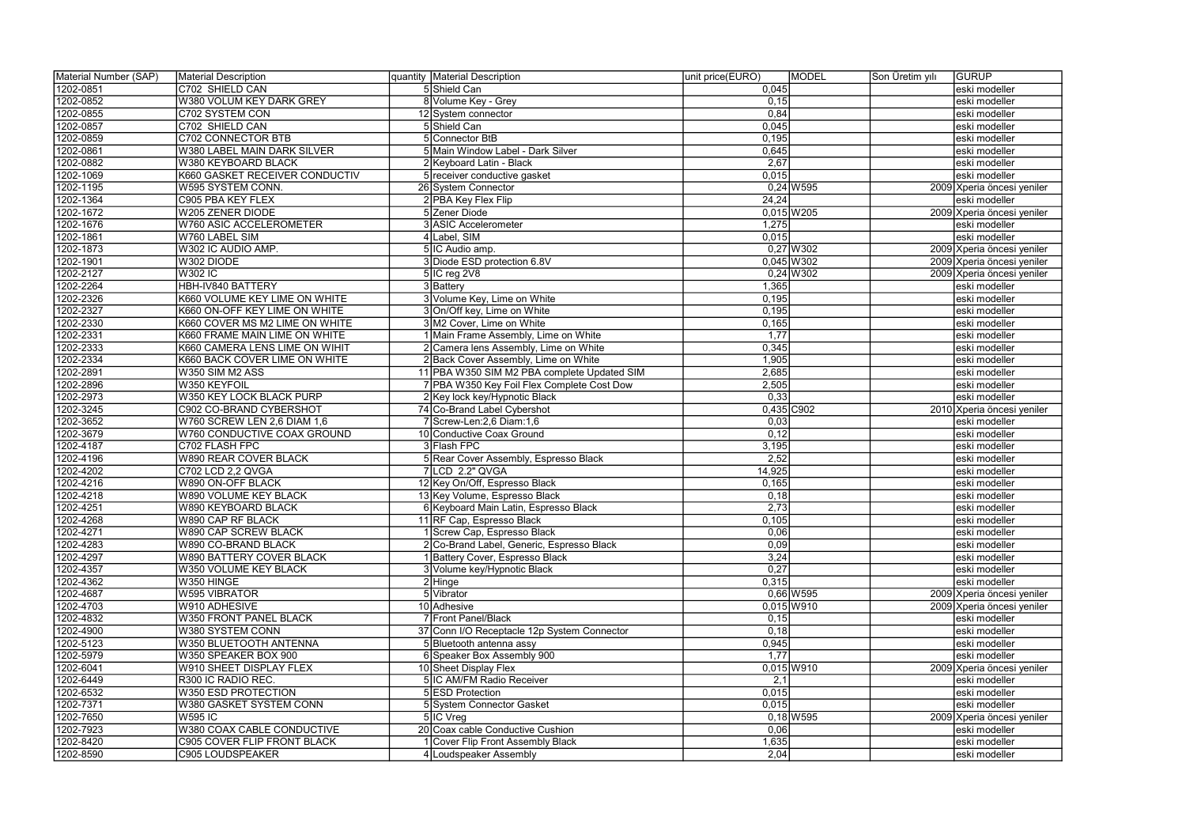| Material Number (SAP) | Material Description           | quantity   Material Description |                                             | unit price(EURO) | MODEL        | Son Üretim yılı | <b>GURUP</b>               |
|-----------------------|--------------------------------|---------------------------------|---------------------------------------------|------------------|--------------|-----------------|----------------------------|
| 1202-0851             | C702 SHIELD CAN                | 5 Shield Can                    |                                             | 0,045            |              |                 | eski modeller              |
| 1202-0852             | W380 VOLUM KEY DARK GREY       | 8 Volume Key - Grey             |                                             | 0, 15            |              |                 | eski modeller              |
| 1202-0855             | C702 SYSTEM CON                | 12 System connector             |                                             | 0,84             |              |                 | eski modeller              |
| 1202-0857             | C702 SHIELD CAN                | 5 Shield Can                    |                                             | 0,045            |              |                 | eski modeller              |
| 1202-0859             | C702 CONNECTOR BTB             | 5 Connector BtB                 |                                             | 0,195            |              |                 | eski modeller              |
| 1202-0861             | W380 LABEL MAIN DARK SILVER    |                                 | 5 Main Window Label - Dark Silver           | 0,645            |              |                 | eski modeller              |
| 1202-0882             | W380 KEYBOARD BLACK            | 2 Keyboard Latin - Black        |                                             | 2,67             |              |                 | eski modeller              |
| 1202-1069             | K660 GASKET RECEIVER CONDUCTIV | 5 receiver conductive gasket    |                                             | 0,015            |              |                 | eski modeller              |
| 1202-1195             | W595 SYSTEM CONN.              | 26 System Connector             |                                             |                  | $0,24$ W595  |                 | 2009 Xperia öncesi yeniler |
| 1202-1364             | C905 PBA KEY FLEX              | 2 PBA Key Flex Flip             |                                             | 24,24            |              |                 | eski modeller              |
| 1202-1672             | W205 ZENER DIODE               | 5 Zener Diode                   |                                             |                  | $0,015$ W205 |                 | 2009 Xperia öncesi yeniler |
| 1202-1676             | <b>W760 ASIC ACCELEROMETER</b> | 3 ASIC Accelerometer            |                                             | 1,275            |              |                 | eski modeller              |
| 1202-1861             | W760 LABEL SIM                 | $4$ Label, SIM                  |                                             | 0,015            |              |                 | eski modeller              |
| 1202-1873             | W302 IC AUDIO AMP.             | 5 IC Audio amp.                 |                                             |                  | $0,27$ W302  |                 | 2009 Xperia öncesi yeniler |
| 1202-1901             | W302 DIODE                     | 3 Diode ESD protection 6.8V     |                                             |                  | $0,045$ W302 |                 | 2009 Xperia öncesi yeniler |
| 1202-2127             | <b>W302 IC</b>                 | $5$  IC reg 2V8                 |                                             |                  | $0,24$ W302  |                 | 2009 Xperia öncesi yeniler |
| 1202-2264             | HBH-IV840 BATTERY              | 3 Battery                       |                                             | 1,365            |              |                 | eski modeller              |
| 1202-2326             | K660 VOLUME KEY LIME ON WHITE  | 3 Volume Key, Lime on White     |                                             | 0,195            |              |                 | eski modeller              |
| 1202-2327             | K660 ON-OFF KEY LIME ON WHITE  | 3 On/Off key, Lime on White     |                                             | 0,195            |              |                 | eski modeller              |
| 1202-2330             | K660 COVER MS M2 LIME ON WHITE | 3 M2 Cover, Lime on White       |                                             | 0,165            |              |                 | eski modeller              |
| 1202-2331             | K660 FRAME MAIN LIME ON WHITE  |                                 | 1 Main Frame Assembly, Lime on White        | 1,77             |              |                 | eski modeller              |
| 1202-2333             | K660 CAMERA LENS LIME ON WIHIT |                                 | 2 Camera lens Assembly, Lime on White       | 0,345            |              |                 | eski modeller              |
| 1202-2334             | K660 BACK COVER LIME ON WHITE  |                                 | 2 Back Cover Assembly, Lime on White        | 1,905            |              |                 | eski modeller              |
| 1202-2891             | W350 SIM M2 ASS                |                                 | 11 PBA W350 SIM M2 PBA complete Updated SIM | 2,685            |              |                 | eski modeller              |
| 1202-2896             | W350 KEYFOIL                   |                                 | 7 PBA W350 Key Foil Flex Complete Cost Dow  | 2,505            |              |                 | eski modeller              |
| 1202-2973             | W350 KEY LOCK BLACK PURP       | 2 Key lock key/Hypnotic Black   |                                             | 0,33             |              |                 | eski modeller              |
| 1202-3245             | C902 CO-BRAND CYBERSHOT        | 74 Co-Brand Label Cybershot     |                                             | 0,435 C902       |              |                 | 2010 Xperia öncesi yeniler |
| 1202-3652             | W760 SCREW LEN 2,6 DIAM 1,6    | $7$ Screw-Len: 2,6 Diam: 1,6    |                                             | 0,03             |              |                 | eski modeller              |
| 1202-3679             | W760 CONDUCTIVE COAX GROUND    | 10 Conductive Coax Ground       |                                             | 0,12             |              |                 | eski modeller              |
| 1202-4187             | C702 FLASH FPC                 | 3 Flash FPC                     |                                             | 3,195            |              |                 | eski modeller              |
| 1202-4196             | <b>W890 REAR COVER BLACK</b>   |                                 | 5 Rear Cover Assembly, Espresso Black       | 2,52             |              |                 | eski modeller              |
| 1202-4202             | C702 LCD 2,2 QVGA              | 7 LCD 2.2" QVGA                 |                                             | 14,925           |              |                 | eski modeller              |
| 1202-4216             | W890 ON-OFF BLACK              | 12 Key On/Off, Espresso Black   |                                             | 0,165            |              |                 | eski modeller              |
| 1202-4218             | W890 VOLUME KEY BLACK          | 13 Key Volume, Espresso Black   |                                             | 0,18             |              |                 | eski modeller              |
| 1202-4251             | W890 KEYBOARD BLACK            |                                 | 6 Keyboard Main Latin, Espresso Black       | 2,73             |              |                 | eski modeller              |
| 1202-4268             | <b>W890 CAP RF BLACK</b>       | 11 RF Cap, Espresso Black       |                                             | 0,105            |              |                 | leski modeller             |
| 1202-4271             | W890 CAP SCREW BLACK           | 1 Screw Cap, Espresso Black     |                                             | 0,06             |              |                 | eski modeller              |
| 1202-4283             | W890 CO-BRAND BLACK            |                                 | 2 Co-Brand Label, Generic, Espresso Black   | 0,09             |              |                 | eski modeller              |
| 1202-4297             | W890 BATTERY COVER BLACK       |                                 | 1 Battery Cover, Espresso Black             | 3,24             |              |                 | eski modeller              |
| 1202-4357             | W350 VOLUME KEY BLACK          | 3 Volume key/Hypnotic Black     |                                             | 0,27             |              |                 | eski modeller              |
| 1202-4362             | W350 HINGE                     | $2$ Hinge                       |                                             | 0,315            |              |                 | eski modeller              |
| 1202-4687             | <b>W595 VIBRATOR</b>           | 5 Vibrator                      |                                             |                  | $0,66$ W595  |                 | 2009 Xperia öncesi yeniler |
| 1202-4703             | W910 ADHESIVE                  | 10 Adhesive                     |                                             |                  | $0,015$ W910 |                 | 2009 Xperia öncesi yeniler |
| 1202-4832             | <b>W350 FRONT PANEL BLACK</b>  | 7 Front Panel/Black             |                                             | 0,15             |              |                 | eski modeller              |
| 1202-4900             | W380 SYSTEM CONN               |                                 | 37 Conn I/O Receptacle 12p System Connector | 0,18             |              |                 | eski modeller              |
| 1202-5123             | W350 BLUETOOTH ANTENNA         | 5 Bluetooth antenna assy        |                                             | 0,945            |              |                 | eski modeller              |
| 1202-5979             | W350 SPEAKER BOX 900           | 6 Speaker Box Assembly 900      |                                             | 1,77             |              |                 | eski modeller              |
| 1202-6041             | W910 SHEET DISPLAY FLEX        | 10 Sheet Display Flex           |                                             |                  | $0,015$ W910 |                 | 2009 Xperia öncesi yeniler |
| 1202-6449             | R300 IC RADIO REC.             | 5 IC AM/FM Radio Receiver       |                                             | 2,1              |              |                 | eski modeller              |
| 1202-6532             | W350 ESD PROTECTION            | 5 ESD Protection                |                                             | 0,015            |              |                 | eski modeller              |
| 1202-7371             | W380 GASKET SYSTEM CONN        | 5 System Connector Gasket       |                                             | 0,015            |              |                 | eski modeller              |
| 1202-7650             | <b>W595 IC</b>                 | 5 IC Vreg                       |                                             |                  | $0,18$ W595  |                 | 2009 Xperia öncesi yeniler |
| 1202-7923             | W380 COAX CABLE CONDUCTIVE     |                                 | 20 Coax cable Conductive Cushion            | 0,06             |              |                 | eski modeller              |
| 1202-8420             | C905 COVER FLIP FRONT BLACK    |                                 | 1 Cover Flip Front Assembly Black           | 1,635            |              |                 | eski modeller              |
| 1202-8590             | C905 LOUDSPEAKER               | 4 Loudspeaker Assembly          |                                             | 2,04             |              |                 | eski modeller              |
|                       |                                |                                 |                                             |                  |              |                 |                            |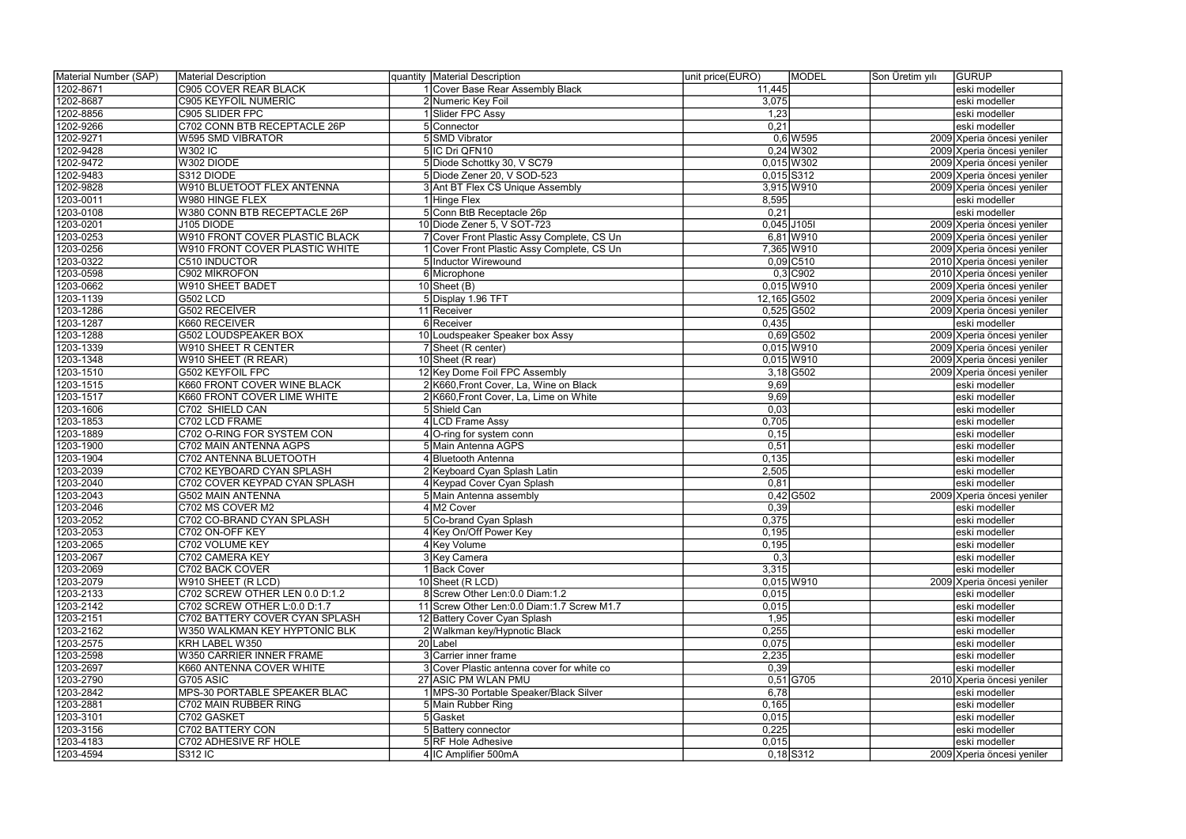| Material Number (SAP)  | Material Description                  | quantity   Material Description                                                  | unit price(EURO) | <b>MODEL</b> | Son Üretim yılı | <b>GURUP</b>                   |
|------------------------|---------------------------------------|----------------------------------------------------------------------------------|------------------|--------------|-----------------|--------------------------------|
| 1202-8671              | C905 COVER REAR BLACK                 | 1 Cover Base Rear Assembly Black                                                 | 11,445           |              |                 | eski modeller                  |
| 1202-8687              | <b>C905 KEYFOIL NUMERIC</b>           | 2 Numeric Key Foil                                                               | 3,075            |              |                 | eski modeller                  |
| 1202-8856              | C905 SLIDER FPC                       | 1 Slider FPC Assy                                                                | 1,23             |              |                 | eski modeller                  |
| 1202-9266              | C702 CONN BTB RECEPTACLE 26P          | 5 Connector                                                                      | 0,21             |              |                 | eski modeller                  |
| 1202-9271              | <b>W595 SMD VIBRATOR</b>              | 5 SMD Vibrator                                                                   |                  | $0,6$ W595   |                 | 2009 Xperia öncesi yeniler     |
| 1202-9428              | <b>W302 IC</b>                        | 5 IC Dri QFN10                                                                   |                  | $0,24$ W302  |                 | 2009 Xperia öncesi yeniler     |
| 1202-9472              | W302 DIODE                            | 5 Diode Schottky 30, V SC79                                                      |                  | $0,015$ W302 |                 | 2009 Xperia öncesi yeniler     |
| 1202-9483              | S312 DIODE                            | 5 Diode Zener 20, V SOD-523                                                      | $0,015$ S312     |              |                 | 2009 Xperia öncesi yeniler     |
| 1202-9828              | <b>W910 BLUETOOT FLEX ANTENNA</b>     | 3 Ant BT Flex CS Unique Assembly                                                 |                  | 3,915 W910   |                 | 2009 Xperia öncesi yeniler     |
| 1203-0011              | W980 HINGE FLEX                       | 1 Hinge Flex                                                                     | 8,595            |              |                 | eski modeller                  |
| 1203-0108              | W380 CONN BTB RECEPTACLE 26P          | 5 Conn BtB Receptacle 26p                                                        | 0,21             |              |                 | eski modeller                  |
| 1203-0201              | J105 DIODE                            | 10 Diode Zener 5, V SOT-723                                                      | $0,045$ J105I    |              |                 | 2009 Xperia öncesi yeniler     |
| 1203-0253              | <b>W910 FRONT COVER PLASTIC BLACK</b> | 7 Cover Front Plastic Assy Complete, CS Un                                       |                  | $6,81$ W910  |                 | 2009 Xperia öncesi yeniler     |
| 1203-0256              | W910 FRONT COVER PLASTIC WHITE        | 1 Cover Front Plastic Assy Complete, CS Un                                       |                  | 7,365 W910   |                 | 2009 Xperia öncesi yeniler     |
| 1203-0322              | C510 INDUCTOR                         | 5 Inductor Wirewound                                                             |                  | $0,09$ C510  |                 | 2010 Xperia öncesi yeniler     |
| 1203-0598              | C902 MİKROFON                         | 6 Microphone                                                                     |                  | $0,3$ C902   |                 | 2010 Xperia öncesi yeniler     |
| 1203-0662              | <b>W910 SHEET BADET</b>               | $10$ Sheet (B)                                                                   |                  | $0,015$ W910 |                 | 2009 Xperia öncesi yeniler     |
| 1203-1139              | G502 LCD                              | 5 Display 1.96 TFT                                                               | 12,165 G502      |              |                 | 2009 Xperia öncesi yeniler     |
| 1203-1286              | <b>G502 RECEIVER</b>                  | 11 Receiver                                                                      |                  | $0,525$ G502 |                 | 2009 Xperia öncesi yeniler     |
| 1203-1287              | K660 RECEIVER                         | 6 Receiver                                                                       | 0,435            |              |                 | eski modeller                  |
| 1203-1288              | G502 LOUDSPEAKER BOX                  | 10 Loudspeaker Speaker box Assy                                                  |                  | $0,69$ G502  |                 | 2009 Xperia öncesi yeniler     |
| 1203-1339              | <b>W910 SHEET R CENTER</b>            | 7 Sheet (R center)                                                               |                  | $0,015$ W910 |                 | 2009 Xperia öncesi yeniler     |
| 1203-1348              | W910 SHEET (R REAR)                   | 10 Sheet (R rear)                                                                |                  | $0,015$ W910 |                 | 2009 Xperia öncesi yeniler     |
| 1203-1510              | <b>G502 KEYFOIL FPC</b>               | 12 Key Dome Foil FPC Assembly                                                    |                  | $3,18$ G502  |                 | 2009 Xperia öncesi yeniler     |
| 1203-1515              | K660 FRONT COVER WINE BLACK           | 2 K660, Front Cover, La, Wine on Black                                           | 9,69             |              |                 | eski modeller                  |
| 1203-1517              | K660 FRONT COVER LIME WHITE           | 2 K660, Front Cover, La, Lime on White                                           | 9,69             |              |                 | eski modeller                  |
| 1203-1606              | C702 SHIELD CAN                       | 5 Shield Can                                                                     | 0,03             |              |                 | eski modeller                  |
| 1203-1853              | C702 LCD FRAME                        | 4 LCD Frame Assy                                                                 | 0,705            |              |                 |                                |
| 1203-1889              | C702 O-RING FOR SYSTEM CON            | 4 O-ring for system conn                                                         | 0, 15            |              |                 | eski modeller<br>eski modeller |
| 1203-1900              | C702 MAIN ANTENNA AGPS                | 5 Main Antenna AGPS                                                              | 0,51             |              |                 | eski modeller                  |
| 1203-1904              | C702 ANTENNA BLUETOOTH                | 4 Bluetooth Antenna                                                              | 0,135            |              |                 | eski modeller                  |
| 1203-2039              | C702 KEYBOARD CYAN SPLASH             | 2 Keyboard Cyan Splash Latin                                                     | 2,505            |              |                 | eski modeller                  |
| 1203-2040              | C702 COVER KEYPAD CYAN SPLASH         | 4 Keypad Cover Cyan Splash                                                       | 0,81             |              |                 | eski modeller                  |
| 1203-2043              | <b>G502 MAIN ANTENNA</b>              | 5 Main Antenna assembly                                                          |                  | $0,42$ G502  |                 | 2009 Xperia öncesi yeniler     |
| 1203-2046              | C702 MS COVER M2                      | 4 M2 Cover                                                                       | 0,39             |              |                 | eski modeller                  |
| 1203-2052              | C702 CO-BRAND CYAN SPLASH             | 5 Co-brand Cyan Splash                                                           | 0,375            |              |                 |                                |
| 1203-2053              | C702 ON-OFF KEY                       | 4 Key On/Off Power Key                                                           | 0,195            |              |                 | eski modeller<br>eski modeller |
| 1203-2065              | C702 VOLUME KEY                       | 4 Key Volume                                                                     | 0,195            |              |                 | eski modeller                  |
| 1203-2067              | C702 CAMERA KEY                       | 3 Key Camera                                                                     | 0,3              |              |                 | eski modeller                  |
| 1203-2069              | C702 BACK COVER                       | 1 Back Cover                                                                     | 3,315            |              |                 | eski modeller                  |
| 1203-2079              | W910 SHEET (R LCD)                    | 10 Sheet (R LCD)                                                                 |                  | $0,015$ W910 |                 |                                |
|                        | C702 SCREW OTHER LEN 0.0 D:1.2        |                                                                                  |                  |              |                 | 2009 Xperia öncesi yeniler     |
| 1203-2133<br>1203-2142 | C702 SCREW OTHER L:0.0 D:1.7          | 8 Screw Other Len: 0.0 Diam: 1.2<br>11 Screw Other Len: 0.0 Diam: 1.7 Screw M1.7 | 0,015<br>0,015   |              |                 | eski modeller<br>eski modeller |
| 1203-2151              | C702 BATTERY COVER CYAN SPLASH        |                                                                                  | 1,95             |              |                 | eski modeller                  |
| 1203-2162              | W350 WALKMAN KEY HYPTONIC BLK         | 12 Battery Cover Cyan Splash<br>2 Walkman key/Hypnotic Black                     | 0,255            |              |                 | eski modeller                  |
| 1203-2575              | KRH LABEL W350                        | 20 Label                                                                         | 0,075            |              |                 | eski modeller                  |
|                        | <b>W350 CARRIER INNER FRAME</b>       | 3 Carrier inner frame                                                            |                  |              |                 |                                |
| 1203-2598              |                                       |                                                                                  | 2,235<br> 0,39   |              |                 | eski modeller                  |
| 1203-2697              | K660 ANTENNA COVER WHITE<br>G705 ASIC | 3 Cover Plastic antenna cover for white co<br>27 ASIC PM WLAN PMU                |                  | $0,51$ G705  |                 | eski modeller                  |
| 1203-2790              |                                       |                                                                                  |                  |              |                 | 2010 Xperia öncesi yeniler     |
| 1203-2842              | MPS-30 PORTABLE SPEAKER BLAC          | 1 MPS-30 Portable Speaker/Black Silver                                           | 6,78             |              |                 | eski modeller                  |
| 1203-2881              | C702 MAIN RUBBER RING                 | 5 Main Rubber Ring                                                               | 0,165            |              |                 | eski modeller                  |
| 1203-3101              | C702 GASKET                           | 5 Gasket                                                                         | 0,015            |              |                 | eski modeller                  |
| 1203-3156              | C702 BATTERY CON                      | 5 Battery connector                                                              | 0,225            |              |                 | eski modeller                  |
| 1203-4183              | C702 ADHESIVE RF HOLE                 | 5 RF Hole Adhesive                                                               | 0,015            |              |                 | eski modeller                  |
| 1203-4594              | $\overline{\text{S}}312\text{IC}$     | 4 IC Amplifier 500mA                                                             |                  | $0,18$ S312  |                 | 2009 Xperia öncesi yeniler     |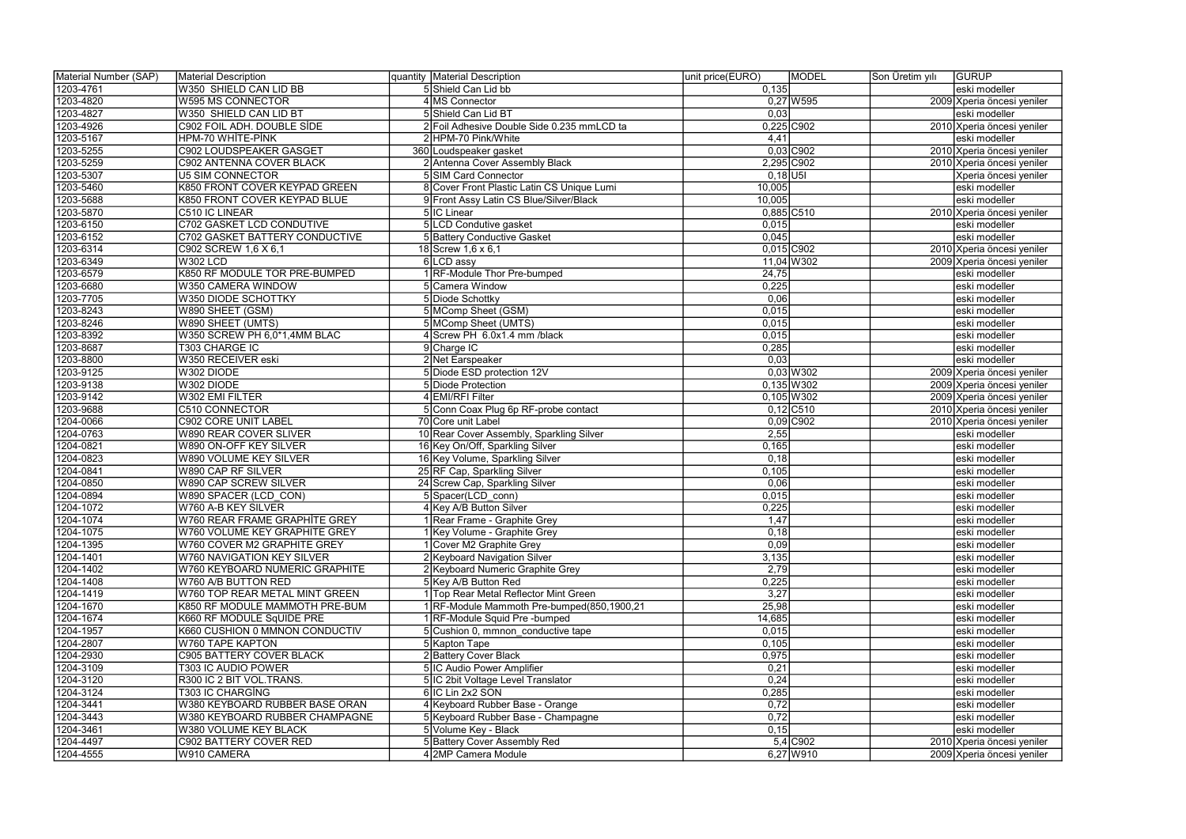| Material Number (SAP) | Material Description             | quantity   Material Description            | unit price(EURO) | <b>MODEL</b> | Son Üretim yılı | <b>GURUP</b>               |
|-----------------------|----------------------------------|--------------------------------------------|------------------|--------------|-----------------|----------------------------|
| 1203-4761             | W350 SHIELD CAN LID BB           | 5 Shield Can Lid bb                        | 0,135            |              |                 | eski modeller              |
| 1203-4820             | W595 MS CONNECTOR                | 4 MS Connector                             |                  | $0,27$ W595  |                 | 2009 Xperia öncesi yeniler |
| 1203-4827             | W350 SHIELD CAN LID BT           | 5 Shield Can Lid BT                        | 0,03             |              |                 | eski modeller              |
| 1203-4926             | C902 FOIL ADH. DOUBLE SİDE       | 2 Foil Adhesive Double Side 0.235 mmLCD ta | $0,225$ C902     |              |                 | 2010 Xperia öncesi yeniler |
| 1203-5167             | HPM-70 WHITE-PINK                | 2 HPM-70 Pink/White                        | 4,41             |              |                 | eski modeller              |
| 1203-5255             | C902 LOUDSPEAKER GASGET          | 360 Loudspeaker gasket                     |                  | $0,03$ C902  |                 | 2010 Xperia öncesi yeniler |
| 1203-5259             | C902 ANTENNA COVER BLACK         | 2 Antenna Cover Assembly Black             |                  | 2,295 C902   |                 | 2010 Xperia öncesi yeniler |
| 1203-5307             | <b>U5 SIM CONNECTOR</b>          | 5 SIM Card Connector                       | $0,18$ U5I       |              |                 | Xperia öncesi yeniler      |
| 1203-5460             | K850 FRONT COVER KEYPAD GREEN    | 8 Cover Front Plastic Latin CS Unique Lumi | 10,005           |              |                 | eski modeller              |
| 1203-5688             | K850 FRONT COVER KEYPAD BLUE     | 9 Front Assy Latin CS Blue/Silver/Black    | 10,005           |              |                 | eski modeller              |
| 1203-5870             | C510 IC LINEAR                   | 5 IC Linear                                | $0,885$ C510     |              |                 | 2010 Xperia öncesi yeniler |
| 1203-6150             | <b>C702 GASKET LCD CONDUTIVE</b> | 5 LCD Condutive gasket                     | 0,015            |              |                 | eski modeller              |
| 1203-6152             | C702 GASKET BATTERY CONDUCTIVE   | 5 Battery Conductive Gasket                | 0,045            |              |                 | eski modeller              |
| 1203-6314             | C902 SCREW 1,6 X 6,1             | 18 Screw 1,6 x 6,1                         | $0,015$ C902     |              |                 | 2010 Xperia öncesi yeniler |
| 1203-6349             | <b>W302 LCD</b>                  | 6 LCD assy                                 |                  | $11,04$ W302 |                 | 2009 Xperia öncesi yeniler |
| 1203-6579             | K850 RF MODULE TOR PRE-BUMPED    | 1 RF-Module Thor Pre-bumped                | 24,75            |              |                 | eski modeller              |
|                       |                                  | 5 Camera Window                            |                  |              |                 |                            |
| 1203-6680             | W350 CAMERA WINDOW               |                                            | 0,225            |              |                 | eski modeller              |
| 1203-7705             | W350 DIODE SCHOTTKY              | 5 Diode Schottky                           | 0,06             |              |                 | eski modeller              |
| 1203-8243             | W890 SHEET (GSM)                 | 5 MComp Sheet (GSM)                        | 0,015            |              |                 | eski modeller              |
| 1203-8246             | W890 SHEET (UMTS)                | 5 MComp Sheet (UMTS)                       | 0,015            |              |                 | eski modeller              |
| 1203-8392             | W350 SCREW PH 6,0*1,4MM BLAC     | 4 Screw PH 6.0x1.4 mm /black               | 0,015            |              |                 | eski modeller              |
| 1203-8687             | T303 CHARGE IC                   | 9 Charge IC                                | 0,285            |              |                 | eski modeller              |
| 1203-8800             | W350 RECEIVER eski               | 2 Net Earspeaker                           | 0,03             |              |                 | eski modeller              |
| 1203-9125             | W302 DIODE                       | 5 Diode ESD protection 12V                 |                  | $0,03$ W 302 |                 | 2009 Xperia öncesi yeniler |
| 1203-9138             | W302 DIODE                       | 5 Diode Protection                         |                  | $0,135$ W302 |                 | 2009 Xperia öncesi yeniler |
| 1203-9142             | W302 EMI FILTER                  | 4 EMI/RFI Filter                           |                  | $0,105$ W302 |                 | 2009 Xperia öncesi yeniler |
| 1203-9688             | <b>C510 CONNECTOR</b>            | 5 Conn Coax Plug 6p RF-probe contact       |                  | $0,12$ C510  |                 | 2010 Xperia öncesi yeniler |
| 1204-0066             | C902 CORE UNIT LABEL             | 70 Core unit Label                         |                  | $0,09$ C902  |                 | 2010 Xperia öncesi yeniler |
| 1204-0763             | <b>W890 REAR COVER SLIVER</b>    | 10 Rear Cover Assembly, Sparkling Silver   | 2,55             |              |                 | eski modeller              |
| 1204-0821             | W890 ON-OFF KEY SILVER           | 16 Key On/Off, Sparkling Silver            | 0,165            |              |                 | eski modeller              |
| 1204-0823             | W890 VOLUME KEY SILVER           | 16 Key Volume, Sparkling Silver            | 0,18             |              |                 | eski modeller              |
| 1204-0841             | W890 CAP RF SILVER               | 25 RF Cap, Sparkling Silver                | 0,105            |              |                 | eski modeller              |
| 1204-0850             | W890 CAP SCREW SILVER            | 24 Screw Cap, Sparkling Silver             | 0,06             |              |                 | eski modeller              |
| 1204-0894             | W890 SPACER (LCD_CON)            | 5 Spacer(LCD_conn)                         | 0,015            |              |                 | eski modeller              |
| 1204-1072             | W760 A-B KEY SILVER              | 4 Key A/B Button Silver                    | 0,225            |              |                 | eski modeller              |
| 1204-1074             | W760 REAR FRAME GRAPHİTE GREY    | 1 Rear Frame - Graphite Grey               | 1,47             |              |                 | eski modeller              |
| 1204-1075             | W760 VOLUME KEY GRAPHITE GREY    | 1 Key Volume - Graphite Grey               | 0,18             |              |                 | eski modeller              |
| 1204-1395             | W760 COVER M2 GRAPHITE GREY      | 1 Cover M2 Graphite Grey                   | 0,09             |              |                 | eski modeller              |
| 1204-1401             | W760 NAVIGATION KEY SILVER       | 2 Keyboard Navigation Silver               | 3,135            |              |                 | eski modeller              |
| 1204-1402             | W760 KEYBOARD NUMERIC GRAPHITE   | 2 Keyboard Numeric Graphite Grey           | 2,79             |              |                 | eski modeller              |
| 1204-1408             | W760 A/B BUTTON RED              | 5 Key A/B Button Red                       | 0,225            |              |                 | eski modeller              |
| 1204-1419             | W760 TOP REAR METAL MINT GREEN   | 1 Top Rear Metal Reflector Mint Green      | 3,27             |              |                 | eski modeller              |
| 1204-1670             | K850 RF MODULE MAMMOTH PRE-BUM   | 1 RF-Module Mammoth Pre-bumped(850,1900,21 | 25,98            |              |                 | eski modeller              |
| 1204-1674             | K660 RF MODULE SqUIDE PRE        | 1 RF-Module Squid Pre-bumped               | 14,685           |              |                 | eski modeller              |
| 1204-1957             | K660 CUSHION 0 MMNON CONDUCTIV   | 5 Cushion 0, mmnon conductive tape         | 0,015            |              |                 | eski modeller              |
| 1204-2807             | W760 TAPE KAPTON                 | 5 Kapton Tape                              | 0,105            |              |                 | eski modeller              |
| 1204-2930             | C905 BATTERY COVER BLACK         | 2 Battery Cover Black                      | 0,975            |              |                 | eski modeller              |
| 1204-3109             | T303 IC AUDIO POWER              | 5 IC Audio Power Amplifier                 | 0,21             |              |                 | eski modeller              |
| 1204-3120             | R300 IC 2 BIT VOL.TRANS.         | 5 IC 2bit Voltage Level Translator         | 0, 24            |              |                 | eski modeller              |
| 1204-3124             | T303 IC CHARGİNG                 | 6 IC Lin 2x2 SON                           | 0,285            |              |                 | eski modeller              |
| 1204-3441             | W380 KEYBOARD RUBBER BASE ORAN   | 4 Keyboard Rubber Base - Orange            | 0,72             |              |                 | eski modeller              |
| 1204-3443             | W380 KEYBOARD RUBBER CHAMPAGNE   | 5 Keyboard Rubber Base - Champagne         | 0,72             |              |                 | eski modeller              |
|                       |                                  |                                            |                  |              |                 |                            |
| 1204-3461             | W380 VOLUME KEY BLACK            | 5 Volume Key - Black                       | 0, 15            |              |                 | eski modeller              |
| 1204-4497             | C902 BATTERY COVER RED           | 5 Battery Cover Assembly Red               |                  | 5,4 C902     |                 | 2010 Xperia öncesi yeniler |
| 1204-4555             | W910 CAMERA                      | 4 2MP Camera Module                        |                  | $6,27$ W910  |                 | 2009 Xperia öncesi yeniler |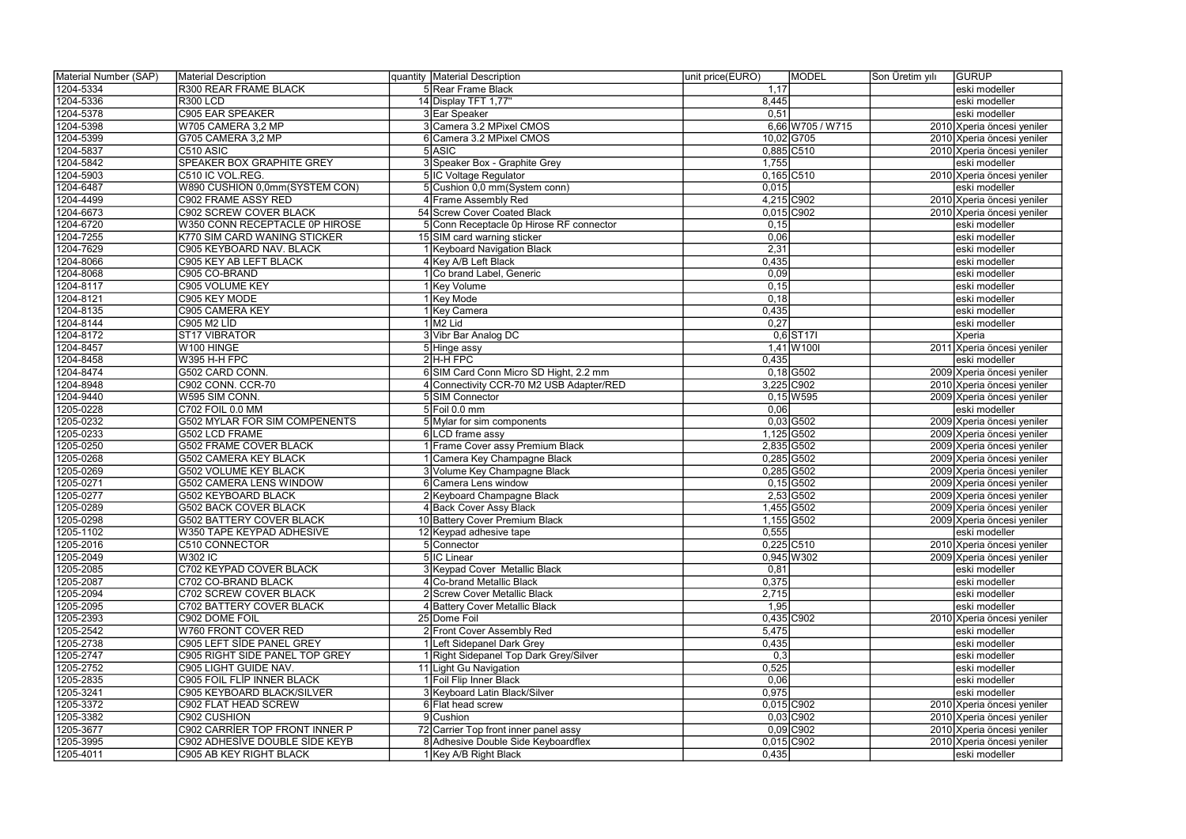| Material Number (SAP) | Material Description            | quantity   Material Description          | unit price(EURO) | <b>MODEL</b>     | Son Üretim yılı | <b>GURUP</b>               |
|-----------------------|---------------------------------|------------------------------------------|------------------|------------------|-----------------|----------------------------|
| 1204-5334             | R300 REAR FRAME BLACK           | 5 Rear Frame Black                       | 1,17             |                  |                 | eski modeller              |
| 1204-5336             | <b>R300 LCD</b>                 | 14 Display TFT 1,77"                     | 8,445            |                  |                 | eski modeller              |
| 1204-5378             | <b>C905 EAR SPEAKER</b>         | 3 Ear Speaker                            | 0,51             |                  |                 | eski modeller              |
| 1204-5398             | W705 CAMERA 3,2 MP              | 3 Camera 3.2 MPixel CMOS                 |                  | 6,66 W705 / W715 |                 | 2010 Xperia öncesi yeniler |
| 1204-5399             | G705 CAMERA 3,2 MP              | 6 Camera 3.2 MPixel CMOS                 |                  | 10,02 G705       |                 | 2010 Xperia öncesi yeniler |
| 1204-5837             | C510 ASIC                       | 5 ASIC                                   | $0,885$ C510     |                  |                 | 2010 Xperia öncesi yeniler |
| 1204-5842             | SPEAKER BOX GRAPHITE GREY       | 3 Speaker Box - Graphite Grey            | 1,755            |                  |                 | eski modeller              |
| 1204-5903             | C510 IC VOL.REG.                | 5 IC Voltage Regulator                   | $0,165$ C510     |                  |                 | 2010 Xperia öncesi yeniler |
| 1204-6487             | W890 CUSHION 0,0mm(SYSTEM CON)  | 5 Cushion 0,0 mm (System conn)           | 0,015            |                  |                 | eski modeller              |
| 1204-4499             | C902 FRAME ASSY RED             | 4 Frame Assembly Red                     | 4,215 C902       |                  |                 | 2010 Xperia öncesi yeniler |
| 1204-6673             | <b>C902 SCREW COVER BLACK</b>   | 54 Screw Cover Coated Black              | $0,015$ C902     |                  |                 | 2010 Xperia öncesi yeniler |
| 1204-6720             | W350 CONN RECEPTACLE 0P HIROSE  | 5 Conn Receptacle 0p Hirose RF connector | 0, 15            |                  |                 | eski modeller              |
| 1204-7255             | K770 SIM CARD WANING STICKER    | 15 SIM card warning sticker              | 0,06             |                  |                 | eski modeller              |
| 1204-7629             | C905 KEYBOARD NAV. BLACK        | 1 Keyboard Navigation Black              | 2,31             |                  |                 | eski modeller              |
| 1204-8066             | C905 KEY AB LEFT BLACK          | 4 Key A/B Left Black                     | 0,435            |                  |                 | eski modeller              |
| 1204-8068             | C905 CO-BRAND                   | 1 Co brand Label, Generic                | 0,09             |                  |                 | eski modeller              |
| 1204-8117             | C905 VOLUME KEY                 | 1 Key Volume                             | 0,15             |                  |                 | eski modeller              |
| 1204-8121             | C905 KEY MODE                   | l Key Mode                               | 0,18             |                  |                 | eski modeller              |
| 1204-8135             | C905 CAMERA KEY                 | 1 Key Camera                             | 0,435            |                  |                 | eski modeller              |
| 1204-8144             | C905 M2 LİD                     | $1/M2$ Lid                               | 0,27             |                  |                 | eski modeller              |
| 1204-8172             | ST17 VIBRATOR                   | 3 Vibr Bar Analog DC                     |                  | $0,6$ ST17I      |                 | Xperia                     |
| 1204-8457             | W100 HINGE                      | 5 Hinge assy                             |                  | $1,41$ W 100     |                 | 2011 Xperia öncesi yeniler |
| 1204-8458             | W395 H-H FPC                    | $2$ H-H FPC                              | 0,435            |                  |                 | eski modeller              |
| 1204-8474             | G502 CARD CONN.                 | 6 SIM Card Conn Micro SD Hight, 2.2 mm   |                  | $0,18$ G502      |                 | 2009 Xperia öncesi yeniler |
| 1204-8948             | C902 CONN. CCR-70               | 4 Connectivity CCR-70 M2 USB Adapter/RED |                  | 3,225 C902       |                 | 2010 Xperia öncesi yeniler |
| 1204-9440             | W595 SIM CONN.                  | 5 SIM Connector                          |                  | $0,15$ W595      |                 | 2009 Xperia öncesi yeniler |
| 1205-0228             | C702 FOIL 0.0 MM                | $5$ Foil 0.0 mm                          | 0,06             |                  |                 | eski modeller              |
| 1205-0232             | G502 MYLAR FOR SIM COMPENENTS   | 5 Mylar for sim components               |                  | $0,03$ G502      |                 | 2009 Xperia öncesi yeniler |
| 1205-0233             | G502 LCD FRAME                  | 6 LCD frame assy                         |                  | 1,125 G502       |                 | 2009 Xperia öncesi yeniler |
| 1205-0250             | G502 FRAME COVER BLACK          | 1 Frame Cover assy Premium Black         |                  | 2,835 G502       |                 | 2009 Xperia öncesi yeniler |
| 1205-0268             | <b>G502 CAMERA KEY BLACK</b>    | 1 Camera Key Champagne Black             |                  | $0,285$ G502     |                 | 2009 Xperia öncesi yeniler |
| 1205-0269             | G502 VOLUME KEY BLACK           | 3 Volume Key Champagne Black             | $0,285$ G502     |                  |                 | 2009 Xperia öncesi yeniler |
| 1205-0271             | G502 CAMERA LENS WINDOW         | 6 Camera Lens window                     |                  | $0,15$ G502      |                 | 2009 Xperia öncesi yeniler |
| 1205-0277             | G502 KEYBOARD BLACK             | 2 Keyboard Champagne Black               |                  | $2,53$ G502      |                 | 2009 Xperia öncesi yeniler |
| 1205-0289             | <b>G502 BACK COVER BLACK</b>    | 4 Back Cover Assy Black                  |                  | 1,455 G502       |                 | 2009 Xperia öncesi yeniler |
| 1205-0298             | <b>G502 BATTERY COVER BLACK</b> | 10 Battery Cover Premium Black           |                  | 1,155 G502       |                 | 2009 Xperia öncesi yeniler |
| 1205-1102             | W350 TAPE KEYPAD ADHESIVE       | 12 Keypad adhesive tape                  | 0,555            |                  |                 | eski modeller              |
| 1205-2016             | C510 CONNECTOR                  | 5 Connector                              | $0,225$ C510     |                  |                 | 2010 Xperia öncesi yeniler |
| 1205-2049             | <b>W302 IC</b>                  | 5 IC Linear                              |                  | $0,945$ W302     |                 | 2009 Xperia öncesi yeniler |
| 1205-2085             | C702 KEYPAD COVER BLACK         | 3 Keypad Cover Metallic Black            | 0,81             |                  |                 | eski modeller              |
| 1205-2087             | C702 CO-BRAND BLACK             | 4 Co-brand Metallic Black                | 0,375            |                  |                 | eski modeller              |
| 1205-2094             | C702 SCREW COVER BLACK          | 2 Screw Cover Metallic Black             | 2,715            |                  |                 | eski modeller              |
| 1205-2095             | C702 BATTERY COVER BLACK        | 4 Battery Cover Metallic Black           | 1,95             |                  |                 | eski modeller              |
| 1205-2393             | C902 DOME FOIL                  | 25 Dome Foil                             | $0,435$ C902     |                  |                 | 2010 Xperia öncesi yeniler |
| 1205-2542             | W760 FRONT COVER RED            | 2 Front Cover Assembly Red               | 5,475            |                  |                 | eski modeller              |
| 1205-2738             | C905 LEFT SİDE PANEL GREY       | 1 Left Sidepanel Dark Grey               | 0,435            |                  |                 | eski modeller              |
| 1205-2747             | C905 RIGHT SIDE PANEL TOP GREY  | 1 Right Sidepanel Top Dark Grey/Silver   | 0,3              |                  |                 | eski modeller              |
| 1205-2752             | C905 LIGHT GUIDE NAV.           | 11 Light Gu Navigation                   | 0,525            |                  |                 | eski modeller              |
| 1205-2835             | C905 FOIL FLİP INNER BLACK      | 1 Foil Flip Inner Black                  | 0,06             |                  |                 | eski modeller              |
| 1205-3241             | C905 KEYBOARD BLACK/SILVER      | 3 Keyboard Latin Black/Silver            | 0,975            |                  |                 | eski modeller              |
| 1205-3372             | C902 FLAT HEAD SCREW            | 6 Flat head screw                        | $0,015$ C902     |                  |                 | 2010 Xperia öncesi yeniler |
| 1205-3382             | C902 CUSHION                    | 9 Cushion                                |                  | $0,03$ C902      |                 | 2010 Xperia öncesi yeniler |
| 1205-3677             | C902 CARRIER TOP FRONT INNER P  | 72 Carrier Top front inner panel assy    |                  | $0,09$ C902      |                 | 2010 Xperia öncesi yeniler |
| 1205-3995             | C902 ADHESİVE DOUBLE SİDE KEYB  | 8 Adhesive Double Side Keyboardflex      | $0,015$ C902     |                  |                 | 2010 Xperia öncesi yeniler |
| 1205-4011             | C905 AB KEY RIGHT BLACK         | 1 Key A/B Right Black                    | 0,435            |                  |                 | eski modeller              |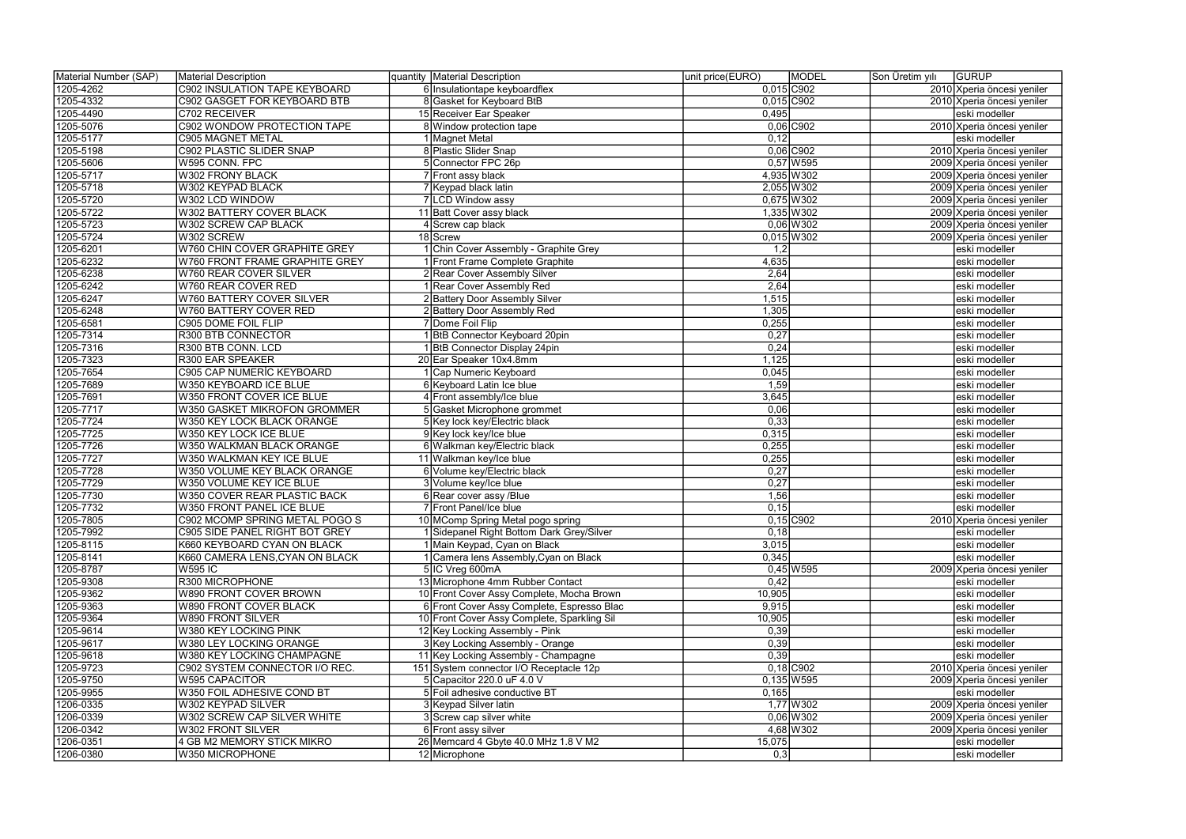| Material Number (SAP) | Material Description                 | quantity Material Description               | unit price(EURO) | MODEL        | Son Üretim yılı | <b>GURUP</b>               |
|-----------------------|--------------------------------------|---------------------------------------------|------------------|--------------|-----------------|----------------------------|
| 1205-4262             | <b>C902 INSULATION TAPE KEYBOARD</b> | 6 Insulationtape keyboardflex               | 0,015 C902       |              |                 | 2010 Xperia öncesi yeniler |
| 1205-4332             | C902 GASGET FOR KEYBOARD BTB         | 8 Gasket for Keyboard BtB                   |                  | $0,015$ C902 |                 | 2010 Xperia öncesi yeniler |
| 1205-4490             | C702 RECEIVER                        | 15 Receiver Ear Speaker                     | 0,495            |              |                 | eski modeller              |
| 1205-5076             | C902 WONDOW PROTECTION TAPE          | 8 Window protection tape                    |                  | $0,06$ C902  |                 | 2010 Xperia öncesi yeniler |
| 1205-5177             | <b>C905 MAGNET METAL</b>             | 1 Magnet Metal                              | 0,12             |              |                 | eski modeller              |
| 1205-5198             | C902 PLASTIC SLIDER SNAP             | 8 Plastic Slider Snap                       |                  | $0,06$ C902  |                 | 2010 Xperia öncesi yeniler |
| 1205-5606             | W595 CONN. FPC                       | 5 Connector FPC 26p                         |                  | $0,57$ W595  |                 | 2009 Xperia öncesi yeniler |
| 1205-5717             | <b>W302 FRONY BLACK</b>              | 7 Front assy black                          |                  | 4,935 W302   |                 | 2009 Xperia öncesi yeniler |
| 1205-5718             | W302 KEYPAD BLACK                    | 7 Keypad black latin                        |                  | 2,055 W302   |                 | 2009 Xperia öncesi yeniler |
| 1205-5720             | W302 LCD WINDOW                      | 7 LCD Window assy                           |                  | 0,675 W302   |                 | 2009 Xperia öncesi yeniler |
| 1205-5722             | W302 BATTERY COVER BLACK             | 11 Batt Cover assy black                    |                  | 1,335 W302   |                 | 2009 Xperia öncesi yeniler |
| 1205-5723             | W302 SCREW CAP BLACK                 | 4 Screw cap black                           |                  | $0,06$ W302  |                 | 2009 Xperia öncesi yeniler |
| 1205-5724             | W302 SCREW                           | 18 Screw                                    |                  | $0,015$ W302 |                 | 2009 Xperia öncesi yeniler |
| 1205-6201             | W760 CHIN COVER GRAPHITE GREY        | 1 Chin Cover Assembly - Graphite Grey       | 1,2              |              |                 | eski modeller              |
| 1205-6232             | W760 FRONT FRAME GRAPHITE GREY       | 1 Front Frame Complete Graphite             | 4,635            |              |                 | eski modeller              |
| 1205-6238             | W760 REAR COVER SILVER               | 2 Rear Cover Assembly Silver                | 2,64             |              |                 | eski modeller              |
| 1205-6242             | W760 REAR COVER RED                  | 1 Rear Cover Assembly Red                   | 2,64             |              |                 | eski modeller              |
| 1205-6247             |                                      |                                             | 1,515            |              |                 |                            |
|                       | W760 BATTERY COVER SILVER            | 2 Battery Door Assembly Silver              |                  |              |                 | eski modeller              |
| 1205-6248             | W760 BATTERY COVER RED               | 2 Battery Door Assembly Red                 | 1,305            |              |                 | eski modeller              |
| 1205-6581             | C905 DOME FOIL FLIP                  | 7 Dome Foil Flip                            | 0,255            |              |                 | eski modeller              |
| 1205-7314             | R300 BTB CONNECTOR                   | 1 BtB Connector Keyboard 20pin              | 0,27             |              |                 | eski modeller              |
| 1205-7316             | R300 BTB CONN. LCD                   | 1 BtB Connector Display 24pin               | 0,24             |              |                 | eski modeller              |
| 1205-7323             | <b>R300 EAR SPEAKER</b>              | 20 Ear Speaker 10x4.8mm                     | 1,125            |              |                 | eski modeller              |
| 1205-7654             | C905 CAP NUMERIC KEYBOARD            | 1 Cap Numeric Keyboard                      | 0,045            |              |                 | eski modeller              |
| 1205-7689             | W350 KEYBOARD ICE BLUE               | 6 Keyboard Latin Ice blue                   | 1,59             |              |                 | eski modeller              |
| 1205-7691             | W350 FRONT COVER ICE BLUE            | 4 Front assembly/Ice blue                   | 3,645            |              |                 | eski modeller              |
| 1205-7717             | W350 GASKET MIKROFON GROMMER         | 5 Gasket Microphone grommet                 | 0,06             |              |                 | eski modeller              |
| 1205-7724             | W350 KEY LOCK BLACK ORANGE           | 5 Key lock key/Electric black               | 0,33             |              |                 | eski modeller              |
| 1205-7725             | W350 KEY LOCK ICE BLUE               | 9 Key lock key/Ice blue                     | 0,315            |              |                 | eski modeller              |
| 1205-7726             | W350 WALKMAN BLACK ORANGE            | 6 Walkman key/Electric black                | 0,255            |              |                 | eski modeller              |
| 1205-7727             | W350 WALKMAN KEY ICE BLUE            | 11 Walkman key/Ice blue                     | 0,255            |              |                 | eski modeller              |
| 1205-7728             | W350 VOLUME KEY BLACK ORANGE         | 6 Volume key/Electric black                 | 0,27             |              |                 | eski modeller              |
| 1205-7729             | W350 VOLUME KEY ICE BLUE             | 3 Volume key/Ice blue                       | 0,27             |              |                 | eski modeller              |
| 1205-7730             | W350 COVER REAR PLASTIC BACK         | 6 Rear cover assy /Blue                     | 1,56             |              |                 | eski modeller              |
| 1205-7732             | W350 FRONT PANEL ICE BLUE            | 7 Front Panel/Ice blue                      | 0,15             |              |                 | eski modeller              |
| 1205-7805             | C902 MCOMP SPRING METAL POGO S       | 10 MComp Spring Metal pogo spring           |                  | $0,15$ C902  |                 | 2010 Xperia öncesi yeniler |
| 1205-7992             | C905 SIDE PANEL RIGHT BOT GREY       | 1 Sidepanel Right Bottom Dark Grey/Silver   | 0,18             |              |                 | eski modeller              |
| 1205-8115             | K660 KEYBOARD CYAN ON BLACK          | 1 Main Keypad, Cyan on Black                | 3,015            |              |                 | eski modeller              |
| 1205-8141             | K660 CAMERA LENS, CYAN ON BLACK      | 1 Camera lens Assembly, Cyan on Black       | 0,345            |              |                 | eski modeller              |
| 1205-8787             | <b>W595 IC</b>                       | 5 IC Vreg 600mA                             |                  | $0,45$ W595  |                 | 2009 Xperia öncesi yeniler |
| 1205-9308             | R300 MICROPHONE                      | 13 Microphone 4mm Rubber Contact            | 0,42             |              |                 | eski modeller              |
| 1205-9362             | W890 FRONT COVER BROWN               | 10 Front Cover Assy Complete, Mocha Brown   | 10,905           |              |                 | eski modeller              |
| 1205-9363             | W890 FRONT COVER BLACK               | 6 Front Cover Assy Complete, Espresso Blac  | 9,915            |              |                 | eski modeller              |
| 1205-9364             | <b>W890 FRONT SILVER</b>             | 10 Front Cover Assy Complete, Sparkling Sil | 10,905           |              |                 | eski modeller              |
| 1205-9614             | W380 KEY LOCKING PINK                | 12 Key Locking Assembly - Pink              | 0,39             |              |                 | eski modeller              |
| 1205-9617             | W380 LEY LOCKING ORANGE              | 3 Key Locking Assembly - Orange             | 0,39             |              |                 | eski modeller              |
| 1205-9618             | W380 KEY LOCKING CHAMPAGNE           | 11 Key Locking Assembly - Champagne         | 0,39             |              |                 | eski modeller              |
| 1205-9723             | C902 SYSTEM CONNECTOR I/O REC.       | 151 System connector I/O Receptacle 12p     |                  | $0,18$ C902  |                 | 2010 Xperia öncesi yeniler |
| 1205-9750             | <b>W595 CAPACITOR</b>                | 5 Capacitor 220.0 uF 4.0 V                  |                  | $0,135$ W595 |                 | 2009 Xperia öncesi yeniler |
| 1205-9955             |                                      | 5 Foil adhesive conductive BT               | 0,165            |              |                 | eski modeller              |
|                       | W350 FOIL ADHESIVE COND BT           | 3 Keypad Silver latin                       |                  |              |                 |                            |
| 1206-0335             | W302 KEYPAD SILVER                   |                                             |                  | 1,77 W 302   |                 | 2009 Xperia öncesi yeniler |
| 1206-0339             | W302 SCREW CAP SILVER WHITE          | 3 Screw cap silver white                    |                  | $0,06$ W 302 |                 | 2009 Xperia öncesi yeniler |
| 1206-0342             | W302 FRONT SILVER                    | 6 Front assy silver                         |                  | 4,68 W 302   |                 | 2009 Xperia öncesi yeniler |
| 1206-0351             | 4 GB M2 MEMORY STICK MIKRO           | 26 Memcard 4 Gbyte 40.0 MHz 1.8 V M2        | 15,075           |              |                 | eski modeller              |
| 1206-0380             | W350 MICROPHONE                      | 12 Microphone                               | 0,3              |              |                 | eski modeller              |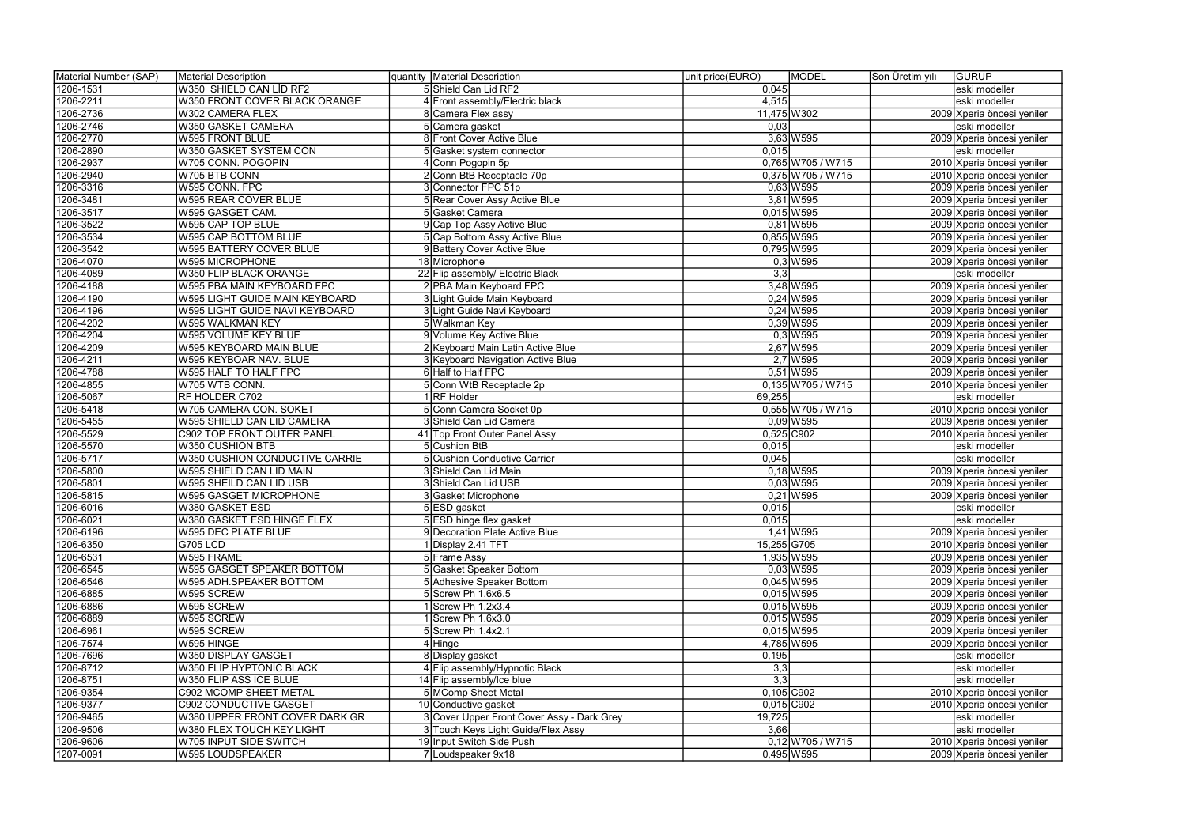| Material Number (SAP) | Material Description              | quantity   Material Description            | unit price(EURO) | MODEL               | Son Üretim yılı | GURUP                                                    |
|-----------------------|-----------------------------------|--------------------------------------------|------------------|---------------------|-----------------|----------------------------------------------------------|
| 1206-1531             | W350 SHIELD CAN LID RF2           | 5 Shield Can Lid RF2                       | 0,045            |                     |                 | eski modeller                                            |
| 1206-2211             | W350 FRONT COVER BLACK ORANGE     | 4 Front assembly/Electric black            | 4,515            |                     |                 | eski modeller                                            |
| 1206-2736             | W302 CAMERA FLEX                  | 8 Camera Flex assy                         | 11,475 W302      |                     |                 | 2009 Xperia öncesi yeniler                               |
| 1206-2746             | W350 GASKET CAMERA                | 5 Camera gasket                            | 0,03             |                     |                 | eski modeller                                            |
| 1206-2770             | W595 FRONT BLUE                   | 8 Front Cover Active Blue                  |                  | $3,63$ W595         |                 | 2009 Xperia öncesi yeniler                               |
| 1206-2890             | W350 GASKET SYSTEM CON            | 5 Gasket system connector                  | 0.015            |                     |                 | eski modeller                                            |
| 1206-2937             | W705 CONN. POGOPIN                | 4 Conn Pogopin 5p                          |                  | 0,765 W705 / W715   |                 | 2010 Xperia öncesi yeniler                               |
| 1206-2940             | W705 BTB CONN                     | 2 Conn BtB Receptacle 70p                  |                  | $0,375$ W705 / W715 |                 | 2010 Xperia öncesi yeniler                               |
| 1206-3316             | W595 CONN. FPC                    | 3 Connector FPC 51p                        |                  | $0,63$ W 595        |                 | 2009 Xperia öncesi yeniler                               |
| 1206-3481             | W595 REAR COVER BLUE              | 5 Rear Cover Assy Active Blue              |                  | $3,81$ W595         |                 | 2009 Xperia öncesi yeniler                               |
| 1206-3517             | W595 GASGET CAM.                  | 5 Gasket Camera                            |                  | $0,015$ W595        |                 | 2009 Xperia öncesi yeniler                               |
| 1206-3522             | W595 CAP TOP BLUE                 | 9 Cap Top Assy Active Blue                 |                  | $0,81$ W595         |                 | 2009 Xperia öncesi yeniler                               |
| 1206-3534             | <b>W595 CAP BOTTOM BLUE</b>       | 5 Cap Bottom Assy Active Blue              |                  | $0,855$ W595        |                 | 2009 Xperia öncesi yeniler                               |
| 1206-3542             | W595 BATTERY COVER BLUE           | 9 Battery Cover Active Blue                |                  | 0,795 W595          |                 | 2009 Xperia öncesi yeniler                               |
| 1206-4070             | W595 MICROPHONE                   | 18 Microphone                              |                  | $0,3$ W595          |                 | 2009 Xperia öncesi yeniler                               |
| 1206-4089             | W350 FLIP BLACK ORANGE            | 22 Flip assembly/ Electric Black           | $\overline{3,3}$ |                     |                 | eski modeller                                            |
| 1206-4188             | W595 PBA MAIN KEYBOARD FPC        | 2 PBA Main Keyboard FPC                    |                  | 3,48 W 595          |                 | 2009 Xperia öncesi yeniler                               |
| 1206-4190             | W595 LIGHT GUIDE MAIN KEYBOARD    | 3 Light Guide Main Keyboard                |                  | $0,24$ W 595        |                 |                                                          |
| 1206-4196             | W595 LIGHT GUIDE NAVI KEYBOARD    | 3 Light Guide Navi Keyboard                |                  | $0,24$ W 595        |                 | 2009 Xperia öncesi yeniler<br>2009 Xperia öncesi yeniler |
|                       | W595 WALKMAN KEY                  |                                            |                  |                     |                 |                                                          |
| 1206-4202             |                                   | 5 Walkman Key                              |                  | $0,39$ W 595        |                 | 2009 Xperia öncesi yeniler                               |
| 1206-4204             | W595 VOLUME KEY BLUE              | 9 Volume Key Active Blue                   |                  | $0,3$ W595          |                 | 2009 Xperia öncesi yeniler                               |
| 1206-4209             | W595 KEYBOARD MAIN BLUE           | 2 Keyboard Main Latin Active Blue          |                  | 2,67 W 595          |                 | 2009 Xperia öncesi yeniler                               |
| 1206-4211             | W595 KEYBOAR NAV. BLUE            | 3 Keyboard Navigation Active Blue          |                  | $2,7$ W595          |                 | 2009 Xperia öncesi yeniler                               |
| 1206-4788             | W595 HALF TO HALF FPC             | 6 Half to Half FPC                         |                  | $0,51$ W595         |                 | 2009 Xperia öncesi yeniler                               |
| 1206-4855             | W705 WTB CONN.                    | 5 Conn WtB Receptacle 2p                   |                  | 0,135 W705 / W715   |                 | 2010 Xperia öncesi yeniler                               |
| 1206-5067             | RF HOLDER C702                    | 1 RF Holder                                | 69,255           |                     |                 | eski modeller                                            |
| 1206-5418             | W705 CAMERA CON. SOKET            | 5 Conn Camera Socket 0p                    |                  | $0,555$ W705 / W715 |                 | 2010 Xperia öncesi yeniler                               |
| 1206-5455             | W595 SHIELD CAN LID CAMERA        | 3 Shield Can Lid Camera                    |                  | $0,09$ W595         |                 | 2009 Xperia öncesi yeniler                               |
| 1206-5529             | C902 TOP FRONT OUTER PANEL        | 41 Top Front Outer Panel Assy              |                  | 0,525 C902          |                 | 2010 Xperia öncesi yeniler                               |
| 1206-5570             | W350 CUSHION BTB                  | 5 Cushion BtB                              | 0,015            |                     |                 | eski modeller                                            |
| 1206-5717             | W350 CUSHION CONDUCTIVE CARRIE    | 5 Cushion Conductive Carrier               | 0,045            |                     |                 | eski modeller                                            |
| 1206-5800             | W595 SHIELD CAN LID MAIN          | 3 Shield Can Lid Main                      |                  | $0,18$ W595         |                 | 2009 Xperia öncesi yeniler                               |
| 1206-5801             | W595 SHEILD CAN LID USB           | 3 Shield Can Lid USB                       |                  | $0,03$ W595         |                 | 2009 Xperia öncesi yeniler                               |
| 1206-5815             | <b>W595 GASGET MICROPHONE</b>     | 3 Gasket Microphone                        |                  | $0,21$ W595         |                 | 2009 Xperia öncesi yeniler                               |
| 1206-6016             | W380 GASKET ESD                   | 5ESD gasket                                | 0,015            |                     |                 | eski modeller                                            |
| 1206-6021             | W380 GASKET ESD HINGE FLEX        | 5 ESD hinge flex gasket                    | 0,015            |                     |                 | eski modeller                                            |
| 1206-6196             | W595 DEC PLATE BLUE               | 9 Decoration Plate Active Blue             |                  | 1,41 W 595          |                 | 2009 Xperia öncesi yeniler                               |
| 1206-6350             | <b>G705 LCD</b>                   | 1 Display 2.41 TFT                         | 15,255 G705      |                     |                 | 2010 Xperia öncesi yeniler                               |
| 1206-6531             | W595 FRAME                        | 5 Frame Assy                               |                  | 1,935 W595          |                 | 2009 Xperia öncesi yeniler                               |
| 1206-6545             | <b>W595 GASGET SPEAKER BOTTOM</b> | 5 Gasket Speaker Bottom                    |                  | $0,03$ W595         |                 | 2009 Xperia öncesi yeniler                               |
| 1206-6546             | W595 ADH.SPEAKER BOTTOM           | 5 Adhesive Speaker Bottom                  |                  | $0,045$ W595        |                 | 2009 Xperia öncesi yeniler                               |
| 1206-6885             | W595 SCREW                        | 5 Screw Ph 1.6x6.5                         |                  | $0,015$ W595        |                 | 2009 Xperia öncesi yeniler                               |
| 1206-6886             | W595 SCREW                        | $1$ Screw Ph 1.2x3.4                       |                  | $0,015$ W595        |                 | 2009 Xperia öncesi yeniler                               |
| 1206-6889             | W595 SCREW                        | 1 Screw Ph 1.6x3.0                         |                  | $0,015$ W595        |                 | 2009 Xperia öncesi yeniler                               |
| 1206-6961             | W595 SCREW                        | 5 Screw Ph 1.4x2.1                         |                  | $0,015$ W595        |                 | 2009 Xperia öncesi yeniler                               |
| 1206-7574             | W595 HINGE                        | $\overline{4}$ Hinge                       |                  | 4,785 W595          |                 | 2009 Xperia öncesi yeniler                               |
| 1206-7696             | W350 DISPLAY GASGET               | 8 Display gasket                           | 0,195            |                     |                 | eski modeller                                            |
| 1206-8712             | W350 FLIP HYPTONIC BLACK          | 4 Flip assembly/Hypnotic Black             | 3,3              |                     |                 | eski modeller                                            |
| 1206-8751             | W350 FLIP ASS ICE BLUE            | 14 Flip assembly/Ice blue                  | 3,3              |                     |                 | eski modeller                                            |
| 1206-9354             | C902 MCOMP SHEET METAL            | 5 MComp Sheet Metal                        |                  | $0,105$ C902        |                 | 2010 Xperia öncesi yeniler                               |
| 1206-9377             | C902 CONDUCTIVE GASGET            | 10 Conductive gasket                       |                  | $0,015$ C902        |                 | 2010 Xperia öncesi yeniler                               |
| 1206-9465             | W380 UPPER FRONT COVER DARK GR    | 3 Cover Upper Front Cover Assy - Dark Grey | 19,725           |                     |                 | eski modeller                                            |
| 1206-9506             | W380 FLEX TOUCH KEY LIGHT         | 3 Touch Keys Light Guide/Flex Assy         | 3,66             |                     |                 | eski modeller                                            |
| 1206-9606             | W705 INPUT SIDE SWITCH            | 19 Input Switch Side Push                  |                  | $0,12$ W705 / W715  |                 | 2010 Xperia öncesi yeniler                               |
| 1207-0091             | W595 LOUDSPEAKER                  | 7 Loudspeaker 9x18                         |                  | $0,495$ W595        |                 | 2009 Xperia öncesi yeniler                               |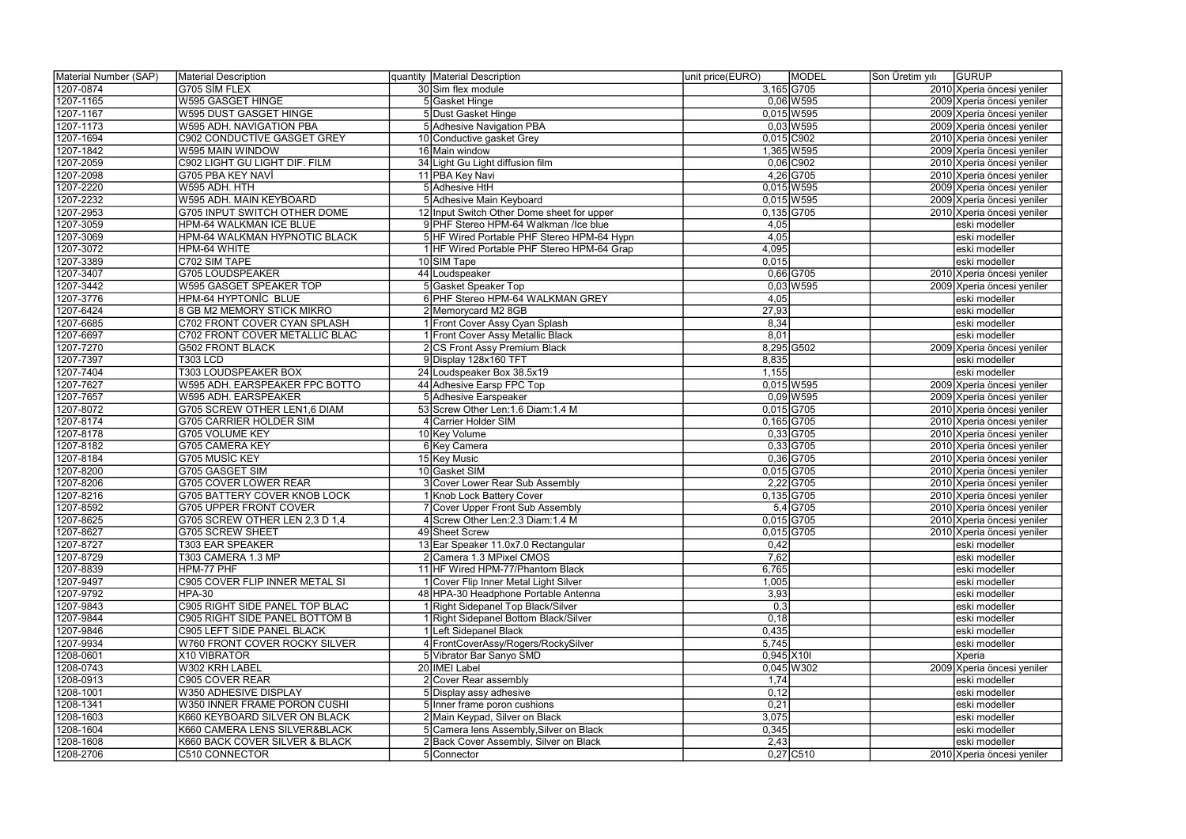| Material Number (SAP) | Material Description                | quantity   Material Description            | unit price(EURO) | MODEL        | Son Üretim yılı | <b>GURUP</b>               |
|-----------------------|-------------------------------------|--------------------------------------------|------------------|--------------|-----------------|----------------------------|
| 1207-0874             | G705 SİM FLEX                       | 30 Sim flex module                         |                  | 3,165 G705   |                 | 2010 Xperia öncesi yeniler |
| 1207-1165             | <b>W595 GASGET HINGE</b>            | 5 Gasket Hinge                             |                  | $0,06$ W595  |                 | 2009 Xperia öncesi yeniler |
| 1207-1167             | W595 DUST GASGET HINGE              | 5 Dust Gasket Hinge                        |                  | $0,015$ W595 |                 | 2009 Xperia öncesi yeniler |
| 1207-1173             | W595 ADH. NAVIGATION PBA            | 5 Adhesive Navigation PBA                  |                  | $0,03$ W595  |                 | 2009 Xperia öncesi yeniler |
| 1207-1694             | <b>C902 CONDUCTIVE GASGET GREY</b>  | 10 Conductive gasket Grey                  |                  | $0,015$ C902 |                 | 2010 Xperia öncesi yeniler |
| 1207-1842             | W595 MAIN WINDOW                    | 16 Main window                             |                  | 1,365 W595   |                 | 2009 Xperia öncesi yeniler |
| 1207-2059             | C902 LIGHT GU LIGHT DIF. FILM       | 34 Light Gu Light diffusion film           |                  | $0,06$ C902  |                 | 2010 Xperia öncesi yeniler |
| 1207-2098             | G705 PBA KEY NAVİ                   | 11 PBA Key Navi                            |                  | 4,26 G705    |                 | 2010 Xperia öncesi yeniler |
| 1207-2220             | W595 ADH. HTH                       | 5 Adhesive HtH                             |                  | $0,015$ W595 |                 | 2009 Xperia öncesi yeniler |
| 1207-2232             | W595 ADH. MAIN KEYBOARD             | 5 Adhesive Main Keyboard                   |                  | $0,015$ W595 |                 | 2009 Xperia öncesi yeniler |
| 1207-2953             | G705 INPUT SWITCH OTHER DOME        | 12 Input Switch Other Dome sheet for upper | $0,135$ G705     |              |                 | 2010 Xperia öncesi yeniler |
| 1207-3059             | HPM-64 WALKMAN ICE BLUE             | 9 PHF Stereo HPM-64 Walkman /Ice blue      | 4,05             |              |                 | eski modeller              |
| 1207-3069             | HPM-64 WALKMAN HYPNOTIC BLACK       | 5 HF Wired Portable PHF Stereo HPM-64 Hypn | 4,05             |              |                 | eski modeller              |
| 1207-3072             | HPM-64 WHITE                        | 1 HF Wired Portable PHF Stereo HPM-64 Grap | 4,095            |              |                 | eski modeller              |
| 1207-3389             | C702 SIM TAPE                       | 10 SIM Tape                                | 0,015            |              |                 | eski modeller              |
| 1207-3407             | <b>G705 LOUDSPEAKER</b>             | 44 Loudspeaker                             |                  | 0,66 G705    |                 | 2010 Xperia öncesi yeniler |
| 1207-3442             | W595 GASGET SPEAKER TOP             | 5 Gasket Speaker Top                       |                  | $0,03$ W595  |                 | 2009 Xperia öncesi yeniler |
| 1207-3776             | HPM-64 HYPTONIC BLUE                | 6 PHF Stereo HPM-64 WALKMAN GREY           | 4,05             |              |                 | eski modeller              |
| 1207-6424             | 8 GB M2 MEMORY STICK MIKRO          | 2 Memorycard M2 8GB                        | 27,93            |              |                 | eski modeller              |
| 1207-6685             | C702 FRONT COVER CYAN SPLASH        | 1 Front Cover Assy Cyan Splash             | 8,34             |              |                 | eski modeller              |
| 1207-6697             | C702 FRONT COVER METALLIC BLAC      | 1 Front Cover Assy Metallic Black          | 8,01             |              |                 | eski modeller              |
| 1207-7270             | <b>G502 FRONT BLACK</b>             | 2 CS Front Assy Premium Black              |                  | 8,295 G502   |                 | 2009 Xperia öncesi yeniler |
| 1207-7397             | <b>T303 LCD</b>                     | 9 Display 128x160 TFT                      | 8,835            |              |                 | eski modeller              |
| 1207-7404             | <b>T303 LOUDSPEAKER BOX</b>         | 24 Loudspeaker Box 38.5x19                 | 1,155            |              |                 | eski modeller              |
| 1207-7627             | W595 ADH. EARSPEAKER FPC BOTTO      | 44 Adhesive Earsp FPC Top                  |                  | $0,015$ W595 |                 | 2009 Xperia öncesi yeniler |
| 1207-7657             | W595 ADH. EARSPEAKER                | 5 Adhesive Earspeaker                      |                  | $0,09$ W595  |                 | 2009 Xperia öncesi yeniler |
| 1207-8072             | G705 SCREW OTHER LEN1,6 DIAM        | 53 Screw Other Len: 1.6 Diam: 1.4 M        |                  | $0,015$ G705 |                 | 2010 Xperia öncesi yeniler |
| 1207-8174             | <b>G705 CARRIER HOLDER SIM</b>      | 4 Carrier Holder SIM                       |                  | $0,165$ G705 |                 | 2010 Xperia öncesi yeniler |
| 1207-8178             | G705 VOLUME KEY                     | 10 Key Volume                              |                  | $0,33$ G705  |                 | 2010 Xperia öncesi yeniler |
| 1207-8182             | <b>G705 CAMERA KEY</b>              | 6 Key Camera                               |                  | $0,33$ G705  |                 | 2010 Xperia öncesi yeniler |
| 1207-8184             | G705 MUSIC KEY                      | 15 Key Music                               |                  | $0,36$ G705  |                 | 2010 Xperia öncesi yeniler |
| 1207-8200             | G705 GASGET SIM                     | 10 Gasket SIM                              |                  | $0,015$ G705 |                 | 2010 Xperia öncesi yeniler |
| 1207-8206             | <b>G705 COVER LOWER REAR</b>        | 3 Cover Lower Rear Sub Assembly            |                  | $2,22$ G705  |                 | 2010 Xperia öncesi yeniler |
| 1207-8216             | <b>G705 BATTERY COVER KNOB LOCK</b> | 1 Knob Lock Battery Cover                  |                  | $0,135$ G705 |                 | 2010 Xperia öncesi yeniler |
| 1207-8592             | <b>G705 UPPER FRONT COVER</b>       | 7 Cover Upper Front Sub Assembly           |                  | $5,4$ G705   |                 | 2010 Xperia öncesi yeniler |
| 1207-8625             | G705 SCREW OTHER LEN 2,3 D 1,4      | 4 Screw Other Len: 2.3 Diam: 1.4 M         | $0,015$ G705     |              |                 | 2010 Xperia öncesi yeniler |
| 1207-8627             | <b>G705 SCREW SHEET</b>             | 49 Sheet Screw                             |                  | $0,015$ G705 |                 | 2010 Xperia öncesi yeniler |
| 1207-8727             | T303 EAR SPEAKER                    | 13 Ear Speaker 11.0x7.0 Rectangular        | 0,42             |              |                 | eski modeller              |
| 1207-8729             | T303 CAMERA 1.3 MP                  | 2 Camera 1.3 MPixel CMOS                   | 7,62             |              |                 | eski modeller              |
| 1207-8839             | HPM-77 PHF                          | 11 HF Wired HPM-77/Phantom Black           | 6,765            |              |                 | eski modeller              |
| 1207-9497             | C905 COVER FLIP INNER METAL SI      | 1 Cover Flip Inner Metal Light Silver      | 1,005            |              |                 | eski modeller              |
| 1207-9792             | HPA-30                              | 48 HPA-30 Headphone Portable Antenna       | 3,93             |              |                 | eski modeller              |
| 1207-9843             | C905 RIGHT SIDE PANEL TOP BLAC      | 1 Right Sidepanel Top Black/Silver         | 0,3              |              |                 | eski modeller              |
| 1207-9844             | C905 RIGHT SIDE PANEL BOTTOM B      | 1 Right Sidepanel Bottom Black/Silver      | 0,18             |              |                 | eski modeller              |
| 1207-9846             | C905 LEFT SIDE PANEL BLACK          | 1 Left Sidepanel Black                     | 0,435            |              |                 | eski modeller              |
| 1207-9934             | W760 FRONT COVER ROCKY SILVER       | 4 FrontCoverAssy/Rogers/RockySilver        | 5,745            |              |                 | eski modeller              |
| 1208-0601             | X10 VIBRATOR                        | 5 Vibrator Bar Sanyo SMD                   | $0,945$ X101     |              |                 | Xperia                     |
| 1208-0743             | W302 KRH LABEL                      | 20 IMEI Label                              |                  | $0,045$ W302 |                 | 2009 Xperia öncesi yeniler |
| 1208-0913             | C905 COVER REAR                     | 2 Cover Rear assembly                      | 1,74             |              |                 | eski modeller              |
| 1208-1001             | W350 ADHESIVE DISPLAY               | 5 Display assy adhesive                    | 0,12             |              |                 | eski modeller              |
| 1208-1341             | W350 INNER FRAME PORON CUSHI        | 5 Inner frame poron cushions               | 0,21             |              |                 | eski modeller              |
| 1208-1603             | K660 KEYBOARD SILVER ON BLACK       | 2 Main Keypad, Silver on Black             | 3,075            |              |                 | eski modeller              |
| 1208-1604             | K660 CAMERA LENS SILVER&BLACK       | 5 Camera lens Assembly, Silver on Black    | 0,345            |              |                 | eski modeller              |
| 1208-1608             | K660 BACK COVER SILVER & BLACK      | 2 Back Cover Assembly, Silver on Black     | 2,43             |              |                 | eski modeller              |
| 1208-2706             | C510 CONNECTOR                      | 5 Connector                                |                  | $0,27$ C510  |                 | 2010 Xperia öncesi yeniler |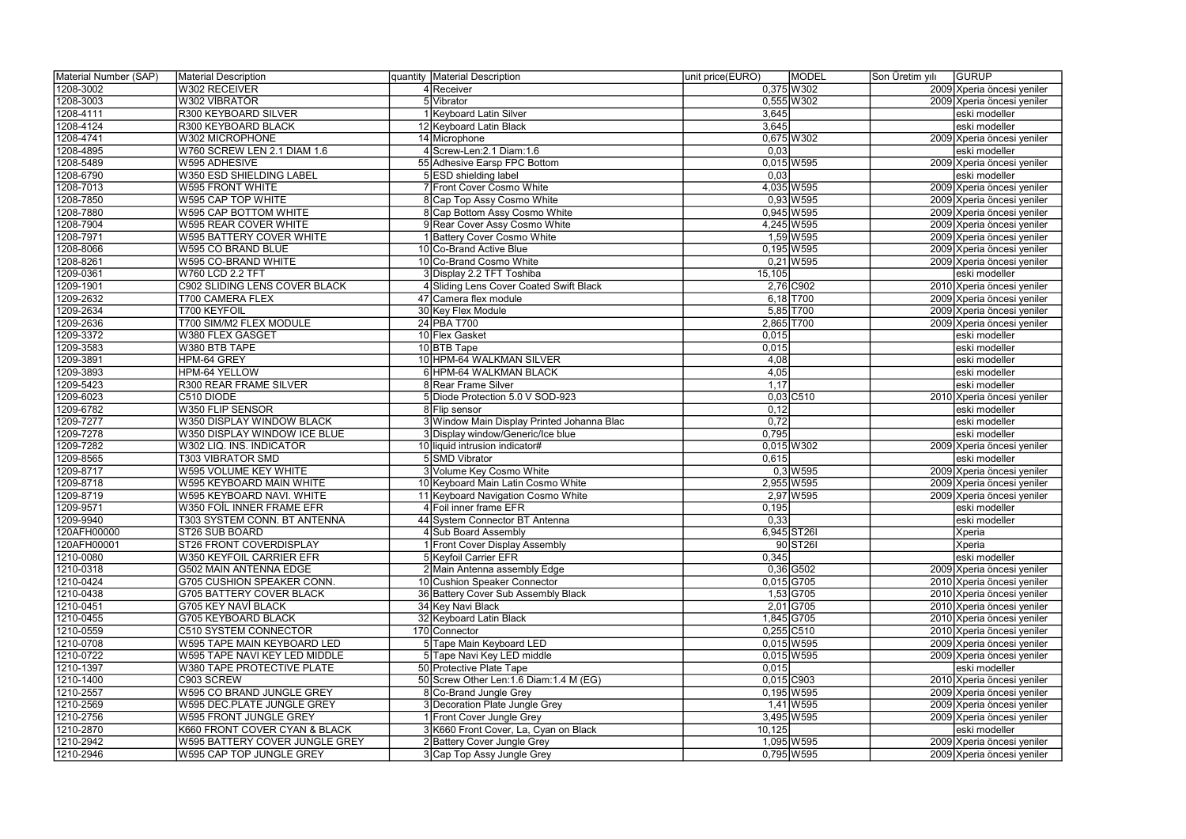| Material Number (SAP) | Material Description            | quantity Material Description              | unit price(EURO) | <b>MODEL</b>  | Son Üretim yılı | <b>GURUP</b>               |
|-----------------------|---------------------------------|--------------------------------------------|------------------|---------------|-----------------|----------------------------|
| 1208-3002             | W302 RECEIVER                   | 4 Receiver                                 |                  | $0,375$ W 302 |                 | 2009 Xperia öncesi yeniler |
| 1208-3003             | W302 VİBRATÖR                   | 5 Vibrator                                 |                  | $0,555$ W302  |                 | 2009 Xperia öncesi yeniler |
| 1208-4111             | R300 KEYBOARD SILVER            | 1 Keyboard Latin Silver                    | 3,645            |               |                 | eski modeller              |
| 1208-4124             | R300 KEYBOARD BLACK             | 12 Keyboard Latin Black                    | 3,645            |               |                 | eski modeller              |
| 1208-4741             | W302 MICROPHONE                 | 14 Microphone                              |                  | 0,675 W302    |                 | 2009 Xperia öncesi yeniler |
| 1208-4895             | W760 SCREW LEN 2.1 DIAM 1.6     | 4 Screw-Len: 2.1 Diam: 1.6                 | 0,03             |               |                 | eski modeller              |
| 1208-5489             | W595 ADHESIVE                   | 55 Adhesive Earsp FPC Bottom               |                  | $0,015$ W595  |                 | 2009 Xperia öncesi yeniler |
| 1208-6790             | W350 ESD SHIELDING LABEL        | 5 ESD shielding label                      | 0,03             |               |                 | eski modeller              |
| 1208-7013             | <b>W595 FRONT WHITE</b>         | 7 Front Cover Cosmo White                  |                  | 4,035 W595    |                 | 2009 Xperia öncesi yeniler |
| 1208-7850             | W595 CAP TOP WHITE              | 8 Cap Top Assy Cosmo White                 |                  | $0,93$ W595   |                 | 2009 Xperia öncesi yeniler |
| 1208-7880             | W595 CAP BOTTOM WHITE           | 8 Cap Bottom Assy Cosmo White              |                  | 0,945 W595    |                 | 2009 Xperia öncesi yeniler |
| 1208-7904             | W595 REAR COVER WHITE           | 9 Rear Cover Assy Cosmo White              |                  | 4,245 W595    |                 | 2009 Xperia öncesi yeniler |
| 1208-7971             | <b>W595 BATTERY COVER WHITE</b> | 1 Battery Cover Cosmo White                |                  | 1,59 W 595    |                 | 2009 Xperia öncesi yeniler |
| 1208-8066             | W595 CO BRAND BLUE              | 10 Co-Brand Active Blue                    |                  | $0,195$ W595  |                 | 2009 Xperia öncesi yeniler |
| 1208-8261             | W595 CO-BRAND WHITE             | 10 Co-Brand Cosmo White                    |                  | $0,21$ W595   |                 | 2009 Xperia öncesi yeniler |
| 1209-0361             | W760 LCD 2.2 TFT                | 3 Display 2.2 TFT Toshiba                  | 15,105           |               |                 | eski modeller              |
| 1209-1901             | C902 SLIDING LENS COVER BLACK   | 4 Sliding Lens Cover Coated Swift Black    |                  | 2,76 C902     |                 | 2010 Xperia öncesi yeniler |
| 1209-2632             | T700 CAMERA FLEX                | 47 Camera flex module                      |                  | $6,18$ T700   |                 | 2009 Xperia öncesi yeniler |
| 1209-2634             | T700 KEYFOIL                    | 30 Key Flex Module                         |                  | $5,85$ T700   |                 | 2009 Xperia öncesi yeniler |
| 1209-2636             | T700 SIM/M2 FLEX MODULE         | 24 PBA T700                                | 2,865 T700       |               |                 | 2009 Xperia öncesi yeniler |
| 1209-3372             | W380 FLEX GASGET                | 10 Flex Gasket                             | 0,015            |               |                 | eski modeller              |
| 1209-3583             | W380 BTB TAPE                   | 10 BTB Tape                                | 0,015            |               |                 | eski modeller              |
| 1209-3891             | HPM-64 GREY                     | 10 HPM-64 WALKMAN SILVER                   | 4,08             |               |                 | eski modeller              |
| 1209-3893             | HPM-64 YELLOW                   | 6 HPM-64 WALKMAN BLACK                     | 4,05             |               |                 | eski modeller              |
| 1209-5423             | <b>R300 REAR FRAME SILVER</b>   | 8 Rear Frame Silver                        | 1,17             |               |                 | eski modeller              |
| 1209-6023             | C510 DIODE                      | 5 Diode Protection 5.0 V SOD-923           |                  | $0,03$ C510   |                 | 2010 Xperia öncesi yeniler |
| 1209-6782             | W350 FLIP SENSOR                | 8 Flip sensor                              | 0,12             |               |                 | eski modeller              |
| 1209-7277             | W350 DISPLAY WINDOW BLACK       | 3 Window Main Display Printed Johanna Blac | 0,72             |               |                 | eski modeller              |
| 1209-7278             | W350 DISPLAY WINDOW ICE BLUE    | 3 Display window/Generic/Ice blue          | 0,795            |               |                 | eski modeller              |
| 1209-7282             | W302 LIQ. INS. INDICATOR        | 10 liquid intrusion indicator#             |                  | $0,015$ W302  |                 | 2009 Xperia öncesi yeniler |
| 1209-8565             | T303 VIBRATOR SMD               | 5 SMD Vibrator                             | 0,615            |               |                 | eski modeller              |
| 1209-8717             | W595 VOLUME KEY WHITE           | 3 Volume Key Cosmo White                   |                  | $0,3$ W595    |                 | 2009 Xperia öncesi yeniler |
| 1209-8718             | W595 KEYBOARD MAIN WHITE        | 10 Keyboard Main Latin Cosmo White         |                  | 2,955 W595    |                 | 2009 Xperia öncesi yeniler |
| 1209-8719             | W595 KEYBOARD NAVI. WHITE       | 11 Keyboard Navigation Cosmo White         |                  | 2,97 W595     |                 | 2009 Xperia öncesi yeniler |
| 1209-9571             | W350 FOIL INNER FRAME EFR       | 4 Foil inner frame EFR                     | 0,195            |               |                 | eski modeller              |
| 1209-9940             | T303 SYSTEM CONN. BT ANTENNA    | 44 System Connector BT Antenna             | 0,33             |               |                 | eski modeller              |
| 120AFH00000           | ST26 SUB BOARD                  | 4 Sub Board Assembly                       |                  | 6,945 ST261   |                 | Xperia                     |
| 120AFH00001           | ST26 FRONT COVERDISPLAY         | 1 Front Cover Display Assembly             |                  | 90 ST26       |                 | Xperia                     |
| 1210-0080             | W350 KEYFOIL CARRIER EFR        | 5 Keyfoil Carrier EFR                      | 0,345            |               |                 | eski modeller              |
| 1210-0318             | G502 MAIN ANTENNA EDGE          | 2 Main Antenna assembly Edge               |                  | $0,36$ G502   |                 | 2009 Xperia öncesi yeniler |
| 1210-0424             | G705 CUSHION SPEAKER CONN.      | 10 Cushion Speaker Connector               |                  | $0,015$ G705  |                 | 2010 Xperia öncesi yeniler |
| 1210-0438             | <b>G705 BATTERY COVER BLACK</b> | 36 Battery Cover Sub Assembly Black        |                  | 1,53 G705     |                 | 2010 Xperia öncesi yeniler |
| 1210-0451             | <b>G705 KEY NAVİ BLACK</b>      | 34 Key Navi Black                          |                  | $2,01$ G705   |                 | 2010 Xperia öncesi yeniler |
| 1210-0455             | G705 KEYBOARD BLACK             | 32 Keyboard Latin Black                    |                  | 1,845 G705    |                 | 2010 Xperia öncesi yeniler |
| 1210-0559             | <b>C510 SYSTEM CONNECTOR</b>    | 170 Connector                              |                  | $0,255$ C510  |                 | 2010 Xperia öncesi yeniler |
| 1210-0708             | W595 TAPE MAIN KEYBOARD LED     | 5 Tape Main Keyboard LED                   |                  | $0,015$ W595  |                 | 2009 Xperia öncesi yeniler |
| 1210-0722             | W595 TAPE NAVI KEY LED MIDDLE   | 5 Tape Navi Key LED middle                 |                  | $0,015$ W595  |                 | 2009 Xperia öncesi yeniler |
| 1210-1397             | W380 TAPE PROTECTIVE PLATE      | 50 Protective Plate Tape                   | 0,015            |               |                 | eski modeller              |
| 1210-1400             | C903 SCREW                      | 50 Screw Other Len: 1.6 Diam: 1.4 M (EG)   |                  | $0,015$ C903  |                 | 2010 Xperia öncesi yeniler |
| 1210-2557             | W595 CO BRAND JUNGLE GREY       | 8 Co-Brand Jungle Grey                     |                  | $0,195$ W595  |                 | 2009 Xperia öncesi yeniler |
| 1210-2569             | W595 DEC.PLATE JUNGLE GREY      | 3 Decoration Plate Jungle Grey             |                  | 1,41 W595     |                 | 2009 Xperia öncesi yeniler |
| 1210-2756             | W595 FRONT JUNGLE GREY          | 1 Front Cover Jungle Grey                  |                  | 3,495 W 595   |                 | 2009 Xperia öncesi yeniler |
| 1210-2870             | K660 FRONT COVER CYAN & BLACK   | 3 K660 Front Cover, La, Cyan on Black      | 10,125           |               |                 | eski modeller              |
| 1210-2942             | W595 BATTERY COVER JUNGLE GREY  | 2 Battery Cover Jungle Grey                |                  | 1,095 W 595   |                 | 2009 Xperia öncesi yeniler |
| 1210-2946             | W595 CAP TOP JUNGLE GREY        | 3 Cap Top Assy Jungle Grey                 |                  | 0,795 W 595   |                 | 2009 Xperia öncesi yeniler |
|                       |                                 |                                            |                  |               |                 |                            |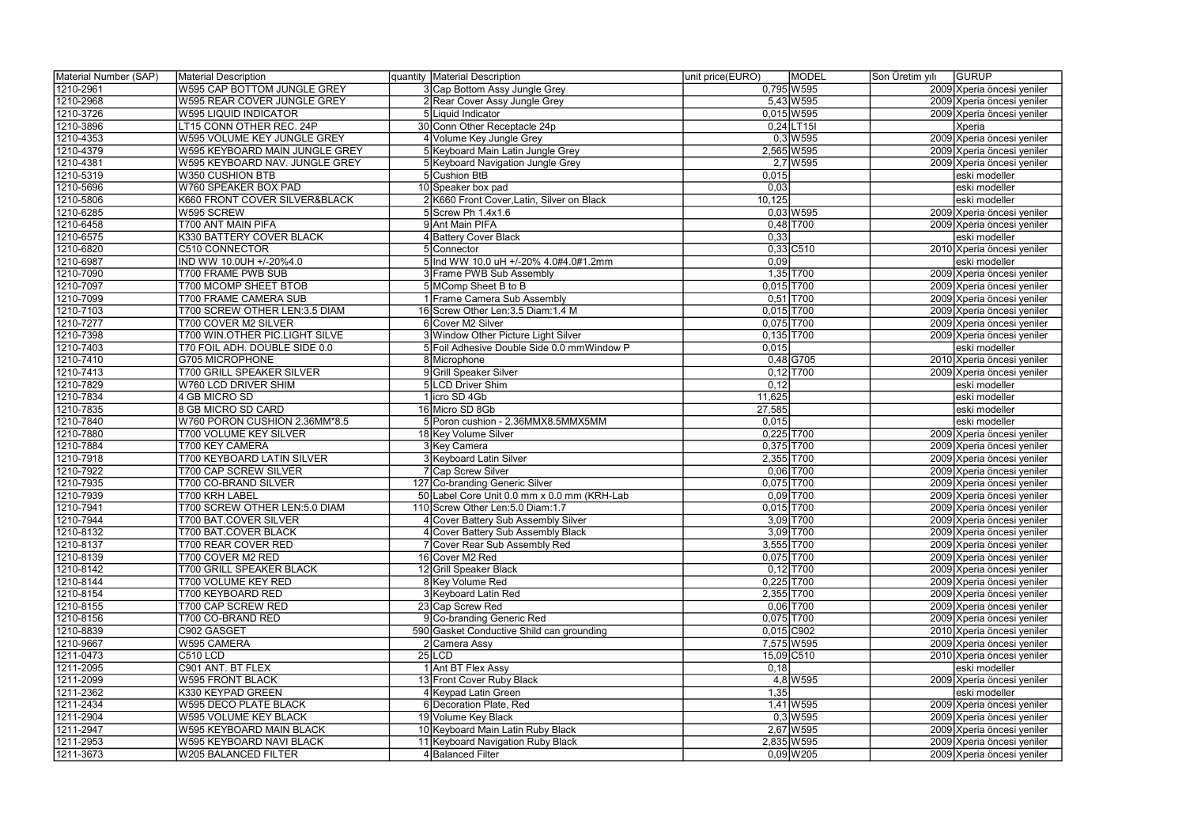| Material Number (SAP) | Material Description            | quantity   Material Description             | unit price(EURO) | MODEL        | Son Üretim yılı | <b>GURUP</b>               |
|-----------------------|---------------------------------|---------------------------------------------|------------------|--------------|-----------------|----------------------------|
| 1210-2961             | W595 CAP BOTTOM JUNGLE GREY     | 3 Cap Bottom Assy Jungle Grey               |                  | $0,795$ W595 |                 | 2009 Xperia öncesi yeniler |
| 1210-2968             | W595 REAR COVER JUNGLE GREY     | 2 Rear Cover Assy Jungle Grey               |                  | 5,43 W595    |                 | 2009 Xperia öncesi yeniler |
| 1210-3726             | <b>W595 LIQUID INDICATOR</b>    | 5 Liquid Indicator                          |                  | $0,015$ W595 |                 | 2009 Xperia öncesi yeniler |
| 1210-3896             | LT15 CONN OTHER REC. 24P        | 30 Conn Other Receptacle 24p                |                  | $0,24$ LT15I |                 | Xperia                     |
| 1210-4353             | W595 VOLUME KEY JUNGLE GREY     | 4 Volume Key Jungle Grey                    |                  | $0,3$ W595   |                 | 2009 Xperia öncesi yeniler |
| 1210-4379             | W595 KEYBOARD MAIN JUNGLE GREY  | 5 Keyboard Main Latin Jungle Grey           |                  | 2,565 W595   |                 | 2009 Xperia öncesi yeniler |
| 1210-4381             | W595 KEYBOARD NAV. JUNGLE GREY  | 5 Keyboard Navigation Jungle Grey           |                  | $2,7$ W595   |                 | 2009 Xperia öncesi yeniler |
| 1210-5319             | W350 CUSHION BTB                | 5 Cushion BtB                               | 0,015            |              |                 | eski modeller              |
| 1210-5696             | W760 SPEAKER BOX PAD            | 10 Speaker box pad                          | 0,03             |              |                 | eski modeller              |
| 1210-5806             | K660 FRONT COVER SILVER&BLACK   | 2 K660 Front Cover, Latin, Silver on Black  | 10,125           |              |                 | eski modeller              |
| 1210-6285             | W595 SCREW                      | 5 Screw Ph 1.4x1.6                          |                  | $0,03$ W595  |                 | 2009 Xperia öncesi yeniler |
| 1210-6458             | T700 ANT MAIN PIFA              | 9 Ant Main PIFA                             |                  | $0,48$ T700  |                 | 2009 Xperia öncesi yeniler |
| 1210-6575             | K330 BATTERY COVER BLACK        | 4 Battery Cover Black                       | 0,33             |              |                 | eski modeller              |
| 1210-6820             | C510 CONNECTOR                  | 5 Connector                                 |                  | $0,33$ C510  |                 | 2010 Xperia öncesi yeniler |
| 1210-6987             | IND WW 10.0UH +/-20%4.0         | 5 Ind WW 10.0 uH +/-20% 4.0#4.0#1.2mm       | 0,09             |              |                 | eski modeller              |
|                       |                                 |                                             |                  |              |                 |                            |
| 1210-7090             | T700 FRAME PWB SUB              | 3 Frame PWB Sub Assembly                    |                  | $1,35$ T700  |                 | 2009 Xperia öncesi yeniler |
| 1210-7097             | T700 MCOMP SHEET BTOB           | 5 MComp Sheet B to B                        | $0,015$ T700     |              |                 | 2009 Xperia öncesi yeniler |
| 1210-7099             | T700 FRAME CAMERA SUB           | 1 Frame Camera Sub Assembly                 |                  | $0,51$ T700  |                 | 2009 Xperia öncesi yeniler |
| 1210-7103             | T700 SCREW OTHER LEN:3.5 DIAM   | 16 Screw Other Len: 3.5 Diam: 1.4 M         | $0,015$ T700     |              |                 | 2009 Xperia öncesi yeniler |
| 1210-7277             | <b>T700 COVER M2 SILVER</b>     | 6 Cover M2 Silver                           | 0,075 T700       |              |                 | 2009 Xperia öncesi yeniler |
| 1210-7398             | T700 WIN.OTHER PIC.LIGHT SILVE  | 3 Window Other Picture Light Silver         | $0,135$ T700     |              |                 | 2009 Xperia öncesi yeniler |
| 1210-7403             | T70 FOIL ADH. DOUBLE SIDE 0.0   | 5 Foil Adhesive Double Side 0.0 mmWindow P  | 0,015            |              |                 | eski modeller              |
| 1210-7410             | <b>G705 MICROPHONE</b>          | 8 Microphone                                |                  | $0,48$ G705  |                 | 2010 Xperia öncesi yeniler |
| 1210-7413             | T700 GRILL SPEAKER SILVER       | 9 Grill Speaker Silver                      |                  | $0,12$ T700  |                 | 2009 Xperia öncesi yeniler |
| 1210-7829             | W760 LCD DRIVER SHIM            | 5 LCD Driver Shim                           | 0,12             |              |                 | eski modeller              |
| 1210-7834             | 4 GB MICRO SD                   | 1 licro SD 4Gb                              | 11,625           |              |                 | eski modeller              |
| 1210-7835             | 8 GB MICRO SD CARD              | 16 Micro SD 8Gb                             | 27,585           |              |                 | eski modeller              |
| 1210-7840             | W760 PORON CUSHION 2.36MM*8.5   | 5 Poron cushion - 2.36MMX8.5MMX5MM          | 0,015            |              |                 | eski modeller              |
| 1210-7880             | <b>T700 VOLUME KEY SILVER</b>   | 18 Key Volume Silver                        | $0,225$ T700     |              |                 | 2009 Xperia öncesi yeniler |
| 1210-7884             | T700 KEY CAMERA                 | 3 Key Camera                                |                  | $0,375$ T700 |                 | 2009 Xperia öncesi yeniler |
| 1210-7918             | T700 KEYBOARD LATIN SILVER      | 3 Keyboard Latin Silver                     |                  | 2,355 T700   |                 | 2009 Xperia öncesi yeniler |
| 1210-7922             | <b>T700 CAP SCREW SILVER</b>    | 7 Cap Screw Silver                          |                  | $0,06$ T700  |                 | 2009 Xperia öncesi yeniler |
| 1210-7935             | T700 CO-BRAND SILVER            | 127 Co-branding Generic Silver              | 0,075 T700       |              |                 | 2009 Xperia öncesi yeniler |
| 1210-7939             | T700 KRH LABEL                  | 50 Label Core Unit 0.0 mm x 0.0 mm (KRH-Lab |                  | $0,09$ T700  |                 | 2009 Xperia öncesi yeniler |
| 1210-7941             | T700 SCREW OTHER LEN:5.0 DIAM   | 110 Screw Other Len: 5.0 Diam: 1.7          | $0,015$ T700     |              |                 | 2009 Xperia öncesi yeniler |
| 1210-7944             | T700 BAT.COVER SILVER           | 4 Cover Battery Sub Assembly Silver         |                  | 3,09 T700    |                 | 2009 Xperia öncesi yeniler |
| 1210-8132             | T700 BAT.COVER BLACK            | 4 Cover Battery Sub Assembly Black          |                  | $3,09$ T700  |                 | 2009 Xperia öncesi yeniler |
| 1210-8137             | T700 REAR COVER RED             | 7 Cover Rear Sub Assembly Red               |                  | 3,555 T700   |                 | 2009 Xperia öncesi yeniler |
| 1210-8139             | T700 COVER M2 RED               | 16 Cover M2 Red                             |                  | 0,075 T700   |                 | 2009 Xperia öncesi yeniler |
| 1210-8142             | <b>T700 GRILL SPEAKER BLACK</b> | 12 Grill Speaker Black                      |                  | $0,12$ T700  |                 | 2009 Xperia öncesi yeniler |
| 1210-8144             | T700 VOLUME KEY RED             | 8 Key Volume Red                            |                  | $0,225$ T700 |                 | 2009 Xperia öncesi yeniler |
| 1210-8154             | T700 KEYBOARD RED               | 3 Keyboard Latin Red                        |                  | 2,355 T700   |                 | 2009 Xperia öncesi yeniler |
| 1210-8155             | T700 CAP SCREW RED              | 23 Cap Screw Red                            |                  | $0,06$ T700  |                 | 2009 Xperia öncesi yeniler |
| 1210-8156             | T700 CO-BRAND RED               | 9 Co-branding Generic Red                   |                  | 0,075 T700   |                 | 2009 Xperia öncesi yeniler |
| 1210-8839             | C902 GASGET                     | 590 Gasket Conductive Shild can grounding   |                  | $0,015$ C902 |                 | 2010 Xperia öncesi yeniler |
| 1210-9667             | W595 CAMERA                     | 2 Camera Assy                               |                  | 7,575 W595   |                 | 2009 Xperia öncesi yeniler |
| 1211-0473             | <b>C510 LCD</b>                 | $25$ LCD                                    |                  | 15,09 C510   |                 | 2010 Xperia öncesi yeniler |
|                       |                                 | 1 Ant BT Flex Assy                          | 0,18             |              |                 | eski modeller              |
| 1211-2095             | C901 ANT. BT FLEX               |                                             |                  |              |                 |                            |
| 1211-2099             | W595 FRONT BLACK                | 13 Front Cover Ruby Black                   |                  | 4,8 W 595    |                 | 2009 Xperia öncesi yeniler |
| 1211-2362             | K330 KEYPAD GREEN               | 4 Keypad Latin Green                        | 1,35             |              |                 | eski modeller              |
| 1211-2434             | W595 DECO PLATE BLACK           | 6 Decoration Plate, Red                     |                  | 1,41 W595    |                 | 2009 Xperia öncesi yeniler |
| 1211-2904             | W595 VOLUME KEY BLACK           | 19 Volume Key Black                         |                  | $0,3$ W595   |                 | 2009 Xperia öncesi yeniler |
| 1211-2947             | W595 KEYBOARD MAIN BLACK        | 10 Keyboard Main Latin Ruby Black           |                  | 2,67 W595    |                 | 2009 Xperia öncesi yeniler |
| 1211-2953             | W595 KEYBOARD NAVI BLACK        | 11 Keyboard Navigation Ruby Black           |                  | 2,835 W 595  |                 | 2009 Xperia öncesi yeniler |
| 1211-3673             | W205 BALANCED FILTER            | 4 Balanced Filter                           |                  | $0,09$ W 205 |                 | 2009 Xperia öncesi yeniler |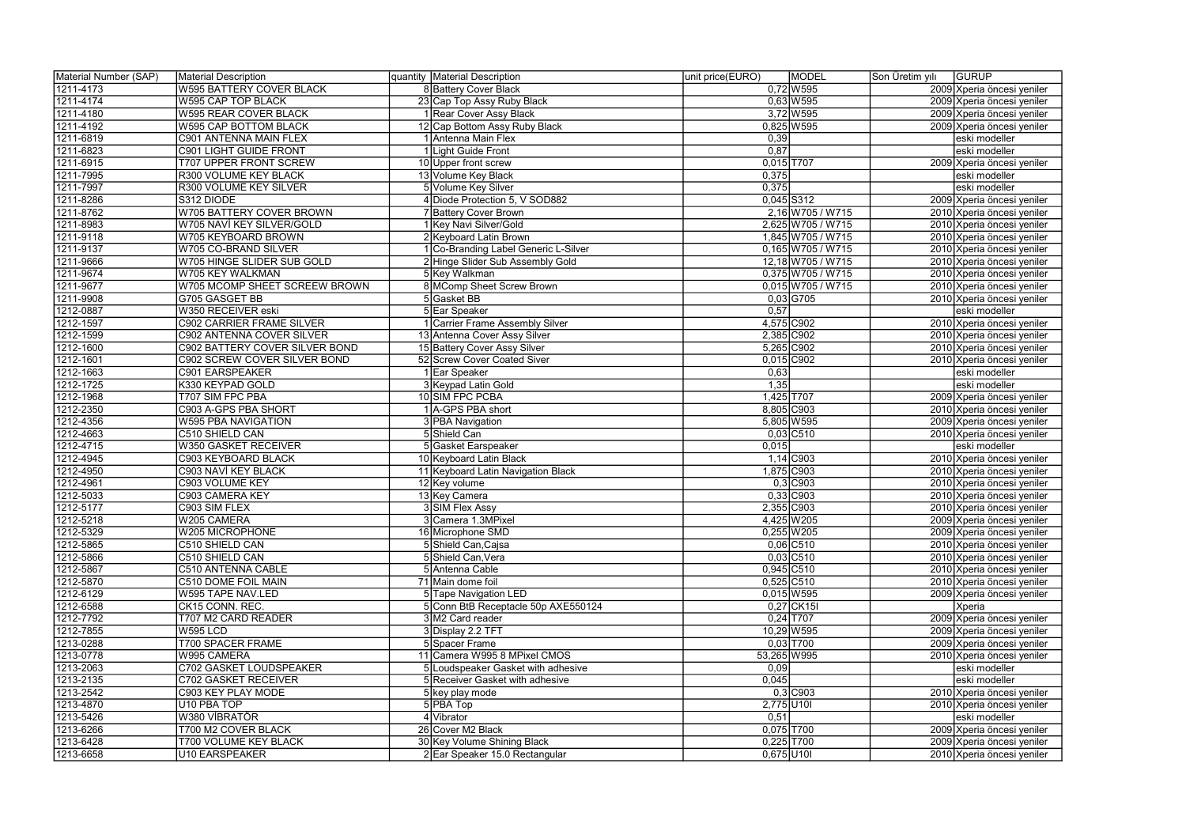| Material Number (SAP) | Material Description             | quantity   Material Description      | unit price(EURO) | <b>MODEL</b>        | Son Üretim yılı | <b>GURUP</b>               |
|-----------------------|----------------------------------|--------------------------------------|------------------|---------------------|-----------------|----------------------------|
| 1211-4173             | W595 BATTERY COVER BLACK         | <b>8 Battery Cover Black</b>         |                  | $0,72$ W 595        |                 | 2009 Xperia öncesi yeniler |
| 1211-4174             | W595 CAP TOP BLACK               | 23 Cap Top Assy Ruby Black           |                  | $0,63$ W595         |                 | 2009 Xperia öncesi yeniler |
| 1211-4180             | <b>W595 REAR COVER BLACK</b>     | 1 Rear Cover Assy Black              |                  | 3,72 W595           |                 | 2009 Xperia öncesi yeniler |
| 1211-4192             | W595 CAP BOTTOM BLACK            | 12 Cap Bottom Assy Ruby Black        |                  | $0,825$ W595        |                 | 2009 Xperia öncesi yeniler |
| 1211-6819             | C901 ANTENNA MAIN FLEX           | 1 Antenna Main Flex                  | 0,39             |                     |                 | eski modeller              |
| 1211-6823             | C901 LIGHT GUIDE FRONT           | 1 Light Guide Front                  | 0,87             |                     |                 | eski modeller              |
| 1211-6915             | <b>T707 UPPER FRONT SCREW</b>    | 10 Upper front screw                 |                  | $0,015$ T707        |                 | 2009 Xperia öncesi yeniler |
| 1211-7995             | R300 VOLUME KEY BLACK            | 13 Volume Key Black                  | 0,375            |                     |                 | eski modeller              |
| 1211-7997             | R300 VOLUME KEY SILVER           | 5 Volume Key Silver                  | 0,375            |                     |                 | eski modeller              |
| 1211-8286             | S312 DIODE                       | 4 Diode Protection 5, V SOD882       |                  | $0,045$ S312        |                 | 2009 Xperia öncesi yeniler |
| 1211-8762             | W705 BATTERY COVER BROWN         | 7 Battery Cover Brown                |                  | 2,16 W705 / W715    |                 | 2010 Xperia öncesi yeniler |
| 1211-8983             | W705 NAVİ KEY SILVER/GOLD        | 1 Key Navi Silver/Gold               |                  | 2,625 W705 / W715   |                 | 2010 Xperia öncesi yeniler |
| 1211-9118             | W705 KEYBOARD BROWN              | 2 Keyboard Latin Brown               |                  | 1,845 W705 / W715   |                 | 2010 Xperia öncesi yeniler |
| 1211-9137             | W705 CO-BRAND SILVER             | 1 Co-Branding Label Generic L-Silver |                  | $0,165$ W705 / W715 |                 | 2010 Xperia öncesi yeniler |
| 1211-9666             | W705 HINGE SLIDER SUB GOLD       | 2 Hinge Slider Sub Assembly Gold     |                  | 12,18 W705 / W715   |                 | 2010 Xperia öncesi yeniler |
| 1211-9674             | W705 KEY WALKMAN                 | 5 Key Walkman                        |                  | $0,375$ W705 / W715 |                 | 2010 Xperia öncesi yeniler |
|                       |                                  | 8 MComp Sheet Screw Brown            |                  |                     |                 |                            |
| 1211-9677             | W705 MCOMP SHEET SCREEW BROWN    |                                      |                  | $0,015$ W705 / W715 |                 | 2010 Xperia öncesi yeniler |
| 1211-9908             | G705 GASGET BB                   | 5Gasket BB                           |                  | $0,03$ G705         |                 | 2010 Xperia öncesi yeniler |
| 1212-0887             | W350 RECEIVER eski               | 5 Ear Speaker                        | 0,57             |                     |                 | eski modeller              |
| 1212-1597             | <b>C902 CARRIER FRAME SILVER</b> | 1 Carrier Frame Assembly Silver      |                  | 4,575 C902          |                 | 2010 Xperia öncesi yeniler |
| 1212-1599             | C902 ANTENNA COVER SILVER        | 13 Antenna Cover Assy Silver         |                  | 2,385 C902          |                 | 2010 Xperia öncesi yeniler |
| 1212-1600             | C902 BATTERY COVER SILVER BOND   | 15 Battery Cover Assy Silver         |                  | 5,265 C902          |                 | 2010 Xperia öncesi yeniler |
| 1212-1601             | C902 SCREW COVER SILVER BOND     | 52 Screw Cover Coated Siver          |                  | $0,015$ C902        |                 | 2010 Xperia öncesi yeniler |
| 1212-1663             | C901 EARSPEAKER                  | 1 Ear Speaker                        | 0,63             |                     |                 | eski modeller              |
| 1212-1725             | K330 KEYPAD GOLD                 | 3 Keypad Latin Gold                  | 1,35             |                     |                 | eski modeller              |
| 1212-1968             | T707 SIM FPC PBA                 | 10 SIM FPC PCBA                      |                  | 1,425 T707          |                 | 2009 Xperia öncesi yeniler |
| 1212-2350             | C903 A-GPS PBA SHORT             | 1   A-GPS PBA short                  |                  | 8,805 C903          |                 | 2010 Xperia öncesi yeniler |
| 1212-4356             | W595 PBA NAVIGATION              | 3 PBA Navigation                     |                  | 5,805 W595          |                 | 2009 Xperia öncesi yeniler |
| 1212-4663             | C510 SHIELD CAN                  | 5 Shield Can                         |                  | $0,03$ C510         |                 | 2010 Xperia öncesi yeniler |
| 1212-4715             | W350 GASKET RECEIVER             | 5 Gasket Earspeaker                  | 0,015            |                     |                 | eski modeller              |
| 1212-4945             | C903 KEYBOARD BLACK              | 10 Keyboard Latin Black              |                  | $1,14$ C903         |                 | 2010 Xperia öncesi yeniler |
| 1212-4950             | C903 NAVİ KEY BLACK              | 11 Keyboard Latin Navigation Black   |                  | 1,875 C903          |                 | 2010 Xperia öncesi yeniler |
| 1212-4961             | C903 VOLUME KEY                  | 12 Key volume                        |                  | $0,3$ C903          |                 | 2010 Xperia öncesi yeniler |
| 1212-5033             | C903 CAMERA KEY                  | 13 Key Camera                        |                  | $0,33$ C903         |                 | 2010 Xperia öncesi yeniler |
| 1212-5177             | C903 SIM FLEX                    | 3 SIM Flex Assy                      |                  | 2,355 C903          |                 | 2010 Xperia öncesi yeniler |
| 1212-5218             | W205 CAMERA                      | 3 Camera 1.3MPixel                   |                  | 4,425 W205          |                 | 2009 Xperia öncesi yeniler |
| 1212-5329             | W205 MICROPHONE                  | 16 Microphone SMD                    |                  | $0,255$ W205        |                 | 2009 Xperia öncesi yeniler |
| 1212-5865             | C510 SHIELD CAN                  | 5 Shield Can, Cajsa                  |                  | $0,06$ C510         |                 | 2010 Xperia öncesi yeniler |
| 1212-5866             | C510 SHIELD CAN                  | 5 Shield Can, Vera                   |                  | $0,03$ C510         |                 | 2010 Xperia öncesi yeniler |
| 1212-5867             | C510 ANTENNA CABLE               | 5 Antenna Cable                      |                  | $0,945$ C510        |                 | 2010 Xperia öncesi yeniler |
| 1212-5870             | C510 DOME FOIL MAIN              | 71 Main dome foil                    |                  | $0,525$ C510        |                 | 2010 Xperia öncesi yeniler |
| 1212-6129             | W595 TAPE NAV.LED                | 5 Tape Navigation LED                |                  | $0,015$ W595        |                 | 2009 Xperia öncesi yeniler |
| 1212-6588             | CK15 CONN. REC.                  | 5 Conn BtB Receptacle 50p AXE550124  |                  | $0,27$ CK15I        |                 | Xperia                     |
| 1212-7792             | T707 M2 CARD READER              | 3 M2 Card reader                     |                  | $0,24$ T707         |                 | 2009 Xperia öncesi yeniler |
| 1212-7855             | <b>W595 LCD</b>                  | 3 Display 2.2 TFT                    |                  | 10,29 W595          |                 | 2009 Xperia öncesi yeniler |
| 1213-0288             | T700 SPACER FRAME                | 5 Spacer Frame                       |                  | $0,03$ T700         |                 | 2009 Xperia öncesi yeniler |
| 1213-0778             | W995 CAMERA                      | 11 Camera W995 8 MPixel CMOS         | 53,265 W995      |                     |                 | 2010 Xperia öncesi yeniler |
| 1213-2063             | C702 GASKET LOUDSPEAKER          | 5 Loudspeaker Gasket with adhesive   | 0,09             |                     |                 | eski modeller              |
| 1213-2135             | <b>C702 GASKET RECEIVER</b>      | 5 Receiver Gasket with adhesive      | 0,045            |                     |                 | eski modeller              |
| 1213-2542             | C903 KEY PLAY MODE               | 5 key play mode                      |                  | $0,3$ C903          |                 | 2010 Xperia öncesi yeniler |
| 1213-4870             | U <sub>10</sub> PBA TOP          | 5 PBA Top                            | 2,775 U10I       |                     |                 | 2010 Xperia öncesi yeniler |
| 1213-5426             | W380 VİBRATÖR                    | 4 Vibrator                           | 0,51             |                     |                 | eski modeller              |
| 1213-6266             | T700 M2 COVER BLACK              | 26 Cover M2 Black                    |                  | $0,075$ T700        |                 |                            |
|                       |                                  |                                      |                  |                     |                 | 2009 Xperia öncesi yeniler |
| 1213-6428             | T700 VOLUME KEY BLACK            | 30 Key Volume Shining Black          |                  | $0,225$ T700        |                 | 2009 Xperia öncesi yeniler |
| 1213-6658             | U10 EARSPEAKER                   | 2 Ear Speaker 15.0 Rectangular       | 0,675 U10I       |                     |                 | 2010 Xperia öncesi yeniler |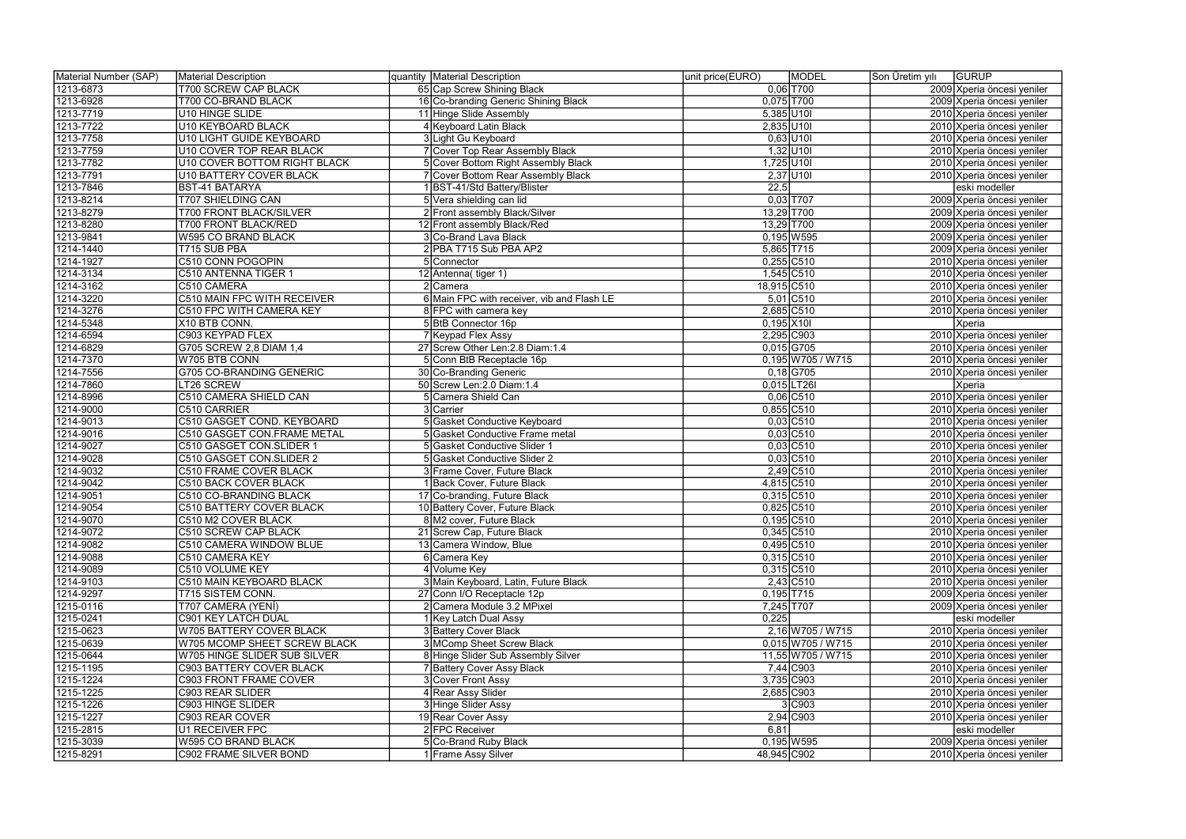| Material Number (SAP) | Material Description            | quantity Material Description              | unit price(EURO) | <b>MODEL</b>        | Son Üretim yılı | <b>GURUP</b>               |
|-----------------------|---------------------------------|--------------------------------------------|------------------|---------------------|-----------------|----------------------------|
| 1213-6873             | T700 SCREW CAP BLACK            | 65 Cap Screw Shining Black                 |                  | $0,06$ T700         |                 | 2009 Xperia öncesi yeniler |
| 1213-6928             | T700 CO-BRAND BLACK             | 16 Co-branding Generic Shining Black       | $0,075$ T700     |                     |                 | 2009 Xperia öncesi yeniler |
| 1213-7719             | U10 HINGE SLIDE                 | 11 Hinge Slide Assembly                    | $5,385$ U10I     |                     |                 | 2010 Xperia öncesi yeniler |
| 1213-7722             | U10 KEYBOARD BLACK              | 4 Keyboard Latin Black                     | 2,835 U10I       |                     |                 | 2010 Xperia öncesi yeniler |
| 1213-7758             | U10 LIGHT GUIDE KEYBOARD        | 3 Light Gu Keyboard                        | $0,63$ U10I      |                     |                 | 2010 Xperia öncesi yeniler |
| 1213-7759             | U10 COVER TOP REAR BLACK        | 7 Cover Top Rear Assembly Black            | $1,32$ U10       |                     |                 | 2010 Xperia öncesi yeniler |
| 1213-7782             | U10 COVER BOTTOM RIGHT BLACK    | 5 Cover Bottom Right Assembly Black        | 1,725 U10        |                     |                 | 2010 Xperia öncesi yeniler |
| 1213-7791             | U10 BATTERY COVER BLACK         | 7 Cover Bottom Rear Assembly Black         | $2,37$ U10I      |                     |                 | 2010 Xperia öncesi yeniler |
| 1213-7846             | <b>BST-41 BATARYA</b>           | 1 BST-41/Std Battery/Blister               | 22,5             |                     |                 | eski modeller              |
| 1213-8214             | T707 SHIELDING CAN              | 5 Vera shielding can lid                   |                  | $0,03$ T707         |                 | 2009 Xperia öncesi yeniler |
| 1213-8279             | T700 FRONT BLACK/SILVER         | 2 Front assembly Black/Silver              | 13,29 T700       |                     |                 | 2009 Xperia öncesi yeniler |
| 1213-8280             | T700 FRONT BLACK/RED            | 12 Front assembly Black/Red                | 13,29 T700       |                     |                 | 2009 Xperia öncesi yeniler |
| 1213-9841             | W595 CO BRAND BLACK             | 3 Co-Brand Lava Black                      |                  | $0,195$ W595        |                 | 2009 Xperia öncesi yeniler |
| 1214-1440             | T715 SUB PBA                    | 2 PBA T715 Sub PBA AP2                     | 5,865 T715       |                     |                 | 2009 Xperia öncesi yeniler |
| 1214-1927             | C510 CONN POGOPIN               | 5 Connector                                | $0,255$ C510     |                     |                 | 2010 Xperia öncesi yeniler |
| 1214-3134             | C510 ANTENNA TIGER 1            | 12 Antenna (tiger 1)                       | 1,545 C510       |                     |                 | 2010 Xperia öncesi yeniler |
| 1214-3162             | C510 CAMERA                     | 2 Camera                                   | 18,915 C510      |                     |                 | 2010 Xperia öncesi yeniler |
| 1214-3220             | C510 MAIN FPC WITH RECEIVER     | 6 Main FPC with receiver, vib and Flash LE |                  | $5,01$ C510         |                 | 2010 Xperia öncesi yeniler |
| 1214-3276             | C510 FPC WITH CAMERA KEY        | <b>8</b> FPC with camera key               | 2,685 C510       |                     |                 | 2010 Xperia öncesi yeniler |
| 1214-5348             | X10 BTB CONN.                   | 5 BtB Connector 16p                        | $0,195$ X101     |                     |                 | Xperia                     |
| 1214-6594             | C903 KEYPAD FLEX                | 7 Keypad Flex Assy                         | 2,295 C903       |                     |                 | 2010 Xperia öncesi yeniler |
| 1214-6829             | G705 SCREW 2,8 DIAM 1,4         | 27 Screw Other Len: 2.8 Diam: 1.4          | $0,015$ G705     |                     |                 | 2010 Xperia öncesi yeniler |
| 1214-7370             | W705 BTB CONN                   | 5 Conn BtB Receptacle 16p                  |                  | 0,195 W705 / W715   |                 | 2010 Xperia öncesi yeniler |
| 1214-7556             | <b>G705 CO-BRANDING GENERIC</b> | 30 Co-Branding Generic                     |                  | $0,18$ G705         |                 | 2010 Xperia öncesi yeniler |
| 1214-7860             | LT26 SCREW                      | 50 Screw Len: 2.0 Diam: 1.4                |                  | $0,015$  LT26I      |                 | Xperia                     |
| 1214-8996             | C510 CAMERA SHIELD CAN          | 5 Camera Shield Can                        |                  | $0,06$ $C510$       |                 | 2010 Xperia öncesi yeniler |
| 1214-9000             | C510 CARRIER                    | 3 Carrier                                  | $0,855$ C510     |                     |                 | 2010 Xperia öncesi yeniler |
| 1214-9013             | C510 GASGET COND. KEYBOARD      | 5 Gasket Conductive Keyboard               |                  | $0,03$ $C510$       |                 | 2010 Xperia öncesi yeniler |
| 1214-9016             | C510 GASGET CON.FRAME METAL     | 5 Gasket Conductive Frame metal            |                  | $0,03$ C510         |                 | 2010 Xperia öncesi yeniler |
| 1214-9027             | C510 GASGET CON.SLIDER 1        | 5 Gasket Conductive Slider 1               |                  | $0,03$ $C510$       |                 | 2010 Xperia öncesi yeniler |
| 1214-9028             | C510 GASGET CON.SLIDER 2        | 5 Gasket Conductive Slider 2               |                  | $0,03$ C510         |                 | 2010 Xperia öncesi yeniler |
| 1214-9032             | C510 FRAME COVER BLACK          | 3 Frame Cover, Future Black                |                  | $2,49$ C510         |                 | 2010 Xperia öncesi yeniler |
| 1214-9042             | C510 BACK COVER BLACK           | 1 Back Cover, Future Black                 | 4,815 C510       |                     |                 | 2010 Xperia öncesi yeniler |
| 1214-9051             | C510 CO-BRANDING BLACK          | 17 Co-branding, Future Black               | $0,315$ C510     |                     |                 | 2010 Xperia öncesi yeniler |
| 1214-9054             | <b>C510 BATTERY COVER BLACK</b> | 10 Battery Cover, Future Black             | $0,825$ C510     |                     |                 | 2010 Xperia öncesi yeniler |
| 1214-9070             | C510 M2 COVER BLACK             | 8 M2 cover, Future Black                   | $0,195$ C510     |                     |                 | 2010 Xperia öncesi yeniler |
| 1214-9072             | <b>C510 SCREW CAP BLACK</b>     | 21 Screw Cap, Future Black                 | $0,345$ C510     |                     |                 | 2010 Xperia öncesi yeniler |
| 1214-9082             | C510 CAMERA WINDOW BLUE         | 13 Camera Window, Blue                     | $0,495$ C510     |                     |                 | 2010 Xperia öncesi yeniler |
| 1214-9088             | C510 CAMERA KEY                 | 6 Camera Key                               | $0,315$ C510     |                     |                 | 2010 Xperia öncesi yeniler |
| 1214-9089             | C510 VOLUME KEY                 | 4 Volume Key                               | $0,315$ C510     |                     |                 | 2010 Xperia öncesi yeniler |
| 1214-9103             | C510 MAIN KEYBOARD BLACK        | 3 Main Keyboard, Latin, Future Black       |                  | $2,43$ C510         |                 | 2010 Xperia öncesi yeniler |
| 1214-9297             | T715 SISTEM CONN.               | 27 Conn I/O Receptacle 12p                 | $0,195$ T715     |                     |                 | 2009 Xperia öncesi yeniler |
| 1215-0116             | T707 CAMERA (YENİ)              | 2 Camera Module 3.2 MPixel                 | 7,245 T707       |                     |                 | 2009 Xperia öncesi yeniler |
| 1215-0241             | C901 KEY LATCH DUAL             | 1 Key Latch Dual Assy                      | 0,225            |                     |                 | eski modeller              |
| 1215-0623             | W705 BATTERY COVER BLACK        | 3 Battery Cover Black                      |                  | 2,16 W705 / W715    |                 | 2010 Xperia öncesi yeniler |
| 1215-0639             | W705 MCOMP SHEET SCREW BLACK    | 3 MComp Sheet Screw Black                  |                  | $0,015$ W705 / W715 |                 | 2010 Xperia öncesi yeniler |
| 1215-0644             | W705 HINGE SLIDER SUB SILVER    | 8 Hinge Slider Sub Assembly Silver         |                  | 11,55 W705 / W715   |                 | 2010 Xperia öncesi yeniler |
| 1215-1195             | C903 BATTERY COVER BLACK        | 7 Battery Cover Assy Black                 |                  | 7,44 C903           |                 | 2010 Xperia öncesi yeniler |
| 1215-1224             | C903 FRONT FRAME COVER          | 3 Cover Front Assy                         | 3,735 C903       |                     |                 | 2010 Xperia öncesi yeniler |
| 1215-1225             | C903 REAR SLIDER                | 4 Rear Assy Slider                         | 2,685 C903       |                     |                 | 2010 Xperia öncesi yeniler |
| 1215-1226             | C903 HINGE SLIDER               | 3 Hinge Slider Assy                        |                  | 3 C903              |                 | 2010 Xperia öncesi yeniler |
| 1215-1227             | C903 REAR COVER                 | 19 Rear Cover Assy                         |                  | $2,94$ C903         |                 | 2010 Xperia öncesi yeniler |
| 1215-2815             | U1 RECEIVER FPC                 | 2 FPC Receiver                             | 6,81             |                     |                 | eski modeller              |
| 1215-3039             | W595 CO BRAND BLACK             | 5 Co-Brand Ruby Black                      |                  | $0,195$ W595        |                 | 2009 Xperia öncesi yeniler |
| 1215-8291             | C902 FRAME SILVER BOND          | 1 Frame Assy Silver                        | 48,945 C902      |                     |                 | 2010 Xperia öncesi yeniler |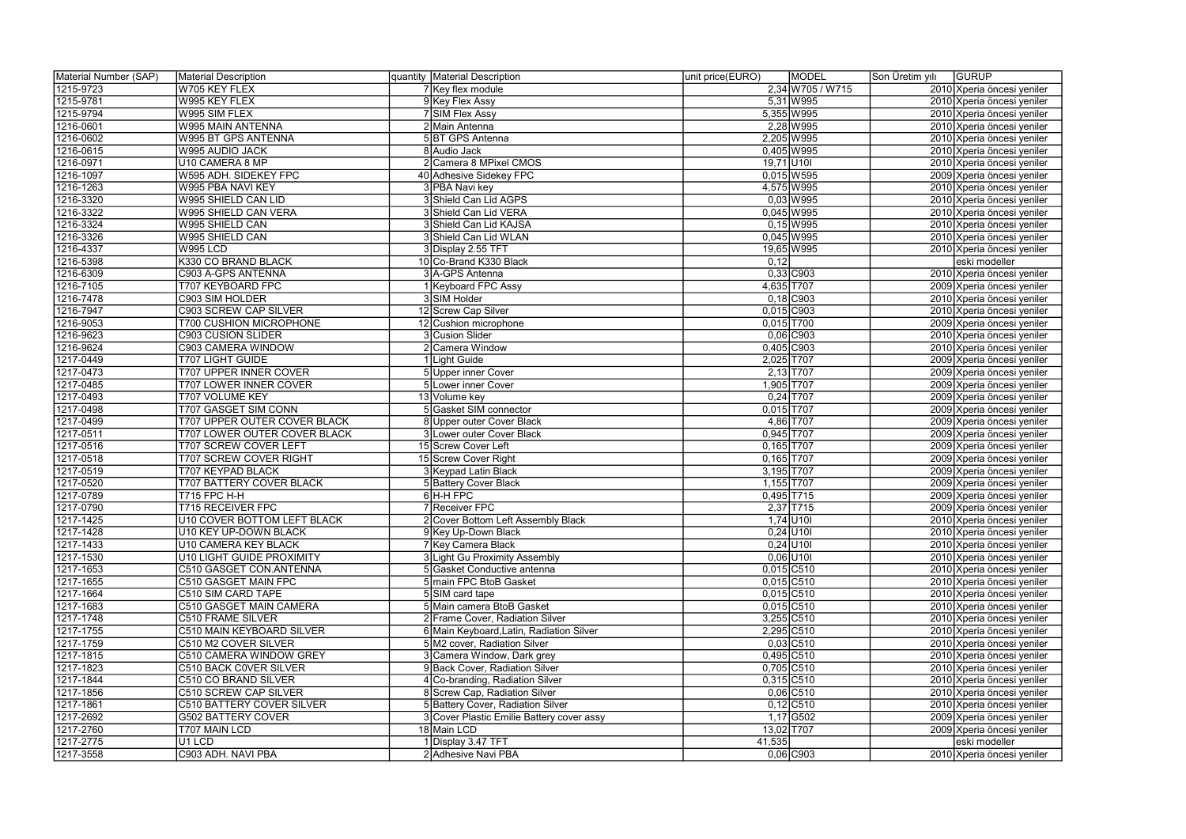| Material Number (SAP) | Material Description                            | quantity Material Description             | unit price(EURO)<br><b>MODEL</b> | Son Üretim yılı | <b>GURUP</b>               |
|-----------------------|-------------------------------------------------|-------------------------------------------|----------------------------------|-----------------|----------------------------|
| 1215-9723             | W705 KEY FLEX                                   | 7 Key flex module                         | 2,34 W705 / W715                 |                 | 2010 Xperia öncesi yeniler |
| 1215-9781             | W995 KEY FLEX                                   | 9 Key Flex Assy                           | 5,31 W995                        |                 | 2010 Xperia öncesi yeniler |
| 1215-9794             | W995 SIM FLEX                                   | 7 SIM Flex Assy                           | 5,355 W995                       |                 | 2010 Xperia öncesi yeniler |
| 1216-0601             | W995 MAIN ANTENNA                               | 2 Main Antenna                            | 2,28 W995                        |                 | 2010 Xperia öncesi yeniler |
| 1216-0602             | W995 BT GPS ANTENNA                             | 5BT GPS Antenna                           | 2,205 W995                       |                 | 2010 Xperia öncesi yeniler |
| 1216-0615             | W995 AUDIO JACK                                 | 8 Audio Jack                              | 0,405 W995                       |                 | 2010 Xperia öncesi yeniler |
| 1216-0971             | U10 CAMERA 8 MP                                 | 2 Camera 8 MPixel CMOS                    | $19,71$ U10I                     |                 | 2010 Xperia öncesi yeniler |
| 1216-1097             | W595 ADH. SIDEKEY FPC                           | 40 Adhesive Sidekey FPC                   | $0,015$ W595                     |                 | 2009 Xperia öncesi yeniler |
| 1216-1263             | W995 PBA NAVI KEY                               | 3 PBA Navi key                            | 4,575 W995                       |                 | 2010 Xperia öncesi yeniler |
| 1216-3320             | W995 SHIELD CAN LID                             | 3 Shield Can Lid AGPS                     | $0,03$ W995                      |                 | 2010 Xperia öncesi yeniler |
| 1216-3322             | W995 SHIELD CAN VERA                            | 3 Shield Can Lid VERA                     | 0,045 W995                       |                 | 2010 Xperia öncesi yeniler |
| 1216-3324             | W995 SHIELD CAN                                 | 3 Shield Can Lid KAJSA                    | $0,15$ W995                      |                 | 2010 Xperia öncesi yeniler |
| 1216-3326             | W995 SHIELD CAN                                 | 3 Shield Can Lid WLAN                     | 0,045 W995                       |                 | 2010 Xperia öncesi yeniler |
| 1216-4337             | <b>W995 LCD</b>                                 | 3 Display 2.55 TFT                        | 19,65 W995                       |                 | 2010 Xperia öncesi yeniler |
| 1216-5398             | K330 CO BRAND BLACK                             | 10 Co-Brand K330 Black                    | 0,12                             |                 | eski modeller              |
| 1216-6309             | C903 A-GPS ANTENNA                              | 3 A-GPS Antenna                           | $0,33$ C903                      |                 | 2010 Xperia öncesi yeniler |
|                       |                                                 |                                           | 4,635 T707                       |                 |                            |
| 1216-7105             | T707 KEYBOARD FPC                               | Keyboard FPC Assy<br>3 SIM Holder         |                                  |                 | 2009 Xperia öncesi yeniler |
| 1216-7478             | C903 SIM HOLDER<br><b>C903 SCREW CAP SILVER</b> |                                           | $0,18$ C903                      |                 | 2010 Xperia öncesi yeniler |
| 1216-7947             |                                                 | 12 Screw Cap Silver                       | 0,015 C903<br>$0,015$ T700       |                 | 2010 Xperia öncesi yeniler |
| 1216-9053             | <b>T700 CUSHION MICROPHONE</b>                  | 12 Cushion microphone                     |                                  |                 | 2009 Xperia öncesi yeniler |
| 1216-9623             | C903 CUSION SLIDER                              | 3 Cusion Slider                           | $0,06$ C903                      |                 | 2010 Xperia öncesi yeniler |
| 1216-9624             | C903 CAMERA WINDOW                              | 2 Camera Window                           | 0,405 C903                       |                 | 2010 Xperia öncesi yeniler |
| 1217-0449             | T707 LIGHT GUIDE                                | Light Guide                               | 2,025 T707                       |                 | 2009 Xperia öncesi yeniler |
| 1217-0473             | T707 UPPER INNER COVER                          | 5 Upper inner Cover                       | $2,13$ T707                      |                 | 2009 Xperia öncesi yeniler |
| 1217-0485             | T707 LOWER INNER COVER                          | 5 Lower inner Cover                       | 1,905 T707                       |                 | 2009 Xperia öncesi yeniler |
| 1217-0493             | T707 VOLUME KEY                                 | 13 Volume key                             | $0,24$ T707                      |                 | 2009 Xperia öncesi yeniler |
| 1217-0498             | <b>T707 GASGET SIM CONN</b>                     | 5 Gasket SIM connector                    | $0,015$ T707                     |                 | 2009 Xperia öncesi yeniler |
| 1217-0499             | T707 UPPER OUTER COVER BLACK                    | 8 Upper outer Cover Black                 | 4,86 T707                        |                 | 2009 Xperia öncesi yeniler |
| 1217-0511             | <b>T707 LOWER OUTER COVER BLACK</b>             | 3 Lower outer Cover Black                 | $0,945$ T707                     |                 | 2009 Xperia öncesi yeniler |
| 1217-0516             | T707 SCREW COVER LEFT                           | 15 Screw Cover Left                       | $0,165$ T707                     |                 | 2009 Xperia öncesi yeniler |
| 1217-0518             | <b>T707 SCREW COVER RIGHT</b>                   | 15 Screw Cover Right                      | $0,165$ T707                     |                 | 2009 Xperia öncesi yeniler |
| 1217-0519             | T707 KEYPAD BLACK                               | 3 Keypad Latin Black                      | 3,195 T707                       |                 | 2009 Xperia öncesi yeniler |
| 1217-0520             | <b>T707 BATTERY COVER BLACK</b>                 | 5 Battery Cover Black                     | 1,155 T707                       |                 | 2009 Xperia öncesi yeniler |
| 1217-0789             | $\overline{1715}$ FPC H-H                       | 6H-H FPC                                  | $0,495$ T715                     |                 | 2009 Xperia öncesi yeniler |
| 1217-0790             | <b>T715 RECEIVER FPC</b>                        | 7Receiver FPC                             | $2,37$ T715                      |                 | 2009 Xperia öncesi yeniler |
| 1217-1425             | U10 COVER BOTTOM LEFT BLACK                     | 2  Cover Bottom Left Assembly Black       | $1,74$ U10I                      |                 | 2010 Xperia öncesi yeniler |
| 1217-1428             | U10 KEY UP-DOWN BLACK                           | 9 Key Up-Down Black                       | $0,24$ U10I                      |                 | 2010 Xperia öncesi yeniler |
| 1217-1433             | U10 CAMERA KEY BLACK                            | 7 Key Camera Black                        | $0,24$ U10I                      |                 | 2010 Xperia öncesi yeniler |
| 1217-1530             | U10 LIGHT GUIDE PROXIMITY                       | 3 Light Gu Proximity Assembly             | $0,06$ U10I                      |                 | 2010 Xperia öncesi yeniler |
| 1217-1653             | C510 GASGET CON.ANTENNA                         | 5 Gasket Conductive antenna               | $0,015$ C510                     |                 | 2010 Xperia öncesi yeniler |
| 1217-1655             | C510 GASGET MAIN FPC                            | 5 main FPC BtoB Gasket                    | $0,015$ C510                     |                 | 2010 Xperia öncesi yeniler |
| 1217-1664             | C510 SIM CARD TAPE                              | 5 SIM card tape                           | $0,015$ C510                     |                 | 2010 Xperia öncesi yeniler |
| 1217-1683             | C510 GASGET MAIN CAMERA                         | 5 Main camera BtoB Gasket                 | $0,015$ C510                     |                 | 2010 Xperia öncesi yeniler |
| 1217-1748             | <b>C510 FRAME SILVER</b>                        | 2 Frame Cover, Radiation Silver           | $3,255$ C510                     |                 | 2010 Xperia öncesi yeniler |
| 1217-1755             | C510 MAIN KEYBOARD SILVER                       | 6 Main Keyboard, Latin, Radiation Silver  | 2,295 C510                       |                 | 2010 Xperia öncesi yeniler |
| 1217-1759             | C510 M2 COVER SILVER                            | 5 M2 cover, Radiation Silver              | $0,03$ C510                      |                 | 2010 Xperia öncesi yeniler |
| 1217-1815             | C510 CAMERA WINDOW GREY                         | 3 Camera Window, Dark grey                | $0,495$ C510                     |                 | 2010 Xperia öncesi yeniler |
| 1217-1823             | C510 BACK COVER SILVER                          | 9 Back Cover, Radiation Silver            | $0,705$ C510                     |                 | 2010 Xperia öncesi yeniler |
| 1217-1844             | C510 CO BRAND SILVER                            | 4 Co-branding, Radiation Silver           | $0,315$ C510                     |                 | 2010 Xperia öncesi yeniler |
| 1217-1856             | C510 SCREW CAP SILVER                           | 8 Screw Cap, Radiation Silver             | $0,06$ C510                      |                 | 2010 Xperia öncesi yeniler |
| 1217-1861             | C510 BATTERY COVER SILVER                       | 5 Battery Cover, Radiation Silver         | $0,12$ C510                      |                 | 2010 Xperia öncesi yeniler |
| 1217-2692             | <b>G502 BATTERY COVER</b>                       | 3 Cover Plastic Emilie Battery cover assy | 1,17 G502                        |                 | 2009 Xperia öncesi yeniler |
| 1217-2760             | T707 MAIN LCD                                   | 18 Main LCD                               | 13,02 T707                       |                 | 2009 Xperia öncesi yeniler |
| 1217-2775             | U1 LCD                                          | 1 Display 3.47 TFT                        | 41,535                           |                 | eski modeller              |
| 1217-3558             | C903 ADH. NAVI PBA                              | 2 Adhesive Navi PBA                       | $0,06$ C903                      |                 | 2010 Xperia öncesi yeniler |
|                       |                                                 |                                           |                                  |                 |                            |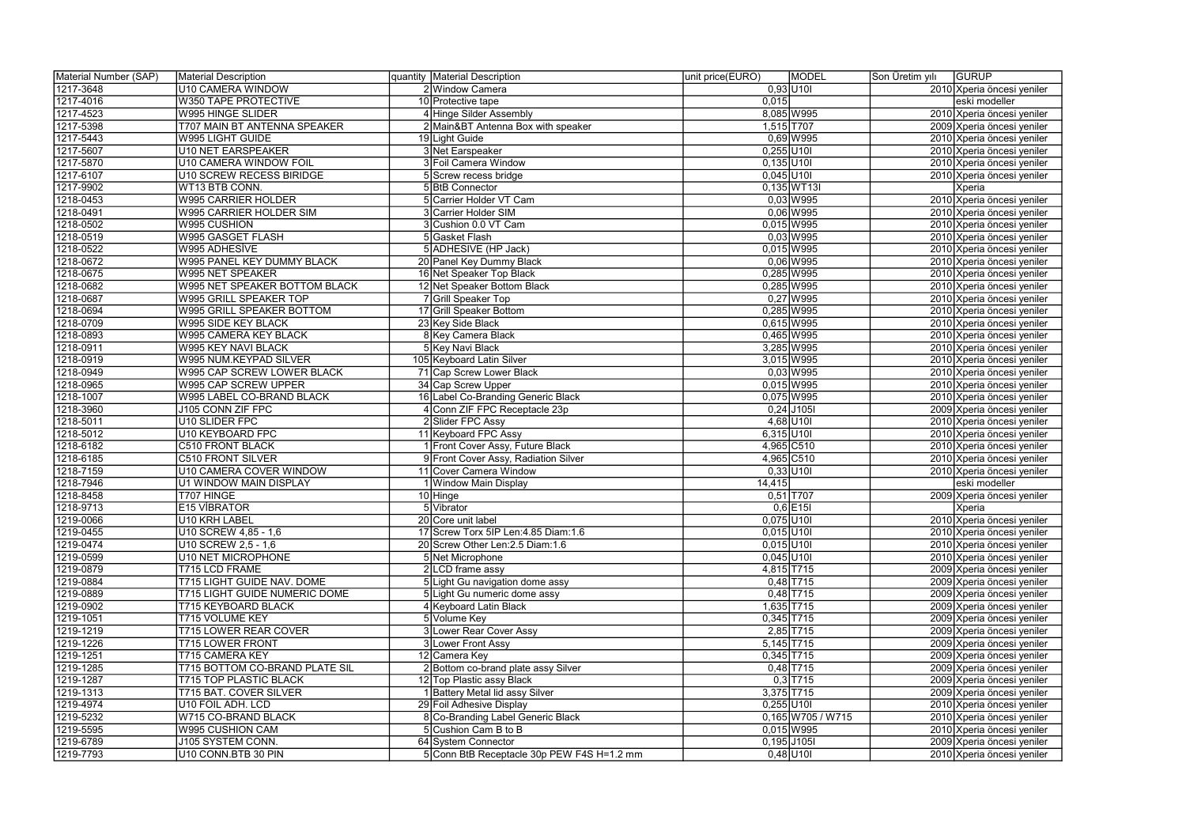| Material Number (SAP) | Material Description           | quantity Material Description                               | unit price(EURO) | <b>MODEL</b>        | Son Üretim yılı | <b>GURUP</b>                                             |
|-----------------------|--------------------------------|-------------------------------------------------------------|------------------|---------------------|-----------------|----------------------------------------------------------|
| 1217-3648             | U10 CAMERA WINDOW              | 2 Window Camera                                             |                  | $0,93$ U10          |                 | 2010 Xperia öncesi yeniler                               |
| 1217-4016             | W350 TAPE PROTECTIVE           | 10 Protective tape                                          | 0,015            |                     |                 | eski modeller                                            |
| 1217-4523             | W995 HINGE SLIDER              | 4 Hinge Silder Assembly                                     |                  | 8,085 W995          |                 | 2010 Xperia öncesi yeniler                               |
| 1217-5398             | T707 MAIN BT ANTENNA SPEAKER   | 2 Main&BT Antenna Box with speaker                          |                  | 1,515 T707          |                 | 2009 Xperia öncesi yeniler                               |
| 1217-5443             | <b>W995 LIGHT GUIDE</b>        | 19 Light Guide                                              |                  | $0,69$ W995         |                 | 2010 Xperia öncesi yeniler                               |
| 1217-5607             | U10 NET EARSPEAKER             | 3 Net Earspeaker                                            | $0,255$ U10I     |                     |                 | 2010 Xperia öncesi yeniler                               |
| 1217-5870             | U10 CAMERA WINDOW FOIL         | 3 Foil Camera Window                                        | $0,135$ U10I     |                     |                 | 2010 Xperia öncesi yeniler                               |
| 1217-6107             | U10 SCREW RECESS BIRIDGE       | 5 Screw recess bridge                                       | $0,045$ U10I     |                     |                 | 2010 Xperia öncesi yeniler                               |
| 1217-9902             | WT13 BTB CONN.                 | 5 BtB Connector                                             |                  | $0,135$ WT13I       |                 | Xperia                                                   |
| 1218-0453             | <b>W995 CARRIER HOLDER</b>     | 5 Carrier Holder VT Cam                                     |                  | $0,03$ W995         |                 | 2010 Xperia öncesi yeniler                               |
| 1218-0491             | W995 CARRIER HOLDER SIM        | 3 Carrier Holder SIM                                        |                  | $0,06$ W995         |                 | 2010 Xperia öncesi yeniler                               |
| 1218-0502             | W995 CUSHION                   | 3 Cushion 0.0 VT Cam                                        |                  | 0,015 W995          |                 | 2010 Xperia öncesi yeniler                               |
| 1218-0519             | W995 GASGET FLASH              | 5 Gasket Flash                                              |                  | $0,03$ W995         |                 | 2010 Xperia öncesi yeniler                               |
| 1218-0522             | W995 ADHESİVE                  | 5 ADHESIVE (HP Jack)                                        |                  | 0,015 W995          |                 | 2010 Xperia öncesi yeniler                               |
| 1218-0672             | W995 PANEL KEY DUMMY BLACK     | 20 Panel Key Dummy Black                                    |                  | $0,06$ W995         |                 | 2010 Xperia öncesi yeniler                               |
| 1218-0675             | W995 NET SPEAKER               | 16 Net Speaker Top Black                                    |                  | 0,285 W995          |                 | 2010 Xperia öncesi yeniler                               |
| 1218-0682             | W995 NET SPEAKER BOTTOM BLACK  | 12 Net Speaker Bottom Black                                 |                  | 0,285 W995          |                 | 2010 Xperia öncesi yeniler                               |
| 1218-0687             | W995 GRILL SPEAKER TOP         | 7 Grill Speaker Top                                         |                  | $0,27$ W995         |                 | 2010 Xperia öncesi yeniler                               |
| 1218-0694             | W995 GRILL SPEAKER BOTTOM      | 17 Grill Speaker Bottom                                     |                  | 0,285 W995          |                 | 2010 Xperia öncesi yeniler                               |
| 1218-0709             | W995 SIDE KEY BLACK            | 23 Key Side Black                                           |                  | 0,615 W995          |                 | 2010 Xperia öncesi yeniler                               |
| 1218-0893             | W995 CAMERA KEY BLACK          | 8 Key Camera Black                                          |                  | 0,465 W995          |                 | 2010 Xperia öncesi yeniler                               |
| 1218-0911             | W995 KEY NAVI BLACK            | 5 Key Navi Black                                            |                  | 3,285 W995          |                 | 2010 Xperia öncesi yeniler                               |
| 1218-0919             | W995 NUM.KEYPAD SILVER         | 105 Keyboard Latin Silver                                   |                  | 3,015 W995          |                 | 2010 Xperia öncesi yeniler                               |
| 1218-0949             | W995 CAP SCREW LOWER BLACK     | 71 Cap Screw Lower Black                                    |                  | $0,03$ W995         |                 | 2010 Xperia öncesi yeniler                               |
| 1218-0965             | W995 CAP SCREW UPPER           | 34 Cap Screw Upper                                          |                  | $0,015$ W995        |                 | 2010 Xperia öncesi yeniler                               |
| 1218-1007             | W995 LABEL CO-BRAND BLACK      | 16 Label Co-Branding Generic Black                          |                  | 0,075 W995          |                 | 2010 Xperia öncesi yeniler                               |
| 1218-3960             | J105 CONN ZIF FPC              | 4 Conn ZIF FPC Receptacle 23p                               |                  | $0,24$ J105I        |                 | 2009 Xperia öncesi yeniler                               |
| 1218-5011             | U10 SLIDER FPC                 | 2 Slider FPC Assy                                           |                  | $4,68$ U10          |                 | 2010 Xperia öncesi yeniler                               |
| 1218-5012             | U10 KEYBOARD FPC               | 11 Keyboard FPC Assy                                        | $6,315$ U10I     |                     |                 | 2010 Xperia öncesi yeniler                               |
| 1218-6182             | <b>C510 FRONT BLACK</b>        | 1 Front Cover Assy, Future Black                            |                  | 4,965 C510          |                 | 2010 Xperia öncesi yeniler                               |
| 1218-6185             | C510 FRONT SILVER              | 9 Front Cover Assy, Radiation Silver                        |                  | 4,965 C510          |                 | 2010 Xperia öncesi yeniler                               |
| 1218-7159             | U10 CAMERA COVER WINDOW        | 11 Cover Camera Window                                      |                  | $0,33$ U10I         |                 | 2010 Xperia öncesi yeniler                               |
| 1218-7946             | U1 WINDOW MAIN DISPLAY         | 1 Window Main Display                                       | 14,415           |                     |                 | eski modeller                                            |
| 1218-8458             | T707 HINGE                     | 10 Hinge                                                    |                  | $0,51$ T707         |                 | 2009 Xperia öncesi yeniler                               |
| 1218-9713             | E15 VIBRATOR                   | 5 Vibrator                                                  |                  | $0,6$  E15I         |                 | Xperia                                                   |
| 1219-0066             | U10 KRH LABEL                  |                                                             | $0,075$ U10I     |                     |                 |                                                          |
| 1219-0455             | U10 SCREW 4,85 - 1,6           | 20 Core unit label<br>17 Screw Torx 5IP Len: 4.85 Diam: 1.6 | $0,015$ U10I     |                     |                 | 2010 Xperia öncesi yeniler<br>2010 Xperia öncesi yeniler |
| 1219-0474             | U10 SCREW 2,5 - 1,6            | 20 Screw Other Len: 2.5 Diam: 1.6                           | $0,015$ U10I     |                     |                 | 2010 Xperia öncesi yeniler                               |
| 1219-0599             | U10 NET MICROPHONE             | 5 Net Microphone                                            | $0,045$ U10      |                     |                 | 2010 Xperia öncesi yeniler                               |
| 1219-0879             | T715 LCD FRAME                 |                                                             |                  | 4,815 T715          |                 |                                                          |
| 1219-0884             | T715 LIGHT GUIDE NAV. DOME     | 2 LCD frame assy<br>5 Light Gu navigation dome assy         |                  | $0,48$ T715         |                 | 2009 Xperia öncesi yeniler<br>2009 Xperia öncesi yeniler |
| 1219-0889             | T715 LIGHT GUIDE NUMERIC DOME  | 5 Light Gu numeric dome assy                                |                  | $0,48$ T715         |                 | 2009 Xperia öncesi yeniler                               |
| 1219-0902             | T715 KEYBOARD BLACK            | 4 Keyboard Latin Black                                      |                  | 1,635 T715          |                 |                                                          |
| 1219-1051             | <b>T715 VOLUME KEY</b>         | 5 Volume Key                                                |                  | $0,345$ T715        |                 | 2009 Xperia öncesi yeniler<br>2009 Xperia öncesi yeniler |
| 1219-1219             | T715 LOWER REAR COVER          | 3 Lower Rear Cover Assy                                     |                  | $2,85$ T715         |                 | 2009 Xperia öncesi yeniler                               |
| 1219-1226             | <b>T715 LOWER FRONT</b>        | 3 Lower Front Assy                                          |                  | $5,145$ T715        |                 | 2009 Xperia öncesi yeniler                               |
| 1219-1251             | T715 CAMERA KEY                | 12 Camera Key                                               |                  | $0,345$ T715        |                 | 2009 Xperia öncesi yeniler                               |
| 1219-1285             | T715 BOTTOM CO-BRAND PLATE SIL | 2 Bottom co-brand plate assy Silver                         |                  | $0,48$ T715         |                 | 2009 Xperia öncesi yeniler                               |
| 1219-1287             | <b>T715 TOP PLASTIC BLACK</b>  | 12 Top Plastic assy Black                                   |                  | $0,3$ T715          |                 | 2009 Xperia öncesi yeniler                               |
| 1219-1313             | T715 BAT. COVER SILVER         | 1 Battery Metal lid assy Silver                             |                  | $3,375$ T715        |                 | 2009 Xperia öncesi yeniler                               |
| 1219-4974             | U10 FOIL ADH. LCD              | 29 Foil Adhesive Display                                    | $0,255$ U10I     |                     |                 | 2010 Xperia öncesi yeniler                               |
| 1219-5232             | W715 CO-BRAND BLACK            | 8 Co-Branding Label Generic Black                           |                  | $0,165$ W705 / W715 |                 | 2010 Xperia öncesi yeniler                               |
| 1219-5595             | W995 CUSHION CAM               | 5 Cushion Cam B to B                                        |                  | 0,015 W995          |                 | 2010 Xperia öncesi yeniler                               |
| 1219-6789             | J105 SYSTEM CONN.              | 64 System Connector                                         |                  | $0,195$ J105I       |                 | 2009 Xperia öncesi yeniler                               |
| 1219-7793             | U10 CONN.BTB 30 PIN            | 5 Conn BtB Receptacle 30p PEW F4S H=1.2 mm                  |                  | $0,48$ U10          |                 | 2010 Xperia öncesi yeniler                               |
|                       |                                |                                                             |                  |                     |                 |                                                          |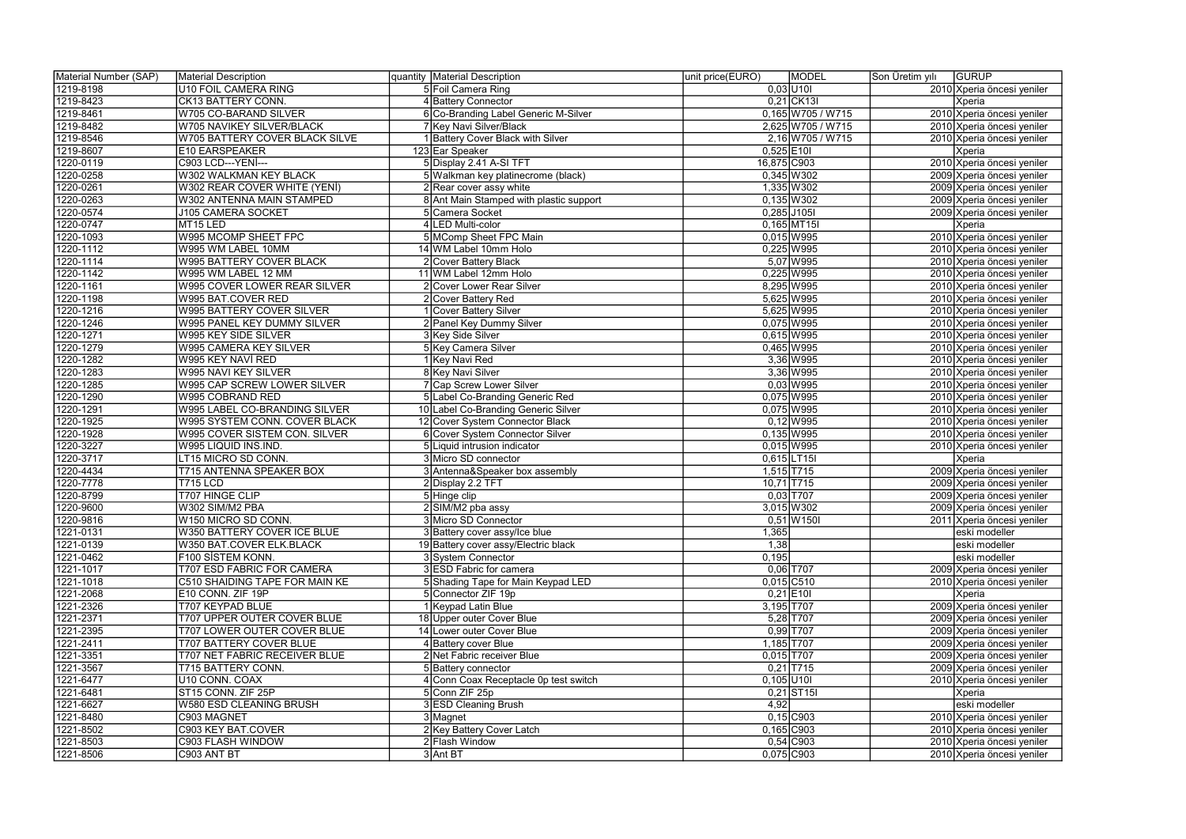| Material Number (SAP)  | Material Description               | quantity Material Description             | unit price(EURO)<br><b>MODEL</b> | GURUP<br>Son Üretim yılı   |
|------------------------|------------------------------------|-------------------------------------------|----------------------------------|----------------------------|
| 1219-8198              | U10 FOIL CAMERA RING               | 5 Foil Camera Ring                        | $0,03$ U10                       | 2010 Xperia öncesi yeniler |
| 1219-8423              | CK13 BATTERY CONN.                 | 4 Battery Connector                       | $0,21$ CK13I                     | Xperia                     |
| 1219-8461              | W705 CO-BARAND SILVER              | 6 Co-Branding Label Generic M-Silver      | $0,165$ W705 / W715              | 2010 Xperia öncesi yeniler |
| 1219-8482              | W705 NAVIKEY SILVER/BLACK          | 7 Key Navi Silver/Black                   | 2,625 W705 / W715                | 2010 Xperia öncesi yeniler |
| 1219-8546              | W705 BATTERY COVER BLACK SILVE     | 1 Battery Cover Black with Silver         | 2,16 W705 / W715                 | 2010 Xperia öncesi yeniler |
| 1219-8607              | E10 EARSPEAKER                     | 123 Ear Speaker                           | $0,525$ E10I                     | Xperia                     |
| 1220-0119              | C903 LCD--- YENİ---                | 5 Display 2.41 A-SI TFT                   | 16,875 C903                      | 2010 Xperia öncesi yeniler |
| 1220-0258              | <b>W302 WALKMAN KEY BLACK</b>      | 5 Walkman key platinecrome (black)        | $0,345$ W302                     | 2009 Xperia öncesi yeniler |
| 1220-0261              | W302 REAR COVER WHITE (YENİ)       | 2 Rear cover assy white                   | 1,335 W302                       | 2009 Xperia öncesi yeniler |
| 1220-0263              | W302 ANTENNA MAIN STAMPED          | 8 Ant Main Stamped with plastic support   | $0,135$ W302                     | 2009 Xperia öncesi yeniler |
| 1220-0574              | J105 CAMERA SOCKET                 | 5 Camera Socket                           | $0,285$ J105I                    | 2009 Xperia öncesi yeniler |
| 1220-0747              | MT15 LED                           | 4 LED Multi-color                         | $0,165$ MT15I                    | Xperia                     |
| 1220-1093              | W995 MCOMP SHEET FPC               | 5 MComp Sheet FPC Main                    | 0,015 W995                       | 2010 Xperia öncesi yeniler |
| 1220-1112              | W995 WM LABEL 10MM                 | 14 WM Label 10mm Holo                     | 0,225 W995                       | 2010 Xperia öncesi yeniler |
| 1220-1114              | W995 BATTERY COVER BLACK           | 2 Cover Battery Black                     | 5,07 W995                        | 2010 Xperia öncesi yeniler |
| 1220-1142              | W995 WM LABEL 12 MM                | 11 WM Label 12mm Holo                     | 0,225 W995                       | 2010 Xperia öncesi yeniler |
| 1220-1161              | W995 COVER LOWER REAR SILVER       | 2 Cover Lower Rear Silver                 | 8,295 W995                       | 2010 Xperia öncesi yeniler |
| 1220-1198              | W995 BAT.COVER RED                 | 2 Cover Battery Red                       | 5,625 W995                       | 2010 Xperia öncesi yeniler |
| 1220-1216              | W995 BATTERY COVER SILVER          | I Cover Battery Silver                    | 5,625 W995                       | 2010 Xperia öncesi yeniler |
| 1220-1246              | W995 PANEL KEY DUMMY SILVER        | 2 Panel Key Dummy Silver                  | 0,075 W995                       | 2010 Xperia öncesi yeniler |
| 1220-1271              | W995 KEY SIDE SILVER               | 3 Key Side Silver                         | 0,615 W995                       | 2010 Xperia öncesi yeniler |
| 1220-1279              | W995 CAMERA KEY SILVER             | 5 Key Camera Silver                       | 0,465 W995                       | 2010 Xperia öncesi yeniler |
| 1220-1282              | W995 KEY NAVİ RED                  | 1 Key Navi Red                            | 3,36 W995                        | 2010 Xperia öncesi yeniler |
| 1220-1283              | W995 NAVI KEY SILVER               | 8 Key Navi Silver                         | 3,36 W995                        | 2010 Xperia öncesi yeniler |
| 1220-1285              | W995 CAP SCREW LOWER SILVER        | 7 Cap Screw Lower Silver                  | $0,03$ W995                      | 2010 Xperia öncesi yeniler |
| 1220-1290              | W995 COBRAND RED                   | 5 Label Co-Branding Generic Red           | 0,075 W995                       | 2010 Xperia öncesi yeniler |
| 1220-1291              | W995 LABEL CO-BRANDING SILVER      | 10 Label Co-Branding Generic Silver       | 0,075 W995                       | 2010 Xperia öncesi yeniler |
| 1220-1925              | W995 SYSTEM CONN. COVER BLACK      | 12 Cover System Connector Black           | $0,12$ W995                      | 2010 Xperia öncesi yeniler |
| 1220-1928              | W995 COVER SISTEM CON. SILVER      | 6 Cover System Connector Silver           | $0,135$ W995                     | 2010 Xperia öncesi yeniler |
| 1220-3227              | W995 LIQUID INS.IND.               | 5 Liquid intrusion indicator              | 0,015 W995                       | 2010 Xperia öncesi yeniler |
| 1220-3717              | LT15 MICRO SD CONN.                | 3 Micro SD connector                      | $0,615$ LT15I                    | Xperia                     |
| 1220-4434              | T715 ANTENNA SPEAKER BOX           | 3 Antenna& Speaker box assembly           | $1,515$ T715                     | 2009 Xperia öncesi yeniler |
| 1220-7778              | T715 LCD                           | 2 Display 2.2 TFT                         | $10,71$ T715                     | 2009 Xperia öncesi yeniler |
|                        |                                    |                                           | $0,03$ T707                      |                            |
| 1220-8799<br>1220-9600 | T707 HINGE CLIP<br>W302 SIM/M2 PBA | 5 Hinge clip                              | 3,015 W302                       | 2009 Xperia öncesi yeniler |
| 1220-9816              |                                    | 2 SIM/M2 pba assy<br>3 Micro SD Connector | $0,51$ W150I                     | 2009 Xperia öncesi yeniler |
|                        | W150 MICRO SD CONN.                |                                           |                                  | 2011 Xperia öncesi yeniler |
| 1221-0131              | W350 BATTERY COVER ICE BLUE        | 3 Battery cover assy/Ice blue             | 1,365                            | eski modeller              |
| 1221-0139              | W350 BAT.COVER ELK.BLACK           | 19 Battery cover assy/Electric black      | 1,38                             | eski modeller              |
| 1221-0462<br>1221-1017 | F100 SİSTEM KONN.                  | 3 System Connector                        | 0,195<br>$0,06$ T707             | eski modeller              |
|                        | T707 ESD FABRIC FOR CAMERA         | 3 ESD Fabric for camera                   |                                  | 2009 Xperia öncesi yeniler |
| 1221-1018              | C510 SHAIDING TAPE FOR MAIN KE     | 5 Shading Tape for Main Keypad LED        | $0,015$ C510                     | 2010 Xperia öncesi yeniler |
| 1221-2068              | E10 CONN. ZIF 19P                  | 5 Connector ZIF 19p                       | $0,21$ E10I                      | Xperia                     |
| 1221-2326              | T707 KEYPAD BLUE                   | 1 Keypad Latin Blue                       | 3,195 T707                       | 2009 Xperia öncesi yeniler |
| 1221-2371              | T707 UPPER OUTER COVER BLUE        | 18 Upper outer Cover Blue                 | $5,28$ T707                      | 2009 Xperia öncesi yeniler |
| 1221-2395              | <b>T707 LOWER OUTER COVER BLUE</b> | 14 Lower outer Cover Blue                 | $0,99$ T707                      | 2009 Xperia öncesi yeniler |
| 1221-2411              | T707 BATTERY COVER BLUE            | 4 Battery cover Blue                      | 1,185 T707                       | 2009 Xperia öncesi yeniler |
| 1221-3351              | T707 NET FABRIC RECEIVER BLUE      | 2 Net Fabric receiver Blue                | $0,015$ T707                     | 2009 Xperia öncesi yeniler |
| 1221-3567              | T715 BATTERY CONN.                 | 5 Battery connector                       | $0,21$ T715                      | 2009 Xperia öncesi yeniler |
| 1221-6477              | U10 CONN. COAX                     | 4 Conn Coax Receptacle 0p test switch     | $0,105$ U10I                     | 2010 Xperia öncesi yeniler |
| 1221-6481              | ST15 CONN. ZIF 25P                 | 5 Conn ZIF 25p                            | $0,21$ ST <sub>15I</sub>         | Xperia                     |
| 1221-6627              | W580 ESD CLEANING BRUSH            | 3 ESD Cleaning Brush                      | 4,92                             | eski modeller              |
| 1221-8480              | C903 MAGNET                        | 3 Magnet                                  | $0,15$ C903                      | 2010 Xperia öncesi yeniler |
| 1221-8502              | C903 KEY BAT.COVER                 | 2 Key Battery Cover Latch                 | 0,165 C903                       | 2010 Xperia öncesi yeniler |
| 1221-8503              | C903 FLASH WINDOW                  | 2 Flash Window                            | $0,54$ C903                      | 2010 Xperia öncesi yeniler |
| 1221-8506              | C903 ANT BT                        | 3 Ant BT                                  | $0,075$ C903                     | 2010 Xperia öncesi yeniler |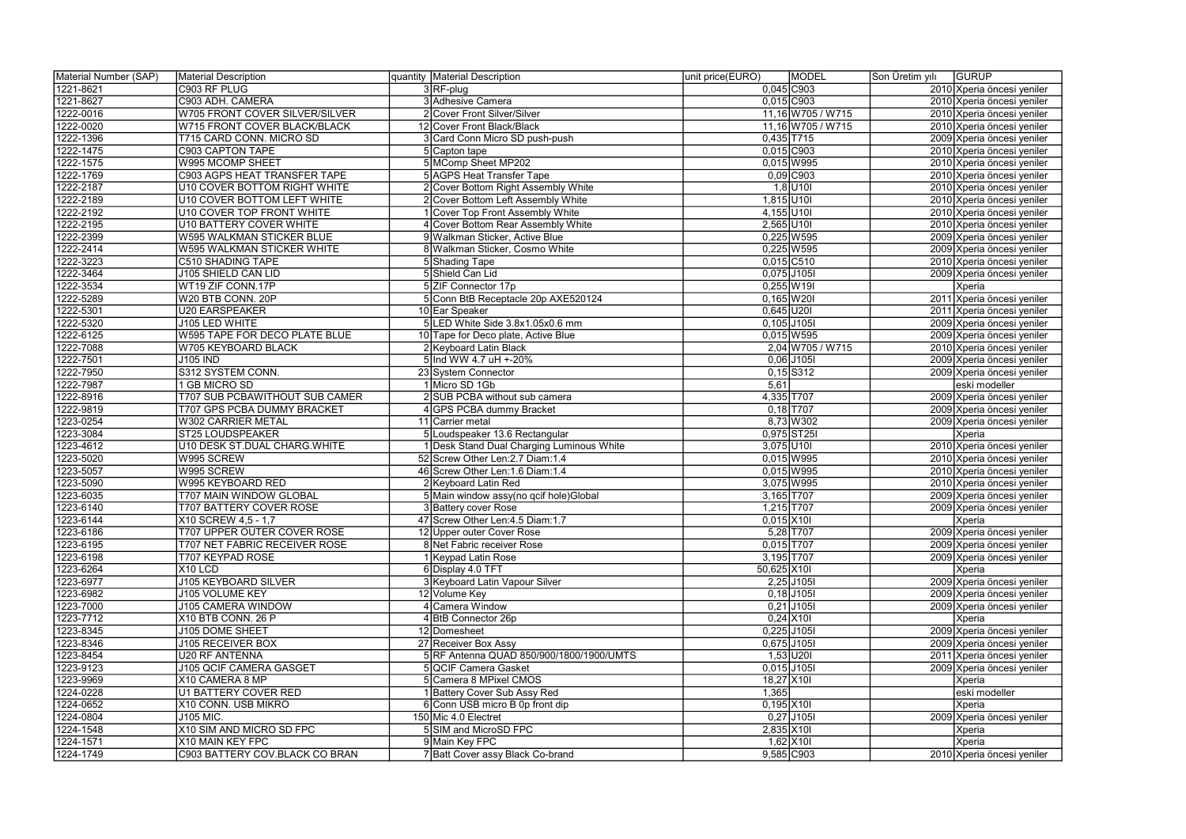| Material Number (SAP) | Material Description                  | quantity Material Description             | unit price(EURO)<br><b>MODEL</b> | Son Üretim yılı<br>GURUP   |
|-----------------------|---------------------------------------|-------------------------------------------|----------------------------------|----------------------------|
| 1221-8621             | C903 RF PLUG                          | 3RF-plug                                  | $0,045$ C903                     | 2010 Xperia öncesi yeniler |
| 1221-8627             | C903 ADH. CAMERA                      | 3 Adhesive Camera                         | $0,015$ C903                     | 2010 Xperia öncesi yeniler |
| 1222-0016             | W705 FRONT COVER SILVER/SILVER        | 2 Cover Front Silver/Silver               | 11,16 W705 / W715                | 2010 Xperia öncesi yeniler |
| 1222-0020             | W715 FRONT COVER BLACK/BLACK          | 12 Cover Front Black/Black                | 11,16 W705 / W715                | 2010 Xperia öncesi yeniler |
| 1222-1396             | T715 CARD CONN. MICRO SD              | 3 Card Conn Micro SD push-push            | $0,435$ T715                     | 2009 Xperia öncesi yeniler |
| 1222-1475             | C903 CAPTON TAPE                      | 5 Capton tape                             | $0,015$ C903                     | 2010 Xperia öncesi yeniler |
| 1222-1575             | W995 MCOMP SHEET                      | 5 MComp Sheet MP202                       | 0,015 W995                       | 2010 Xperia öncesi yeniler |
| 1222-1769             | C903 AGPS HEAT TRANSFER TAPE          | <b>5 AGPS Heat Transfer Tape</b>          | $0,09$ C903                      | 2010 Xperia öncesi yeniler |
| 1222-2187             | <b>U10 COVER BOTTOM RIGHT WHITE</b>   | 2 Cover Bottom Right Assembly White       | $1,8$ U10I                       | 2010 Xperia öncesi yeniler |
| 1222-2189             | U10 COVER BOTTOM LEFT WHITE           | 2 Cover Bottom Left Assembly White        | 1,815 U10I                       | 2010 Xperia öncesi yeniler |
| 1222-2192             | U10 COVER TOP FRONT WHITE             | 1 Cover Top Front Assembly White          | $4,155$ U10I                     | 2010 Xperia öncesi yeniler |
| 1222-2195             | <b>U10 BATTERY COVER WHITE</b>        | 4 Cover Bottom Rear Assembly White        | $2,565$ U10I                     | 2010 Xperia öncesi yeniler |
| 1222-2399             | W595 WALKMAN STICKER BLUE             | 9 Walkman Sticker, Active Blue            | $0,225$ W595                     | 2009 Xperia öncesi yeniler |
| 1222-2414             | W595 WALKMAN STICKER WHITE            | 8 Walkman Sticker, Cosmo White            | 0,225 W595                       | 2009 Xperia öncesi yeniler |
| 1222-3223             | C510 SHADING TAPE                     | 5 Shading Tape                            | $0,015$ C510                     | 2010 Xperia öncesi yeniler |
| 1222-3464             | J105 SHIELD CAN LID                   | 5 Shield Can Lid                          | 0,075 J105I                      | 2009 Xperia öncesi yeniler |
| 1222-3534             | WT19 ZIF CONN.17P                     | 5 ZIF Connector 17p                       | $0,255$ W19I                     | Xperia                     |
| 1222-5289             | W20 BTB CONN. 20P                     | 5 Conn BtB Receptacle 20p AXE520124       | $0,165$ W 20                     | 2011 Xperia öncesi yeniler |
| 1222-5301             | <b>U20 EARSPEAKER</b>                 | 10 Ear Speaker                            | $0,645$ U201                     | 2011 Xperia öncesi yeniler |
| 1222-5320             | J105 LED WHITE                        | 5 LED White Side 3.8x1.05x0.6 mm          | $0,105$ J105I                    | 2009 Xperia öncesi yeniler |
| 1222-6125             | W595 TAPE FOR DECO PLATE BLUE         | 10 Tape for Deco plate, Active Blue       | $0,015$ W595                     | 2009 Xperia öncesi yeniler |
| 1222-7088             | W705 KEYBOARD BLACK                   | 2 Keyboard Latin Black                    | 2,04 W705 / W715                 | 2010 Xperia öncesi yeniler |
| 1222-7501             | <b>J105 IND</b>                       | 5 Ind WW 4.7 uH +-20%                     | $0,06$ J105I                     | 2009 Xperia öncesi yeniler |
| 1222-7950             | S312 SYSTEM CONN.                     | 23 System Connector                       | $0,15$ S312                      | 2009 Xperia öncesi yeniler |
| 1222-7987             | <b>GB MICRO SD</b>                    | 1 Micro SD 1Gb                            | 5,61                             | eski modeller              |
| 1222-8916             | <b>T707 SUB PCBAWITHOUT SUB CAMER</b> | 2 SUB PCBA without sub camera             | 4,335 T707                       | 2009 Xperia öncesi yeniler |
| 1222-9819             | T707 GPS PCBA DUMMY BRACKET           | 4 GPS PCBA dummy Bracket                  | $0,18$ T707                      | 2009 Xperia öncesi yeniler |
| 1223-0254             | <b>W302 CARRIER METAL</b>             | 11 Carrier metal                          | 8,73 W 302                       | 2009 Xperia öncesi yeniler |
| 1223-3084             | <b>ST25 LOUDSPEAKER</b>               | 5 Loudspeaker 13.6 Rectangular            | 0,975 ST25                       | Xperia                     |
| 1223-4612             | U10 DESK ST.DUAL CHARG.WHITE          | 1 Desk Stand Dual Charging Luminous White | $3,075$ U10I                     | 2010 Xperia öncesi yeniler |
| 1223-5020             | W995 SCREW                            | 52 Screw Other Len: 2.7 Diam: 1.4         | 0,015 W995                       | 2010 Xperia öncesi yeniler |
| 1223-5057             | W995 SCREW                            | 46 Screw Other Len: 1.6 Diam: 1.4         | $0,015$ W995                     | 2010 Xperia öncesi yeniler |
| 1223-5090             | W995 KEYBOARD RED                     | 2 Keyboard Latin Red                      | 3,075 W995                       | 2010 Xperia öncesi yeniler |
| 1223-6035             | <b>T707 MAIN WINDOW GLOBAL</b>        | 5 Main window assy(no qcif hole) Global   | 3,165 T707                       | 2009 Xperia öncesi yeniler |
| 1223-6140             | <b>T707 BATTERY COVER ROSE</b>        | 3 Battery cover Rose                      | $1,215$ T707                     | 2009 Xperia öncesi yeniler |
| 1223-6144             | X10 SCREW 4,5 - 1,7                   | 47 Screw Other Len: 4.5 Diam: 1.7         | $0,015$ X10                      | Xperia                     |
| 1223-6186             | T707 UPPER OUTER COVER ROSE           | 12 Upper outer Cover Rose                 | $5,28$ T707                      | 2009 Xperia öncesi yeniler |
| 1223-6195             | T707 NET FABRIC RECEIVER ROSE         | 8 Net Fabric receiver Rose                | $0,015$ T707                     | 2009 Xperia öncesi yeniler |
| 1223-6198             | T707 KEYPAD ROSE                      | 1 Keypad Latin Rose                       | $3,195$ T707                     | 2009 Xperia öncesi yeniler |
| 1223-6264             | X10 LCD                               | 6 Display 4.0 TFT                         | 50,625 X10I                      | Xperia                     |
| 1223-6977             | <b>J105 KEYBOARD SILVER</b>           | 3 Keyboard Latin Vapour Silver            | $2,25$ J105I                     | 2009 Xperia öncesi yeniler |
| 1223-6982             | J105 VOLUME KEY                       | 12 Volume Key                             | $0,18$ J105I                     | 2009 Xperia öncesi yeniler |
| 1223-7000             | J105 CAMERA WINDOW                    | 4 Camera Window                           | $0,21$ J105I                     | 2009 Xperia öncesi yeniler |
| 1223-7712             | X10 BTB CONN. 26 P                    | 4 BtB Connector 26p                       | $0,24$ X10                       | Xperia                     |
| 1223-8345             | J105 DOME SHEET                       | 12 Domesheet                              | $0,225$ J105I                    | 2009 Xperia öncesi yeniler |
| 1223-8346             | <b>J105 RECEIVER BOX</b>              | 27 Receiver Box Assy                      | $0,675$ J105I                    | 2009 Xperia öncesi yeniler |
| 1223-8454             | <b>U20 RF ANTENNA</b>                 | 5 RF Antenna QUAD 850/900/1800/1900/UMTS  | $1,53$ U201                      | 2011 Xperia öncesi yeniler |
| 1223-9123             | J105 QCIF CAMERA GASGET               | 5 QCIF Camera Gasket                      | $0,015$ J105I                    | 2009 Xperia öncesi yeniler |
| 1223-9969             | X10 CAMERA 8 MP                       | 5 Camera 8 MPixel CMOS                    | 18,27 X10                        | Xperia                     |
| 1224-0228             | <b>U1 BATTERY COVER RED</b>           | 1 Battery Cover Sub Assy Red              | 1,365                            | eski modeller              |
| 1224-0652             | X10 CONN. USB MIKRO                   | 6 Conn USB micro B 0p front dip           | $0,195$ X10                      | Xperia                     |
| 1224-0804             | J105 MIC.                             | 150 Mic 4.0 Electret                      | $0,27$ J105I                     | 2009 Xperia öncesi yeniler |
| 1224-1548             | X10 SIM AND MICRO SD FPC              | 5 SIM and MicroSD FPC                     | $2,835$ X101                     | Xperia                     |
| 1224-1571             | X10 MAIN KEY FPC                      | 9 Main Key FPC                            | $1,62$ X10                       | Xperia                     |
| 1224-1749             | C903 BATTERY COV.BLACK CO BRAN        | 7 Batt Cover assy Black Co-brand          | 9,585 C903                       | 2010 Xperia öncesi yeniler |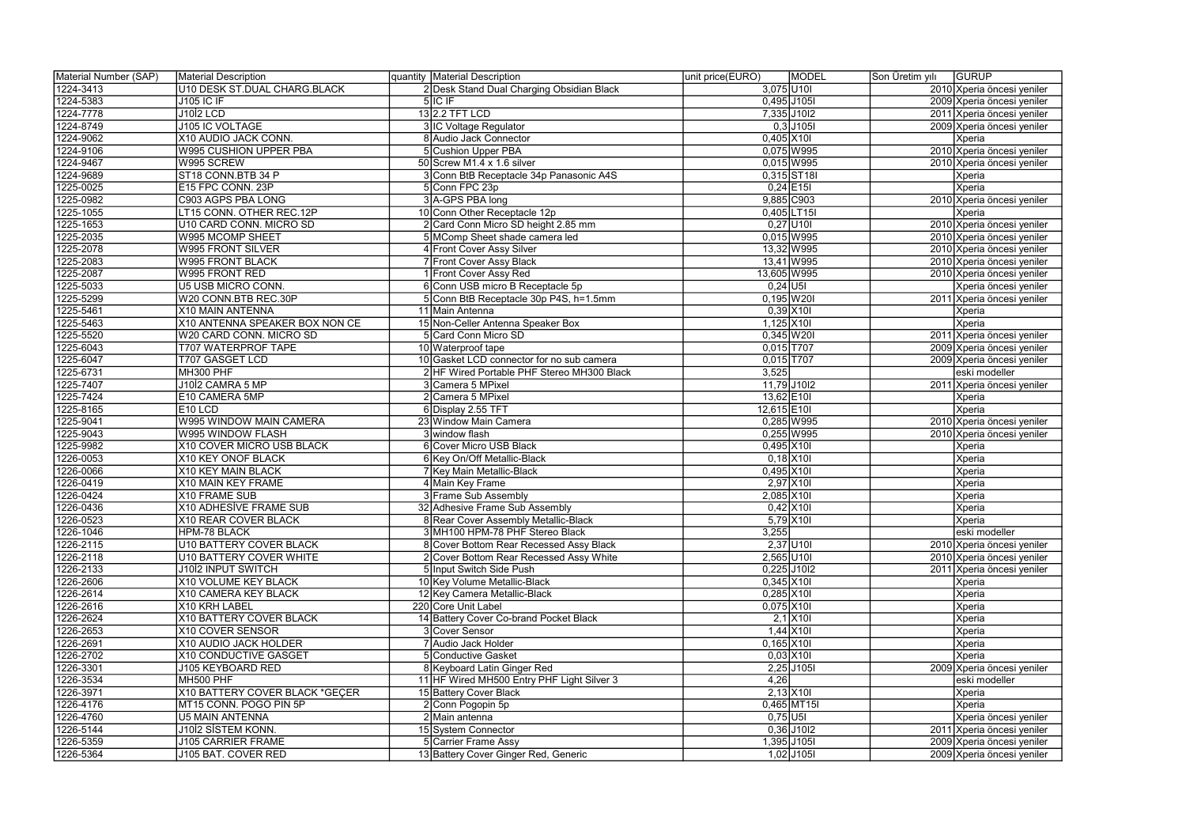| Material Number (SAP)  | Material Description                                        | quantity   Material Description                                         | MODEL<br>unit price(EURO)      | Son Üretim yılı | GURUP                      |
|------------------------|-------------------------------------------------------------|-------------------------------------------------------------------------|--------------------------------|-----------------|----------------------------|
| 1224-3413              | U10 DESK ST.DUAL CHARG.BLACK                                | 2 Desk Stand Dual Charging Obsidian Black                               | $3,075$ U10I                   |                 | 2010 Xperia öncesi yeniler |
| 1224-5383              | <b>J105 IC IF</b>                                           | $5$ IC IF                                                               | $0,495$ J105I                  |                 | 2009 Xperia öncesi yeniler |
| 1224-7778              | <b>J1012 LCD</b>                                            | 13 2.2 TFT LCD                                                          | 7,335 J10I2                    |                 | 2011 Xperia öncesi yeniler |
| 1224-8749              | J105 IC VOLTAGE                                             | 3 IC Voltage Regulator                                                  | $0,3$ J105I                    |                 | 2009 Xperia öncesi yeniler |
| 1224-9062              | X10 AUDIO JACK CONN.                                        | 8 Audio Jack Connector                                                  | $0,405$ X10                    |                 | Xperia                     |
| 1224-9106              | W995 CUSHION UPPER PBA                                      | 5 Cushion Upper PBA                                                     | $0,075$ W995                   |                 | 2010 Xperia öncesi yeniler |
| 1224-9467              | W995 SCREW                                                  | 50 Screw M1.4 $\times$ 1.6 silver                                       | $0,015$ W995                   |                 | 2010 Xperia öncesi yeniler |
| 1224-9689              | ST18 CONN.BTB 34 P                                          | 3 Conn BtB Receptacle 34p Panasonic A4S                                 | $0,315$ ST18I                  |                 | Xperia                     |
| 1225-0025              | E15 FPC CONN. 23P                                           | 5 Conn FPC 23p                                                          | $0,24$ E15I                    |                 | Xperia                     |
| 1225-0982              | C903 AGPS PBA LONG                                          | 3 A-GPS PBA long                                                        | 9,885 C903                     |                 | 2010 Xperia öncesi yeniler |
| 1225-1055              | LT15 CONN. OTHER REC.12P                                    | 10 Conn Other Receptacle 12p                                            | 0,405 LT15                     |                 | Xperia                     |
| 1225-1653              | U10 CARD CONN. MICRO SD                                     | 2 Card Conn Micro SD height 2.85 mm                                     | $0,27$ U10                     |                 | 2010 Xperia öncesi yeniler |
| 1225-2035              | W995 MCOMP SHEET                                            | 5 MComp Sheet shade camera led                                          | 0,015 W995                     |                 | 2010 Xperia öncesi yeniler |
| 1225-2078              | <b>W995 FRONT SILVER</b>                                    | 4 Front Cover Assy Silver                                               | 13,32 W995                     |                 | 2010 Xperia öncesi yeniler |
| 1225-2083              | <b>W995 FRONT BLACK</b>                                     | 7 Front Cover Assy Black                                                | 13,41 W995                     |                 | 2010 Xperia öncesi yeniler |
| 1225-2087              | W995 FRONT RED                                              | 1 Front Cover Assy Red                                                  | 13,605 W995                    |                 | 2010 Xperia öncesi yeniler |
| 1225-5033              | U5 USB MICRO CONN.                                          | 6 Conn USB micro B Receptacle 5p                                        | $0,24$ U5I                     |                 | Xperia öncesi yeniler      |
| 1225-5299              | W20 CONN.BTB REC.30P                                        | 5 Conn BtB Receptacle 30p P4S, h=1.5mm                                  | $0,195$ W201                   |                 | 2011 Xperia öncesi yeniler |
| 1225-5461              | X10 MAIN ANTENNA                                            | 11 Main Antenna                                                         | $0,39$ X10                     |                 | Xperia                     |
| 1225-5463              | X10 ANTENNA SPEAKER BOX NON CE                              | 15 Non-Celler Antenna Speaker Box                                       | $1,125$ $X101$                 |                 | Xperia                     |
| 1225-5520              | W20 CARD CONN. MICRO SD                                     | 5 Card Conn Micro SD                                                    | $0,345$ W20I                   |                 | 2011 Xperia öncesi yeniler |
| 1225-6043              | <b>T707 WATERPROF TAPE</b>                                  | 10 Waterproof tape                                                      | $0,015$ T707                   |                 | 2009 Xperia öncesi yeniler |
| 1225-6047              | <b>T707 GASGET LCD</b>                                      | 10 Gasket LCD connector for no sub camera                               | $0,015$ T707                   |                 | 2009 Xperia öncesi yeniler |
| 1225-6731              | MH300 PHF                                                   | 2 HF Wired Portable PHF Stereo MH300 Black                              | 3,525                          |                 | eski modeller              |
| 1225-7407              | J10İ2 CAMRA 5 MP                                            | 3 Camera 5 MPixel                                                       | 11,79 J10I2                    |                 | 2011 Xperia öncesi yeniler |
| 1225-7424              | E10 CAMERA 5MP                                              | 2 Camera 5 MPixel                                                       | $13,62$ E10I                   |                 | Xperia                     |
| 1225-8165              | E <sub>10</sub> LCD                                         | 6 Display 2.55 TFT                                                      | 12,615 E10I                    |                 | Xperia                     |
| 1225-9041              | W995 WINDOW MAIN CAMERA                                     | 23 Window Main Camera                                                   | 0,285 W995                     |                 | 2010 Xperia öncesi yeniler |
| 1225-9043              | W995 WINDOW FLASH                                           | 3 window flash                                                          | 0,255 W995                     |                 | 2010 Xperia öncesi yeniler |
| 1225-9982              | X10 COVER MICRO USB BLACK                                   | 6 Cover Micro USB Black                                                 | $0,495$ X101                   |                 | Xperia                     |
| 1226-0053              | X10 KEY ONOF BLACK                                          | 6 Key On/Off Metallic-Black                                             | $0,18$ X10                     |                 | Xperia                     |
| 1226-0066              | X10 KEY MAIN BLACK                                          | 7 Key Main Metallic-Black                                               | $0,495$ X10                    |                 | Xperia                     |
|                        | X10 MAIN KEY FRAME                                          |                                                                         | $2,97$ X10                     |                 |                            |
| 1226-0419              |                                                             | 4 Main Key Frame<br>3 Frame Sub Assembly                                | 2,085 X10                      |                 | Xperia                     |
| 1226-0424<br>1226-0436 | X10 FRAME SUB<br><b>X10 ADHESİVE FRAME SUB</b>              | 32 Adhesive Frame Sub Assembly                                          | $0,42$ X10                     |                 | Xperia                     |
| 1226-0523              |                                                             |                                                                         |                                |                 | Xperia                     |
|                        | X10 REAR COVER BLACK                                        | 8 Rear Cover Assembly Metallic-Black<br>3 MH100 HPM-78 PHF Stereo Black | $5,79$ $X101$                  |                 | Xperia                     |
| 1226-1046              | HPM-78 BLACK                                                | 8 Cover Bottom Rear Recessed Assy Black                                 | 3,255<br>$2,37$ U10I           |                 | eski modeller              |
| 1226-2115              | U10 BATTERY COVER BLACK                                     |                                                                         |                                |                 | 2010 Xperia öncesi yeniler |
| 1226-2118              | <b>U10 BATTERY COVER WHITE</b><br><b>J1012 INPUT SWITCH</b> | 2 Cover Bottom Rear Recessed Assy White<br>5 Input Switch Side Push     | $2,565$ U10I                   |                 | 2010 Xperia öncesi yeniler |
| 1226-2133<br>1226-2606 |                                                             | 10 Key Volume Metallic-Black                                            | $0,225$ J10I2<br>$0,345$ X101  |                 | 2011 Xperia öncesi yeniler |
| 1226-2614              | X10 VOLUME KEY BLACK<br>X10 CAMERA KEY BLACK                |                                                                         |                                |                 | Xperia                     |
|                        |                                                             | 12 Key Camera Metallic-Black                                            | $0,285$ X10I                   |                 | Xperia                     |
| 1226-2616              | X10 KRH LABEL                                               | 220 Core Unit Label                                                     | $0,075$ X10I                   |                 | Xperia                     |
| 1226-2624              | X10 BATTERY COVER BLACK                                     | 14 Battery Cover Co-brand Pocket Black                                  | $2,1$ X10I                     |                 | Xperia                     |
| 1226-2653              | X10 COVER SENSOR                                            | 3 Cover Sensor<br>7 Audio Jack Holder                                   | $1,44$ X10                     |                 | Xperia                     |
| 1226-2691              | X10 AUDIO JACK HOLDER                                       |                                                                         | $0,165$ X10                    |                 | Xperia                     |
| 1226-2702              | X10 CONDUCTIVE GASGET                                       | 5 Conductive Gasket                                                     | $0,03$ X10                     |                 | Xperia                     |
| 1226-3301              | J105 KEYBOARD RED                                           | 8 Keyboard Latin Ginger Red                                             | $2,25$ J105I                   |                 | 2009 Xperia öncesi yeniler |
| 1226-3534              | MH500 PHF                                                   | 11 HF Wired MH500 Entry PHF Light Silver 3                              | 4,26                           |                 | eski modeller              |
| 1226-3971              | X10 BATTERY COVER BLACK *GEÇER                              | 15 Battery Cover Black                                                  | $2,13$ $X101$<br>$0,465$ MT15I |                 | Xperia                     |
| 1226-4176<br>1226-4760 | MT15 CONN. POGO PIN 5P<br><b>U5 MAIN ANTENNA</b>            | 2 Conn Pogopin 5p<br>$2$ Main antenna                                   | $0,75$ U5I                     |                 | Xperia                     |
|                        | J1012 SISTEM KONN.                                          |                                                                         | $0,36$ J10I2                   |                 | Xperia öncesi yeniler      |
| 1226-5144              |                                                             | 15 System Connector                                                     |                                |                 | 2011 Xperia öncesi yeniler |
| 1226-5359              | J105 CARRIER FRAME                                          | 5 Carrier Frame Assy                                                    | $1,395$ J105I                  |                 | 2009 Xperia öncesi yeniler |
| 1226-5364              | J105 BAT. COVER RED                                         | 13 Battery Cover Ginger Red, Generic                                    | $1,02$ J105I                   |                 | 2009 Xperia öncesi yeniler |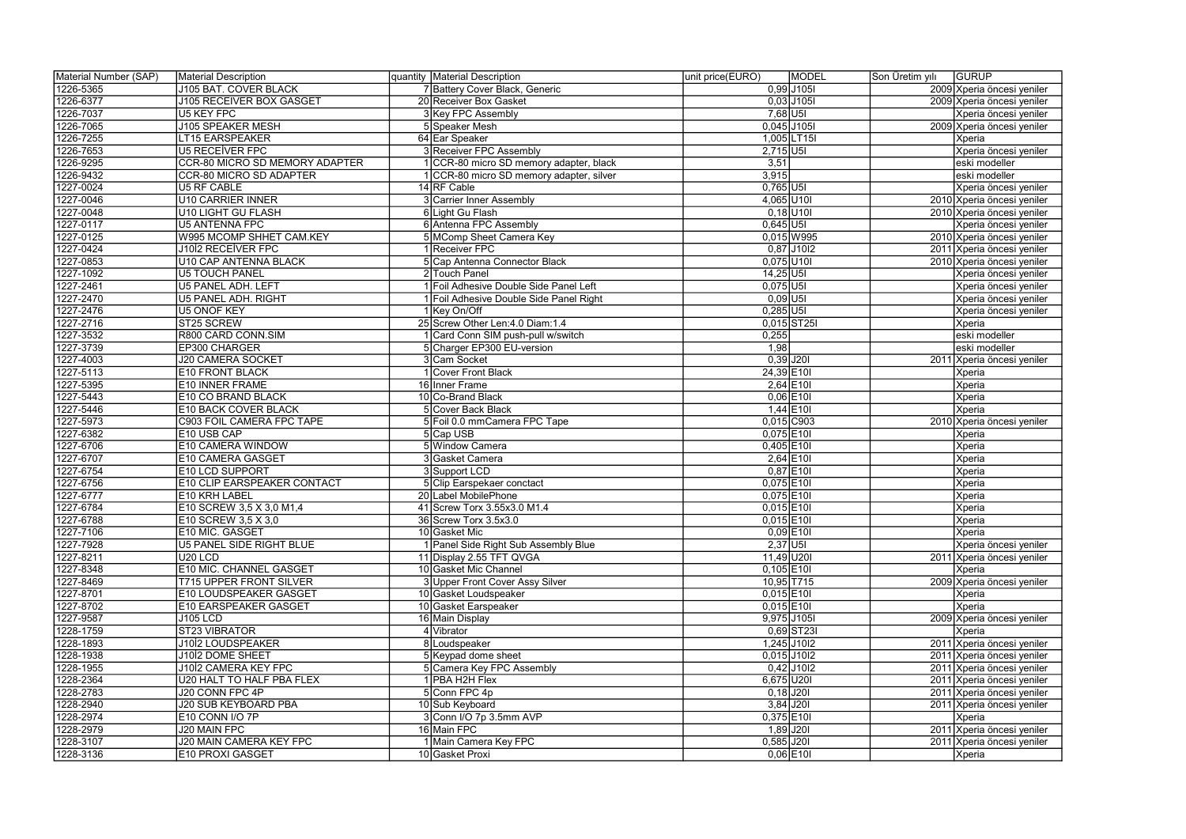| Material Number (SAP) | Material Description                  | quantity   Material Description          | MODEL<br>unit price(EURO) | Son Üretim yılı | <b>GURUP</b>               |
|-----------------------|---------------------------------------|------------------------------------------|---------------------------|-----------------|----------------------------|
| 1226-5365             | J105 BAT. COVER BLACK                 | 7 Battery Cover Black, Generic           | $0,99$ J 105              |                 | 2009 Xperia öncesi yeniler |
| 1226-6377             | J105 RECEIVER BOX GASGET              | 20 Receiver Box Gasket                   | $0,03$ J105I              |                 | 2009 Xperia öncesi yeniler |
| 1226-7037             | <b>U5 KEY FPC</b>                     | 3 Key FPC Assembly                       | $7,68$ U5I                |                 | Xperia öncesi yeniler      |
| 1226-7065             | <b>J105 SPEAKER MESH</b>              | 5 Speaker Mesh                           | $0,045$ J105I             |                 | 2009 Xperia öncesi yeniler |
| 1226-7255             | LT15 EARSPEAKER                       | 64 Ear Speaker                           | 1,005 LT15                |                 | Xperia                     |
| 1226-7653             | <b>U5 RECEIVER FPC</b>                | 3 Receiver FPC Assembly                  | $2,715$ U5I               |                 | Xperia öncesi yeniler      |
| 1226-9295             | <b>CCR-80 MICRO SD MEMORY ADAPTER</b> | 1 CCR-80 micro SD memory adapter, black  | 3,51                      |                 | eski modeller              |
| 1226-9432             | <b>CCR-80 MICRO SD ADAPTER</b>        | 1 CCR-80 micro SD memory adapter, silver | 3,915                     |                 | eski modeller              |
| 1227-0024             | <b>U5 RF CABLE</b>                    | 14 RF Cable                              | $0,765$ U5I               |                 | Xperia öncesi yeniler      |
| 1227-0046             | <b>U10 CARRIER INNER</b>              | 3 Carrier Inner Assembly                 | 4,065 U10I                |                 | 2010 Xperia öncesi yeniler |
| 1227-0048             | <b>U10 LIGHT GU FLASH</b>             | 6 Light Gu Flash                         | $0,18$ U10                |                 | 2010 Xperia öncesi yeniler |
| 1227-0117             | <b>U5 ANTENNA FPC</b>                 | 6 Antenna FPC Assembly                   | $0,645$ U5I               |                 | Xperia öncesi yeniler      |
| 1227-0125             | W995 MCOMP SHHET CAM.KEY              | 5 MComp Sheet Camera Key                 | $0,015$ W995              |                 | 2010 Xperia öncesi yeniler |
| 1227-0424             | <b>J10İ2 RECEİVER FPC</b>             | 1 Receiver FPC                           | $0,87$ J10I2              |                 | 2011 Xperia öncesi yeniler |
| 1227-0853             | U10 CAP ANTENNA BLACK                 | 5 Cap Antenna Connector Black            | $0,075$ U10I              |                 | 2010 Xperia öncesi yeniler |
| 1227-1092             | <b>U5 TOUCH PANEL</b>                 | 2 Touch Panel                            | $14,25$ U5I               |                 | Xperia öncesi yeniler      |
| 1227-2461             | U5 PANEL ADH. LEFT                    | 1 Foil Adhesive Double Side Panel Left   | $0,075$ U5I               |                 | Xperia öncesi yeniler      |
| 1227-2470             | U5 PANEL ADH. RIGHT                   | 1 Foil Adhesive Double Side Panel Right  | $0,09$ U5I                |                 | Xperia öncesi yeniler      |
| 1227-2476             | <b>U5 ONOF KEY</b>                    | 1 Key On/Off                             | $0,285$ U5I               |                 | Xperia öncesi yeniler      |
| 1227-2716             | ST25 SCREW                            | 25 Screw Other Len: 4.0 Diam: 1.4        | $0,015$ ST25I             |                 | Xperia                     |
| 1227-3532             | R800 CARD CONN.SIM                    | 1 Card Conn SIM push-pull w/switch       | 0,255                     |                 | eski modeller              |
| 1227-3739             | EP300 CHARGER                         | 5 Charger EP300 EU-version               | 1,98                      |                 | eski modeller              |
| 1227-4003             | <b>J20 CAMERA SOCKET</b>              | 3 Cam Socket                             | $0,39$ J201               |                 | 2011 Xperia öncesi yeniler |
| 1227-5113             | <b>E10 FRONT BLACK</b>                | 1 Cover Front Black                      | 24,39 E10I                |                 | Xperia                     |
| 1227-5395             | E10 INNER FRAME                       | 16 Inner Frame                           | $2,64$ E10                |                 | Xperia                     |
| 1227-5443             | E10 CO BRAND BLACK                    | 10 Co-Brand Black                        | $0,06$ E10                |                 | Xperia                     |
| 1227-5446             | <b>E10 BACK COVER BLACK</b>           | 5 Cover Back Black                       | $1,44$ E10I               |                 | Xperia                     |
| 1227-5973             | C903 FOIL CAMERA FPC TAPE             | 5 Foil 0.0 mmCamera FPC Tape             | $0,015$ C903              |                 | 2010 Xperia öncesi yeniler |
| 1227-6382             | E10 USB CAP                           | 5 Cap USB                                | $0,075$ E10I              |                 | Xperia                     |
| 1227-6706             | E10 CAMERA WINDOW                     | 5 Window Camera                          | $0,405$  E10I             |                 | Xperia                     |
| 1227-6707             | E10 CAMERA GASGET                     | 3 Gasket Camera                          | $2,64$ E10I               |                 | Xperia                     |
| 1227-6754             | E10 LCD SUPPORT                       | 3 Support LCD                            | $0,87$ E10I               |                 | Xperia                     |
| 1227-6756             | E10 CLIP EARSPEAKER CONTACT           | 5 Clip Earspekaer conctact               | $0,075$ E10I              |                 | Xperia                     |
| 1227-6777             | E10 KRH LABEL                         | 20 Label MobilePhone                     | $0,075$ E10I              |                 | Xperia                     |
| 1227-6784             | E10 SCREW 3,5 X 3,0 M1,4              | 41 Screw Torx 3.55x3.0 M1.4              | $0,015$ E10I              |                 | Xperia                     |
| 1227-6788             | E10 SCREW 3,5 X 3,0                   | 36 Screw Torx 3.5x3.0                    | $0,015$ E10I              |                 | Xperia                     |
| 1227-7106             | E10 MİC. GASGET                       | 10 Gasket Mic                            | $0,09$ $E101$             |                 | Xperia                     |
| 1227-7928             | U5 PANEL SIDE RIGHT BLUE              | 1 Panel Side Right Sub Assembly Blue     | $2,37$ U5I                |                 | Xperia öncesi yeniler      |
| 1227-8211             | U <sub>20</sub> LCD                   | 11 Display 2.55 TFT QVGA                 | 11,49 U20I                |                 | 2011 Xperia öncesi yeniler |
| 1227-8348             | E10 MIC. CHANNEL GASGET               | 10 Gasket Mic Channel                    | $0,105$ $E10I$            |                 | Xperia                     |
| 1227-8469             | <b>T715 UPPER FRONT SILVER</b>        | 3 Upper Front Cover Assy Silver          | 10,95 T715                |                 | 2009 Xperia öncesi yeniler |
| 1227-8701             | E10 LOUDSPEAKER GASGET                | 10 Gasket Loudspeaker                    | $0,015$ E10I              |                 | Xperia                     |
| 1227-8702             | E10 EARSPEAKER GASGET                 | 10 Gasket Earspeaker                     | $0,015$ E10I              |                 | Xperia                     |
| 1227-9587             | <b>J105 LCD</b>                       | 16 Main Display                          | 9,975 J105I               |                 | 2009 Xperia öncesi yeniler |
| 1228-1759             | ST23 VIBRATOR                         | 4 Vibrator                               | $0,69$ ST23I              |                 | Xperia                     |
| 1228-1893             | J1012 LOUDSPEAKER                     | 8 Loudspeaker                            | $1,245$ J10I2             |                 | 2011 Xperia öncesi yeniler |
| 1228-1938             | J1012 DOME SHEET                      | 5 Keypad dome sheet                      | $0,015$ J10I2             |                 | 2011 Xperia öncesi yeniler |
| 1228-1955             | J1012 CAMERA KEY FPC                  | 5 Camera Key FPC Assembly                | $0,42$ J10I2              |                 | 2011 Xperia öncesi yeniler |
| 1228-2364             | U20 HALT TO HALF PBA FLEX             | 1 PBA H2H Flex                           | $6,675$ U20I              |                 | 2011 Xperia öncesi yeniler |
| 1228-2783             | J20 CONN FPC 4P                       | 5 Conn FPC 4p                            | $0,18$ J201               |                 | 2011 Xperia öncesi yeniler |
| 1228-2940             | J20 SUB KEYBOARD PBA                  | 10 Sub Keyboard                          | $3,84$ J201               |                 | 2011 Xperia öncesi yeniler |
| 1228-2974             | E10 CONN I/O 7P                       | $3$ Conn I/O 7p 3.5mm AVP                | $0,375$ E10I              |                 | Xperia                     |
| 1228-2979             | J20 MAIN FPC                          | 16 Main FPC                              | $1,89$ J201               |                 | 2011 Xperia öncesi yeniler |
| 1228-3107             | J20 MAIN CAMERA KEY FPC               | 1 Main Camera Key FPC                    | $0,585$ $J201$            |                 | 2011 Xperia öncesi yeniler |
| 1228-3136             | E10 PROXI GASGET                      | 10 Gasket Proxi                          | $0,06$ E10                |                 | Xperia                     |
|                       |                                       |                                          |                           |                 |                            |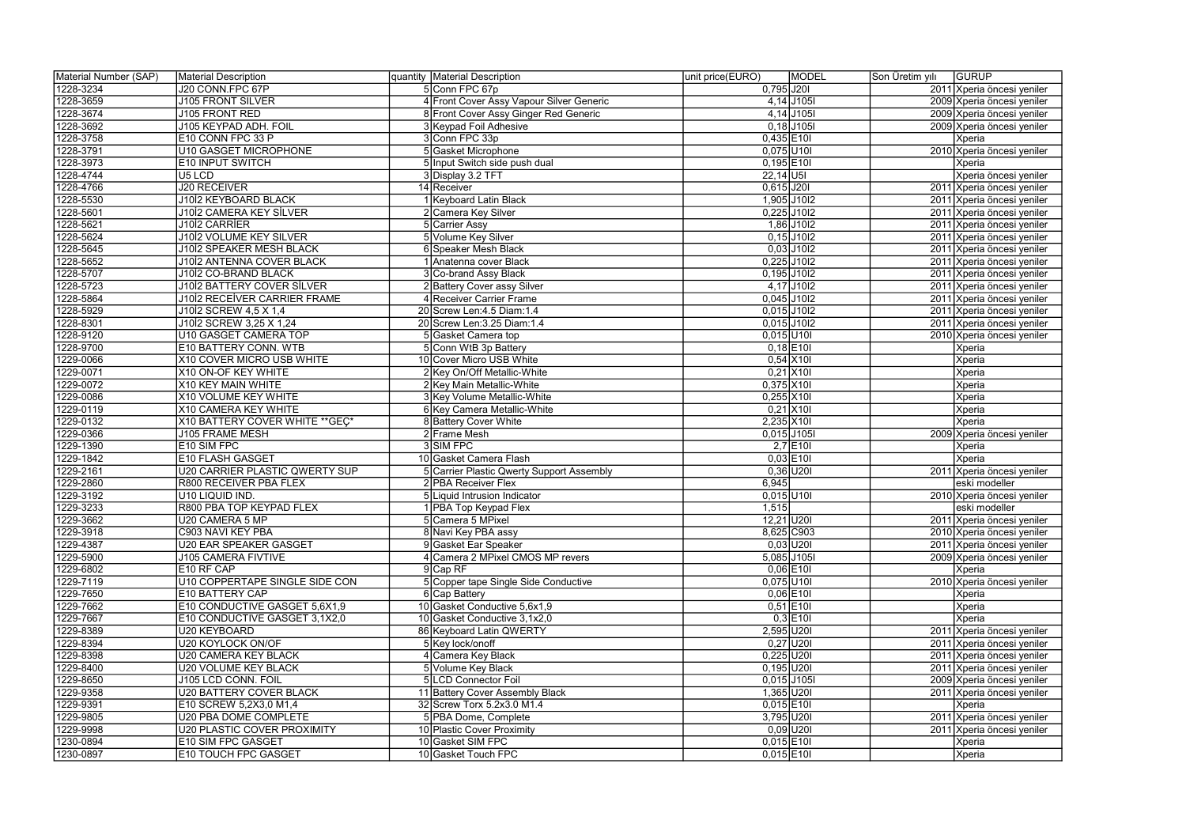| 1228-3234<br>J20 CONN.FPC 67P<br>5 Conn FPC 67p<br>$0,795$ J201<br>2011 Xperia öncesi yeniler<br>1228-3659<br>$4,14$ J105I<br><b>J105 FRONT SILVER</b><br>4 Front Cover Assy Vapour Silver Generic<br>2009 Xperia öncesi yeniler<br>$4,14$ J105I<br>1228-3674<br>8 Front Cover Assy Ginger Red Generic<br>2009 Xperia öncesi yeniler<br>J105 FRONT RED<br>$0,18$ J105I<br>1228-3692<br>J105 KEYPAD ADH. FOIL<br>3 Keypad Foil Adhesive<br>2009 Xperia öncesi yeniler<br>1228-3758<br>3 Conn FPC 33p<br>$0,435$ E10I<br>E10 CONN FPC 33 P<br>Xperia<br>1228-3791<br>2010 Xperia öncesi yeniler<br><b>U10 GASGET MICROPHONE</b><br>5 Gasket Microphone<br>$0,075$ U10I<br>1228-3973<br>5 Input Switch side push dual<br>$0,195$ E10I<br>E10 INPUT SWITCH<br>Xperia<br>1228-4744<br>U5 LCD<br>$22,14$ U5I<br>3 Display 3.2 TFT<br>Xperia öncesi yeniler<br>1228-4766<br><b>J20 RECEIVER</b><br>$0,615$ J201<br>14 Receiver<br>2011 Xperia öncesi yeniler<br><b>J10İ2 KEYBOARD BLACK</b><br>1 Keyboard Latin Black<br>1,905 J10I2<br>1228-5530<br>2011 Xperia öncesi yeniler<br>$0,225$ J10l2<br>1228-5601<br><b>J10İ2 CAMERA KEY SİLVER</b><br>2 Camera Key Silver<br>2011 Xperia öncesi yeniler<br>1,86 J10 12<br>1228-5621<br>J1012 CARRIER<br>5 Carrier Assy<br>2011 Xperia öncesi yeniler<br>1228-5624<br><b>J10İ2 VOLUME KEY SILVER</b><br>$0,15$ J10I2<br>5 Volume Key Silver<br>2011 Xperia öncesi yeniler<br>$0,03$ J10l2<br>1228-5645<br><b>J10İ2 SPEAKER MESH BLACK</b><br>6 Speaker Mesh Black<br>2011 Xperia öncesi yeniler<br>$0,225$ J10I2<br>1228-5652<br>J10İ2 ANTENNA COVER BLACK<br>1 Anatenna cover Black<br>2011 Xperia öncesi yeniler<br>$0,195$ J10I2<br>1228-5707<br>J10İ2 CO-BRAND BLACK<br>3 Co-brand Assy Black<br>2011 Xperia öncesi yeniler<br>$4,17$ J10I2<br>1228-5723<br><b>J10İ2 BATTERY COVER SİLVER</b><br>2 Battery Cover assy Silver<br>2011 Xperia öncesi yeniler<br>1228-5864<br><b>J10İ2 RECEİVER CARRIER FRAME</b><br>$0,045$ J10I2<br>2011 Xperia öncesi yeniler<br>4 Receiver Carrier Frame<br>$0,015$ J10I2<br>1228-5929<br>J10İ2 SCREW 4,5 X 1,4<br>2011 Xperia öncesi yeniler<br>20 Screw Len: 4.5 Diam: 1.4<br>$0,015$ J10I2<br>1228-8301<br>J1012 SCREW 3,25 X 1,24<br>2011 Xperia öncesi yeniler<br>20 Screw Len: 3.25 Diam: 1.4<br>1228-9120<br>U10 GASGET CAMERA TOP<br>$0,015$ U10I<br>2010 Xperia öncesi yeniler<br>5 Gasket Camera top |  |
|------------------------------------------------------------------------------------------------------------------------------------------------------------------------------------------------------------------------------------------------------------------------------------------------------------------------------------------------------------------------------------------------------------------------------------------------------------------------------------------------------------------------------------------------------------------------------------------------------------------------------------------------------------------------------------------------------------------------------------------------------------------------------------------------------------------------------------------------------------------------------------------------------------------------------------------------------------------------------------------------------------------------------------------------------------------------------------------------------------------------------------------------------------------------------------------------------------------------------------------------------------------------------------------------------------------------------------------------------------------------------------------------------------------------------------------------------------------------------------------------------------------------------------------------------------------------------------------------------------------------------------------------------------------------------------------------------------------------------------------------------------------------------------------------------------------------------------------------------------------------------------------------------------------------------------------------------------------------------------------------------------------------------------------------------------------------------------------------------------------------------------------------------------------------------------------------------------------------------------------------------------------------------------------------------------------------------------------------------------------------------------------|--|
|                                                                                                                                                                                                                                                                                                                                                                                                                                                                                                                                                                                                                                                                                                                                                                                                                                                                                                                                                                                                                                                                                                                                                                                                                                                                                                                                                                                                                                                                                                                                                                                                                                                                                                                                                                                                                                                                                                                                                                                                                                                                                                                                                                                                                                                                                                                                                                                          |  |
|                                                                                                                                                                                                                                                                                                                                                                                                                                                                                                                                                                                                                                                                                                                                                                                                                                                                                                                                                                                                                                                                                                                                                                                                                                                                                                                                                                                                                                                                                                                                                                                                                                                                                                                                                                                                                                                                                                                                                                                                                                                                                                                                                                                                                                                                                                                                                                                          |  |
|                                                                                                                                                                                                                                                                                                                                                                                                                                                                                                                                                                                                                                                                                                                                                                                                                                                                                                                                                                                                                                                                                                                                                                                                                                                                                                                                                                                                                                                                                                                                                                                                                                                                                                                                                                                                                                                                                                                                                                                                                                                                                                                                                                                                                                                                                                                                                                                          |  |
|                                                                                                                                                                                                                                                                                                                                                                                                                                                                                                                                                                                                                                                                                                                                                                                                                                                                                                                                                                                                                                                                                                                                                                                                                                                                                                                                                                                                                                                                                                                                                                                                                                                                                                                                                                                                                                                                                                                                                                                                                                                                                                                                                                                                                                                                                                                                                                                          |  |
|                                                                                                                                                                                                                                                                                                                                                                                                                                                                                                                                                                                                                                                                                                                                                                                                                                                                                                                                                                                                                                                                                                                                                                                                                                                                                                                                                                                                                                                                                                                                                                                                                                                                                                                                                                                                                                                                                                                                                                                                                                                                                                                                                                                                                                                                                                                                                                                          |  |
|                                                                                                                                                                                                                                                                                                                                                                                                                                                                                                                                                                                                                                                                                                                                                                                                                                                                                                                                                                                                                                                                                                                                                                                                                                                                                                                                                                                                                                                                                                                                                                                                                                                                                                                                                                                                                                                                                                                                                                                                                                                                                                                                                                                                                                                                                                                                                                                          |  |
|                                                                                                                                                                                                                                                                                                                                                                                                                                                                                                                                                                                                                                                                                                                                                                                                                                                                                                                                                                                                                                                                                                                                                                                                                                                                                                                                                                                                                                                                                                                                                                                                                                                                                                                                                                                                                                                                                                                                                                                                                                                                                                                                                                                                                                                                                                                                                                                          |  |
|                                                                                                                                                                                                                                                                                                                                                                                                                                                                                                                                                                                                                                                                                                                                                                                                                                                                                                                                                                                                                                                                                                                                                                                                                                                                                                                                                                                                                                                                                                                                                                                                                                                                                                                                                                                                                                                                                                                                                                                                                                                                                                                                                                                                                                                                                                                                                                                          |  |
|                                                                                                                                                                                                                                                                                                                                                                                                                                                                                                                                                                                                                                                                                                                                                                                                                                                                                                                                                                                                                                                                                                                                                                                                                                                                                                                                                                                                                                                                                                                                                                                                                                                                                                                                                                                                                                                                                                                                                                                                                                                                                                                                                                                                                                                                                                                                                                                          |  |
|                                                                                                                                                                                                                                                                                                                                                                                                                                                                                                                                                                                                                                                                                                                                                                                                                                                                                                                                                                                                                                                                                                                                                                                                                                                                                                                                                                                                                                                                                                                                                                                                                                                                                                                                                                                                                                                                                                                                                                                                                                                                                                                                                                                                                                                                                                                                                                                          |  |
|                                                                                                                                                                                                                                                                                                                                                                                                                                                                                                                                                                                                                                                                                                                                                                                                                                                                                                                                                                                                                                                                                                                                                                                                                                                                                                                                                                                                                                                                                                                                                                                                                                                                                                                                                                                                                                                                                                                                                                                                                                                                                                                                                                                                                                                                                                                                                                                          |  |
|                                                                                                                                                                                                                                                                                                                                                                                                                                                                                                                                                                                                                                                                                                                                                                                                                                                                                                                                                                                                                                                                                                                                                                                                                                                                                                                                                                                                                                                                                                                                                                                                                                                                                                                                                                                                                                                                                                                                                                                                                                                                                                                                                                                                                                                                                                                                                                                          |  |
|                                                                                                                                                                                                                                                                                                                                                                                                                                                                                                                                                                                                                                                                                                                                                                                                                                                                                                                                                                                                                                                                                                                                                                                                                                                                                                                                                                                                                                                                                                                                                                                                                                                                                                                                                                                                                                                                                                                                                                                                                                                                                                                                                                                                                                                                                                                                                                                          |  |
|                                                                                                                                                                                                                                                                                                                                                                                                                                                                                                                                                                                                                                                                                                                                                                                                                                                                                                                                                                                                                                                                                                                                                                                                                                                                                                                                                                                                                                                                                                                                                                                                                                                                                                                                                                                                                                                                                                                                                                                                                                                                                                                                                                                                                                                                                                                                                                                          |  |
|                                                                                                                                                                                                                                                                                                                                                                                                                                                                                                                                                                                                                                                                                                                                                                                                                                                                                                                                                                                                                                                                                                                                                                                                                                                                                                                                                                                                                                                                                                                                                                                                                                                                                                                                                                                                                                                                                                                                                                                                                                                                                                                                                                                                                                                                                                                                                                                          |  |
|                                                                                                                                                                                                                                                                                                                                                                                                                                                                                                                                                                                                                                                                                                                                                                                                                                                                                                                                                                                                                                                                                                                                                                                                                                                                                                                                                                                                                                                                                                                                                                                                                                                                                                                                                                                                                                                                                                                                                                                                                                                                                                                                                                                                                                                                                                                                                                                          |  |
|                                                                                                                                                                                                                                                                                                                                                                                                                                                                                                                                                                                                                                                                                                                                                                                                                                                                                                                                                                                                                                                                                                                                                                                                                                                                                                                                                                                                                                                                                                                                                                                                                                                                                                                                                                                                                                                                                                                                                                                                                                                                                                                                                                                                                                                                                                                                                                                          |  |
|                                                                                                                                                                                                                                                                                                                                                                                                                                                                                                                                                                                                                                                                                                                                                                                                                                                                                                                                                                                                                                                                                                                                                                                                                                                                                                                                                                                                                                                                                                                                                                                                                                                                                                                                                                                                                                                                                                                                                                                                                                                                                                                                                                                                                                                                                                                                                                                          |  |
|                                                                                                                                                                                                                                                                                                                                                                                                                                                                                                                                                                                                                                                                                                                                                                                                                                                                                                                                                                                                                                                                                                                                                                                                                                                                                                                                                                                                                                                                                                                                                                                                                                                                                                                                                                                                                                                                                                                                                                                                                                                                                                                                                                                                                                                                                                                                                                                          |  |
|                                                                                                                                                                                                                                                                                                                                                                                                                                                                                                                                                                                                                                                                                                                                                                                                                                                                                                                                                                                                                                                                                                                                                                                                                                                                                                                                                                                                                                                                                                                                                                                                                                                                                                                                                                                                                                                                                                                                                                                                                                                                                                                                                                                                                                                                                                                                                                                          |  |
|                                                                                                                                                                                                                                                                                                                                                                                                                                                                                                                                                                                                                                                                                                                                                                                                                                                                                                                                                                                                                                                                                                                                                                                                                                                                                                                                                                                                                                                                                                                                                                                                                                                                                                                                                                                                                                                                                                                                                                                                                                                                                                                                                                                                                                                                                                                                                                                          |  |
|                                                                                                                                                                                                                                                                                                                                                                                                                                                                                                                                                                                                                                                                                                                                                                                                                                                                                                                                                                                                                                                                                                                                                                                                                                                                                                                                                                                                                                                                                                                                                                                                                                                                                                                                                                                                                                                                                                                                                                                                                                                                                                                                                                                                                                                                                                                                                                                          |  |
| $0,18$ E10<br>1228-9700<br>E10 BATTERY CONN. WTB<br>5 Conn WtB 3p Battery<br>Xperia                                                                                                                                                                                                                                                                                                                                                                                                                                                                                                                                                                                                                                                                                                                                                                                                                                                                                                                                                                                                                                                                                                                                                                                                                                                                                                                                                                                                                                                                                                                                                                                                                                                                                                                                                                                                                                                                                                                                                                                                                                                                                                                                                                                                                                                                                                      |  |
| 1229-0066<br>X10 COVER MICRO USB WHITE<br>10 Cover Micro USB White<br>$0,54$ $\times$ 10<br>Xperia                                                                                                                                                                                                                                                                                                                                                                                                                                                                                                                                                                                                                                                                                                                                                                                                                                                                                                                                                                                                                                                                                                                                                                                                                                                                                                                                                                                                                                                                                                                                                                                                                                                                                                                                                                                                                                                                                                                                                                                                                                                                                                                                                                                                                                                                                       |  |
| 1229-0071<br>$0,21$ X10<br>X10 ON-OF KEY WHITE<br>2 Key On/Off Metallic-White<br>Xperia                                                                                                                                                                                                                                                                                                                                                                                                                                                                                                                                                                                                                                                                                                                                                                                                                                                                                                                                                                                                                                                                                                                                                                                                                                                                                                                                                                                                                                                                                                                                                                                                                                                                                                                                                                                                                                                                                                                                                                                                                                                                                                                                                                                                                                                                                                  |  |
| 1229-0072<br>X10 KEY MAIN WHITE<br>2 Key Main Metallic-White<br>$0,375$ $X101$<br>Xperia                                                                                                                                                                                                                                                                                                                                                                                                                                                                                                                                                                                                                                                                                                                                                                                                                                                                                                                                                                                                                                                                                                                                                                                                                                                                                                                                                                                                                                                                                                                                                                                                                                                                                                                                                                                                                                                                                                                                                                                                                                                                                                                                                                                                                                                                                                 |  |
| $0,255$ X10I<br>1229-0086<br>X10 VOLUME KEY WHITE<br>3 Key Volume Metallic-White<br>Xperia                                                                                                                                                                                                                                                                                                                                                                                                                                                                                                                                                                                                                                                                                                                                                                                                                                                                                                                                                                                                                                                                                                                                                                                                                                                                                                                                                                                                                                                                                                                                                                                                                                                                                                                                                                                                                                                                                                                                                                                                                                                                                                                                                                                                                                                                                               |  |
| $0,21$ X10<br>1229-0119<br>X10 CAMERA KEY WHITE<br>6 Key Camera Metallic-White<br>Xperia                                                                                                                                                                                                                                                                                                                                                                                                                                                                                                                                                                                                                                                                                                                                                                                                                                                                                                                                                                                                                                                                                                                                                                                                                                                                                                                                                                                                                                                                                                                                                                                                                                                                                                                                                                                                                                                                                                                                                                                                                                                                                                                                                                                                                                                                                                 |  |
| $2,235$ $X101$<br>1229-0132<br>X10 BATTERY COVER WHITE ** GEÇ*<br>8 Battery Cover White<br>Xperia                                                                                                                                                                                                                                                                                                                                                                                                                                                                                                                                                                                                                                                                                                                                                                                                                                                                                                                                                                                                                                                                                                                                                                                                                                                                                                                                                                                                                                                                                                                                                                                                                                                                                                                                                                                                                                                                                                                                                                                                                                                                                                                                                                                                                                                                                        |  |
| 1229-0366<br>$0,015$ J105I<br>J105 FRAME MESH<br>2 Frame Mesh<br>2009 Xperia öncesi yeniler                                                                                                                                                                                                                                                                                                                                                                                                                                                                                                                                                                                                                                                                                                                                                                                                                                                                                                                                                                                                                                                                                                                                                                                                                                                                                                                                                                                                                                                                                                                                                                                                                                                                                                                                                                                                                                                                                                                                                                                                                                                                                                                                                                                                                                                                                              |  |
| 3 SIM FPC<br>$2,7$ E10I<br>1229-1390<br>E10 SIM FPC<br>Xperia                                                                                                                                                                                                                                                                                                                                                                                                                                                                                                                                                                                                                                                                                                                                                                                                                                                                                                                                                                                                                                                                                                                                                                                                                                                                                                                                                                                                                                                                                                                                                                                                                                                                                                                                                                                                                                                                                                                                                                                                                                                                                                                                                                                                                                                                                                                            |  |
| 1229-1842<br><b>E10 FLASH GASGET</b><br>$0,03$ E10<br>Xperia<br>10 Gasket Camera Flash                                                                                                                                                                                                                                                                                                                                                                                                                                                                                                                                                                                                                                                                                                                                                                                                                                                                                                                                                                                                                                                                                                                                                                                                                                                                                                                                                                                                                                                                                                                                                                                                                                                                                                                                                                                                                                                                                                                                                                                                                                                                                                                                                                                                                                                                                                   |  |
| $0,36$ U201<br>1229-2161<br><b>U20 CARRIER PLASTIC QWERTY SUP</b><br>5 Carrier Plastic Qwerty Support Assembly<br>2011 Xperia öncesi yeniler                                                                                                                                                                                                                                                                                                                                                                                                                                                                                                                                                                                                                                                                                                                                                                                                                                                                                                                                                                                                                                                                                                                                                                                                                                                                                                                                                                                                                                                                                                                                                                                                                                                                                                                                                                                                                                                                                                                                                                                                                                                                                                                                                                                                                                             |  |
| 1229-2860<br>R800 RECEIVER PBA FLEX<br>2 PBA Receiver Flex<br>6,945<br>eski modeller                                                                                                                                                                                                                                                                                                                                                                                                                                                                                                                                                                                                                                                                                                                                                                                                                                                                                                                                                                                                                                                                                                                                                                                                                                                                                                                                                                                                                                                                                                                                                                                                                                                                                                                                                                                                                                                                                                                                                                                                                                                                                                                                                                                                                                                                                                     |  |
| 1229-3192<br>$0,015$ U10I<br>U10 LIQUID IND.<br>5 Liquid Intrusion Indicator<br>2010 Xperia öncesi yeniler                                                                                                                                                                                                                                                                                                                                                                                                                                                                                                                                                                                                                                                                                                                                                                                                                                                                                                                                                                                                                                                                                                                                                                                                                                                                                                                                                                                                                                                                                                                                                                                                                                                                                                                                                                                                                                                                                                                                                                                                                                                                                                                                                                                                                                                                               |  |
| 1229-3233<br>R800 PBA TOP KEYPAD FLEX<br>1,515<br>1 PBA Top Keypad Flex<br>eski modeller                                                                                                                                                                                                                                                                                                                                                                                                                                                                                                                                                                                                                                                                                                                                                                                                                                                                                                                                                                                                                                                                                                                                                                                                                                                                                                                                                                                                                                                                                                                                                                                                                                                                                                                                                                                                                                                                                                                                                                                                                                                                                                                                                                                                                                                                                                 |  |
| 1229-3662<br>$12,21$ U201<br>U20 CAMERA 5 MP<br>2011 Xperia öncesi yeniler<br>5 Camera 5 MPixel                                                                                                                                                                                                                                                                                                                                                                                                                                                                                                                                                                                                                                                                                                                                                                                                                                                                                                                                                                                                                                                                                                                                                                                                                                                                                                                                                                                                                                                                                                                                                                                                                                                                                                                                                                                                                                                                                                                                                                                                                                                                                                                                                                                                                                                                                          |  |
| C903 NAVI KEY PBA<br>8,625 C903<br>1229-3918<br>8 Navi Key PBA assy<br>2010 Xperia öncesi yeniler                                                                                                                                                                                                                                                                                                                                                                                                                                                                                                                                                                                                                                                                                                                                                                                                                                                                                                                                                                                                                                                                                                                                                                                                                                                                                                                                                                                                                                                                                                                                                                                                                                                                                                                                                                                                                                                                                                                                                                                                                                                                                                                                                                                                                                                                                        |  |
| 1229-4387<br>$0,03$ U20I<br><b>U20 EAR SPEAKER GASGET</b><br>9 Gasket Ear Speaker<br>2011 Xperia öncesi yeniler                                                                                                                                                                                                                                                                                                                                                                                                                                                                                                                                                                                                                                                                                                                                                                                                                                                                                                                                                                                                                                                                                                                                                                                                                                                                                                                                                                                                                                                                                                                                                                                                                                                                                                                                                                                                                                                                                                                                                                                                                                                                                                                                                                                                                                                                          |  |
| 1229-5900<br>$5,085$ J105I<br><b>J105 CAMERA FIVTIVE</b><br>4 Camera 2 MPixel CMOS MP revers<br>2009 Xperia öncesi yeniler                                                                                                                                                                                                                                                                                                                                                                                                                                                                                                                                                                                                                                                                                                                                                                                                                                                                                                                                                                                                                                                                                                                                                                                                                                                                                                                                                                                                                                                                                                                                                                                                                                                                                                                                                                                                                                                                                                                                                                                                                                                                                                                                                                                                                                                               |  |
| 1229-6802<br>$9$ $Cap$ RF<br>$0,06$ E10I<br>E10 RF CAP<br>Xperia                                                                                                                                                                                                                                                                                                                                                                                                                                                                                                                                                                                                                                                                                                                                                                                                                                                                                                                                                                                                                                                                                                                                                                                                                                                                                                                                                                                                                                                                                                                                                                                                                                                                                                                                                                                                                                                                                                                                                                                                                                                                                                                                                                                                                                                                                                                         |  |
| 1229-7119<br>U10 COPPERTAPE SINGLE SIDE CON<br>5 Copper tape Single Side Conductive<br>$0,075$ U10I<br>2010 Xperia öncesi yeniler                                                                                                                                                                                                                                                                                                                                                                                                                                                                                                                                                                                                                                                                                                                                                                                                                                                                                                                                                                                                                                                                                                                                                                                                                                                                                                                                                                                                                                                                                                                                                                                                                                                                                                                                                                                                                                                                                                                                                                                                                                                                                                                                                                                                                                                        |  |
| 1229-7650<br>6 Cap Battery<br>$0,06$ E10<br>E10 BATTERY CAP<br>Xperia                                                                                                                                                                                                                                                                                                                                                                                                                                                                                                                                                                                                                                                                                                                                                                                                                                                                                                                                                                                                                                                                                                                                                                                                                                                                                                                                                                                                                                                                                                                                                                                                                                                                                                                                                                                                                                                                                                                                                                                                                                                                                                                                                                                                                                                                                                                    |  |
| 1229-7662<br>E10 CONDUCTIVE GASGET 5,6X1,9<br>10 Gasket Conductive 5,6x1,9<br>$0,51$ E10I<br>Xperia                                                                                                                                                                                                                                                                                                                                                                                                                                                                                                                                                                                                                                                                                                                                                                                                                                                                                                                                                                                                                                                                                                                                                                                                                                                                                                                                                                                                                                                                                                                                                                                                                                                                                                                                                                                                                                                                                                                                                                                                                                                                                                                                                                                                                                                                                      |  |
| $0,3$ E10<br>1229-7667<br>E10 CONDUCTIVE GASGET 3,1X2,0<br>10 Gasket Conductive 3,1x2,0<br>Xperia                                                                                                                                                                                                                                                                                                                                                                                                                                                                                                                                                                                                                                                                                                                                                                                                                                                                                                                                                                                                                                                                                                                                                                                                                                                                                                                                                                                                                                                                                                                                                                                                                                                                                                                                                                                                                                                                                                                                                                                                                                                                                                                                                                                                                                                                                        |  |
| $2,595$ U201<br>1229-8389<br>86 Keyboard Latin QWERTY<br>U20 KEYBOARD<br>2011 Xperia öncesi yeniler                                                                                                                                                                                                                                                                                                                                                                                                                                                                                                                                                                                                                                                                                                                                                                                                                                                                                                                                                                                                                                                                                                                                                                                                                                                                                                                                                                                                                                                                                                                                                                                                                                                                                                                                                                                                                                                                                                                                                                                                                                                                                                                                                                                                                                                                                      |  |
| $0,27$ U201<br>1229-8394<br>U20 KOYLOCK ON/OF<br>5 Key lock/onoff<br>2011 Xperia öncesi yeniler                                                                                                                                                                                                                                                                                                                                                                                                                                                                                                                                                                                                                                                                                                                                                                                                                                                                                                                                                                                                                                                                                                                                                                                                                                                                                                                                                                                                                                                                                                                                                                                                                                                                                                                                                                                                                                                                                                                                                                                                                                                                                                                                                                                                                                                                                          |  |
| 1229-8398<br>4 Camera Key Black<br>$0,225$ U20I<br>U20 CAMERA KEY BLACK<br>2011 Xperia öncesi yeniler                                                                                                                                                                                                                                                                                                                                                                                                                                                                                                                                                                                                                                                                                                                                                                                                                                                                                                                                                                                                                                                                                                                                                                                                                                                                                                                                                                                                                                                                                                                                                                                                                                                                                                                                                                                                                                                                                                                                                                                                                                                                                                                                                                                                                                                                                    |  |
| 1229-8400<br><b>U20 VOLUME KEY BLACK</b><br>5 Volume Key Black<br>$0,195$ U20I<br>2011 Xperia öncesi yeniler                                                                                                                                                                                                                                                                                                                                                                                                                                                                                                                                                                                                                                                                                                                                                                                                                                                                                                                                                                                                                                                                                                                                                                                                                                                                                                                                                                                                                                                                                                                                                                                                                                                                                                                                                                                                                                                                                                                                                                                                                                                                                                                                                                                                                                                                             |  |
| $0,015$ J105I<br>1229-8650<br>J105 LCD CONN. FOIL<br>5 LCD Connector Foil<br>2009 Xperia öncesi yeniler                                                                                                                                                                                                                                                                                                                                                                                                                                                                                                                                                                                                                                                                                                                                                                                                                                                                                                                                                                                                                                                                                                                                                                                                                                                                                                                                                                                                                                                                                                                                                                                                                                                                                                                                                                                                                                                                                                                                                                                                                                                                                                                                                                                                                                                                                  |  |
| $1,365$ U20I<br>2011 Xperia öncesi yeniler<br>1229-9358<br><b>U20 BATTERY COVER BLACK</b><br>11 Battery Cover Assembly Black                                                                                                                                                                                                                                                                                                                                                                                                                                                                                                                                                                                                                                                                                                                                                                                                                                                                                                                                                                                                                                                                                                                                                                                                                                                                                                                                                                                                                                                                                                                                                                                                                                                                                                                                                                                                                                                                                                                                                                                                                                                                                                                                                                                                                                                             |  |
| $0,015$ E10I<br>Xperia<br>1229-9391<br>E10 SCREW 5,2X3,0 M1,4<br>32 Screw Torx 5.2x3.0 M1.4                                                                                                                                                                                                                                                                                                                                                                                                                                                                                                                                                                                                                                                                                                                                                                                                                                                                                                                                                                                                                                                                                                                                                                                                                                                                                                                                                                                                                                                                                                                                                                                                                                                                                                                                                                                                                                                                                                                                                                                                                                                                                                                                                                                                                                                                                              |  |
| 1229-9805<br>5 PBA Dome, Complete<br>3,795 U201<br>U20 PBA DOME COMPLETE<br>2011 Xperia öncesi yeniler                                                                                                                                                                                                                                                                                                                                                                                                                                                                                                                                                                                                                                                                                                                                                                                                                                                                                                                                                                                                                                                                                                                                                                                                                                                                                                                                                                                                                                                                                                                                                                                                                                                                                                                                                                                                                                                                                                                                                                                                                                                                                                                                                                                                                                                                                   |  |
| $0,09$ U201<br>1229-9998<br>2011 Xperia öncesi yeniler<br><b>U20 PLASTIC COVER PROXIMITY</b><br>10 Plastic Cover Proximity                                                                                                                                                                                                                                                                                                                                                                                                                                                                                                                                                                                                                                                                                                                                                                                                                                                                                                                                                                                                                                                                                                                                                                                                                                                                                                                                                                                                                                                                                                                                                                                                                                                                                                                                                                                                                                                                                                                                                                                                                                                                                                                                                                                                                                                               |  |
| 10 Gasket SIM FPC<br>$0,015$  E10I<br>1230-0894<br>E10 SIM FPC GASGET<br>Xperia                                                                                                                                                                                                                                                                                                                                                                                                                                                                                                                                                                                                                                                                                                                                                                                                                                                                                                                                                                                                                                                                                                                                                                                                                                                                                                                                                                                                                                                                                                                                                                                                                                                                                                                                                                                                                                                                                                                                                                                                                                                                                                                                                                                                                                                                                                          |  |
| 10 Gasket Touch FPC<br>$0,015$  E10I<br>1230-0897<br>E10 TOUCH FPC GASGET<br>Xperia                                                                                                                                                                                                                                                                                                                                                                                                                                                                                                                                                                                                                                                                                                                                                                                                                                                                                                                                                                                                                                                                                                                                                                                                                                                                                                                                                                                                                                                                                                                                                                                                                                                                                                                                                                                                                                                                                                                                                                                                                                                                                                                                                                                                                                                                                                      |  |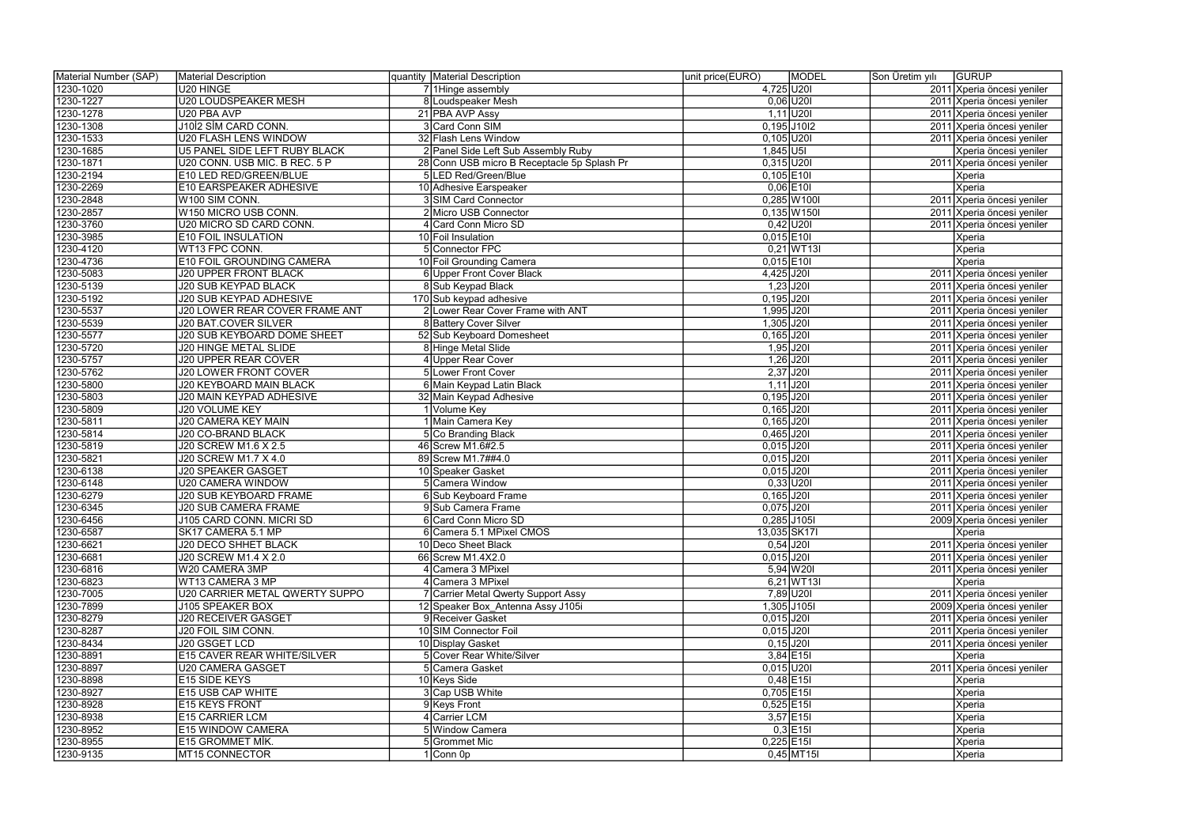| Material Number (SAP) | Material Description               | quantity   Material Description             | MODEL<br>unit price(EURO)      | Son Üretim yılı<br>GURUP   |
|-----------------------|------------------------------------|---------------------------------------------|--------------------------------|----------------------------|
| 1230-1020             | U20 HINGE                          | 71Hinge assembly                            | 4,725 U201                     | 2011 Xperia öncesi yeniler |
| 1230-1227             | <b>U20 LOUDSPEAKER MESH</b>        | 8 Loudspeaker Mesh                          | $0,06$ U201                    | 2011 Xperia öncesi yeniler |
| 1230-1278             | U20 PBA AVP                        | 21 PBA AVP Assy                             | $1,11$ U201                    | 2011 Xperia öncesi yeniler |
| 1230-1308             | J1012 SIM CARD CONN.               | 3 Card Conn SIM                             | $0,195$ J10I2                  | 2011 Xperia öncesi yeniler |
| 1230-1533             | <b>U20 FLASH LENS WINDOW</b>       | 32 Flash Lens Window                        | $0,105$ U20I                   | 2011 Xperia öncesi yeniler |
| 1230-1685             | U5 PANEL SIDE LEFT RUBY BLACK      | 2 Panel Side Left Sub Assembly Ruby         | $1,845$ U5I                    | Xperia öncesi yeniler      |
| 1230-1871             | U20 CONN. USB MIC. B REC. 5 P      | 28 Conn USB micro B Receptacle 5p Splash Pr | $0,315$ U20I                   | 2011 Xperia öncesi yeniler |
| 1230-2194             | E10 LED RED/GREEN/BLUE             | 5 LED Red/Green/Blue                        | $0,105$ E10I                   | Xperia                     |
| 1230-2269             | E10 EARSPEAKER ADHESIVE            | 10 Adhesive Earspeaker                      | $0,06$ E10                     | Xperia                     |
| 1230-2848             | W100 SIM CONN.                     | 3 SIM Card Connector                        | 0,285 W100I                    | 2011 Xperia öncesi yeniler |
| 1230-2857             | W150 MICRO USB CONN.               | 2 Micro USB Connector                       | $0,135$ W150I                  | 2011 Xperia öncesi yeniler |
| 1230-3760             | U20 MICRO SD CARD CONN.            | 4 Card Conn Micro SD                        | $0,42$ U201                    | 2011 Xperia öncesi yeniler |
| 1230-3985             | <b>E10 FOIL INSULATION</b>         | 10 Foil Insulation                          | $0,015$ E10I                   | Xperia                     |
| 1230-4120             | WT13 FPC CONN.                     | 5 Connector FPC                             | $0,21$ WT13I                   | Xperia                     |
| 1230-4736             | E10 FOIL GROUNDING CAMERA          | 10 Foil Grounding Camera                    | $0,015$ $E101$                 | Xperia                     |
| 1230-5083             | <b>J20 UPPER FRONT BLACK</b>       | 6 Upper Front Cover Black                   | 4,425 J20I                     | 2011 Xperia öncesi yeniler |
| 1230-5139             | <b>J20 SUB KEYPAD BLACK</b>        | 8 Sub Keypad Black                          | $1,23$ J201                    |                            |
|                       |                                    |                                             |                                | 2011 Xperia öncesi yeniler |
| 1230-5192             | J20 SUB KEYPAD ADHESIVE            | 170 Sub keypad adhesive                     | $0,195$ J201                   | 2011 Xperia öncesi yeniler |
| 1230-5537             | J20 LOWER REAR COVER FRAME ANT     | 2 Lower Rear Cover Frame with ANT           | 1,995 J201                     | 2011 Xperia öncesi yeniler |
| 1230-5539             | J20 BAT.COVER SILVER               | 8 Battery Cover Silver                      | $1,305$ $J201$<br>$0,165$ J201 | 2011 Xperia öncesi yeniler |
| 1230-5577             | <b>J20 SUB KEYBOARD DOME SHEET</b> | 52 Sub Keyboard Domesheet                   |                                | 2011 Xperia öncesi yeniler |
| 1230-5720             | <b>J20 HINGE METAL SLIDE</b>       | 8 Hinge Metal Slide                         | $1,95$ J201                    | 2011 Xperia öncesi yeniler |
| 1230-5757             | <b>J20 UPPER REAR COVER</b>        | 4 Upper Rear Cover                          | $1,26$ J $20$                  | 2011 Xperia öncesi yeniler |
| 1230-5762             | <b>J20 LOWER FRONT COVER</b>       | 5 Lower Front Cover                         | $2,37$ J201                    | 2011 Xperia öncesi yeniler |
| 1230-5800             | <b>J20 KEYBOARD MAIN BLACK</b>     | 6 Main Keypad Latin Black                   | $1,11$ J201                    | 2011 Xperia öncesi yeniler |
| 1230-5803             | J20 MAIN KEYPAD ADHESIVE           | 32 Main Keypad Adhesive                     | $0,195$ J201                   | 2011 Xperia öncesi yeniler |
| 1230-5809             | J20 VOLUME KEY                     | 1 Volume Key                                | $0,165$ J201                   | 2011 Xperia öncesi yeniler |
| 1230-5811             | <b>J20 CAMERA KEY MAIN</b>         | 1 Main Camera Key                           | $0,165$ J201                   | 2011 Xperia öncesi yeniler |
| 1230-5814             | J20 CO-BRAND BLACK                 | 5 Co Branding Black                         | $0,465$ J201                   | 2011 Xperia öncesi yeniler |
| 1230-5819             | J20 SCREW M1.6 X 2.5               | 46 Screw M1.6#2.5                           | $0,015$ J201                   | 2011 Xperia öncesi yeniler |
| 1230-5821             | J20 SCREW M1.7 X 4.0               | 89 Screw M1.7##4.0                          | $0,015$ J201                   | 2011 Xperia öncesi yeniler |
| 1230-6138             | <b>J20 SPEAKER GASGET</b>          | 10 Speaker Gasket                           | $0,015$ J201                   | 2011 Xperia öncesi yeniler |
| 1230-6148             | <b>U20 CAMERA WINDOW</b>           | 5 Camera Window                             | $0,33$ U201                    | 2011 Xperia öncesi yeniler |
| 1230-6279             | <b>J20 SUB KEYBOARD FRAME</b>      | 6 Sub Keyboard Frame                        | $0,165$ J201                   | 2011 Xperia öncesi yeniler |
| 1230-6345             | <b>J20 SUB CAMERA FRAME</b>        | 9 Sub Camera Frame                          | $0,075$ J20I                   | 2011 Xperia öncesi yeniler |
| 1230-6456             | J105 CARD CONN. MICRI SD           | 6 Card Conn Micro SD                        | $0,285$ J105I                  | 2009 Xperia öncesi yeniler |
| 1230-6587             | SK17 CAMERA 5.1 MP                 | 6 Camera 5.1 MPixel CMOS                    | 13,035 SK17I                   | Xperia                     |
| 1230-6621             | J20 DECO SHHET BLACK               | 10 Deco Sheet Black                         | $0,54$ J201                    | 2011 Xperia öncesi yeniler |
| 1230-6681             | J20 SCREW M1.4 X 2.0               | 66 Screw M1.4X2.0                           | $0,015$ J201                   | 2011 Xperia öncesi yeniler |
| 1230-6816             | W20 CAMERA 3MP                     | 4 Camera 3 MPixel                           | $5,94$ W201                    | 2011 Xperia öncesi yeniler |
| 1230-6823             | WT13 CAMERA 3 MP                   | 4 Camera 3 MPixel                           | $6,21$ WT13I                   | Xperia                     |
| 1230-7005             | U20 CARRIER METAL QWERTY SUPPO     | 7 Carrier Metal Qwerty Support Assy         | 7,89 U201                      | 2011 Xperia öncesi yeniler |
| 1230-7899             | J105 SPEAKER BOX                   | 12 Speaker Box Antenna Assy J105i           | 1,305 J105I                    | 2009 Xperia öncesi yeniler |
| 1230-8279             | <b>J20 RECEIVER GASGET</b>         | 9 Receiver Gasket                           | $0,015$ $J201$                 | 2011 Xperia öncesi yeniler |
| 1230-8287             | J20 FOIL SIM CONN.                 | 10 SIM Connector Foil                       | $0,015$ J201                   | 2011 Xperia öncesi yeniler |
| 1230-8434             | J20 GSGET LCD                      | 10 Display Gasket                           | $0,15$ J201                    | 2011 Xperia öncesi yeniler |
| 1230-8891             | E15 CAVER REAR WHITE/SILVER        | 5 Cover Rear White/Silver                   | $3,84$ E15I                    | Xperia                     |
| 1230-8897             | <b>U20 CAMERA GASGET</b>           | 5 Camera Gasket                             | $0,015$ U20I                   | 2011 Xperia öncesi yeniler |
| 1230-8898             | E15 SIDE KEYS                      | 10 Keys Side                                | $0,48$ E15I                    | Xperia                     |
| 1230-8927             | E15 USB CAP WHITE                  | 3 Cap USB White                             | $0,705$ E15I                   | Xperia                     |
| 1230-8928             | E15 KEYS FRONT                     | 9 Keys Front                                | $0,525$ E15I                   | Xperia                     |
| 1230-8938             | E15 CARRIER LCM                    | 4 Carrier LCM                               | $3,57$ E15I                    | Xperia                     |
| 1230-8952             | E15 WINDOW CAMERA                  | 5 Window Camera                             | $0,3$ E15I                     | Xperia                     |
| 1230-8955             | E15 GROMMET MİK.                   | 5 Grommet Mic                               | $0,225$ E15I                   | Xperia                     |
| 1230-9135             | MT15 CONNECTOR                     | $1$ Conn 0p                                 | $0,45$ MT15I                   | Xperia                     |
|                       |                                    |                                             |                                |                            |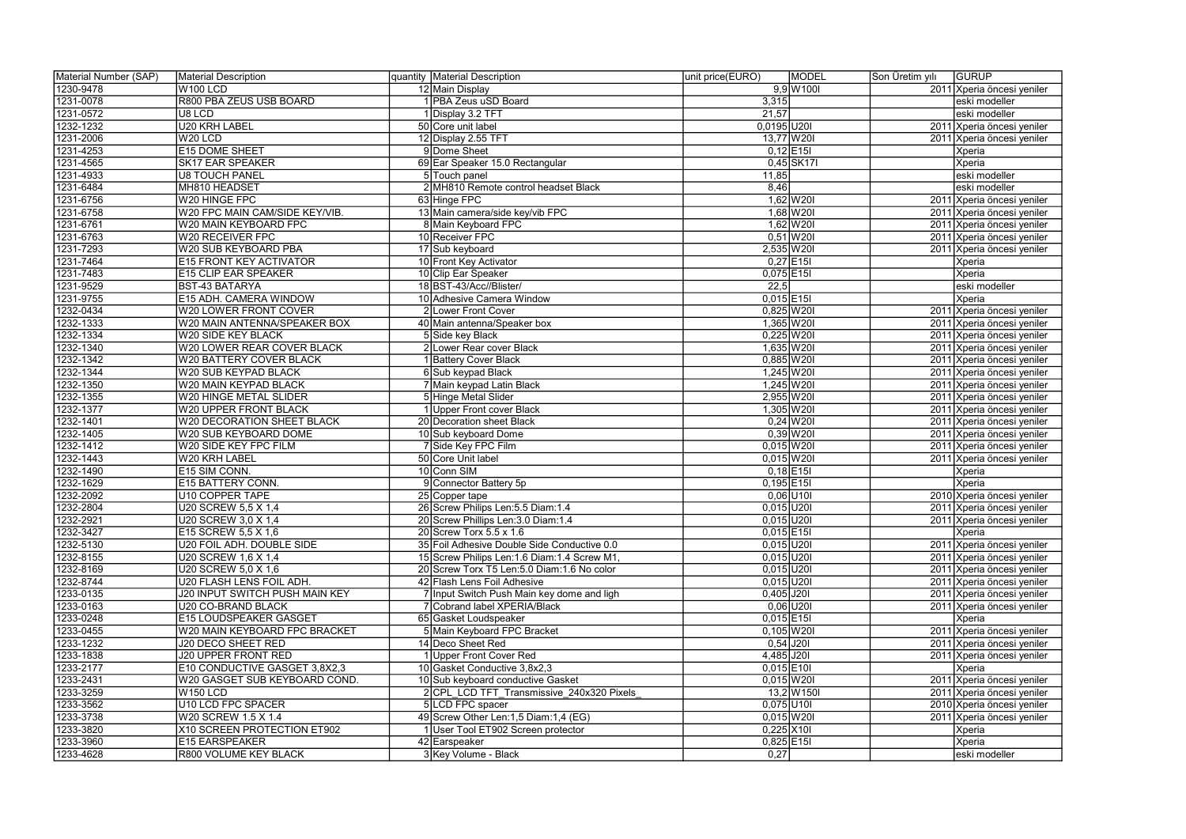| Material Number (SAP) | Material Description                  | quantity Material Description                           | MODEL<br>unit price(EURO)  | Son Üretim yılı | <b>GURUP</b>               |
|-----------------------|---------------------------------------|---------------------------------------------------------|----------------------------|-----------------|----------------------------|
| 1230-9478             | W100 LCD                              | 12 Main Display                                         | $9,9$ W 100                |                 | 2011 Xperia öncesi yeniler |
| 1231-0078             | R800 PBA ZEUS USB BOARD               | 1 PBA Zeus uSD Board                                    | 3,315                      |                 | eski modeller              |
| 1231-0572             | U8 LCD                                | 1 Display 3.2 TFT                                       | 21,57                      |                 | eski modeller              |
| 1232-1232             | U20 KRH LABEL                         | 50 Core unit label                                      | $0,0195$ U201              |                 | 2011 Xperia öncesi yeniler |
| 1231-2006             | W20 LCD                               | 12 Display 2.55 TFT                                     | 13,77 W20I                 |                 | 2011 Xperia öncesi yeniler |
| 1231-4253             | <b>E15 DOME SHEET</b>                 | 9Dome Sheet                                             | $0,12$ E15I                |                 | Xperia                     |
| 1231-4565             | <b>SK17 EAR SPEAKER</b>               | 69 Ear Speaker 15.0 Rectangular                         | 0,45 SK17                  |                 | Xperia                     |
| 1231-4933             | <b>U8 TOUCH PANEL</b>                 | 5 Touch panel                                           | 11,85                      |                 | eski modeller              |
| 1231-6484             | MH810 HEADSET                         | 2 MH810 Remote control headset Black                    | 8,46                       |                 | eski modeller              |
| 1231-6756             | W20 HINGE FPC                         | 63 Hinge FPC                                            | $1,62$ W20I                |                 | 2011 Xperia öncesi yeniler |
| 1231-6758             | W20 FPC MAIN CAM/SIDE KEY/VIB.        | 13 Main camera/side key/vib FPC                         | $1,68$ W20I                |                 | 2011 Xperia öncesi yeniler |
| 1231-6761             | W20 MAIN KEYBOARD FPC                 | 8 Main Keyboard FPC                                     | $1,62$ W20I                |                 | 2011 Xperia öncesi yeniler |
| 1231-6763             | <b>W20 RECEIVER FPC</b>               | 10 Receiver FPC                                         | $0,51$ W201                |                 | 2011 Xperia öncesi yeniler |
| 1231-7293             | W20 SUB KEYBOARD PBA                  | 17 Sub keyboard                                         | 2,535 W20I                 |                 | 2011 Xperia öncesi yeniler |
| 1231-7464             | <b>E15 FRONT KEY ACTIVATOR</b>        |                                                         | $0,27$ E15I                |                 | Xperia                     |
|                       |                                       | 10 Front Key Activator                                  | $0,075$ E15I               |                 |                            |
| 1231-7483             | <b>E15 CLIP EAR SPEAKER</b>           | 10 Clip Ear Speaker<br>18 BST-43/Acc//Blister/          |                            |                 | Xperia                     |
| 1231-9529             | <b>BST-43 BATARYA</b>                 |                                                         | 22,5                       |                 | eski modeller              |
| 1231-9755             | E15 ADH. CAMERA WINDOW                | 10 Adhesive Camera Window                               | $0,015$ E15I               |                 | Xperia                     |
| 1232-0434             | W20 LOWER FRONT COVER                 | 2 Lower Front Cover                                     | $0,825$ W201               |                 | 2011 Xperia öncesi yeniler |
| 1232-1333             | W20 MAIN ANTENNA/SPEAKER BOX          | 40 Main antenna/Speaker box                             | 1,365 W20I                 |                 | 2011 Xperia öncesi yeniler |
| 1232-1334             | W20 SIDE KEY BLACK                    | 5 Side key Black                                        | $0,225$ W201               |                 | 2011 Xperia öncesi yeniler |
| 1232-1340             | W20 LOWER REAR COVER BLACK            | 2 Lower Rear cover Black                                | 1,635 W20I                 |                 | 2011 Xperia öncesi yeniler |
| 1232-1342             | W20 BATTERY COVER BLACK               | 1 Battery Cover Black                                   | $0,885$ W20                |                 | 2011 Xperia öncesi yeniler |
| 1232-1344             | W20 SUB KEYPAD BLACK                  | 6 Sub keypad Black                                      | $1,245$ W20I               |                 | 2011 Xperia öncesi yeniler |
| 1232-1350             | W20 MAIN KEYPAD BLACK                 | 7 Main keypad Latin Black                               | 1,245 W 20                 |                 | 2011 Xperia öncesi yeniler |
| 1232-1355             | W20 HINGE METAL SLIDER                | 5 Hinge Metal Slider                                    | 2,955 W20I                 |                 | 2011 Xperia öncesi yeniler |
| 1232-1377             | W20 UPPER FRONT BLACK                 | 1 Upper Front cover Black                               | 1,305 W20I                 |                 | 2011 Xperia öncesi yeniler |
| 1232-1401             | W20 DECORATION SHEET BLACK            | 20 Decoration sheet Black                               | $0,24$ W201                |                 | 2011 Xperia öncesi yeniler |
| 1232-1405             | W20 SUB KEYBOARD DOME                 | 10 Sub keyboard Dome                                    | $0,39$ W201                |                 | 2011 Xperia öncesi yeniler |
| 1232-1412             | W20 SIDE KEY FPC FILM                 | 7 Side Key FPC Film                                     | $0,015$ W20I               |                 | 2011 Xperia öncesi yeniler |
| 1232-1443             | W20 KRH LABEL                         | 50 Core Unit label                                      | $0,015$ W20I               |                 | 2011 Xperia öncesi yeniler |
| 1232-1490             | E15 SIM CONN.                         | 10 Conn SIM                                             | $0,18$ E15I                |                 | Xperia                     |
| 1232-1629             | <b>E15 BATTERY CONN.</b>              | 9 Connector Battery 5p                                  | $0,195$ E15                |                 | Xperia                     |
| 1232-2092             | U10 COPPER TAPE                       | 25 Copper tape                                          | $0,06$ U10                 |                 | 2010 Xperia öncesi yeniler |
| 1232-2804             | U20 SCREW 5,5 X 1,4                   | 26 Screw Philips Len: 5.5 Diam: 1.4                     | $0,015$ U201               |                 | 2011 Xperia öncesi yeniler |
| 1232-2921             | U20 SCREW 3,0 X 1,4                   | 20 Screw Phillips Len: 3.0 Diam: 1.4                    | $0,015$ U201               |                 | 2011 Xperia öncesi yeniler |
| 1232-3427             | E15 SCREW 5,5 X 1,6                   | 20 Screw Torx $5.5 \times 1.6$                          | $0,015$ E15I               |                 | Xperia                     |
| 1232-5130             | U20 FOIL ADH. DOUBLE SIDE             | 35 Foil Adhesive Double Side Conductive 0.0             | $0,015$ $U20I$             |                 | 2011 Xperia öncesi yeniler |
| 1232-8155             | U20 SCREW 1,6 X 1,4                   | 15 Screw Philips Len: 1.6 Diam: 1.4 Screw M1,           | $0,015$ U201               |                 | 2011 Xperia öncesi yeniler |
| 1232-8169             | U20 SCREW 5.0 X 1.6                   | 20 Screw Torx T5 Len: 5.0 Diam: 1.6 No color            | $0,015$ U20I               |                 | 2011 Xperia öncesi yeniler |
| 1232-8744             | U20 FLASH LENS FOIL ADH.              | 42 Flash Lens Foil Adhesive                             | $0,015$ U20I               |                 | 2011 Xperia öncesi yeniler |
| 1233-0135             | <b>J20 INPUT SWITCH PUSH MAIN KEY</b> | 7 Input Switch Push Main key dome and ligh              | $0,405$ J201               |                 | 2011 Xperia öncesi yeniler |
| 1233-0163             | U20 CO-BRAND BLACK                    | 7 Cobrand label XPERIA/Black                            | $0,06$ U201                |                 | 2011 Xperia öncesi yeniler |
| 1233-0248             | E15 LOUDSPEAKER GASGET                | 65 Gasket Loudspeaker                                   | $0,015$ E15                |                 | Xperia                     |
| 1233-0455             | W20 MAIN KEYBOARD FPC BRACKET         | 5 Main Keyboard FPC Bracket                             | $0,105$ W20I               |                 | 2011 Xperia öncesi yeniler |
| 1233-1232             | J20 DECO SHEET RED                    | 14 Deco Sheet Red                                       | $0,54$ J201                |                 | 2011 Xperia öncesi yeniler |
| 1233-1838             | <b>J20 UPPER FRONT RED</b>            |                                                         |                            |                 | 2011 Xperia öncesi yeniler |
| 1233-2177             | E10 CONDUCTIVE GASGET 3,8X2,3         | 1 Upper Front Cover Red<br>10 Gasket Conductive 3,8x2,3 | 4,485 J20I<br>$0,015$ E10I |                 | Xperia                     |
| 1233-2431             | W20 GASGET SUB KEYBOARD COND.         | 10 Sub keyboard conductive Gasket                       | $0,015$ W20I               |                 |                            |
|                       |                                       |                                                         |                            |                 | 2011 Xperia öncesi yeniler |
| 1233-3259             | $W$ 150 LCD                           | 2 CPL LCD TFT Transmissive 240x320 Pixels               | $13,2$ W150I               |                 | 2011 Xperia öncesi yeniler |
| 1233-3562             | U10 LCD FPC SPACER                    | 5LCD FPC spacer                                         | $0,075$ U10I               |                 | 2010 Xperia öncesi yeniler |
| 1233-3738             | W20 SCREW 1.5 X 1.4                   | 49 Screw Other Len:1,5 Diam:1,4 (EG)                    | $0,015$ W20I               |                 | 2011 Xperia öncesi yeniler |
| 1233-3820             | X10 SCREEN PROTECTION ET902           | 1 User Tool ET902 Screen protector                      | $0,225$ X101               |                 | Xperia                     |
| 1233-3960             | <b>E15 EARSPEAKER</b>                 | 42 Earspeaker                                           | $0,825$ E15I               |                 | Xperia                     |
| 1233-4628             | R800 VOLUME KEY BLACK                 | 3 Key Volume - Black                                    | 0,27                       |                 | eski modeller              |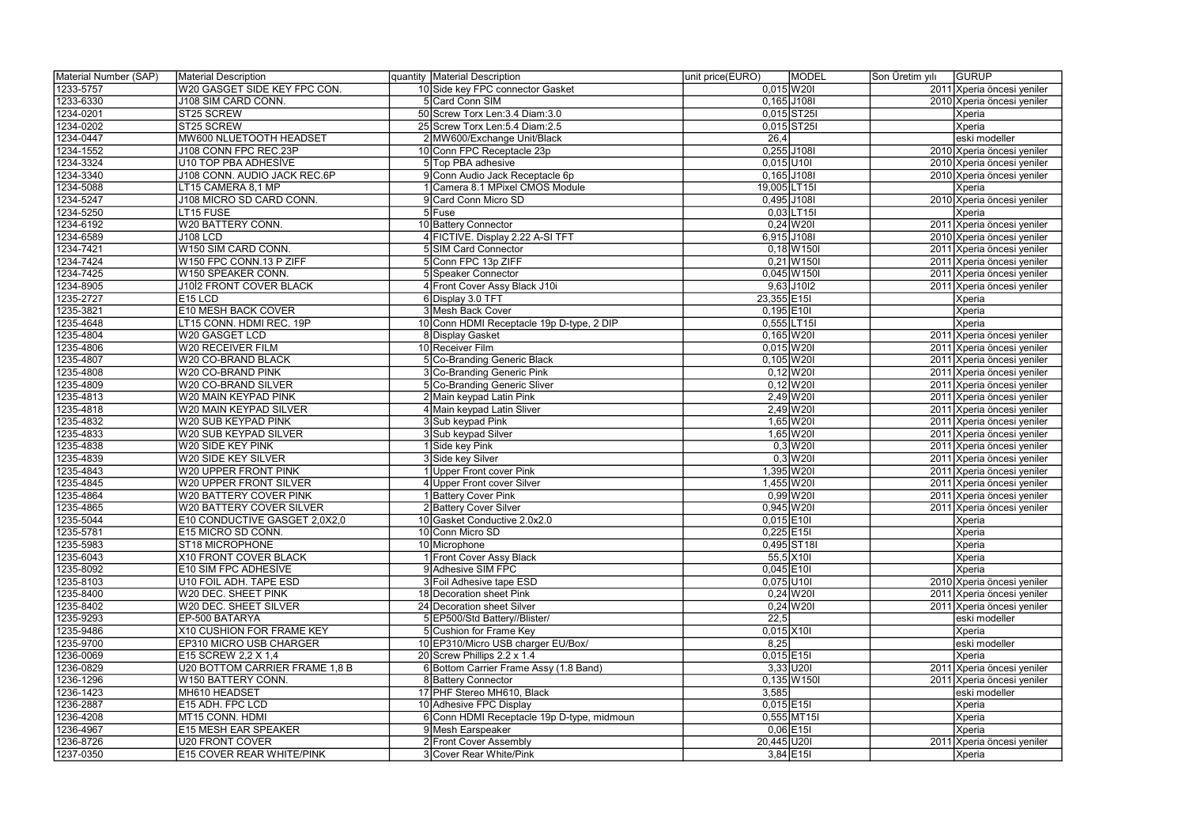| Material Number (SAP) | Material Description             | quantity   Material Description            | MODEL<br>unit price(EURO)  | Son Üretim yılı | GURUP                      |
|-----------------------|----------------------------------|--------------------------------------------|----------------------------|-----------------|----------------------------|
| 1233-5757             | W20 GASGET SIDE KEY FPC CON.     | 10 Side key FPC connector Gasket           | $0,015$ W20I               |                 | 2011 Xperia öncesi yeniler |
| 1233-6330             | <b>J108 SIM CARD CONN.</b>       | 5 Card Conn SIM                            | $0,165$ J108I              |                 | 2010 Xperia öncesi yeniler |
| 1234-0201             | ST25 SCREW                       | 50 Screw Torx Len: 3.4 Diam: 3.0           | $0,015$ ST25I              |                 | Xperia                     |
| 1234-0202             | ST25 SCREW                       | 25 Screw Torx Len: 5.4 Diam: 2.5           | $0,015$ ST25I              |                 | Xperia                     |
| 1234-0447             | MW600 NLUETOOTH HEADSET          | 2 MW600/Exchange Unit/Black                | 26,4                       |                 | eski modeller              |
| 1234-1552             | J108 CONN FPC REC.23P            | 10 Conn FPC Receptacle 23p                 | 0,255 J108I                |                 | 2010 Xperia öncesi yeniler |
| 1234-3324             | U10 TOP PBA ADHESIVE             | 5 Top PBA adhesive                         | $0,015$ U10I               |                 | 2010 Xperia öncesi yeniler |
| 1234-3340             | J108 CONN. AUDIO JACK REC.6P     | 9 Conn Audio Jack Receptacle 6p            | $0,165$ J108I              |                 | 2010 Xperia öncesi yeniler |
| 1234-5088             | LT15 CAMERA 8,1 MP               | Camera 8.1 MPixel CMOS Module              | 19,005 LT15                |                 | Xperia                     |
| 1234-5247             | J108 MICRO SD CARD CONN.         | 9 Card Conn Micro SD                       | 0,495 J108I                |                 | 2010 Xperia öncesi yeniler |
| 1234-5250             | LT15 FUSE                        | 5 Fuse                                     | $0,03$ LT15I               |                 | Xperia                     |
| 1234-6192             | W20 BATTERY CONN.                | 10 Battery Connector                       | $0,24$ W201                |                 | 2011 Xperia öncesi yeniler |
| 1234-6589             | <b>J108 LCD</b>                  | 4 FICTIVE. Display 2.22 A-SI TFT           | 6,915 J108I                |                 | 2010 Xperia öncesi yeniler |
| 1234-7421             | W150 SIM CARD CONN.              | 5 SIM Card Connector                       | $0,18$ W 150               |                 | 2011 Xperia öncesi yeniler |
| 1234-7424             | W150 FPC CONN.13 P ZIFF          | 5 Conn FPC 13p ZIFF                        | $0,21$ W150I               |                 | 2011 Xperia öncesi yeniler |
| 1234-7425             | W150 SPEAKER CONN.               | 5 Speaker Connector                        | $0,045$ W 150              |                 | 2011 Xperia öncesi yeniler |
| 1234-8905             | J10İ2 FRONT COVER BLACK          | 4 Front Cover Assy Black J10i              | $9,63$ J10I2               |                 | 2011 Xperia öncesi yeniler |
|                       | $E15$ LCD                        |                                            |                            |                 |                            |
| 1235-2727             |                                  | 6 Display 3.0 TFT                          | $23,355$ E15I              |                 | Xperia                     |
| 1235-3821             | E10 MESH BACK COVER              | 3 Mesh Back Cover                          | $0,195$ E10I<br>0,555 LT15 |                 | Xperia                     |
| 1235-4648             | LT15 CONN. HDMI REC. 19P         | 10 Conn HDMI Receptacle 19p D-type, 2 DIP  |                            |                 | Xperia                     |
| 1235-4804             | W20 GASGET LCD                   | 8 Display Gasket                           | $0,165$ W20I               |                 | 2011 Xperia öncesi yeniler |
| 1235-4806             | W20 RECEIVER FILM                | 10 Receiver Film                           | $0,015$ W20I               |                 | 2011 Xperia öncesi yeniler |
| 1235-4807             | W20 CO-BRAND BLACK               | 5 Co-Branding Generic Black                | $0,105$ W20I               |                 | 2011 Xperia öncesi yeniler |
| 1235-4808             | W20 CO-BRAND PINK                | 3 Co-Branding Generic Pink                 | $0,12$ W20I                |                 | 2011 Xperia öncesi yeniler |
| 1235-4809             | W20 CO-BRAND SILVER              | 5 Co-Branding Generic Sliver               | $0,12$ W201                |                 | 2011 Xperia öncesi yeniler |
| 1235-4813             | W20 MAIN KEYPAD PINK             | 2 Main keypad Latin Pink                   | $2,49$ W201                |                 | 2011 Xperia öncesi yeniler |
| 1235-4818             | W20 MAIN KEYPAD SILVER           | 4 Main keypad Latin Sliver                 | $2,49$ W <sub>20</sub>     |                 | 2011 Xperia öncesi yeniler |
| 1235-4832             | W20 SUB KEYPAD PINK              | 3 Sub keypad Pink                          | $1,65$ W20I                |                 | 2011 Xperia öncesi yeniler |
| 1235-4833             | W20 SUB KEYPAD SILVER            | 3 Sub keypad Silver                        | $1,65$ W20I                |                 | 2011 Xperia öncesi yeniler |
| 1235-4838             | W20 SIDE KEY PINK                | 1 Side key Pink                            | $0,3$ W201                 |                 | 2011 Xperia öncesi yeniler |
| 1235-4839             | W20 SIDE KEY SILVER              | 3 Side key Silver                          | $0,3$ W201                 |                 | 2011 Xperia öncesi yeniler |
| 1235-4843             | W20 UPPER FRONT PINK             | 1 Upper Front cover Pink                   | 1,395 W20I                 |                 | 2011 Xperia öncesi yeniler |
| 1235-4845             | W20 UPPER FRONT SILVER           | 4 Upper Front cover Silver                 | 1,455 W20I                 |                 | 2011 Xperia öncesi yeniler |
| 1235-4864             | W20 BATTERY COVER PINK           | 1 Battery Cover Pink                       | $0,99$ W20I                |                 | 2011 Xperia öncesi yeniler |
| 1235-4865             | <b>W20 BATTERY COVER SILVER</b>  | 2 Battery Cover Silver                     | $0,945$ W201               |                 | 2011 Xperia öncesi yeniler |
| 1235-5044             | E10 CONDUCTIVE GASGET 2,0X2,0    | 10 Gasket Conductive 2.0x2.0               | $0,015$ E10I               |                 | Xperia                     |
| 1235-5781             | E15 MICRO SD CONN.               | 10 Conn Micro SD                           | $0,225$ E15I               |                 | Xperia                     |
| 1235-5983             | ST18 MICROPHONE                  | 10 Microphone                              | $0,495$ ST18I              |                 | Xperia                     |
| 1235-6043             | X10 FRONT COVER BLACK            | 1 Front Cover Assy Black                   | $55,5$ X10I                |                 | Xperia                     |
| 1235-8092             | <b>E10 SIM FPC ADHESIVE</b>      | 9 Adhesive SIM FPC                         | $0,045$ E10I               |                 | Xperia                     |
| 1235-8103             | U10 FOIL ADH. TAPE ESD           | 3 Foil Adhesive tape ESD                   | $0,075$ U10I               |                 | 2010 Xperia öncesi yeniler |
| 1235-8400             | W20 DEC. SHEET PINK              | 18 Decoration sheet Pink                   | $0,24$ W <sub>20</sub>     |                 | 2011 Xperia öncesi yeniler |
| 1235-8402             | W20 DEC. SHEET SILVER            | 24 Decoration sheet Silver                 | $0,24$ W201                |                 | 2011 Xperia öncesi yeniler |
| 1235-9293             | EP-500 BATARYA                   | 5 EP500/Std Battery//Blister/              | $\overline{22,5}$          |                 | eski modeller              |
| 1235-9486             | X10 CUSHION FOR FRAME KEY        | 5 Cushion for Frame Key                    | $0,015$ X10                |                 | Xperia                     |
| 1235-9700             | EP310 MICRO USB CHARGER          | 10 EP310/Micro USB charger EU/Box/         | 8,25                       |                 | eski modeller              |
| 1236-0069             | E15 SCREW 2,2 X 1,4              | 20 Screw Phillips 2.2 x 1.4                | $0,015$ E15I               |                 | Xperia                     |
| 1236-0829             | U20 BOTTOM CARRIER FRAME 1,8 B   | 6 Bottom Carrier Frame Assy (1.8 Band)     | $3,33$ U20I                |                 | 2011 Xperia öncesi yeniler |
| 1236-1296             | W150 BATTERY CONN.               | 8 Battery Connector                        | $0,135$ W150I              |                 | 2011 Xperia öncesi yeniler |
| 1236-1423             | MH610 HEADSET                    | 17 PHF Stereo MH610, Black                 | 3,585                      |                 | eski modeller              |
| 1236-2887             | E15 ADH. FPC LCD                 | 10 Adhesive FPC Display                    | $0,015$ E15I               |                 | Xperia                     |
| 1236-4208             | MT15 CONN. HDMI                  | 6 Conn HDMI Receptacle 19p D-type, midmoun | $0,555$ MT15I              |                 | Xperia                     |
| 1236-4967             | <b>E15 MESH EAR SPEAKER</b>      | 9 Mesh Earspeaker                          | $0,06$ E15I                |                 | Xperia                     |
| 1236-8726             | U20 FRONT COVER                  | 2 Front Cover Assembly                     | 20,445 U20I                |                 | 2011 Xperia öncesi yeniler |
| 1237-0350             | <b>E15 COVER REAR WHITE/PINK</b> | 3 Cover Rear White/Pink                    | $3,84$ E15I                |                 | Xperia                     |
|                       |                                  |                                            |                            |                 |                            |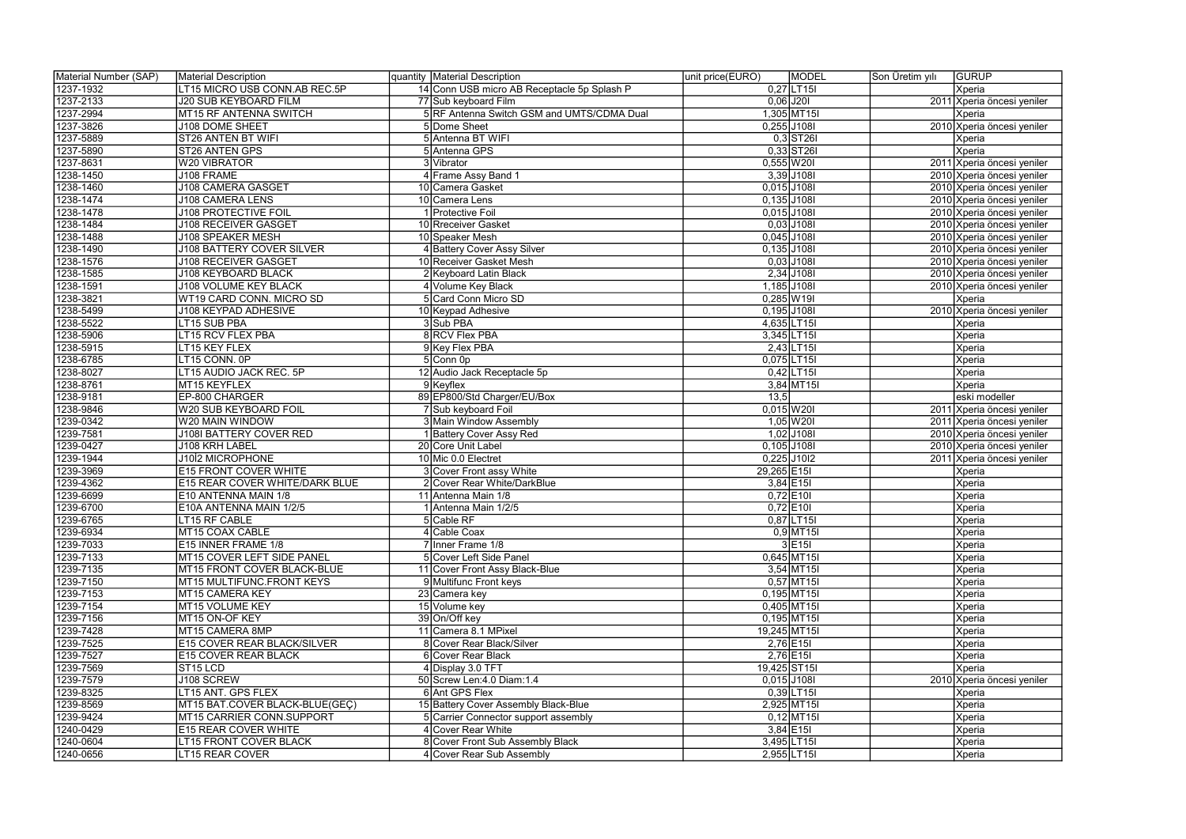| 1237-1932<br>LT15 MICRO USB CONN.AB REC.5P<br>14 Conn USB micro AB Receptacle 5p Splash P<br>$0,27$ LT15<br>Xperia<br>1237-2133<br>$0,06$ J201<br><b>J20 SUB KEYBOARD FILM</b><br>77 Sub keyboard Film<br>1,305 MT15I<br>1237-2994<br>MT15 RF ANTENNA SWITCH<br>5 RF Antenna Switch GSM and UMTS/CDMA Dual<br>Xperia<br>1237-3826<br>$0,255$ J108I<br>5 Dome Sheet<br>J108 DOME SHEET<br>$0,3$ ST26I<br>5 Antenna BT WIFI<br>1237-5889<br>ST26 ANTEN BT WIFI<br>Xperia<br>1237-5890<br>$0,33$ ST26I<br>5 Antenna GPS<br>Xperia<br>ST26 ANTEN GPS<br>1237-8631<br>W20 VIBRATOR<br>3 Vibrator<br>$0,555$ W20I<br>2011 Xperia öncesi yeniler<br>$3,39$ J108I<br>1238-1450<br>J108 FRAME<br>4 Frame Assy Band 1<br>2010 Xperia öncesi yeniler<br><b>J108 CAMERA GASGET</b><br>$0,015$ J108I<br>1238-1460<br>10 Camera Gasket<br>2010 Xperia öncesi yeniler<br>$0,135$ J108I<br>1238-1474<br><b>J108 CAMERA LENS</b><br>10 Camera Lens<br>2010 Xperia öncesi yeniler<br>0,015 J108I<br>1238-1478<br><b>J108 PROTECTIVE FOIL</b><br>1 Protective Foil<br>2010 Xperia öncesi yeniler<br>$0,03$ J108I<br>1238-1484<br><b>J108 RECEIVER GASGET</b><br>10 Rreceiver Gasket<br>2010 Xperia öncesi yeniler<br>1238-1488<br>0,045 J108I<br>J108 SPEAKER MESH<br>2010 Xperia öncesi yeniler<br>10 Speaker Mesh<br>$0,135$ J108I<br>1238-1490<br><b>J108 BATTERY COVER SILVER</b><br>4 Battery Cover Assy Silver<br>2010 Xperia öncesi yeniler<br>$0,03$ J108I<br>1238-1576<br><b>J108 RECEIVER GASGET</b><br>10 Receiver Gasket Mesh<br>2010 Xperia öncesi yeniler<br>$2,34$ J108I<br>1238-1585<br><b>J108 KEYBOARD BLACK</b><br>2 Keyboard Latin Black<br>2010 Xperia öncesi yeniler<br>1,185 J108I<br>1238-1591<br><b>J108 VOLUME KEY BLACK</b><br>2010 Xperia öncesi yeniler<br>4 Volume Key Black<br>$0,285$ W19I<br>WT19 CARD CONN. MICRO SD<br>5 Card Conn Micro SD<br>Xperia<br>1238-3821<br>0,195 J108I<br>1238-5499<br><b>J108 KEYPAD ADHESIVE</b><br>10 Keypad Adhesive<br>2010 Xperia öncesi yeniler<br>1238-5522<br>4,635 LT15<br>3 Sub PBA<br>LT15 SUB PBA<br><b>Xperia</b><br>8 RCV Flex PBA<br>1238-5906<br>LT15 RCV FLEX PBA<br>3,345 LT15<br>Xperia<br>$2,43$ LT15I<br>1238-5915<br>LT15 KEY FLEX<br>Xperia<br>9 Key Flex PBA<br>1238-6785<br>LT15 CONN. 0P<br>5 Conn 0p<br>$0,075$ LT15I<br>Xperia<br>1238-8027<br>LT15 AUDIO JACK REC. 5P<br>12 Audio Jack Receptacle 5p<br>$0,42$  LT15I<br>Xperia<br>1238-8761<br>MT15 KEYFLEX<br>9Keyflex<br>$3,84$ MT15I<br>Xperia<br>89 EP800/Std Charger/EU/Box<br>1238-9181<br>EP-800 CHARGER<br>13,5<br>eski modeller<br>1238-9846<br>7 Sub keyboard Foil<br>$0,015$ W20I<br>W20 SUB KEYBOARD FOIL<br>2011 Xperia öncesi yeniler<br>$1,05$ W201<br>1239-0342<br>W20 MAIN WINDOW<br>3 Main Window Assembly<br>2011 Xperia öncesi yeniler | Material Number (SAP) | Material Description           | quantity Material Description | unit price(EURO)<br><b>MODEL</b> | <b>GURUP</b><br>Son Üretim yılı |
|--------------------------------------------------------------------------------------------------------------------------------------------------------------------------------------------------------------------------------------------------------------------------------------------------------------------------------------------------------------------------------------------------------------------------------------------------------------------------------------------------------------------------------------------------------------------------------------------------------------------------------------------------------------------------------------------------------------------------------------------------------------------------------------------------------------------------------------------------------------------------------------------------------------------------------------------------------------------------------------------------------------------------------------------------------------------------------------------------------------------------------------------------------------------------------------------------------------------------------------------------------------------------------------------------------------------------------------------------------------------------------------------------------------------------------------------------------------------------------------------------------------------------------------------------------------------------------------------------------------------------------------------------------------------------------------------------------------------------------------------------------------------------------------------------------------------------------------------------------------------------------------------------------------------------------------------------------------------------------------------------------------------------------------------------------------------------------------------------------------------------------------------------------------------------------------------------------------------------------------------------------------------------------------------------------------------------------------------------------------------------------------------------------------------------------------------------------------------------------------------------------------------------------------------------------------------------------------------------------------------------------------------------------------------------------------------------------------------------------------------------------------------------------------|-----------------------|--------------------------------|-------------------------------|----------------------------------|---------------------------------|
|                                                                                                                                                                                                                                                                                                                                                                                                                                                                                                                                                                                                                                                                                                                                                                                                                                                                                                                                                                                                                                                                                                                                                                                                                                                                                                                                                                                                                                                                                                                                                                                                                                                                                                                                                                                                                                                                                                                                                                                                                                                                                                                                                                                                                                                                                                                                                                                                                                                                                                                                                                                                                                                                                                                                                                                      |                       |                                |                               |                                  |                                 |
|                                                                                                                                                                                                                                                                                                                                                                                                                                                                                                                                                                                                                                                                                                                                                                                                                                                                                                                                                                                                                                                                                                                                                                                                                                                                                                                                                                                                                                                                                                                                                                                                                                                                                                                                                                                                                                                                                                                                                                                                                                                                                                                                                                                                                                                                                                                                                                                                                                                                                                                                                                                                                                                                                                                                                                                      |                       |                                |                               |                                  | 2011 Xperia öncesi yeniler      |
|                                                                                                                                                                                                                                                                                                                                                                                                                                                                                                                                                                                                                                                                                                                                                                                                                                                                                                                                                                                                                                                                                                                                                                                                                                                                                                                                                                                                                                                                                                                                                                                                                                                                                                                                                                                                                                                                                                                                                                                                                                                                                                                                                                                                                                                                                                                                                                                                                                                                                                                                                                                                                                                                                                                                                                                      |                       |                                |                               |                                  |                                 |
|                                                                                                                                                                                                                                                                                                                                                                                                                                                                                                                                                                                                                                                                                                                                                                                                                                                                                                                                                                                                                                                                                                                                                                                                                                                                                                                                                                                                                                                                                                                                                                                                                                                                                                                                                                                                                                                                                                                                                                                                                                                                                                                                                                                                                                                                                                                                                                                                                                                                                                                                                                                                                                                                                                                                                                                      |                       |                                |                               |                                  | 2010 Xperia öncesi yeniler      |
|                                                                                                                                                                                                                                                                                                                                                                                                                                                                                                                                                                                                                                                                                                                                                                                                                                                                                                                                                                                                                                                                                                                                                                                                                                                                                                                                                                                                                                                                                                                                                                                                                                                                                                                                                                                                                                                                                                                                                                                                                                                                                                                                                                                                                                                                                                                                                                                                                                                                                                                                                                                                                                                                                                                                                                                      |                       |                                |                               |                                  |                                 |
|                                                                                                                                                                                                                                                                                                                                                                                                                                                                                                                                                                                                                                                                                                                                                                                                                                                                                                                                                                                                                                                                                                                                                                                                                                                                                                                                                                                                                                                                                                                                                                                                                                                                                                                                                                                                                                                                                                                                                                                                                                                                                                                                                                                                                                                                                                                                                                                                                                                                                                                                                                                                                                                                                                                                                                                      |                       |                                |                               |                                  |                                 |
|                                                                                                                                                                                                                                                                                                                                                                                                                                                                                                                                                                                                                                                                                                                                                                                                                                                                                                                                                                                                                                                                                                                                                                                                                                                                                                                                                                                                                                                                                                                                                                                                                                                                                                                                                                                                                                                                                                                                                                                                                                                                                                                                                                                                                                                                                                                                                                                                                                                                                                                                                                                                                                                                                                                                                                                      |                       |                                |                               |                                  |                                 |
|                                                                                                                                                                                                                                                                                                                                                                                                                                                                                                                                                                                                                                                                                                                                                                                                                                                                                                                                                                                                                                                                                                                                                                                                                                                                                                                                                                                                                                                                                                                                                                                                                                                                                                                                                                                                                                                                                                                                                                                                                                                                                                                                                                                                                                                                                                                                                                                                                                                                                                                                                                                                                                                                                                                                                                                      |                       |                                |                               |                                  |                                 |
|                                                                                                                                                                                                                                                                                                                                                                                                                                                                                                                                                                                                                                                                                                                                                                                                                                                                                                                                                                                                                                                                                                                                                                                                                                                                                                                                                                                                                                                                                                                                                                                                                                                                                                                                                                                                                                                                                                                                                                                                                                                                                                                                                                                                                                                                                                                                                                                                                                                                                                                                                                                                                                                                                                                                                                                      |                       |                                |                               |                                  |                                 |
|                                                                                                                                                                                                                                                                                                                                                                                                                                                                                                                                                                                                                                                                                                                                                                                                                                                                                                                                                                                                                                                                                                                                                                                                                                                                                                                                                                                                                                                                                                                                                                                                                                                                                                                                                                                                                                                                                                                                                                                                                                                                                                                                                                                                                                                                                                                                                                                                                                                                                                                                                                                                                                                                                                                                                                                      |                       |                                |                               |                                  |                                 |
|                                                                                                                                                                                                                                                                                                                                                                                                                                                                                                                                                                                                                                                                                                                                                                                                                                                                                                                                                                                                                                                                                                                                                                                                                                                                                                                                                                                                                                                                                                                                                                                                                                                                                                                                                                                                                                                                                                                                                                                                                                                                                                                                                                                                                                                                                                                                                                                                                                                                                                                                                                                                                                                                                                                                                                                      |                       |                                |                               |                                  |                                 |
|                                                                                                                                                                                                                                                                                                                                                                                                                                                                                                                                                                                                                                                                                                                                                                                                                                                                                                                                                                                                                                                                                                                                                                                                                                                                                                                                                                                                                                                                                                                                                                                                                                                                                                                                                                                                                                                                                                                                                                                                                                                                                                                                                                                                                                                                                                                                                                                                                                                                                                                                                                                                                                                                                                                                                                                      |                       |                                |                               |                                  |                                 |
|                                                                                                                                                                                                                                                                                                                                                                                                                                                                                                                                                                                                                                                                                                                                                                                                                                                                                                                                                                                                                                                                                                                                                                                                                                                                                                                                                                                                                                                                                                                                                                                                                                                                                                                                                                                                                                                                                                                                                                                                                                                                                                                                                                                                                                                                                                                                                                                                                                                                                                                                                                                                                                                                                                                                                                                      |                       |                                |                               |                                  |                                 |
|                                                                                                                                                                                                                                                                                                                                                                                                                                                                                                                                                                                                                                                                                                                                                                                                                                                                                                                                                                                                                                                                                                                                                                                                                                                                                                                                                                                                                                                                                                                                                                                                                                                                                                                                                                                                                                                                                                                                                                                                                                                                                                                                                                                                                                                                                                                                                                                                                                                                                                                                                                                                                                                                                                                                                                                      |                       |                                |                               |                                  |                                 |
|                                                                                                                                                                                                                                                                                                                                                                                                                                                                                                                                                                                                                                                                                                                                                                                                                                                                                                                                                                                                                                                                                                                                                                                                                                                                                                                                                                                                                                                                                                                                                                                                                                                                                                                                                                                                                                                                                                                                                                                                                                                                                                                                                                                                                                                                                                                                                                                                                                                                                                                                                                                                                                                                                                                                                                                      |                       |                                |                               |                                  |                                 |
|                                                                                                                                                                                                                                                                                                                                                                                                                                                                                                                                                                                                                                                                                                                                                                                                                                                                                                                                                                                                                                                                                                                                                                                                                                                                                                                                                                                                                                                                                                                                                                                                                                                                                                                                                                                                                                                                                                                                                                                                                                                                                                                                                                                                                                                                                                                                                                                                                                                                                                                                                                                                                                                                                                                                                                                      |                       |                                |                               |                                  |                                 |
|                                                                                                                                                                                                                                                                                                                                                                                                                                                                                                                                                                                                                                                                                                                                                                                                                                                                                                                                                                                                                                                                                                                                                                                                                                                                                                                                                                                                                                                                                                                                                                                                                                                                                                                                                                                                                                                                                                                                                                                                                                                                                                                                                                                                                                                                                                                                                                                                                                                                                                                                                                                                                                                                                                                                                                                      |                       |                                |                               |                                  |                                 |
|                                                                                                                                                                                                                                                                                                                                                                                                                                                                                                                                                                                                                                                                                                                                                                                                                                                                                                                                                                                                                                                                                                                                                                                                                                                                                                                                                                                                                                                                                                                                                                                                                                                                                                                                                                                                                                                                                                                                                                                                                                                                                                                                                                                                                                                                                                                                                                                                                                                                                                                                                                                                                                                                                                                                                                                      |                       |                                |                               |                                  |                                 |
|                                                                                                                                                                                                                                                                                                                                                                                                                                                                                                                                                                                                                                                                                                                                                                                                                                                                                                                                                                                                                                                                                                                                                                                                                                                                                                                                                                                                                                                                                                                                                                                                                                                                                                                                                                                                                                                                                                                                                                                                                                                                                                                                                                                                                                                                                                                                                                                                                                                                                                                                                                                                                                                                                                                                                                                      |                       |                                |                               |                                  |                                 |
|                                                                                                                                                                                                                                                                                                                                                                                                                                                                                                                                                                                                                                                                                                                                                                                                                                                                                                                                                                                                                                                                                                                                                                                                                                                                                                                                                                                                                                                                                                                                                                                                                                                                                                                                                                                                                                                                                                                                                                                                                                                                                                                                                                                                                                                                                                                                                                                                                                                                                                                                                                                                                                                                                                                                                                                      |                       |                                |                               |                                  |                                 |
|                                                                                                                                                                                                                                                                                                                                                                                                                                                                                                                                                                                                                                                                                                                                                                                                                                                                                                                                                                                                                                                                                                                                                                                                                                                                                                                                                                                                                                                                                                                                                                                                                                                                                                                                                                                                                                                                                                                                                                                                                                                                                                                                                                                                                                                                                                                                                                                                                                                                                                                                                                                                                                                                                                                                                                                      |                       |                                |                               |                                  |                                 |
|                                                                                                                                                                                                                                                                                                                                                                                                                                                                                                                                                                                                                                                                                                                                                                                                                                                                                                                                                                                                                                                                                                                                                                                                                                                                                                                                                                                                                                                                                                                                                                                                                                                                                                                                                                                                                                                                                                                                                                                                                                                                                                                                                                                                                                                                                                                                                                                                                                                                                                                                                                                                                                                                                                                                                                                      |                       |                                |                               |                                  |                                 |
|                                                                                                                                                                                                                                                                                                                                                                                                                                                                                                                                                                                                                                                                                                                                                                                                                                                                                                                                                                                                                                                                                                                                                                                                                                                                                                                                                                                                                                                                                                                                                                                                                                                                                                                                                                                                                                                                                                                                                                                                                                                                                                                                                                                                                                                                                                                                                                                                                                                                                                                                                                                                                                                                                                                                                                                      |                       |                                |                               |                                  |                                 |
|                                                                                                                                                                                                                                                                                                                                                                                                                                                                                                                                                                                                                                                                                                                                                                                                                                                                                                                                                                                                                                                                                                                                                                                                                                                                                                                                                                                                                                                                                                                                                                                                                                                                                                                                                                                                                                                                                                                                                                                                                                                                                                                                                                                                                                                                                                                                                                                                                                                                                                                                                                                                                                                                                                                                                                                      |                       |                                |                               |                                  |                                 |
|                                                                                                                                                                                                                                                                                                                                                                                                                                                                                                                                                                                                                                                                                                                                                                                                                                                                                                                                                                                                                                                                                                                                                                                                                                                                                                                                                                                                                                                                                                                                                                                                                                                                                                                                                                                                                                                                                                                                                                                                                                                                                                                                                                                                                                                                                                                                                                                                                                                                                                                                                                                                                                                                                                                                                                                      |                       |                                |                               |                                  |                                 |
|                                                                                                                                                                                                                                                                                                                                                                                                                                                                                                                                                                                                                                                                                                                                                                                                                                                                                                                                                                                                                                                                                                                                                                                                                                                                                                                                                                                                                                                                                                                                                                                                                                                                                                                                                                                                                                                                                                                                                                                                                                                                                                                                                                                                                                                                                                                                                                                                                                                                                                                                                                                                                                                                                                                                                                                      |                       |                                |                               |                                  |                                 |
|                                                                                                                                                                                                                                                                                                                                                                                                                                                                                                                                                                                                                                                                                                                                                                                                                                                                                                                                                                                                                                                                                                                                                                                                                                                                                                                                                                                                                                                                                                                                                                                                                                                                                                                                                                                                                                                                                                                                                                                                                                                                                                                                                                                                                                                                                                                                                                                                                                                                                                                                                                                                                                                                                                                                                                                      |                       |                                |                               |                                  |                                 |
|                                                                                                                                                                                                                                                                                                                                                                                                                                                                                                                                                                                                                                                                                                                                                                                                                                                                                                                                                                                                                                                                                                                                                                                                                                                                                                                                                                                                                                                                                                                                                                                                                                                                                                                                                                                                                                                                                                                                                                                                                                                                                                                                                                                                                                                                                                                                                                                                                                                                                                                                                                                                                                                                                                                                                                                      |                       |                                |                               |                                  |                                 |
|                                                                                                                                                                                                                                                                                                                                                                                                                                                                                                                                                                                                                                                                                                                                                                                                                                                                                                                                                                                                                                                                                                                                                                                                                                                                                                                                                                                                                                                                                                                                                                                                                                                                                                                                                                                                                                                                                                                                                                                                                                                                                                                                                                                                                                                                                                                                                                                                                                                                                                                                                                                                                                                                                                                                                                                      |                       |                                |                               |                                  |                                 |
|                                                                                                                                                                                                                                                                                                                                                                                                                                                                                                                                                                                                                                                                                                                                                                                                                                                                                                                                                                                                                                                                                                                                                                                                                                                                                                                                                                                                                                                                                                                                                                                                                                                                                                                                                                                                                                                                                                                                                                                                                                                                                                                                                                                                                                                                                                                                                                                                                                                                                                                                                                                                                                                                                                                                                                                      | 1239-7581             | <b>J108I BATTERY COVER RED</b> | 1 Battery Cover Assy Red      | $1,02$ J108I                     | 2010 Xperia öncesi yeniler      |
| $0,105$ J108I<br>1239-0427<br>J108 KRH LABEL<br>20 Core Unit Label                                                                                                                                                                                                                                                                                                                                                                                                                                                                                                                                                                                                                                                                                                                                                                                                                                                                                                                                                                                                                                                                                                                                                                                                                                                                                                                                                                                                                                                                                                                                                                                                                                                                                                                                                                                                                                                                                                                                                                                                                                                                                                                                                                                                                                                                                                                                                                                                                                                                                                                                                                                                                                                                                                                   |                       |                                |                               |                                  | 2010 Xperia öncesi yeniler      |
| $0,225$ J10I2<br>1239-1944<br>J1012 MICROPHONE<br>10 Mic 0.0 Electret                                                                                                                                                                                                                                                                                                                                                                                                                                                                                                                                                                                                                                                                                                                                                                                                                                                                                                                                                                                                                                                                                                                                                                                                                                                                                                                                                                                                                                                                                                                                                                                                                                                                                                                                                                                                                                                                                                                                                                                                                                                                                                                                                                                                                                                                                                                                                                                                                                                                                                                                                                                                                                                                                                                |                       |                                |                               |                                  | 2011 Xperia öncesi yeniler      |
| 29,265 E15<br>Xperia<br>1239-3969<br><b>E15 FRONT COVER WHITE</b><br>3 Cover Front assy White                                                                                                                                                                                                                                                                                                                                                                                                                                                                                                                                                                                                                                                                                                                                                                                                                                                                                                                                                                                                                                                                                                                                                                                                                                                                                                                                                                                                                                                                                                                                                                                                                                                                                                                                                                                                                                                                                                                                                                                                                                                                                                                                                                                                                                                                                                                                                                                                                                                                                                                                                                                                                                                                                        |                       |                                |                               |                                  |                                 |
| $3,84$ E15I<br>1239-4362<br>E15 REAR COVER WHITE/DARK BLUE<br>2 Cover Rear White/DarkBlue<br>Xperia                                                                                                                                                                                                                                                                                                                                                                                                                                                                                                                                                                                                                                                                                                                                                                                                                                                                                                                                                                                                                                                                                                                                                                                                                                                                                                                                                                                                                                                                                                                                                                                                                                                                                                                                                                                                                                                                                                                                                                                                                                                                                                                                                                                                                                                                                                                                                                                                                                                                                                                                                                                                                                                                                  |                       |                                |                               |                                  |                                 |
| $0,72$ E10<br>1239-6699<br>E10 ANTENNA MAIN 1/8<br>11 Antenna Main 1/8<br>Xperia                                                                                                                                                                                                                                                                                                                                                                                                                                                                                                                                                                                                                                                                                                                                                                                                                                                                                                                                                                                                                                                                                                                                                                                                                                                                                                                                                                                                                                                                                                                                                                                                                                                                                                                                                                                                                                                                                                                                                                                                                                                                                                                                                                                                                                                                                                                                                                                                                                                                                                                                                                                                                                                                                                     |                       |                                |                               |                                  |                                 |
| 1239-6700<br>$0,72$ E10I<br>E10A ANTENNA MAIN 1/2/5<br>1 Antenna Main 1/2/5<br>Xperia                                                                                                                                                                                                                                                                                                                                                                                                                                                                                                                                                                                                                                                                                                                                                                                                                                                                                                                                                                                                                                                                                                                                                                                                                                                                                                                                                                                                                                                                                                                                                                                                                                                                                                                                                                                                                                                                                                                                                                                                                                                                                                                                                                                                                                                                                                                                                                                                                                                                                                                                                                                                                                                                                                |                       |                                |                               |                                  |                                 |
| $0,87$ LT15I<br>1239-6765<br>5 Cable RF<br>LT15 RF CABLE<br> Xperia                                                                                                                                                                                                                                                                                                                                                                                                                                                                                                                                                                                                                                                                                                                                                                                                                                                                                                                                                                                                                                                                                                                                                                                                                                                                                                                                                                                                                                                                                                                                                                                                                                                                                                                                                                                                                                                                                                                                                                                                                                                                                                                                                                                                                                                                                                                                                                                                                                                                                                                                                                                                                                                                                                                  |                       |                                |                               |                                  |                                 |
| 1239-6934<br>4 Cable Coax<br>$0,9$ MT15I<br>MT15 COAX CABLE<br><b>Xperia</b>                                                                                                                                                                                                                                                                                                                                                                                                                                                                                                                                                                                                                                                                                                                                                                                                                                                                                                                                                                                                                                                                                                                                                                                                                                                                                                                                                                                                                                                                                                                                                                                                                                                                                                                                                                                                                                                                                                                                                                                                                                                                                                                                                                                                                                                                                                                                                                                                                                                                                                                                                                                                                                                                                                         |                       |                                |                               |                                  |                                 |
| $3$ E <sub>15</sub><br>1239-7033<br>E15 INNER FRAME 1/8<br>7 Inner Frame 1/8<br>Xperia                                                                                                                                                                                                                                                                                                                                                                                                                                                                                                                                                                                                                                                                                                                                                                                                                                                                                                                                                                                                                                                                                                                                                                                                                                                                                                                                                                                                                                                                                                                                                                                                                                                                                                                                                                                                                                                                                                                                                                                                                                                                                                                                                                                                                                                                                                                                                                                                                                                                                                                                                                                                                                                                                               |                       |                                |                               |                                  |                                 |
| 1239-7133<br>$0,645$ MT15I<br>MT15 COVER LEFT SIDE PANEL<br>5 Cover Left Side Panel<br>Xperia                                                                                                                                                                                                                                                                                                                                                                                                                                                                                                                                                                                                                                                                                                                                                                                                                                                                                                                                                                                                                                                                                                                                                                                                                                                                                                                                                                                                                                                                                                                                                                                                                                                                                                                                                                                                                                                                                                                                                                                                                                                                                                                                                                                                                                                                                                                                                                                                                                                                                                                                                                                                                                                                                        |                       |                                |                               |                                  |                                 |
| 1239-7135<br>$3,54$ MT15I<br>MT15 FRONT COVER BLACK-BLUE<br>11 Cover Front Assy Black-Blue<br>Xperia                                                                                                                                                                                                                                                                                                                                                                                                                                                                                                                                                                                                                                                                                                                                                                                                                                                                                                                                                                                                                                                                                                                                                                                                                                                                                                                                                                                                                                                                                                                                                                                                                                                                                                                                                                                                                                                                                                                                                                                                                                                                                                                                                                                                                                                                                                                                                                                                                                                                                                                                                                                                                                                                                 |                       |                                |                               |                                  |                                 |
| $0,57$ MT15I<br>1239-7150<br>MT15 MULTIFUNC.FRONT KEYS<br>9 Multifunc Front keys<br>Xperia                                                                                                                                                                                                                                                                                                                                                                                                                                                                                                                                                                                                                                                                                                                                                                                                                                                                                                                                                                                                                                                                                                                                                                                                                                                                                                                                                                                                                                                                                                                                                                                                                                                                                                                                                                                                                                                                                                                                                                                                                                                                                                                                                                                                                                                                                                                                                                                                                                                                                                                                                                                                                                                                                           |                       |                                |                               |                                  |                                 |
| $0,195$ MT15I<br>1239-7153<br>MT15 CAMERA KEY<br>23 Camera key<br>Xperia                                                                                                                                                                                                                                                                                                                                                                                                                                                                                                                                                                                                                                                                                                                                                                                                                                                                                                                                                                                                                                                                                                                                                                                                                                                                                                                                                                                                                                                                                                                                                                                                                                                                                                                                                                                                                                                                                                                                                                                                                                                                                                                                                                                                                                                                                                                                                                                                                                                                                                                                                                                                                                                                                                             |                       |                                |                               |                                  |                                 |
| 1239-7154<br>15 Volume key<br>$0,405$ MT15I<br>MT15 VOLUME KEY<br>Xperia                                                                                                                                                                                                                                                                                                                                                                                                                                                                                                                                                                                                                                                                                                                                                                                                                                                                                                                                                                                                                                                                                                                                                                                                                                                                                                                                                                                                                                                                                                                                                                                                                                                                                                                                                                                                                                                                                                                                                                                                                                                                                                                                                                                                                                                                                                                                                                                                                                                                                                                                                                                                                                                                                                             |                       |                                |                               |                                  |                                 |
| 1239-7156<br>$0,195$ MT15I<br>39 On/Off key<br>MT15 ON-OF KEY<br>Xperia                                                                                                                                                                                                                                                                                                                                                                                                                                                                                                                                                                                                                                                                                                                                                                                                                                                                                                                                                                                                                                                                                                                                                                                                                                                                                                                                                                                                                                                                                                                                                                                                                                                                                                                                                                                                                                                                                                                                                                                                                                                                                                                                                                                                                                                                                                                                                                                                                                                                                                                                                                                                                                                                                                              |                       |                                |                               |                                  |                                 |
| 1239-7428<br>MT15 CAMERA 8MP<br>11 Camera 8.1 MPixel<br>19,245 MT15I<br>Xperia                                                                                                                                                                                                                                                                                                                                                                                                                                                                                                                                                                                                                                                                                                                                                                                                                                                                                                                                                                                                                                                                                                                                                                                                                                                                                                                                                                                                                                                                                                                                                                                                                                                                                                                                                                                                                                                                                                                                                                                                                                                                                                                                                                                                                                                                                                                                                                                                                                                                                                                                                                                                                                                                                                       |                       |                                |                               |                                  |                                 |
| 1239-7525<br>$2,76$ E15I<br><b>E15 COVER REAR BLACK/SILVER</b><br>8 Cover Rear Black/Silver<br>Xperia                                                                                                                                                                                                                                                                                                                                                                                                                                                                                                                                                                                                                                                                                                                                                                                                                                                                                                                                                                                                                                                                                                                                                                                                                                                                                                                                                                                                                                                                                                                                                                                                                                                                                                                                                                                                                                                                                                                                                                                                                                                                                                                                                                                                                                                                                                                                                                                                                                                                                                                                                                                                                                                                                |                       |                                |                               |                                  |                                 |
| $2,76$ E15I<br>1239-7527<br><b>E15 COVER REAR BLACK</b><br>6 Cover Rear Black<br>Xperia                                                                                                                                                                                                                                                                                                                                                                                                                                                                                                                                                                                                                                                                                                                                                                                                                                                                                                                                                                                                                                                                                                                                                                                                                                                                                                                                                                                                                                                                                                                                                                                                                                                                                                                                                                                                                                                                                                                                                                                                                                                                                                                                                                                                                                                                                                                                                                                                                                                                                                                                                                                                                                                                                              |                       |                                |                               |                                  |                                 |
| 19,425 ST15<br>1239-7569<br>ST <sub>15</sub> LCD<br>4 Display 3.0 TFT<br>Xperia                                                                                                                                                                                                                                                                                                                                                                                                                                                                                                                                                                                                                                                                                                                                                                                                                                                                                                                                                                                                                                                                                                                                                                                                                                                                                                                                                                                                                                                                                                                                                                                                                                                                                                                                                                                                                                                                                                                                                                                                                                                                                                                                                                                                                                                                                                                                                                                                                                                                                                                                                                                                                                                                                                      |                       |                                |                               |                                  |                                 |
| $0,015$ J108I<br>1239-7579<br>J108 SCREW<br>50 Screw Len: 4.0 Diam: 1.4                                                                                                                                                                                                                                                                                                                                                                                                                                                                                                                                                                                                                                                                                                                                                                                                                                                                                                                                                                                                                                                                                                                                                                                                                                                                                                                                                                                                                                                                                                                                                                                                                                                                                                                                                                                                                                                                                                                                                                                                                                                                                                                                                                                                                                                                                                                                                                                                                                                                                                                                                                                                                                                                                                              |                       |                                |                               |                                  | 2010 Xperia öncesi yeniler      |
| 6 Ant GPS Flex<br>$0,39$  LT15 <br>1239-8325<br>LT15 ANT. GPS FLEX<br>Xperia                                                                                                                                                                                                                                                                                                                                                                                                                                                                                                                                                                                                                                                                                                                                                                                                                                                                                                                                                                                                                                                                                                                                                                                                                                                                                                                                                                                                                                                                                                                                                                                                                                                                                                                                                                                                                                                                                                                                                                                                                                                                                                                                                                                                                                                                                                                                                                                                                                                                                                                                                                                                                                                                                                         |                       |                                |                               |                                  |                                 |
| $2,925$ MT15I<br>1239-8569<br>MT15 BAT.COVER BLACK-BLUE(GEÇ)<br>15 Battery Cover Assembly Black-Blue<br>Xperia                                                                                                                                                                                                                                                                                                                                                                                                                                                                                                                                                                                                                                                                                                                                                                                                                                                                                                                                                                                                                                                                                                                                                                                                                                                                                                                                                                                                                                                                                                                                                                                                                                                                                                                                                                                                                                                                                                                                                                                                                                                                                                                                                                                                                                                                                                                                                                                                                                                                                                                                                                                                                                                                       |                       |                                |                               |                                  |                                 |
| $0,12$ MT15I<br>1239-9424<br>MT15 CARRIER CONN.SUPPORT<br>5 Carrier Connector support assembly<br>Xperia                                                                                                                                                                                                                                                                                                                                                                                                                                                                                                                                                                                                                                                                                                                                                                                                                                                                                                                                                                                                                                                                                                                                                                                                                                                                                                                                                                                                                                                                                                                                                                                                                                                                                                                                                                                                                                                                                                                                                                                                                                                                                                                                                                                                                                                                                                                                                                                                                                                                                                                                                                                                                                                                             |                       |                                |                               |                                  |                                 |
| $3,84$ E15I<br>1240-0429<br><b>E15 REAR COVER WHITE</b><br>4 Cover Rear White<br>Xperia                                                                                                                                                                                                                                                                                                                                                                                                                                                                                                                                                                                                                                                                                                                                                                                                                                                                                                                                                                                                                                                                                                                                                                                                                                                                                                                                                                                                                                                                                                                                                                                                                                                                                                                                                                                                                                                                                                                                                                                                                                                                                                                                                                                                                                                                                                                                                                                                                                                                                                                                                                                                                                                                                              |                       |                                |                               |                                  |                                 |
| 8 Cover Front Sub Assembly Black<br>3,495 LT15<br>1240-0604<br><b>LT15 FRONT COVER BLACK</b><br>Xperia                                                                                                                                                                                                                                                                                                                                                                                                                                                                                                                                                                                                                                                                                                                                                                                                                                                                                                                                                                                                                                                                                                                                                                                                                                                                                                                                                                                                                                                                                                                                                                                                                                                                                                                                                                                                                                                                                                                                                                                                                                                                                                                                                                                                                                                                                                                                                                                                                                                                                                                                                                                                                                                                               |                       |                                |                               |                                  |                                 |
| 4 Cover Rear Sub Assembly<br>2,955 LT15<br>1240-0656<br>LT15 REAR COVER<br>Xperia                                                                                                                                                                                                                                                                                                                                                                                                                                                                                                                                                                                                                                                                                                                                                                                                                                                                                                                                                                                                                                                                                                                                                                                                                                                                                                                                                                                                                                                                                                                                                                                                                                                                                                                                                                                                                                                                                                                                                                                                                                                                                                                                                                                                                                                                                                                                                                                                                                                                                                                                                                                                                                                                                                    |                       |                                |                               |                                  |                                 |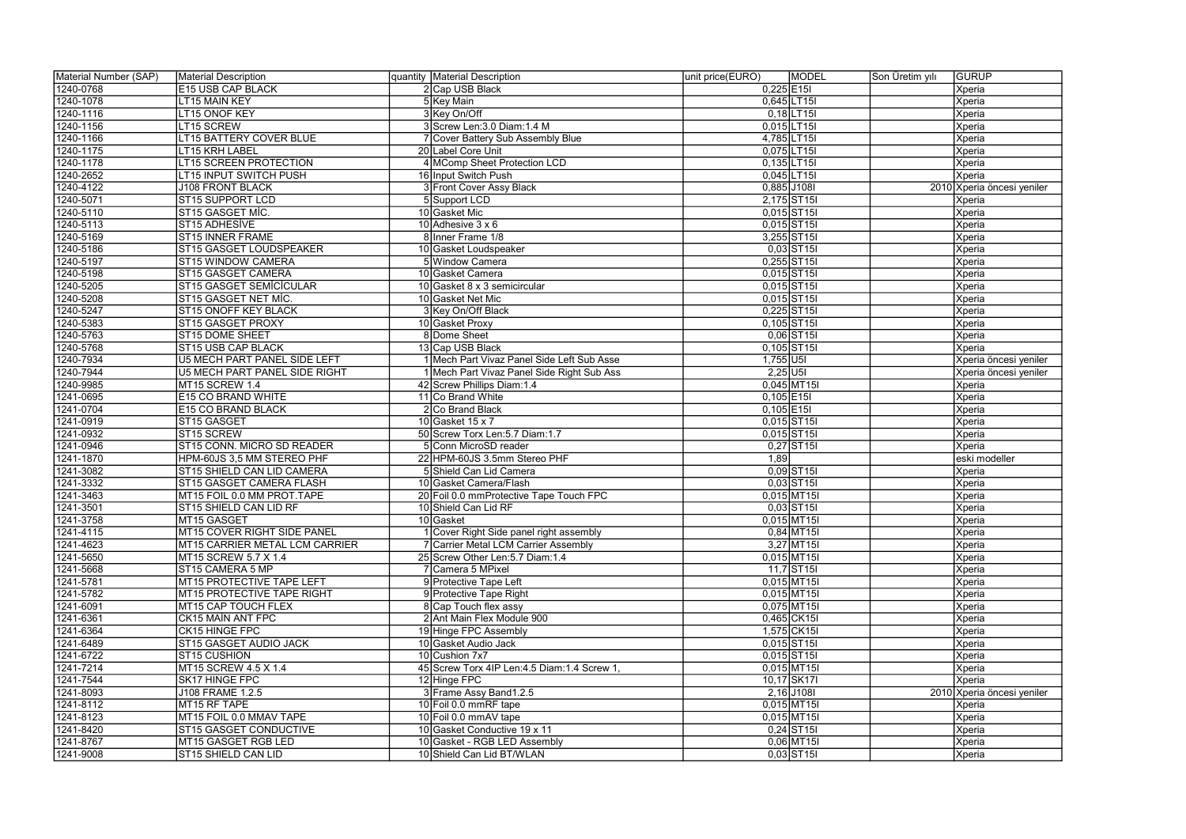| Material Number (SAP) | Material Description           | quantity   Material Description               | unit price(EURO)<br><b>MODEL</b> | <b>GURUP</b><br>Son Üretim yılı |
|-----------------------|--------------------------------|-----------------------------------------------|----------------------------------|---------------------------------|
| 1240-0768             | <b>E15 USB CAP BLACK</b>       | 2 Cap USB Black                               | $0,225$  E15                     | Xperia                          |
| 1240-1078             | <b>LT15 MAIN KEY</b>           | 5 Key Main                                    | 0,645 LT15                       | Xperia                          |
| 1240-1116             | LT15 ONOF KEY                  | 3 Key On/Off                                  | $0,18$   LT $15$                 | Xperia                          |
| 1240-1156             | LT15 SCREW                     | 3 Screw Len: 3.0 Diam: 1.4 M                  | $0,015$ LT15I                    | Xperia                          |
| 1240-1166             | <b>LT15 BATTERY COVER BLUE</b> | 7 Cover Battery Sub Assembly Blue             | 4,785 LT15                       | Xperia                          |
| 1240-1175             | <b>LT15 KRH LABEL</b>          | 20 Label Core Unit                            | 0,075 LT15                       | Xperia                          |
| 1240-1178             | <b>LT15 SCREEN PROTECTION</b>  | 4 MComp Sheet Protection LCD                  | $0,135$ LT15I                    | Xperia                          |
| 1240-2652             | <b>LT15 INPUT SWITCH PUSH</b>  | 16 Input Switch Push                          | $0,045$ LT15I                    | Xperia                          |
| 1240-4122             | <b>J108 FRONT BLACK</b>        | 3 Front Cover Assy Black                      | 0,885 J108I                      | 2010 Xperia öncesi yeniler      |
| 1240-5071             | <b>ST15 SUPPORT LCD</b>        | 5 Support LCD                                 | 2,175 ST15                       | Xperia                          |
| 1240-5110             | ST15 GASGET MIC.               | 10 Gasket Mic                                 | $0,015$ ST <sub>15</sub>         | Xperia                          |
| 1240-5113             | ST15 ADHESİVE                  | 10 Adhesive $3 \times 6$                      | $0,015$ ST15                     | Xperia                          |
| 1240-5169             | ST15 INNER FRAME               | 8 Inner Frame 1/8                             | 3,255 ST15                       | Xperia                          |
| 1240-5186             | ST15 GASGET LOUDSPEAKER        | 10 Gasket Loudspeaker                         | $0,03$ ST <sub>15I</sub>         | Xperia                          |
| 1240-5197             | <b>ST15 WINDOW CAMERA</b>      | 5 Window Camera                               | 0,255 ST15                       | Xperia                          |
| 1240-5198             | ST15 GASGET CAMERA             | 10 Gasket Camera                              | $0,015$ ST <sub>15</sub>         | Xperia                          |
| 1240-5205             | ST15 GASGET SEMICICULAR        | 10 Gasket $8 \times 3$ semicircular           | $0,015$ ST <sub>15</sub>         | Xperia                          |
| 1240-5208             | ST15 GASGET NET MİC.           | 10 Gasket Net Mic                             | $0,015$ ST <sub>15</sub>         | Xperia                          |
| 1240-5247             | ST15 ONOFF KEY BLACK           | 3 Key On/Off Black                            | $0,225$ ST15I                    | Xperia                          |
| 1240-5383             | ST15 GASGET PROXY              | 10 Gasket Proxy                               | $0,105$ ST <sub>15</sub>         | Xperia                          |
| 1240-5763             | ST15 DOME SHEET                | 8 Dome Sheet                                  | $0,06$ ST <sub>15I</sub>         | Xperia                          |
| 1240-5768             | ST15 USB CAP BLACK             | 13 Cap USB Black                              | $0,105$ ST <sub>15I</sub>        | Xperia                          |
| 1240-7934             | U5 MECH PART PANEL SIDE LEFT   | 1 Mech Part Vivaz Panel Side Left Sub Asse    | $1,755$ U5I                      | Xperia öncesi yeniler           |
| 1240-7944             | U5 MECH PART PANEL SIDE RIGHT  | 1 Mech Part Vivaz Panel Side Right Sub Ass    | $2,25$ U5I                       | Xperia öncesi yeniler           |
| 1240-9985             | MT15 SCREW 1.4                 | 42 Screw Phillips Diam: 1.4                   | $0,045$ MT15I                    | Xperia                          |
| 1241-0695             | <b>E15 CO BRAND WHITE</b>      | 11 Co Brand White                             | $0,105$ E15I                     | Xperia                          |
| 1241-0704             | <b>E15 CO BRAND BLACK</b>      | 2 Co Brand Black                              | $0,105$ E15I                     | Xperia                          |
| 1241-0919             | ST15 GASGET                    | 10 Gasket 15 x 7                              | $0,015$ ST <sub>15</sub>         | Xperia                          |
| 1241-0932             | ST <sub>15</sub> SCREW         | 50 Screw Torx Len: 5.7 Diam: 1.7              | $0,015$ ST <sub>15</sub>         | Xperia                          |
| 1241-0946             | ST15 CONN. MICRO SD READER     | 5 Conn MicroSD reader                         | $0,27$ ST <sub>15I</sub>         | Xperia                          |
| 1241-1870             | HPM-60JS 3.5 MM STEREO PHF     | 22 HPM-60JS 3.5mm Stereo PHF                  | 1,89                             | eski modeller                   |
| 1241-3082             | ST15 SHIELD CAN LID CAMERA     | 5 Shield Can Lid Camera                       | $0,09$ ST <sub>15I</sub>         | Xperia                          |
| 1241-3332             | ST15 GASGET CAMERA FLASH       | 10 Gasket Camera/Flash                        | $0,03$ ST <sub>15I</sub>         | Xperia                          |
| 1241-3463             | MT15 FOIL 0.0 MM PROT.TAPE     | 20 Foil 0.0 mmProtective Tape Touch FPC       | $0,015$ MT15I                    | Xperia                          |
| 1241-3501             | ST15 SHIELD CAN LID RF         | 10 Shield Can Lid RF                          | $0,03$ ST <sub>15</sub>          | Xperia                          |
| 1241-3758             | MT15 GASGET                    | 10 Gasket                                     | $0,015$ MT15I                    | Xperia                          |
| 1241-4115             | MT15 COVER RIGHT SIDE PANEL    | 1 Cover Right Side panel right assembly       | $0,84$ MT15I                     | Xperia                          |
| 1241-4623             | MT15 CARRIER METAL LCM CARRIER | 7 Carrier Metal LCM Carrier Assembly          | $3,27$ MT15I                     | Xperia                          |
| 1241-5650             | MT15 SCREW 5.7 X 1.4           | 25 Screw Other Len: 5.7 Diam: 1.4             | $0,015$ MT15I                    | Xperia                          |
| 1241-5668             | ST15 CAMERA 5 MP               | 7 Camera 5 MPixel                             | $11,7$ ST <sub>15I</sub>         | Xperia                          |
| 1241-5781             | MT15 PROTECTIVE TAPE LEFT      | 9 Protective Tape Left                        | $0,015$ MT15I                    | Xperia                          |
| 1241-5782             | MT15 PROTECTIVE TAPE RIGHT     | 9 Protective Tape Right                       | $0,015$ MT15I                    | Xperia                          |
| 1241-6091             | MT15 CAP TOUCH FLEX            | 8 Cap Touch flex assy                         | $0,075$ MT15I                    | Xperia                          |
| 1241-6361             | CK15 MAIN ANT FPC              | 2 Ant Main Flex Module 900                    | 0,465 CK15                       | Xperia                          |
| 1241-6364             | <b>CK15 HINGE FPC</b>          | 19 Hinge FPC Assembly                         | 1,575 CK15                       | Xperia                          |
| 1241-6489             | <b>ST15 GASGET AUDIO JACK</b>  | 10 Gasket Audio Jack                          | $0,015$ ST <sub>15</sub>         | Xperia                          |
| 1241-6722             | ST15 CUSHION                   | 10 Cushion 7x7                                | $0,015$ ST <sub>15</sub>         | Xperia                          |
| 1241-7214             | MT15 SCREW 4.5 X 1.4           | 45 Screw Torx 4IP Len: 4.5 Diam: 1.4 Screw 1. | $0,015$ MT15I                    | Xperia                          |
| 1241-7544             | SK17 HINGE FPC                 | 12 Hinge FPC                                  | 10,17 SK17                       | Xperia                          |
| 1241-8093             | J108 FRAME 1.2.5               | 3 Frame Assy Band 1.2.5                       | $2,16$ J108I                     | 2010 Xperia öncesi yeniler      |
| 1241-8112             | MT15 RF TAPE                   | 10 Foil 0.0 mmRF tape                         | $0,015$ MT15                     | Xperia                          |
| 1241-8123             | MT15 FOIL 0.0 MMAV TAPE        | 10 Foil 0.0 mmAV tape                         | $0,015$ MT15I                    | Xperia                          |
| 1241-8420             | ST15 GASGET CONDUCTIVE         | 10 Gasket Conductive 19 x 11                  | $0,24$ ST <sub>15I</sub>         | Xperia                          |
| 1241-8767             | MT15 GASGET RGB LED            | 10 Gasket - RGB LED Assembly                  | $0,06$ MT15I                     | Xperia                          |
| 1241-9008             | ST15 SHIELD CAN LID            | 10 Shield Can Lid BT/WLAN                     | $0,03$ ST <sub>15I</sub>         | Xperia                          |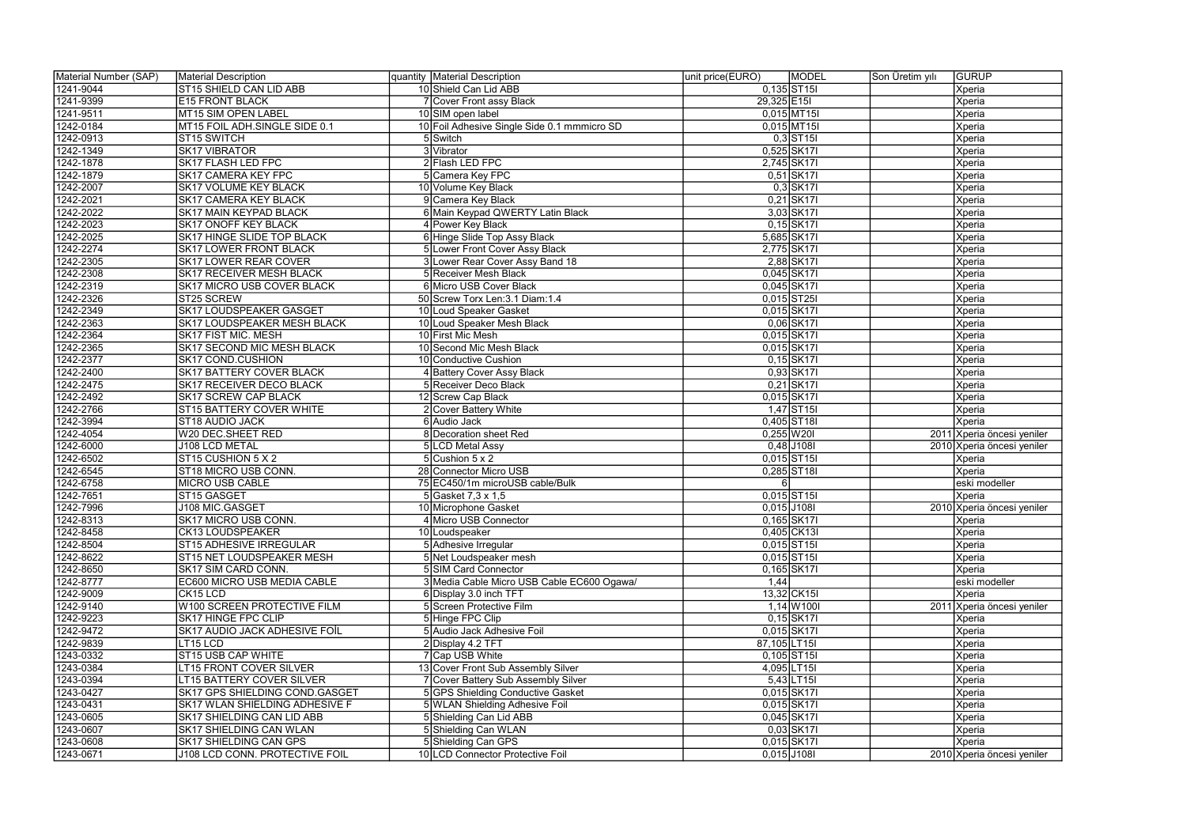| Material Number (SAP) | Material Description              | quantity   Material Description             | <b>MODEL</b><br>unit price(EURO) | <b>GURUP</b><br>Son Üretim yılı |
|-----------------------|-----------------------------------|---------------------------------------------|----------------------------------|---------------------------------|
| 1241-9044             | ST15 SHIELD CAN LID ABB           | 10 Shield Can Lid ABB                       | $0,135$ ST <sub>15</sub>         | Xperia                          |
| 1241-9399             | <b>E15 FRONT BLACK</b>            | 7 Cover Front assy Black                    | 29,325 E15                       | Xperia                          |
| 1241-9511             | MT15 SIM OPEN LABEL               | 10 SIM open label                           | $0,015$ MT15I                    | Xperia                          |
| 1242-0184             | MT15 FOIL ADH.SINGLE SIDE 0.1     | 10 Foil Adhesive Single Side 0.1 mmmicro SD | $0,015$ MT15I                    | Xperia                          |
| 1242-0913             | ST15 SWITCH                       | 5 Switch                                    | $0,3$ ST <sub>15</sub>           | Xperia                          |
| 1242-1349             | <b>SK17 VIBRATOR</b>              | 3 Vibrator                                  | 0,525 SK171                      | Xperia                          |
| 1242-1878             | SK17 FLASH LED FPC                | 2 Flash LED FPC                             | 2,745 SK171                      | Xperia                          |
| 1242-1879             | SK17 CAMERA KEY FPC               | 5 Camera Key FPC                            | $0,51$ SK17I                     | Xperia                          |
| 1242-2007             | <b>SK17 VOLUME KEY BLACK</b>      | 10 Volume Key Black                         | $0,3$ SK17I                      | Xperia                          |
| 1242-2021             | <b>SK17 CAMERA KEY BLACK</b>      | 9 Camera Key Black                          | $0,21$ SK17I                     | Xperia                          |
| 1242-2022             | <b>SK17 MAIN KEYPAD BLACK</b>     | 6 Main Keypad QWERTY Latin Black            | 3,03 SK17                        | Xperia                          |
| 1242-2023             | SK17 ONOFF KEY BLACK              | 4 Power Key Black                           | $0,15$ SK17I                     | Xperia                          |
| 1242-2025             | SK17 HINGE SLIDE TOP BLACK        | 6 Hinge Slide Top Assy Black                | 5,685 SK171                      | Xperia                          |
| 1242-2274             | <b>SK17 LOWER FRONT BLACK</b>     | 5 Lower Front Cover Assy Black              | 2,775 SK171                      | Xperia                          |
| 1242-2305             | SK17 LOWER REAR COVER             | 3 Lower Rear Cover Assy Band 18             | 2,88 SK17                        | Xperia                          |
| 1242-2308             | <b>SK17 RECEIVER MESH BLACK</b>   | 5 Receiver Mesh Black                       | 0,045 SK171                      | Xperia                          |
| 1242-2319             | <b>SK17 MICRO USB COVER BLACK</b> | 6 Micro USB Cover Black                     | 0,045 SK17                       | Xperia                          |
| 1242-2326             | ST25 SCREW                        | 50 Screw Torx Len: 3.1 Diam: 1.4            | $0,015$ ST25I                    | Xperia                          |
| 1242-2349             | <b>SK17 LOUDSPEAKER GASGET</b>    | 10 Loud Speaker Gasket                      | 0,015 SK171                      | Xperia                          |
| 1242-2363             | SK17 LOUDSPEAKER MESH BLACK       | 10 Loud Speaker Mesh Black                  | 0,06 SK17                        | Xperia                          |
| 1242-2364             | SK17 FIST MIC. MESH               | 10 First Mic Mesh                           | 0,015 SK17                       | Xperia                          |
| 1242-2365             | SK17 SECOND MIC MESH BLACK        | 10 Second Mic Mesh Black                    | 0,015 SK17                       | Xperia                          |
| 1242-2377             | <b>SK17 COND.CUSHION</b>          | 10 Conductive Cushion                       | $0,15$ SK17I                     | Xperia                          |
| 1242-2400             | <b>SK17 BATTERY COVER BLACK</b>   | 4 Battery Cover Assy Black                  | 0,93 SK17                        | Xperia                          |
| 1242-2475             | SK17 RECEIVER DECO BLACK          | 5 Receiver Deco Black                       | $0,21$ SK17I                     | Xperia                          |
| 1242-2492             | <b>SK17 SCREW CAP BLACK</b>       | 12 Screw Cap Black                          | 0,015 SK17                       | Xperia                          |
| 1242-2766             | ST15 BATTERY COVER WHITE          | 2 Cover Battery White                       | $1,47$ ST <sub>15I</sub>         | Xperia                          |
| 1242-3994             | ST18 AUDIO JACK                   | 6 Audio Jack                                | 0,405 ST18I                      | <b>Xperia</b>                   |
| 1242-4054             | W20 DEC.SHEET RED                 | 8 Decoration sheet Red                      | $0,255$ W20I                     | 2011 Xperia öncesi yeniler      |
| 1242-6000             | J108 LCD METAL                    | 5 LCD Metal Assy                            | $0,48$ J108I                     | 2010 Xperia öncesi yeniler      |
| 1242-6502             | ST15 CUSHION 5 X 2                | $5$ Cushion 5 x 2                           | $0,015$ ST <sub>15</sub>         | Xperia                          |
| 1242-6545             | ST18 MICRO USB CONN.              | 28 Connector Micro USB                      | $0,285$ ST <sub>181</sub>        | Xperia                          |
| 1242-6758             | MICRO USB CABLE                   | 75 EC450/1m microUSB cable/Bulk             | $6 \mid$                         | eski modeller                   |
| 1242-7651             | ST15 GASGET                       | 5 Gasket 7,3 x 1,5                          | $0,015$ ST <sub>15</sub>         | Xperia                          |
| 1242-7996             | J108 MIC.GASGET                   | 10 Microphone Gasket                        | 0,015 J108I                      | 2010 Xperia öncesi yeniler      |
| 1242-8313             | SK17 MICRO USB CONN.              | 4 Micro USB Connector                       | 0,165 SK171                      | Xperia                          |
| 1242-8458             | CK13 LOUDSPEAKER                  | 10 Loudspeaker                              | 0,405 CK13I                      | Xperia                          |
| 1242-8504             | ST15 ADHESIVE IRREGULAR           | 5 Adhesive Irregular                        | $0,015$ ST <sub>15</sub>         | Xperia                          |
| 1242-8622             | ST15 NET LOUDSPEAKER MESH         | 5 Net Loudspeaker mesh                      | $0,015$ ST <sub>15</sub>         | Xperia                          |
| 1242-8650             | <b>SK17 SIM CARD CONN.</b>        | 5 SIM Card Connector                        | 0,165 SK171                      | Xperia                          |
| 1242-8777             | EC600 MICRO USB MEDIA CABLE       | 3 Media Cable Micro USB Cable EC600 Ogawa/  | 1,44                             | eski modeller                   |
| 1242-9009             | CK <sub>15</sub> LCD              | 6 Display 3.0 inch TFT                      | 13,32 CK15                       | Xperia                          |
| 1242-9140             | W100 SCREEN PROTECTIVE FILM       | 5 Screen Protective Film                    | $1,14$ W 100                     | 2011 Xperia öncesi yeniler      |
| 1242-9223             | SK17 HINGE FPC CLIP               | 5 Hinge FPC Clip                            | $0,15$ SK17I                     | Xperia                          |
| 1242-9472             | SK17 AUDIO JACK ADHESIVE FOIL     | 5 Audio Jack Adhesive Foil                  | 0,015 SK17                       | Xperia                          |
| 1242-9839             | LT15 LCD                          | 2 Display 4.2 TFT                           | 87,105 LT15                      | Xperia                          |
| 1243-0332             | ST15 USB CAP WHITE                | 7 Cap USB White                             | $0,105$ ST <sub>15</sub>         | Xperia                          |
| 1243-0384             | LT15 FRONT COVER SILVER           | 13 Cover Front Sub Assembly Silver          | 4,095 LT15                       | Xperia                          |
| 1243-0394             | <b>LT15 BATTERY COVER SILVER</b>  | 7 Cover Battery Sub Assembly Silver         | $5,43$ LT15                      | Xperia                          |
| 1243-0427             | SK17 GPS SHIELDING COND.GASGET    | 5 GPS Shielding Conductive Gasket           | 0,015 SK17                       | Xperia                          |
| 1243-0431             | SK17 WLAN SHIELDING ADHESIVE F    | 5 WLAN Shielding Adhesive Foil              | 0,015 SK171                      | Xperia                          |
| 1243-0605             | SK17 SHIELDING CAN LID ABB        | 5 Shielding Can Lid ABB                     | 0,045 SK171                      | Xperia                          |
| 1243-0607             | SK17 SHIELDING CAN WLAN           | 5 Shielding Can WLAN                        | $0,03$ SK17I                     | Xperia                          |
| 1243-0608             | SK17 SHIELDING CAN GPS            | 5 Shielding Can GPS                         | 0,015 SK17                       | Xperia                          |
| 1243-0671             | J108 LCD CONN. PROTECTIVE FOIL    | 10 LCD Connector Protective Foil            | $0,015$ J108I                    | 2010 Xperia öncesi yeniler      |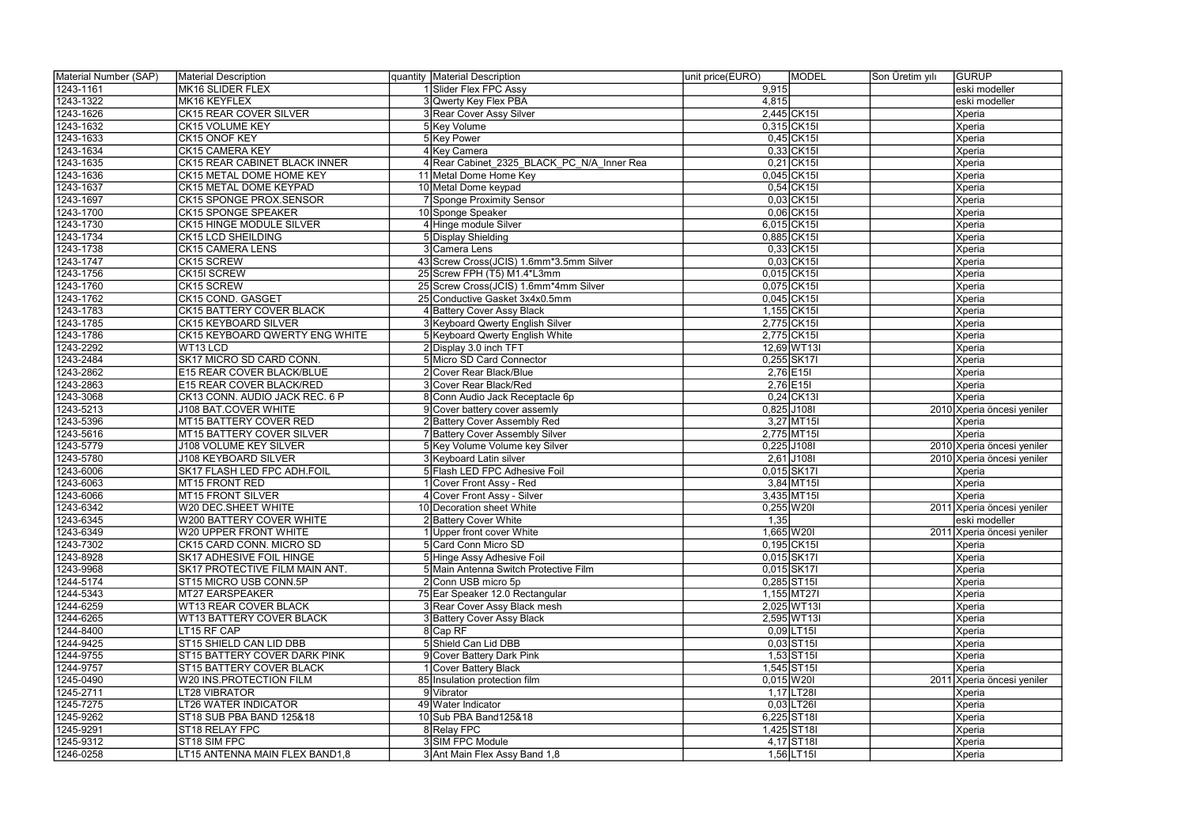| 1243-1161<br>MK16 SLIDER FLEX<br>1 Slider Flex FPC Assy<br>9,915<br> eski modeller<br>1243-1322<br>MK16 KEYFLEX<br>4,815<br>3 Qwerty Key Flex PBA<br>eski modeller<br>1243-1626<br>$2,445$ CK15I<br><b>CK15 REAR COVER SILVER</b><br>3 Rear Cover Assy Silver<br>Xperia<br>1243-1632<br>$0,315$ CK15I<br>5 Key Volume<br><b>CK15 VOLUME KEY</b><br>Xperia<br>1243-1633<br>5 Key Power<br>$0,45$ CK15I<br>CK15 ONOF KEY<br>Xperia<br>1243-1634<br>$0,33$ CK15I<br>Xperia<br>4 Key Camera<br><b>CK15 CAMERA KEY</b><br>1243-1635<br>$0,21$ CK15I<br><b>CK15 REAR CABINET BLACK INNER</b><br>4 Rear Cabinet 2325 BLACK PC N/A Inner Rea<br>Xperia<br>0,045 CK15<br>1243-1636<br><b>CK15 METAL DOME HOME KEY</b><br>11 Metal Dome Home Key<br>Xperia<br>$0,54$ CK15I<br>1243-1637<br><b>CK15 METAL DOME KEYPAD</b><br>Xperia<br>10 Metal Dome keypad<br>$0,03$ CK15I<br>1243-1697<br><b>CK15 SPONGE PROX.SENSOR</b><br>7 Sponge Proximity Sensor<br>Xperia<br>$0,06$ CK15I<br>1243-1700<br><b>CK15 SPONGE SPEAKER</b><br>10 Sponge Speaker<br>Xperia<br>1243-1730<br>6,015 CK15<br>CK15 HINGE MODULE SILVER<br>4 Hinge module Silver<br><b>Xperia</b><br>1243-1734<br><b>CK15 LCD SHEILDING</b><br>0,885 CK15<br>5 Display Shielding<br>Xperia<br>$0,33$ CK15I<br>1243-1738<br><b>CK15 CAMERA LENS</b><br>Xperia<br>3 Camera Lens<br>$0,03$ CK15I<br>1243-1747<br>CK15 SCREW<br>43 Screw Cross(JCIS) 1.6mm*3.5mm Silver<br>Xperia<br>0,015 CK15<br>1243-1756<br>25 Screw FPH (T5) M1.4*L3mm<br>Xperia<br>CK15I SCREW<br>0,075 CK15<br>1243-1760<br>CK15 SCREW<br>Xperia<br>25 Screw Cross(JCIS) 1.6mm*4mm Silver<br>0,045 CK15<br>1243-1762<br>Xperia<br>CK15 COND. GASGET<br>25 Conductive Gasket 3x4x0.5mm<br>1,155 CK15<br>1243-1783<br><b>CK15 BATTERY COVER BLACK</b><br>4 Battery Cover Assy Black<br>Xperia<br>1243-1785<br>2,775 CK151<br><b>CK15 KEYBOARD SILVER</b><br>3 Keyboard Qwerty English Silver<br>Xperia<br>1243-1786<br>2,775 CK15<br>5 Keyboard Qwerty English White<br>Xperia<br>CK15 KEYBOARD QWERTY ENG WHITE<br>1243-2292<br>WT13 LCD<br>2 Display 3.0 inch TFT<br>12,69 WT13<br>Xperia<br>1243-2484<br>SK17 MICRO SD CARD CONN.<br>$0,255$ SK17I<br>5 Micro SD Card Connector<br>Xperia<br>1243-2862<br>E15 REAR COVER BLACK/BLUE<br>$2,76$ E15I<br>2 Cover Rear Black/Blue<br>Xperia<br>1243-2863<br>$2,76$ E15I<br>E15 REAR COVER BLACK/RED<br>3 Cover Rear Black/Red<br>Xperia<br>$0,24$ CK13I<br>1243-3068<br>CK13 CONN. AUDIO JACK REC. 6 P<br>8 Conn Audio Jack Receptacle 6p<br>Xperia<br>1243-5213<br>0,825 J108I<br>J108 BAT.COVER WHITE<br>9 Cover battery cover assemly<br>2010 Xperia öncesi yeniler<br>$3,27$ MT15I<br>1243-5396<br>MT15 BATTERY COVER RED<br>2 Battery Cover Assembly Red<br>Xperia<br>1243-5616<br>2,775 MT15<br>MT15 BATTERY COVER SILVER<br>7 Battery Cover Assembly Silver<br>Xperia<br>$0,225$ J108I<br>1243-5779<br><b>J108 VOLUME KEY SILVER</b><br>5 Key Volume Volume key Silver<br>2010 Xperia öncesi yeniler<br>$2,61$ J108I<br>1243-5780<br><b>J108 KEYBOARD SILVER</b><br>3 Keyboard Latin silver<br>2010 Xperia öncesi yeniler<br>0,015 SK171<br>1243-6006<br>5 Flash LED FPC Adhesive Foil<br>SK17 FLASH LED FPC ADH.FOIL<br>Xperia<br>$3,84$ MT15I<br>1243-6063<br>MT15 FRONT RED<br>Xperia<br>Cover Front Assy - Red<br>3,435 MT15I<br>1243-6066<br><b>MT15 FRONT SILVER</b><br>Xperia<br>Cover Front Assy - Silver<br>1243-6342<br>W20 DEC.SHEET WHITE<br>10 Decoration sheet White<br>$0,255$ W20I<br>2011 Xperia öncesi yeniler<br>1243-6345<br><b>W200 BATTERY COVER WHITE</b><br>2 Battery Cover White<br>1,35<br> eski modeller<br>1243-6349<br>1,665 W20I<br>W20 UPPER FRONT WHITE<br>Upper front cover White<br>2011 Xperia öncesi yeniler<br>1243-7302<br>5 Card Conn Micro SD<br>0,195 CK15<br>CK15 CARD CONN. MICRO SD<br>Xperia<br>1243-8928<br>0,015 SK171<br><b>SK17 ADHESIVE FOIL HINGE</b><br>5 Hinge Assy Adhesive Foil<br>Xperia<br>1243-9968<br>0,015 SK171<br>SK17 PROTECTIVE FILM MAIN ANT.<br>5 Main Antenna Switch Protective Film<br>Xperia<br>1244-5174<br>2 Conn USB micro 5p<br>0,285 ST15<br>ST15 MICRO USB CONN.5P<br>Xperia<br>1244-5343<br>1,155 MT271<br>MT27 EARSPEAKER<br>75 Ear Speaker 12.0 Rectangular<br>Xperia<br>1244-6259<br>2,025 WT13I<br><b>WT13 REAR COVER BLACK</b><br>3 Rear Cover Assy Black mesh<br>Xperia<br>2,595 WT13I<br>1244-6265<br><b>WT13 BATTERY COVER BLACK</b><br>3 Battery Cover Assy Black<br>Xperia<br>$0,09$ LT15I<br>1244-8400<br>LT15 RF CAP<br>8 Cap RF<br>Xperia<br>5 Shield Can Lid DBB<br>$0,03$ ST <sub>15I</sub><br>1244-9425<br>ST15 SHIELD CAN LID DBB<br>Xperia<br>1244-9755<br>$1,53$ ST <sub>15</sub><br>ST15 BATTERY COVER DARK PINK<br>9 Cover Battery Dark Pink<br>Xperia<br>$1,545$ ST <sub>15I</sub><br>1244-9757<br>ST15 BATTERY COVER BLACK<br>Cover Battery Black<br>Xperia<br>1245-0490<br>W20 INS.PROTECTION FILM<br>$0,015$ W20I<br>85 Insulation protection film<br>2011 Xperia öncesi yeniler<br>$1,17$ LT28I<br>1245-2711<br>9 Vibrator<br>LT28 VIBRATOR<br>Xperia<br>1245-7275<br>49 Water Indicator<br>$0,03$ LT26I<br>LT26 WATER INDICATOR<br>Xperia<br>6,225 ST18I<br>1245-9262<br>10 Sub PBA Band125&18<br>ST18 SUB PBA BAND 125&18<br>Xperia<br>1,425 ST18I<br>1245-9291<br>8 Relay FPC<br>Xperia<br>ST18 RELAY FPC<br>4,17 ST18<br>1245-9312<br>ST18 SIM FPC<br>3 SIM FPC Module<br>Xperia | Material Number (SAP) | Material Description           | quantity Material Description | unit price(EURO)<br><b>MODEL</b> | <b>GURUP</b><br>Son Üretim yılı |
|-------------------------------------------------------------------------------------------------------------------------------------------------------------------------------------------------------------------------------------------------------------------------------------------------------------------------------------------------------------------------------------------------------------------------------------------------------------------------------------------------------------------------------------------------------------------------------------------------------------------------------------------------------------------------------------------------------------------------------------------------------------------------------------------------------------------------------------------------------------------------------------------------------------------------------------------------------------------------------------------------------------------------------------------------------------------------------------------------------------------------------------------------------------------------------------------------------------------------------------------------------------------------------------------------------------------------------------------------------------------------------------------------------------------------------------------------------------------------------------------------------------------------------------------------------------------------------------------------------------------------------------------------------------------------------------------------------------------------------------------------------------------------------------------------------------------------------------------------------------------------------------------------------------------------------------------------------------------------------------------------------------------------------------------------------------------------------------------------------------------------------------------------------------------------------------------------------------------------------------------------------------------------------------------------------------------------------------------------------------------------------------------------------------------------------------------------------------------------------------------------------------------------------------------------------------------------------------------------------------------------------------------------------------------------------------------------------------------------------------------------------------------------------------------------------------------------------------------------------------------------------------------------------------------------------------------------------------------------------------------------------------------------------------------------------------------------------------------------------------------------------------------------------------------------------------------------------------------------------------------------------------------------------------------------------------------------------------------------------------------------------------------------------------------------------------------------------------------------------------------------------------------------------------------------------------------------------------------------------------------------------------------------------------------------------------------------------------------------------------------------------------------------------------------------------------------------------------------------------------------------------------------------------------------------------------------------------------------------------------------------------------------------------------------------------------------------------------------------------------------------------------------------------------------------------------------------------------------------------------------------------------------------------------------------------------------------------------------------------------------------------------------------------------------------------------------------------------------------------------------------------------------------------------------------------------------------------------------------------------------------------------------------------------------------------------------------------------------------------------------------------------------------------------------------------------------------------------------------------------------------------------------------------------------------------------------------------------------------------------------------------------------------------------------------------------------------------------------------------------------------------------------------------------------------------------------------------------------------------------------------------------------------------------------------------------------------------------------------------------------|-----------------------|--------------------------------|-------------------------------|----------------------------------|---------------------------------|
|                                                                                                                                                                                                                                                                                                                                                                                                                                                                                                                                                                                                                                                                                                                                                                                                                                                                                                                                                                                                                                                                                                                                                                                                                                                                                                                                                                                                                                                                                                                                                                                                                                                                                                                                                                                                                                                                                                                                                                                                                                                                                                                                                                                                                                                                                                                                                                                                                                                                                                                                                                                                                                                                                                                                                                                                                                                                                                                                                                                                                                                                                                                                                                                                                                                                                                                                                                                                                                                                                                                                                                                                                                                                                                                                                                                                                                                                                                                                                                                                                                                                                                                                                                                                                                                                                                                                                                                                                                                                                                                                                                                                                                                                                                                                                                                                                                                                                                                                                                                                                                                                                                                                                                                                                                                                                                                                                                   |                       |                                |                               |                                  |                                 |
|                                                                                                                                                                                                                                                                                                                                                                                                                                                                                                                                                                                                                                                                                                                                                                                                                                                                                                                                                                                                                                                                                                                                                                                                                                                                                                                                                                                                                                                                                                                                                                                                                                                                                                                                                                                                                                                                                                                                                                                                                                                                                                                                                                                                                                                                                                                                                                                                                                                                                                                                                                                                                                                                                                                                                                                                                                                                                                                                                                                                                                                                                                                                                                                                                                                                                                                                                                                                                                                                                                                                                                                                                                                                                                                                                                                                                                                                                                                                                                                                                                                                                                                                                                                                                                                                                                                                                                                                                                                                                                                                                                                                                                                                                                                                                                                                                                                                                                                                                                                                                                                                                                                                                                                                                                                                                                                                                                   |                       |                                |                               |                                  |                                 |
|                                                                                                                                                                                                                                                                                                                                                                                                                                                                                                                                                                                                                                                                                                                                                                                                                                                                                                                                                                                                                                                                                                                                                                                                                                                                                                                                                                                                                                                                                                                                                                                                                                                                                                                                                                                                                                                                                                                                                                                                                                                                                                                                                                                                                                                                                                                                                                                                                                                                                                                                                                                                                                                                                                                                                                                                                                                                                                                                                                                                                                                                                                                                                                                                                                                                                                                                                                                                                                                                                                                                                                                                                                                                                                                                                                                                                                                                                                                                                                                                                                                                                                                                                                                                                                                                                                                                                                                                                                                                                                                                                                                                                                                                                                                                                                                                                                                                                                                                                                                                                                                                                                                                                                                                                                                                                                                                                                   |                       |                                |                               |                                  |                                 |
|                                                                                                                                                                                                                                                                                                                                                                                                                                                                                                                                                                                                                                                                                                                                                                                                                                                                                                                                                                                                                                                                                                                                                                                                                                                                                                                                                                                                                                                                                                                                                                                                                                                                                                                                                                                                                                                                                                                                                                                                                                                                                                                                                                                                                                                                                                                                                                                                                                                                                                                                                                                                                                                                                                                                                                                                                                                                                                                                                                                                                                                                                                                                                                                                                                                                                                                                                                                                                                                                                                                                                                                                                                                                                                                                                                                                                                                                                                                                                                                                                                                                                                                                                                                                                                                                                                                                                                                                                                                                                                                                                                                                                                                                                                                                                                                                                                                                                                                                                                                                                                                                                                                                                                                                                                                                                                                                                                   |                       |                                |                               |                                  |                                 |
|                                                                                                                                                                                                                                                                                                                                                                                                                                                                                                                                                                                                                                                                                                                                                                                                                                                                                                                                                                                                                                                                                                                                                                                                                                                                                                                                                                                                                                                                                                                                                                                                                                                                                                                                                                                                                                                                                                                                                                                                                                                                                                                                                                                                                                                                                                                                                                                                                                                                                                                                                                                                                                                                                                                                                                                                                                                                                                                                                                                                                                                                                                                                                                                                                                                                                                                                                                                                                                                                                                                                                                                                                                                                                                                                                                                                                                                                                                                                                                                                                                                                                                                                                                                                                                                                                                                                                                                                                                                                                                                                                                                                                                                                                                                                                                                                                                                                                                                                                                                                                                                                                                                                                                                                                                                                                                                                                                   |                       |                                |                               |                                  |                                 |
|                                                                                                                                                                                                                                                                                                                                                                                                                                                                                                                                                                                                                                                                                                                                                                                                                                                                                                                                                                                                                                                                                                                                                                                                                                                                                                                                                                                                                                                                                                                                                                                                                                                                                                                                                                                                                                                                                                                                                                                                                                                                                                                                                                                                                                                                                                                                                                                                                                                                                                                                                                                                                                                                                                                                                                                                                                                                                                                                                                                                                                                                                                                                                                                                                                                                                                                                                                                                                                                                                                                                                                                                                                                                                                                                                                                                                                                                                                                                                                                                                                                                                                                                                                                                                                                                                                                                                                                                                                                                                                                                                                                                                                                                                                                                                                                                                                                                                                                                                                                                                                                                                                                                                                                                                                                                                                                                                                   |                       |                                |                               |                                  |                                 |
|                                                                                                                                                                                                                                                                                                                                                                                                                                                                                                                                                                                                                                                                                                                                                                                                                                                                                                                                                                                                                                                                                                                                                                                                                                                                                                                                                                                                                                                                                                                                                                                                                                                                                                                                                                                                                                                                                                                                                                                                                                                                                                                                                                                                                                                                                                                                                                                                                                                                                                                                                                                                                                                                                                                                                                                                                                                                                                                                                                                                                                                                                                                                                                                                                                                                                                                                                                                                                                                                                                                                                                                                                                                                                                                                                                                                                                                                                                                                                                                                                                                                                                                                                                                                                                                                                                                                                                                                                                                                                                                                                                                                                                                                                                                                                                                                                                                                                                                                                                                                                                                                                                                                                                                                                                                                                                                                                                   |                       |                                |                               |                                  |                                 |
|                                                                                                                                                                                                                                                                                                                                                                                                                                                                                                                                                                                                                                                                                                                                                                                                                                                                                                                                                                                                                                                                                                                                                                                                                                                                                                                                                                                                                                                                                                                                                                                                                                                                                                                                                                                                                                                                                                                                                                                                                                                                                                                                                                                                                                                                                                                                                                                                                                                                                                                                                                                                                                                                                                                                                                                                                                                                                                                                                                                                                                                                                                                                                                                                                                                                                                                                                                                                                                                                                                                                                                                                                                                                                                                                                                                                                                                                                                                                                                                                                                                                                                                                                                                                                                                                                                                                                                                                                                                                                                                                                                                                                                                                                                                                                                                                                                                                                                                                                                                                                                                                                                                                                                                                                                                                                                                                                                   |                       |                                |                               |                                  |                                 |
|                                                                                                                                                                                                                                                                                                                                                                                                                                                                                                                                                                                                                                                                                                                                                                                                                                                                                                                                                                                                                                                                                                                                                                                                                                                                                                                                                                                                                                                                                                                                                                                                                                                                                                                                                                                                                                                                                                                                                                                                                                                                                                                                                                                                                                                                                                                                                                                                                                                                                                                                                                                                                                                                                                                                                                                                                                                                                                                                                                                                                                                                                                                                                                                                                                                                                                                                                                                                                                                                                                                                                                                                                                                                                                                                                                                                                                                                                                                                                                                                                                                                                                                                                                                                                                                                                                                                                                                                                                                                                                                                                                                                                                                                                                                                                                                                                                                                                                                                                                                                                                                                                                                                                                                                                                                                                                                                                                   |                       |                                |                               |                                  |                                 |
|                                                                                                                                                                                                                                                                                                                                                                                                                                                                                                                                                                                                                                                                                                                                                                                                                                                                                                                                                                                                                                                                                                                                                                                                                                                                                                                                                                                                                                                                                                                                                                                                                                                                                                                                                                                                                                                                                                                                                                                                                                                                                                                                                                                                                                                                                                                                                                                                                                                                                                                                                                                                                                                                                                                                                                                                                                                                                                                                                                                                                                                                                                                                                                                                                                                                                                                                                                                                                                                                                                                                                                                                                                                                                                                                                                                                                                                                                                                                                                                                                                                                                                                                                                                                                                                                                                                                                                                                                                                                                                                                                                                                                                                                                                                                                                                                                                                                                                                                                                                                                                                                                                                                                                                                                                                                                                                                                                   |                       |                                |                               |                                  |                                 |
|                                                                                                                                                                                                                                                                                                                                                                                                                                                                                                                                                                                                                                                                                                                                                                                                                                                                                                                                                                                                                                                                                                                                                                                                                                                                                                                                                                                                                                                                                                                                                                                                                                                                                                                                                                                                                                                                                                                                                                                                                                                                                                                                                                                                                                                                                                                                                                                                                                                                                                                                                                                                                                                                                                                                                                                                                                                                                                                                                                                                                                                                                                                                                                                                                                                                                                                                                                                                                                                                                                                                                                                                                                                                                                                                                                                                                                                                                                                                                                                                                                                                                                                                                                                                                                                                                                                                                                                                                                                                                                                                                                                                                                                                                                                                                                                                                                                                                                                                                                                                                                                                                                                                                                                                                                                                                                                                                                   |                       |                                |                               |                                  |                                 |
|                                                                                                                                                                                                                                                                                                                                                                                                                                                                                                                                                                                                                                                                                                                                                                                                                                                                                                                                                                                                                                                                                                                                                                                                                                                                                                                                                                                                                                                                                                                                                                                                                                                                                                                                                                                                                                                                                                                                                                                                                                                                                                                                                                                                                                                                                                                                                                                                                                                                                                                                                                                                                                                                                                                                                                                                                                                                                                                                                                                                                                                                                                                                                                                                                                                                                                                                                                                                                                                                                                                                                                                                                                                                                                                                                                                                                                                                                                                                                                                                                                                                                                                                                                                                                                                                                                                                                                                                                                                                                                                                                                                                                                                                                                                                                                                                                                                                                                                                                                                                                                                                                                                                                                                                                                                                                                                                                                   |                       |                                |                               |                                  |                                 |
|                                                                                                                                                                                                                                                                                                                                                                                                                                                                                                                                                                                                                                                                                                                                                                                                                                                                                                                                                                                                                                                                                                                                                                                                                                                                                                                                                                                                                                                                                                                                                                                                                                                                                                                                                                                                                                                                                                                                                                                                                                                                                                                                                                                                                                                                                                                                                                                                                                                                                                                                                                                                                                                                                                                                                                                                                                                                                                                                                                                                                                                                                                                                                                                                                                                                                                                                                                                                                                                                                                                                                                                                                                                                                                                                                                                                                                                                                                                                                                                                                                                                                                                                                                                                                                                                                                                                                                                                                                                                                                                                                                                                                                                                                                                                                                                                                                                                                                                                                                                                                                                                                                                                                                                                                                                                                                                                                                   |                       |                                |                               |                                  |                                 |
|                                                                                                                                                                                                                                                                                                                                                                                                                                                                                                                                                                                                                                                                                                                                                                                                                                                                                                                                                                                                                                                                                                                                                                                                                                                                                                                                                                                                                                                                                                                                                                                                                                                                                                                                                                                                                                                                                                                                                                                                                                                                                                                                                                                                                                                                                                                                                                                                                                                                                                                                                                                                                                                                                                                                                                                                                                                                                                                                                                                                                                                                                                                                                                                                                                                                                                                                                                                                                                                                                                                                                                                                                                                                                                                                                                                                                                                                                                                                                                                                                                                                                                                                                                                                                                                                                                                                                                                                                                                                                                                                                                                                                                                                                                                                                                                                                                                                                                                                                                                                                                                                                                                                                                                                                                                                                                                                                                   |                       |                                |                               |                                  |                                 |
|                                                                                                                                                                                                                                                                                                                                                                                                                                                                                                                                                                                                                                                                                                                                                                                                                                                                                                                                                                                                                                                                                                                                                                                                                                                                                                                                                                                                                                                                                                                                                                                                                                                                                                                                                                                                                                                                                                                                                                                                                                                                                                                                                                                                                                                                                                                                                                                                                                                                                                                                                                                                                                                                                                                                                                                                                                                                                                                                                                                                                                                                                                                                                                                                                                                                                                                                                                                                                                                                                                                                                                                                                                                                                                                                                                                                                                                                                                                                                                                                                                                                                                                                                                                                                                                                                                                                                                                                                                                                                                                                                                                                                                                                                                                                                                                                                                                                                                                                                                                                                                                                                                                                                                                                                                                                                                                                                                   |                       |                                |                               |                                  |                                 |
|                                                                                                                                                                                                                                                                                                                                                                                                                                                                                                                                                                                                                                                                                                                                                                                                                                                                                                                                                                                                                                                                                                                                                                                                                                                                                                                                                                                                                                                                                                                                                                                                                                                                                                                                                                                                                                                                                                                                                                                                                                                                                                                                                                                                                                                                                                                                                                                                                                                                                                                                                                                                                                                                                                                                                                                                                                                                                                                                                                                                                                                                                                                                                                                                                                                                                                                                                                                                                                                                                                                                                                                                                                                                                                                                                                                                                                                                                                                                                                                                                                                                                                                                                                                                                                                                                                                                                                                                                                                                                                                                                                                                                                                                                                                                                                                                                                                                                                                                                                                                                                                                                                                                                                                                                                                                                                                                                                   |                       |                                |                               |                                  |                                 |
|                                                                                                                                                                                                                                                                                                                                                                                                                                                                                                                                                                                                                                                                                                                                                                                                                                                                                                                                                                                                                                                                                                                                                                                                                                                                                                                                                                                                                                                                                                                                                                                                                                                                                                                                                                                                                                                                                                                                                                                                                                                                                                                                                                                                                                                                                                                                                                                                                                                                                                                                                                                                                                                                                                                                                                                                                                                                                                                                                                                                                                                                                                                                                                                                                                                                                                                                                                                                                                                                                                                                                                                                                                                                                                                                                                                                                                                                                                                                                                                                                                                                                                                                                                                                                                                                                                                                                                                                                                                                                                                                                                                                                                                                                                                                                                                                                                                                                                                                                                                                                                                                                                                                                                                                                                                                                                                                                                   |                       |                                |                               |                                  |                                 |
|                                                                                                                                                                                                                                                                                                                                                                                                                                                                                                                                                                                                                                                                                                                                                                                                                                                                                                                                                                                                                                                                                                                                                                                                                                                                                                                                                                                                                                                                                                                                                                                                                                                                                                                                                                                                                                                                                                                                                                                                                                                                                                                                                                                                                                                                                                                                                                                                                                                                                                                                                                                                                                                                                                                                                                                                                                                                                                                                                                                                                                                                                                                                                                                                                                                                                                                                                                                                                                                                                                                                                                                                                                                                                                                                                                                                                                                                                                                                                                                                                                                                                                                                                                                                                                                                                                                                                                                                                                                                                                                                                                                                                                                                                                                                                                                                                                                                                                                                                                                                                                                                                                                                                                                                                                                                                                                                                                   |                       |                                |                               |                                  |                                 |
|                                                                                                                                                                                                                                                                                                                                                                                                                                                                                                                                                                                                                                                                                                                                                                                                                                                                                                                                                                                                                                                                                                                                                                                                                                                                                                                                                                                                                                                                                                                                                                                                                                                                                                                                                                                                                                                                                                                                                                                                                                                                                                                                                                                                                                                                                                                                                                                                                                                                                                                                                                                                                                                                                                                                                                                                                                                                                                                                                                                                                                                                                                                                                                                                                                                                                                                                                                                                                                                                                                                                                                                                                                                                                                                                                                                                                                                                                                                                                                                                                                                                                                                                                                                                                                                                                                                                                                                                                                                                                                                                                                                                                                                                                                                                                                                                                                                                                                                                                                                                                                                                                                                                                                                                                                                                                                                                                                   |                       |                                |                               |                                  |                                 |
|                                                                                                                                                                                                                                                                                                                                                                                                                                                                                                                                                                                                                                                                                                                                                                                                                                                                                                                                                                                                                                                                                                                                                                                                                                                                                                                                                                                                                                                                                                                                                                                                                                                                                                                                                                                                                                                                                                                                                                                                                                                                                                                                                                                                                                                                                                                                                                                                                                                                                                                                                                                                                                                                                                                                                                                                                                                                                                                                                                                                                                                                                                                                                                                                                                                                                                                                                                                                                                                                                                                                                                                                                                                                                                                                                                                                                                                                                                                                                                                                                                                                                                                                                                                                                                                                                                                                                                                                                                                                                                                                                                                                                                                                                                                                                                                                                                                                                                                                                                                                                                                                                                                                                                                                                                                                                                                                                                   |                       |                                |                               |                                  |                                 |
|                                                                                                                                                                                                                                                                                                                                                                                                                                                                                                                                                                                                                                                                                                                                                                                                                                                                                                                                                                                                                                                                                                                                                                                                                                                                                                                                                                                                                                                                                                                                                                                                                                                                                                                                                                                                                                                                                                                                                                                                                                                                                                                                                                                                                                                                                                                                                                                                                                                                                                                                                                                                                                                                                                                                                                                                                                                                                                                                                                                                                                                                                                                                                                                                                                                                                                                                                                                                                                                                                                                                                                                                                                                                                                                                                                                                                                                                                                                                                                                                                                                                                                                                                                                                                                                                                                                                                                                                                                                                                                                                                                                                                                                                                                                                                                                                                                                                                                                                                                                                                                                                                                                                                                                                                                                                                                                                                                   |                       |                                |                               |                                  |                                 |
|                                                                                                                                                                                                                                                                                                                                                                                                                                                                                                                                                                                                                                                                                                                                                                                                                                                                                                                                                                                                                                                                                                                                                                                                                                                                                                                                                                                                                                                                                                                                                                                                                                                                                                                                                                                                                                                                                                                                                                                                                                                                                                                                                                                                                                                                                                                                                                                                                                                                                                                                                                                                                                                                                                                                                                                                                                                                                                                                                                                                                                                                                                                                                                                                                                                                                                                                                                                                                                                                                                                                                                                                                                                                                                                                                                                                                                                                                                                                                                                                                                                                                                                                                                                                                                                                                                                                                                                                                                                                                                                                                                                                                                                                                                                                                                                                                                                                                                                                                                                                                                                                                                                                                                                                                                                                                                                                                                   |                       |                                |                               |                                  |                                 |
|                                                                                                                                                                                                                                                                                                                                                                                                                                                                                                                                                                                                                                                                                                                                                                                                                                                                                                                                                                                                                                                                                                                                                                                                                                                                                                                                                                                                                                                                                                                                                                                                                                                                                                                                                                                                                                                                                                                                                                                                                                                                                                                                                                                                                                                                                                                                                                                                                                                                                                                                                                                                                                                                                                                                                                                                                                                                                                                                                                                                                                                                                                                                                                                                                                                                                                                                                                                                                                                                                                                                                                                                                                                                                                                                                                                                                                                                                                                                                                                                                                                                                                                                                                                                                                                                                                                                                                                                                                                                                                                                                                                                                                                                                                                                                                                                                                                                                                                                                                                                                                                                                                                                                                                                                                                                                                                                                                   |                       |                                |                               |                                  |                                 |
|                                                                                                                                                                                                                                                                                                                                                                                                                                                                                                                                                                                                                                                                                                                                                                                                                                                                                                                                                                                                                                                                                                                                                                                                                                                                                                                                                                                                                                                                                                                                                                                                                                                                                                                                                                                                                                                                                                                                                                                                                                                                                                                                                                                                                                                                                                                                                                                                                                                                                                                                                                                                                                                                                                                                                                                                                                                                                                                                                                                                                                                                                                                                                                                                                                                                                                                                                                                                                                                                                                                                                                                                                                                                                                                                                                                                                                                                                                                                                                                                                                                                                                                                                                                                                                                                                                                                                                                                                                                                                                                                                                                                                                                                                                                                                                                                                                                                                                                                                                                                                                                                                                                                                                                                                                                                                                                                                                   |                       |                                |                               |                                  |                                 |
|                                                                                                                                                                                                                                                                                                                                                                                                                                                                                                                                                                                                                                                                                                                                                                                                                                                                                                                                                                                                                                                                                                                                                                                                                                                                                                                                                                                                                                                                                                                                                                                                                                                                                                                                                                                                                                                                                                                                                                                                                                                                                                                                                                                                                                                                                                                                                                                                                                                                                                                                                                                                                                                                                                                                                                                                                                                                                                                                                                                                                                                                                                                                                                                                                                                                                                                                                                                                                                                                                                                                                                                                                                                                                                                                                                                                                                                                                                                                                                                                                                                                                                                                                                                                                                                                                                                                                                                                                                                                                                                                                                                                                                                                                                                                                                                                                                                                                                                                                                                                                                                                                                                                                                                                                                                                                                                                                                   |                       |                                |                               |                                  |                                 |
|                                                                                                                                                                                                                                                                                                                                                                                                                                                                                                                                                                                                                                                                                                                                                                                                                                                                                                                                                                                                                                                                                                                                                                                                                                                                                                                                                                                                                                                                                                                                                                                                                                                                                                                                                                                                                                                                                                                                                                                                                                                                                                                                                                                                                                                                                                                                                                                                                                                                                                                                                                                                                                                                                                                                                                                                                                                                                                                                                                                                                                                                                                                                                                                                                                                                                                                                                                                                                                                                                                                                                                                                                                                                                                                                                                                                                                                                                                                                                                                                                                                                                                                                                                                                                                                                                                                                                                                                                                                                                                                                                                                                                                                                                                                                                                                                                                                                                                                                                                                                                                                                                                                                                                                                                                                                                                                                                                   |                       |                                |                               |                                  |                                 |
|                                                                                                                                                                                                                                                                                                                                                                                                                                                                                                                                                                                                                                                                                                                                                                                                                                                                                                                                                                                                                                                                                                                                                                                                                                                                                                                                                                                                                                                                                                                                                                                                                                                                                                                                                                                                                                                                                                                                                                                                                                                                                                                                                                                                                                                                                                                                                                                                                                                                                                                                                                                                                                                                                                                                                                                                                                                                                                                                                                                                                                                                                                                                                                                                                                                                                                                                                                                                                                                                                                                                                                                                                                                                                                                                                                                                                                                                                                                                                                                                                                                                                                                                                                                                                                                                                                                                                                                                                                                                                                                                                                                                                                                                                                                                                                                                                                                                                                                                                                                                                                                                                                                                                                                                                                                                                                                                                                   |                       |                                |                               |                                  |                                 |
|                                                                                                                                                                                                                                                                                                                                                                                                                                                                                                                                                                                                                                                                                                                                                                                                                                                                                                                                                                                                                                                                                                                                                                                                                                                                                                                                                                                                                                                                                                                                                                                                                                                                                                                                                                                                                                                                                                                                                                                                                                                                                                                                                                                                                                                                                                                                                                                                                                                                                                                                                                                                                                                                                                                                                                                                                                                                                                                                                                                                                                                                                                                                                                                                                                                                                                                                                                                                                                                                                                                                                                                                                                                                                                                                                                                                                                                                                                                                                                                                                                                                                                                                                                                                                                                                                                                                                                                                                                                                                                                                                                                                                                                                                                                                                                                                                                                                                                                                                                                                                                                                                                                                                                                                                                                                                                                                                                   |                       |                                |                               |                                  |                                 |
|                                                                                                                                                                                                                                                                                                                                                                                                                                                                                                                                                                                                                                                                                                                                                                                                                                                                                                                                                                                                                                                                                                                                                                                                                                                                                                                                                                                                                                                                                                                                                                                                                                                                                                                                                                                                                                                                                                                                                                                                                                                                                                                                                                                                                                                                                                                                                                                                                                                                                                                                                                                                                                                                                                                                                                                                                                                                                                                                                                                                                                                                                                                                                                                                                                                                                                                                                                                                                                                                                                                                                                                                                                                                                                                                                                                                                                                                                                                                                                                                                                                                                                                                                                                                                                                                                                                                                                                                                                                                                                                                                                                                                                                                                                                                                                                                                                                                                                                                                                                                                                                                                                                                                                                                                                                                                                                                                                   |                       |                                |                               |                                  |                                 |
|                                                                                                                                                                                                                                                                                                                                                                                                                                                                                                                                                                                                                                                                                                                                                                                                                                                                                                                                                                                                                                                                                                                                                                                                                                                                                                                                                                                                                                                                                                                                                                                                                                                                                                                                                                                                                                                                                                                                                                                                                                                                                                                                                                                                                                                                                                                                                                                                                                                                                                                                                                                                                                                                                                                                                                                                                                                                                                                                                                                                                                                                                                                                                                                                                                                                                                                                                                                                                                                                                                                                                                                                                                                                                                                                                                                                                                                                                                                                                                                                                                                                                                                                                                                                                                                                                                                                                                                                                                                                                                                                                                                                                                                                                                                                                                                                                                                                                                                                                                                                                                                                                                                                                                                                                                                                                                                                                                   |                       |                                |                               |                                  |                                 |
|                                                                                                                                                                                                                                                                                                                                                                                                                                                                                                                                                                                                                                                                                                                                                                                                                                                                                                                                                                                                                                                                                                                                                                                                                                                                                                                                                                                                                                                                                                                                                                                                                                                                                                                                                                                                                                                                                                                                                                                                                                                                                                                                                                                                                                                                                                                                                                                                                                                                                                                                                                                                                                                                                                                                                                                                                                                                                                                                                                                                                                                                                                                                                                                                                                                                                                                                                                                                                                                                                                                                                                                                                                                                                                                                                                                                                                                                                                                                                                                                                                                                                                                                                                                                                                                                                                                                                                                                                                                                                                                                                                                                                                                                                                                                                                                                                                                                                                                                                                                                                                                                                                                                                                                                                                                                                                                                                                   |                       |                                |                               |                                  |                                 |
|                                                                                                                                                                                                                                                                                                                                                                                                                                                                                                                                                                                                                                                                                                                                                                                                                                                                                                                                                                                                                                                                                                                                                                                                                                                                                                                                                                                                                                                                                                                                                                                                                                                                                                                                                                                                                                                                                                                                                                                                                                                                                                                                                                                                                                                                                                                                                                                                                                                                                                                                                                                                                                                                                                                                                                                                                                                                                                                                                                                                                                                                                                                                                                                                                                                                                                                                                                                                                                                                                                                                                                                                                                                                                                                                                                                                                                                                                                                                                                                                                                                                                                                                                                                                                                                                                                                                                                                                                                                                                                                                                                                                                                                                                                                                                                                                                                                                                                                                                                                                                                                                                                                                                                                                                                                                                                                                                                   |                       |                                |                               |                                  |                                 |
|                                                                                                                                                                                                                                                                                                                                                                                                                                                                                                                                                                                                                                                                                                                                                                                                                                                                                                                                                                                                                                                                                                                                                                                                                                                                                                                                                                                                                                                                                                                                                                                                                                                                                                                                                                                                                                                                                                                                                                                                                                                                                                                                                                                                                                                                                                                                                                                                                                                                                                                                                                                                                                                                                                                                                                                                                                                                                                                                                                                                                                                                                                                                                                                                                                                                                                                                                                                                                                                                                                                                                                                                                                                                                                                                                                                                                                                                                                                                                                                                                                                                                                                                                                                                                                                                                                                                                                                                                                                                                                                                                                                                                                                                                                                                                                                                                                                                                                                                                                                                                                                                                                                                                                                                                                                                                                                                                                   |                       |                                |                               |                                  |                                 |
|                                                                                                                                                                                                                                                                                                                                                                                                                                                                                                                                                                                                                                                                                                                                                                                                                                                                                                                                                                                                                                                                                                                                                                                                                                                                                                                                                                                                                                                                                                                                                                                                                                                                                                                                                                                                                                                                                                                                                                                                                                                                                                                                                                                                                                                                                                                                                                                                                                                                                                                                                                                                                                                                                                                                                                                                                                                                                                                                                                                                                                                                                                                                                                                                                                                                                                                                                                                                                                                                                                                                                                                                                                                                                                                                                                                                                                                                                                                                                                                                                                                                                                                                                                                                                                                                                                                                                                                                                                                                                                                                                                                                                                                                                                                                                                                                                                                                                                                                                                                                                                                                                                                                                                                                                                                                                                                                                                   |                       |                                |                               |                                  |                                 |
|                                                                                                                                                                                                                                                                                                                                                                                                                                                                                                                                                                                                                                                                                                                                                                                                                                                                                                                                                                                                                                                                                                                                                                                                                                                                                                                                                                                                                                                                                                                                                                                                                                                                                                                                                                                                                                                                                                                                                                                                                                                                                                                                                                                                                                                                                                                                                                                                                                                                                                                                                                                                                                                                                                                                                                                                                                                                                                                                                                                                                                                                                                                                                                                                                                                                                                                                                                                                                                                                                                                                                                                                                                                                                                                                                                                                                                                                                                                                                                                                                                                                                                                                                                                                                                                                                                                                                                                                                                                                                                                                                                                                                                                                                                                                                                                                                                                                                                                                                                                                                                                                                                                                                                                                                                                                                                                                                                   |                       |                                |                               |                                  |                                 |
|                                                                                                                                                                                                                                                                                                                                                                                                                                                                                                                                                                                                                                                                                                                                                                                                                                                                                                                                                                                                                                                                                                                                                                                                                                                                                                                                                                                                                                                                                                                                                                                                                                                                                                                                                                                                                                                                                                                                                                                                                                                                                                                                                                                                                                                                                                                                                                                                                                                                                                                                                                                                                                                                                                                                                                                                                                                                                                                                                                                                                                                                                                                                                                                                                                                                                                                                                                                                                                                                                                                                                                                                                                                                                                                                                                                                                                                                                                                                                                                                                                                                                                                                                                                                                                                                                                                                                                                                                                                                                                                                                                                                                                                                                                                                                                                                                                                                                                                                                                                                                                                                                                                                                                                                                                                                                                                                                                   |                       |                                |                               |                                  |                                 |
|                                                                                                                                                                                                                                                                                                                                                                                                                                                                                                                                                                                                                                                                                                                                                                                                                                                                                                                                                                                                                                                                                                                                                                                                                                                                                                                                                                                                                                                                                                                                                                                                                                                                                                                                                                                                                                                                                                                                                                                                                                                                                                                                                                                                                                                                                                                                                                                                                                                                                                                                                                                                                                                                                                                                                                                                                                                                                                                                                                                                                                                                                                                                                                                                                                                                                                                                                                                                                                                                                                                                                                                                                                                                                                                                                                                                                                                                                                                                                                                                                                                                                                                                                                                                                                                                                                                                                                                                                                                                                                                                                                                                                                                                                                                                                                                                                                                                                                                                                                                                                                                                                                                                                                                                                                                                                                                                                                   |                       |                                |                               |                                  |                                 |
|                                                                                                                                                                                                                                                                                                                                                                                                                                                                                                                                                                                                                                                                                                                                                                                                                                                                                                                                                                                                                                                                                                                                                                                                                                                                                                                                                                                                                                                                                                                                                                                                                                                                                                                                                                                                                                                                                                                                                                                                                                                                                                                                                                                                                                                                                                                                                                                                                                                                                                                                                                                                                                                                                                                                                                                                                                                                                                                                                                                                                                                                                                                                                                                                                                                                                                                                                                                                                                                                                                                                                                                                                                                                                                                                                                                                                                                                                                                                                                                                                                                                                                                                                                                                                                                                                                                                                                                                                                                                                                                                                                                                                                                                                                                                                                                                                                                                                                                                                                                                                                                                                                                                                                                                                                                                                                                                                                   |                       |                                |                               |                                  |                                 |
|                                                                                                                                                                                                                                                                                                                                                                                                                                                                                                                                                                                                                                                                                                                                                                                                                                                                                                                                                                                                                                                                                                                                                                                                                                                                                                                                                                                                                                                                                                                                                                                                                                                                                                                                                                                                                                                                                                                                                                                                                                                                                                                                                                                                                                                                                                                                                                                                                                                                                                                                                                                                                                                                                                                                                                                                                                                                                                                                                                                                                                                                                                                                                                                                                                                                                                                                                                                                                                                                                                                                                                                                                                                                                                                                                                                                                                                                                                                                                                                                                                                                                                                                                                                                                                                                                                                                                                                                                                                                                                                                                                                                                                                                                                                                                                                                                                                                                                                                                                                                                                                                                                                                                                                                                                                                                                                                                                   |                       |                                |                               |                                  |                                 |
|                                                                                                                                                                                                                                                                                                                                                                                                                                                                                                                                                                                                                                                                                                                                                                                                                                                                                                                                                                                                                                                                                                                                                                                                                                                                                                                                                                                                                                                                                                                                                                                                                                                                                                                                                                                                                                                                                                                                                                                                                                                                                                                                                                                                                                                                                                                                                                                                                                                                                                                                                                                                                                                                                                                                                                                                                                                                                                                                                                                                                                                                                                                                                                                                                                                                                                                                                                                                                                                                                                                                                                                                                                                                                                                                                                                                                                                                                                                                                                                                                                                                                                                                                                                                                                                                                                                                                                                                                                                                                                                                                                                                                                                                                                                                                                                                                                                                                                                                                                                                                                                                                                                                                                                                                                                                                                                                                                   |                       |                                |                               |                                  |                                 |
|                                                                                                                                                                                                                                                                                                                                                                                                                                                                                                                                                                                                                                                                                                                                                                                                                                                                                                                                                                                                                                                                                                                                                                                                                                                                                                                                                                                                                                                                                                                                                                                                                                                                                                                                                                                                                                                                                                                                                                                                                                                                                                                                                                                                                                                                                                                                                                                                                                                                                                                                                                                                                                                                                                                                                                                                                                                                                                                                                                                                                                                                                                                                                                                                                                                                                                                                                                                                                                                                                                                                                                                                                                                                                                                                                                                                                                                                                                                                                                                                                                                                                                                                                                                                                                                                                                                                                                                                                                                                                                                                                                                                                                                                                                                                                                                                                                                                                                                                                                                                                                                                                                                                                                                                                                                                                                                                                                   |                       |                                |                               |                                  |                                 |
|                                                                                                                                                                                                                                                                                                                                                                                                                                                                                                                                                                                                                                                                                                                                                                                                                                                                                                                                                                                                                                                                                                                                                                                                                                                                                                                                                                                                                                                                                                                                                                                                                                                                                                                                                                                                                                                                                                                                                                                                                                                                                                                                                                                                                                                                                                                                                                                                                                                                                                                                                                                                                                                                                                                                                                                                                                                                                                                                                                                                                                                                                                                                                                                                                                                                                                                                                                                                                                                                                                                                                                                                                                                                                                                                                                                                                                                                                                                                                                                                                                                                                                                                                                                                                                                                                                                                                                                                                                                                                                                                                                                                                                                                                                                                                                                                                                                                                                                                                                                                                                                                                                                                                                                                                                                                                                                                                                   |                       |                                |                               |                                  |                                 |
|                                                                                                                                                                                                                                                                                                                                                                                                                                                                                                                                                                                                                                                                                                                                                                                                                                                                                                                                                                                                                                                                                                                                                                                                                                                                                                                                                                                                                                                                                                                                                                                                                                                                                                                                                                                                                                                                                                                                                                                                                                                                                                                                                                                                                                                                                                                                                                                                                                                                                                                                                                                                                                                                                                                                                                                                                                                                                                                                                                                                                                                                                                                                                                                                                                                                                                                                                                                                                                                                                                                                                                                                                                                                                                                                                                                                                                                                                                                                                                                                                                                                                                                                                                                                                                                                                                                                                                                                                                                                                                                                                                                                                                                                                                                                                                                                                                                                                                                                                                                                                                                                                                                                                                                                                                                                                                                                                                   |                       |                                |                               |                                  |                                 |
|                                                                                                                                                                                                                                                                                                                                                                                                                                                                                                                                                                                                                                                                                                                                                                                                                                                                                                                                                                                                                                                                                                                                                                                                                                                                                                                                                                                                                                                                                                                                                                                                                                                                                                                                                                                                                                                                                                                                                                                                                                                                                                                                                                                                                                                                                                                                                                                                                                                                                                                                                                                                                                                                                                                                                                                                                                                                                                                                                                                                                                                                                                                                                                                                                                                                                                                                                                                                                                                                                                                                                                                                                                                                                                                                                                                                                                                                                                                                                                                                                                                                                                                                                                                                                                                                                                                                                                                                                                                                                                                                                                                                                                                                                                                                                                                                                                                                                                                                                                                                                                                                                                                                                                                                                                                                                                                                                                   |                       |                                |                               |                                  |                                 |
|                                                                                                                                                                                                                                                                                                                                                                                                                                                                                                                                                                                                                                                                                                                                                                                                                                                                                                                                                                                                                                                                                                                                                                                                                                                                                                                                                                                                                                                                                                                                                                                                                                                                                                                                                                                                                                                                                                                                                                                                                                                                                                                                                                                                                                                                                                                                                                                                                                                                                                                                                                                                                                                                                                                                                                                                                                                                                                                                                                                                                                                                                                                                                                                                                                                                                                                                                                                                                                                                                                                                                                                                                                                                                                                                                                                                                                                                                                                                                                                                                                                                                                                                                                                                                                                                                                                                                                                                                                                                                                                                                                                                                                                                                                                                                                                                                                                                                                                                                                                                                                                                                                                                                                                                                                                                                                                                                                   |                       |                                |                               |                                  |                                 |
|                                                                                                                                                                                                                                                                                                                                                                                                                                                                                                                                                                                                                                                                                                                                                                                                                                                                                                                                                                                                                                                                                                                                                                                                                                                                                                                                                                                                                                                                                                                                                                                                                                                                                                                                                                                                                                                                                                                                                                                                                                                                                                                                                                                                                                                                                                                                                                                                                                                                                                                                                                                                                                                                                                                                                                                                                                                                                                                                                                                                                                                                                                                                                                                                                                                                                                                                                                                                                                                                                                                                                                                                                                                                                                                                                                                                                                                                                                                                                                                                                                                                                                                                                                                                                                                                                                                                                                                                                                                                                                                                                                                                                                                                                                                                                                                                                                                                                                                                                                                                                                                                                                                                                                                                                                                                                                                                                                   |                       |                                |                               |                                  |                                 |
|                                                                                                                                                                                                                                                                                                                                                                                                                                                                                                                                                                                                                                                                                                                                                                                                                                                                                                                                                                                                                                                                                                                                                                                                                                                                                                                                                                                                                                                                                                                                                                                                                                                                                                                                                                                                                                                                                                                                                                                                                                                                                                                                                                                                                                                                                                                                                                                                                                                                                                                                                                                                                                                                                                                                                                                                                                                                                                                                                                                                                                                                                                                                                                                                                                                                                                                                                                                                                                                                                                                                                                                                                                                                                                                                                                                                                                                                                                                                                                                                                                                                                                                                                                                                                                                                                                                                                                                                                                                                                                                                                                                                                                                                                                                                                                                                                                                                                                                                                                                                                                                                                                                                                                                                                                                                                                                                                                   |                       |                                |                               |                                  |                                 |
|                                                                                                                                                                                                                                                                                                                                                                                                                                                                                                                                                                                                                                                                                                                                                                                                                                                                                                                                                                                                                                                                                                                                                                                                                                                                                                                                                                                                                                                                                                                                                                                                                                                                                                                                                                                                                                                                                                                                                                                                                                                                                                                                                                                                                                                                                                                                                                                                                                                                                                                                                                                                                                                                                                                                                                                                                                                                                                                                                                                                                                                                                                                                                                                                                                                                                                                                                                                                                                                                                                                                                                                                                                                                                                                                                                                                                                                                                                                                                                                                                                                                                                                                                                                                                                                                                                                                                                                                                                                                                                                                                                                                                                                                                                                                                                                                                                                                                                                                                                                                                                                                                                                                                                                                                                                                                                                                                                   |                       |                                |                               |                                  |                                 |
|                                                                                                                                                                                                                                                                                                                                                                                                                                                                                                                                                                                                                                                                                                                                                                                                                                                                                                                                                                                                                                                                                                                                                                                                                                                                                                                                                                                                                                                                                                                                                                                                                                                                                                                                                                                                                                                                                                                                                                                                                                                                                                                                                                                                                                                                                                                                                                                                                                                                                                                                                                                                                                                                                                                                                                                                                                                                                                                                                                                                                                                                                                                                                                                                                                                                                                                                                                                                                                                                                                                                                                                                                                                                                                                                                                                                                                                                                                                                                                                                                                                                                                                                                                                                                                                                                                                                                                                                                                                                                                                                                                                                                                                                                                                                                                                                                                                                                                                                                                                                                                                                                                                                                                                                                                                                                                                                                                   |                       |                                |                               |                                  |                                 |
|                                                                                                                                                                                                                                                                                                                                                                                                                                                                                                                                                                                                                                                                                                                                                                                                                                                                                                                                                                                                                                                                                                                                                                                                                                                                                                                                                                                                                                                                                                                                                                                                                                                                                                                                                                                                                                                                                                                                                                                                                                                                                                                                                                                                                                                                                                                                                                                                                                                                                                                                                                                                                                                                                                                                                                                                                                                                                                                                                                                                                                                                                                                                                                                                                                                                                                                                                                                                                                                                                                                                                                                                                                                                                                                                                                                                                                                                                                                                                                                                                                                                                                                                                                                                                                                                                                                                                                                                                                                                                                                                                                                                                                                                                                                                                                                                                                                                                                                                                                                                                                                                                                                                                                                                                                                                                                                                                                   |                       |                                |                               |                                  |                                 |
|                                                                                                                                                                                                                                                                                                                                                                                                                                                                                                                                                                                                                                                                                                                                                                                                                                                                                                                                                                                                                                                                                                                                                                                                                                                                                                                                                                                                                                                                                                                                                                                                                                                                                                                                                                                                                                                                                                                                                                                                                                                                                                                                                                                                                                                                                                                                                                                                                                                                                                                                                                                                                                                                                                                                                                                                                                                                                                                                                                                                                                                                                                                                                                                                                                                                                                                                                                                                                                                                                                                                                                                                                                                                                                                                                                                                                                                                                                                                                                                                                                                                                                                                                                                                                                                                                                                                                                                                                                                                                                                                                                                                                                                                                                                                                                                                                                                                                                                                                                                                                                                                                                                                                                                                                                                                                                                                                                   |                       |                                |                               |                                  |                                 |
|                                                                                                                                                                                                                                                                                                                                                                                                                                                                                                                                                                                                                                                                                                                                                                                                                                                                                                                                                                                                                                                                                                                                                                                                                                                                                                                                                                                                                                                                                                                                                                                                                                                                                                                                                                                                                                                                                                                                                                                                                                                                                                                                                                                                                                                                                                                                                                                                                                                                                                                                                                                                                                                                                                                                                                                                                                                                                                                                                                                                                                                                                                                                                                                                                                                                                                                                                                                                                                                                                                                                                                                                                                                                                                                                                                                                                                                                                                                                                                                                                                                                                                                                                                                                                                                                                                                                                                                                                                                                                                                                                                                                                                                                                                                                                                                                                                                                                                                                                                                                                                                                                                                                                                                                                                                                                                                                                                   |                       |                                |                               |                                  |                                 |
|                                                                                                                                                                                                                                                                                                                                                                                                                                                                                                                                                                                                                                                                                                                                                                                                                                                                                                                                                                                                                                                                                                                                                                                                                                                                                                                                                                                                                                                                                                                                                                                                                                                                                                                                                                                                                                                                                                                                                                                                                                                                                                                                                                                                                                                                                                                                                                                                                                                                                                                                                                                                                                                                                                                                                                                                                                                                                                                                                                                                                                                                                                                                                                                                                                                                                                                                                                                                                                                                                                                                                                                                                                                                                                                                                                                                                                                                                                                                                                                                                                                                                                                                                                                                                                                                                                                                                                                                                                                                                                                                                                                                                                                                                                                                                                                                                                                                                                                                                                                                                                                                                                                                                                                                                                                                                                                                                                   |                       |                                |                               |                                  |                                 |
|                                                                                                                                                                                                                                                                                                                                                                                                                                                                                                                                                                                                                                                                                                                                                                                                                                                                                                                                                                                                                                                                                                                                                                                                                                                                                                                                                                                                                                                                                                                                                                                                                                                                                                                                                                                                                                                                                                                                                                                                                                                                                                                                                                                                                                                                                                                                                                                                                                                                                                                                                                                                                                                                                                                                                                                                                                                                                                                                                                                                                                                                                                                                                                                                                                                                                                                                                                                                                                                                                                                                                                                                                                                                                                                                                                                                                                                                                                                                                                                                                                                                                                                                                                                                                                                                                                                                                                                                                                                                                                                                                                                                                                                                                                                                                                                                                                                                                                                                                                                                                                                                                                                                                                                                                                                                                                                                                                   |                       |                                |                               |                                  |                                 |
|                                                                                                                                                                                                                                                                                                                                                                                                                                                                                                                                                                                                                                                                                                                                                                                                                                                                                                                                                                                                                                                                                                                                                                                                                                                                                                                                                                                                                                                                                                                                                                                                                                                                                                                                                                                                                                                                                                                                                                                                                                                                                                                                                                                                                                                                                                                                                                                                                                                                                                                                                                                                                                                                                                                                                                                                                                                                                                                                                                                                                                                                                                                                                                                                                                                                                                                                                                                                                                                                                                                                                                                                                                                                                                                                                                                                                                                                                                                                                                                                                                                                                                                                                                                                                                                                                                                                                                                                                                                                                                                                                                                                                                                                                                                                                                                                                                                                                                                                                                                                                                                                                                                                                                                                                                                                                                                                                                   |                       |                                |                               |                                  |                                 |
|                                                                                                                                                                                                                                                                                                                                                                                                                                                                                                                                                                                                                                                                                                                                                                                                                                                                                                                                                                                                                                                                                                                                                                                                                                                                                                                                                                                                                                                                                                                                                                                                                                                                                                                                                                                                                                                                                                                                                                                                                                                                                                                                                                                                                                                                                                                                                                                                                                                                                                                                                                                                                                                                                                                                                                                                                                                                                                                                                                                                                                                                                                                                                                                                                                                                                                                                                                                                                                                                                                                                                                                                                                                                                                                                                                                                                                                                                                                                                                                                                                                                                                                                                                                                                                                                                                                                                                                                                                                                                                                                                                                                                                                                                                                                                                                                                                                                                                                                                                                                                                                                                                                                                                                                                                                                                                                                                                   | 1246-0258             | LT15 ANTENNA MAIN FLEX BAND1,8 | 3 Ant Main Flex Assy Band 1,8 | $1,56$  LT15I                    | Xperia                          |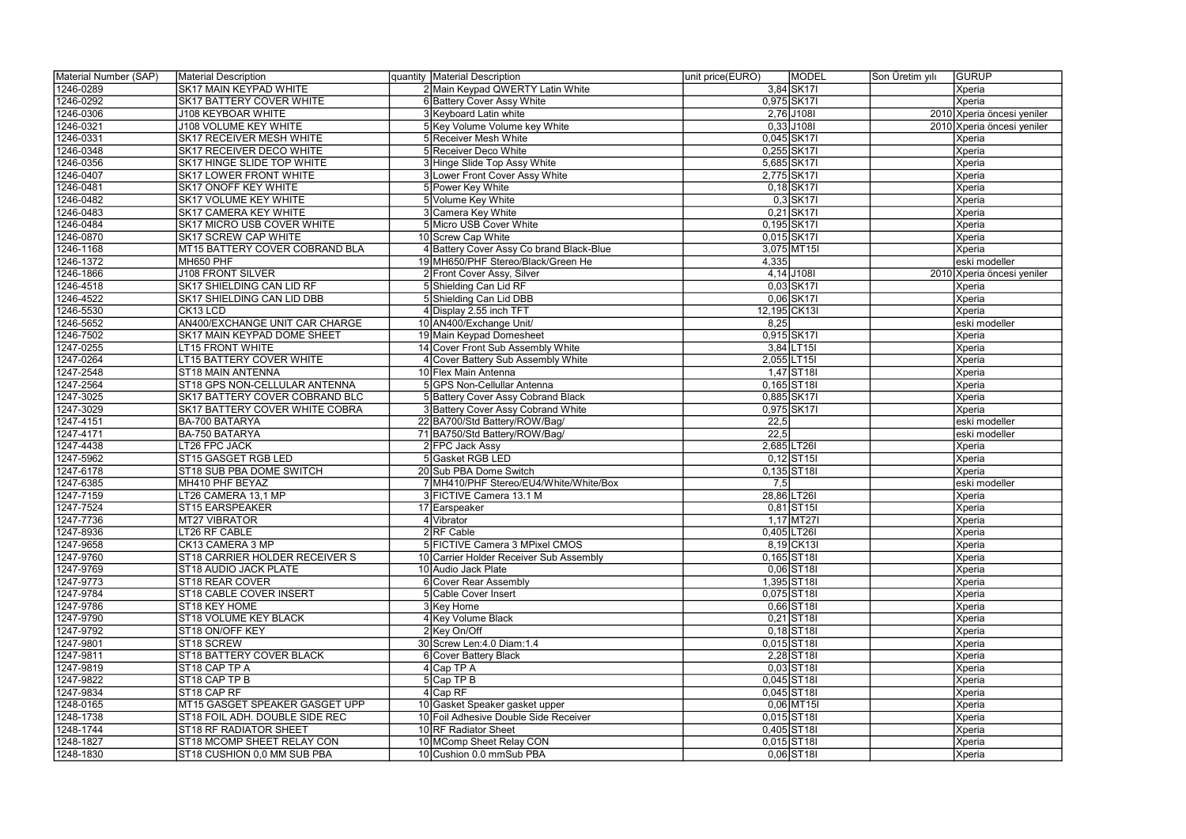| Material Number (SAP) | Material Description               | quantity   Material Description          | <b>MODEL</b><br>unit price(EURO) | <b>GURUP</b><br>Son Üretim yılı |
|-----------------------|------------------------------------|------------------------------------------|----------------------------------|---------------------------------|
| 1246-0289             | <b>SK17 MAIN KEYPAD WHITE</b>      | 2 Main Keypad QWERTY Latin White         | 3,84 SK17                        | Xperia                          |
| 1246-0292             | SK17 BATTERY COVER WHITE           | 6 Battery Cover Assy White               | 0,975 SK171                      | Xperia                          |
| 1246-0306             | <b>J108 KEYBOAR WHITE</b>          | 3 Keyboard Latin white                   | 2,76 J108I                       | 2010 Xperia öncesi yeniler      |
| 1246-0321             | <b>J108 VOLUME KEY WHITE</b>       | 5 Key Volume Volume key White            | $0,33$ J108I                     | 2010 Xperia öncesi yeniler      |
| 1246-0331             | <b>SK17 RECEIVER MESH WHITE</b>    | 5 Receiver Mesh White                    | 0,045 SK171                      | <b>Xperia</b>                   |
| 1246-0348             | SK17 RECEIVER DECO WHITE           | 5 Receiver Deco White                    | 0,255 SK171                      | Xperia                          |
| 1246-0356             | SK17 HINGE SLIDE TOP WHITE         | 3 Hinge Slide Top Assy White             | 5,685 SK171                      | Xperia                          |
| 1246-0407             | <b>SK17 LOWER FRONT WHITE</b>      | 3 Lower Front Cover Assy White           | 2,775 SK171                      | Xperia                          |
| 1246-0481             | SK17 ONOFF KEY WHITE               | 5 Power Key White                        | $0,18$ SK17I                     | Xperia                          |
| 1246-0482             | SK17 VOLUME KEY WHITE              | 5 Volume Key White                       | $0,3$ SK17I                      | Xperia                          |
| 1246-0483             | <b>SK17 CAMERA KEY WHITE</b>       | 3 Camera Key White                       | 0,21 SK17                        | Xperia                          |
| 1246-0484             | SK17 MICRO USB COVER WHITE         | 5 Micro USB Cover White                  | 0,195 SK17                       | Xperia                          |
| 1246-0870             | <b>SK17 SCREW CAP WHITE</b>        | 10 Screw Cap White                       | 0,015 SK17                       | Xperia                          |
| 1246-1168             | MT15 BATTERY COVER COBRAND BLA     | 4 Battery Cover Assy Co brand Black-Blue | 3,075 MT15I                      | Xperia                          |
| 1246-1372             | MH650 PHF                          | 19 MH650/PHF Stereo/Black/Green He       | 4,335                            | eski modeller                   |
| 1246-1866             | <b>J108 FRONT SILVER</b>           | 2 Front Cover Assy, Silver               | $4,14$ J108I                     | 2010 Xperia öncesi yeniler      |
| 1246-4518             | SK17 SHIELDING CAN LID RF          | 5 Shielding Can Lid RF                   | 0,03 SK17                        | Xperia                          |
| 1246-4522             | SK17 SHIELDING CAN LID DBB         | 5 Shielding Can Lid DBB                  | 0,06 SK17                        | Xperia                          |
| 1246-5530             | CK13 LCD                           | 4 Display 2.55 inch TFT                  | 12,195 CK13I                     | Xperia                          |
| 1246-5652             | AN400/EXCHANGE UNIT CAR CHARGE     | 10 AN400/Exchange Unit/                  | 8,25                             | eski modeller                   |
| 1246-7502             | <b>SK17 MAIN KEYPAD DOME SHEET</b> | 19 Main Keypad Domesheet                 | 0,915 SK17                       | <b>Xperia</b>                   |
| 1247-0255             | <b>LT15 FRONT WHITE</b>            | 14 Cover Front Sub Assembly White        | $3,84$ LT15I                     | Xperia                          |
| 1247-0264             | <b>LT15 BATTERY COVER WHITE</b>    | 4 Cover Battery Sub Assembly White       | 2,055 LT15                       | Xperia                          |
| 1247-2548             | ST18 MAIN ANTENNA                  | 10 Flex Main Antenna                     | $1,47$ ST <sub>181</sub>         | Xperia                          |
| 1247-2564             | ST18 GPS NON-CELLULAR ANTENNA      | 5 GPS Non-Cellullar Antenna              | 0,165 ST18I                      | Xperia                          |
| 1247-3025             | SK17 BATTERY COVER COBRAND BLC     | 5 Battery Cover Assy Cobrand Black       | 0,885 SK17                       | Xperia                          |
| 1247-3029             | SK17 BATTERY COVER WHITE COBRA     | 3 Battery Cover Assy Cobrand White       | 0,975 SK171                      | Xperia                          |
| 1247-4151             | BA-700 BATARYA                     | 22 BA700/Std Battery/ROW/Bag/            | 22,5                             | eski modeller                   |
| 1247-4171             | BA-750 BATARYA                     | 71 BA750/Std Battery/ROW/Bag/            | $\overline{22,5}$                | eski modeller                   |
| 1247-4438             | LT26 FPC JACK                      | 2 FPC Jack Assy                          | 2,685 LT26                       | Xperia                          |
| 1247-5962             | ST15 GASGET RGB LED                | 5 Gasket RGB LED                         | $0,12$ ST <sub>15</sub>          | Xperia                          |
| 1247-6178             | ST18 SUB PBA DOME SWITCH           | 20 Sub PBA Dome Switch                   | $0,135$ ST <sub>181</sub>        | Xperia                          |
| 1247-6385             | MH410 PHF BEYAZ                    | 7 MH410/PHF Stereo/EU4/White/White/Box   | 7,5                              | leski modeller                  |
| 1247-7159             | LT26 CAMERA 13,1 MP                | 3 FICTIVE Camera 13.1 M                  | 28,86 LT26                       | Xperia                          |
| 1247-7524             | ST15 EARSPEAKER                    | 17 Earspeaker                            | $0,81$ ST <sub>15</sub>          | Xperia                          |
| 1247-7736             | MT27 VIBRATOR                      | 4 Vibrator                               | $1,17$ MT27I                     | Xperia                          |
| 1247-8936             | LT26 RF CABLE                      | $2$ <sub>RF</sub> Cable                  | $0,405$ LT26I                    | Xperia                          |
| 1247-9658             | CK13 CAMERA 3 MP                   | 5 FICTIVE Camera 3 MPixel CMOS           | $8,19$ CK13I                     | Xperia                          |
| 1247-9760             | ST18 CARRIER HOLDER RECEIVER S     | 10 Carrier Holder Receiver Sub Assembly  | $0,165$ ST <sub>18I</sub>        | Xperia                          |
| 1247-9769             | ST18 AUDIO JACK PLATE              | 10 Audio Jack Plate                      | $0,06$ ST <sub>181</sub>         | Xperia                          |
| 1247-9773             | ST18 REAR COVER                    | 6 Cover Rear Assembly                    | 1,395 ST18I                      | Xperia                          |
| 1247-9784             | ST18 CABLE COVER INSERT            | 5 Cable Cover Insert                     | 0,075 ST18I                      | Xperia                          |
| 1247-9786             | ST18 KEY HOME                      | 3 Key Home                               | $0,66$ ST18I                     | Xperia                          |
| 1247-9790             | <b>ST18 VOLUME KEY BLACK</b>       | 4 Key Volume Black                       | $0,21$ ST <sub>181</sub>         | Xperia                          |
| 1247-9792             | ST18 ON/OFF KEY                    | 2 Key On/Off                             | $0,18$ ST <sub>18</sub>          | Xperia                          |
| 1247-9801             | ST18 SCREW                         | 30 Screw Len: 4.0 Diam: 1.4              | $0,015$ ST <sub>18I</sub>        | Xperia                          |
| 1247-9811             | ST18 BATTERY COVER BLACK           | 6 Cover Battery Black                    | 2,28 ST18                        | Xperia                          |
| 1247-9819             | ST18 CAP TP A                      | $4$ Cap TP A                             | $0,03$ ST <sub>181</sub>         | Xperia                          |
| 1247-9822             | ST18 CAP TP B                      | $5$ Cap TP B                             | $0,045$ ST18I                    | Xperia                          |
| 1247-9834             | ST18 CAP RF                        | 4 Cap RF                                 | $0,045$ ST18I                    | Xperia                          |
| 1248-0165             | MT15 GASGET SPEAKER GASGET UPP     | 10 Gasket Speaker gasket upper           | $0,06$ MT15I                     | Xperia                          |
| 1248-1738             | ST18 FOIL ADH. DOUBLE SIDE REC     | 10 Foil Adhesive Double Side Receiver    | $0,015$ ST <sub>181</sub>        | Xperia                          |
| 1248-1744             | ST18 RF RADIATOR SHEET             | 10 RF Radiator Sheet                     | 0,405 ST18I                      | Xperia                          |
| 1248-1827             | ST18 MCOMP SHEET RELAY CON         | 10 MComp Sheet Relay CON                 | $0,015$ ST <sub>181</sub>        | Xperia                          |
| 1248-1830             | ST18 CUSHION 0,0 MM SUB PBA        | 10 Cushion 0.0 mmSub PBA                 | $0,06$ ST18I                     | Xperia                          |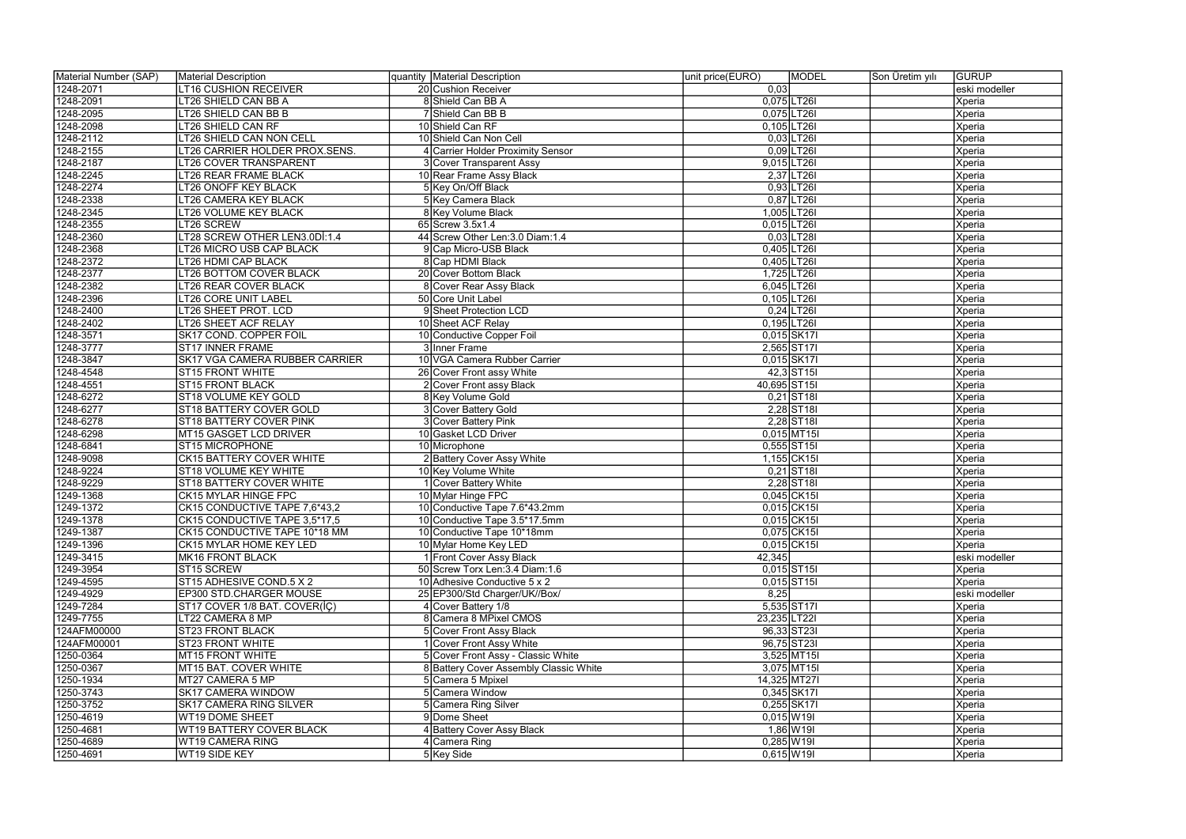| Material Number (SAP) | Material Description            | quantity Material Description          | unit price(EURO)         | <b>MODEL</b>             | Son Üretim yılı | <b>GURUP</b>  |
|-----------------------|---------------------------------|----------------------------------------|--------------------------|--------------------------|-----------------|---------------|
| 1248-2071             | <b>LT16 CUSHION RECEIVER</b>    | 20 Cushion Receiver                    | 0,03                     |                          |                 | eski modeller |
| 1248-2091             | LT26 SHIELD CAN BB A            | 8 Shield Can BB A                      | 0,075 LT26               |                          |                 | Xperia        |
| 1248-2095             | LT26 SHIELD CAN BB B            | 7 Shield Can BB B                      | 0,075 LT26               |                          |                 | Xperia        |
| 1248-2098             | LT26 SHIELD CAN RF              | 10 Shield Can RF                       | $0,105$ LT26I            |                          |                 | Xperia        |
| 1248-2112             | LT26 SHIELD CAN NON CELL        | 10 Shield Can Non Cell                 |                          | $0,03$ LT26I             |                 | Xperia        |
| 1248-2155             | LT26 CARRIER HOLDER PROX.SENS.  | <b>Carrier Holder Proximity Sensor</b> |                          | $0,09$ LT26              |                 | Xperia        |
| 1248-2187             | LT26 COVER TRANSPARENT          | 3 Cover Transparent Assy               | 9,015 LT26               |                          |                 | Xperia        |
| 1248-2245             | <b>LT26 REAR FRAME BLACK</b>    | 10 Rear Frame Assy Black               |                          | $2,37$ LT26I             |                 | Xperia        |
| 1248-2274             | LT26 ONOFF KEY BLACK            | 5 Key On/Off Black                     |                          | $0,93$ LT26I             |                 | Xperia        |
| 1248-2338             | LT26 CAMERA KEY BLACK           | 5 Key Camera Black                     |                          | $0,87$ LT26I             |                 | Xperia        |
| 1248-2345             | LT26 VOLUME KEY BLACK           | 8 Key Volume Black                     | 1,005 LT26               |                          |                 | Xperia        |
| 1248-2355             | LT26 SCREW                      | 65 Screw 3.5x1.4                       | $0,015$ LT26I            |                          |                 | Xperia        |
| 1248-2360             | LT28 SCREW OTHER LEN3.0Dİ:1.4   | 44 Screw Other Len: 3.0 Diam: 1.4      |                          | $0,03$ LT28I             |                 | Xperia        |
| 1248-2368             | LT26 MICRO USB CAP BLACK        | 9 Cap Micro-USB Black                  | 0,405 LT26               |                          |                 | Xperia        |
| 1248-2372             | LT26 HDMI CAP BLACK             | 8 Cap HDMI Black                       | 0,405 LT26               |                          |                 | Xperia        |
| 1248-2377             | LT26 BOTTOM COVER BLACK         | 20 Cover Bottom Black                  | 1,725 LT26               |                          |                 | Xperia        |
| 1248-2382             | LT26 REAR COVER BLACK           | Cover Rear Assy Black                  | 6,045 LT26               |                          |                 | Xperia        |
| 1248-2396             | LT26 CORE UNIT LABEL            | 50 Core Unit Label                     | 0,105 LT26               |                          |                 | Xperia        |
| 1248-2400             | LT26 SHEET PROT. LCD            | 9 Sheet Protection LCD                 |                          | $0,24$ LT26I             |                 | Xperia        |
| 1248-2402             | LT26 SHEET ACF RELAY            | 10 Sheet ACF Relay                     | 0,195 LT26               |                          |                 | Xperia        |
| 1248-3571             | SK17 COND. COPPER FOIL          | 10 Conductive Copper Foil              | 0,015 SK17               |                          |                 | Xperia        |
| 1248-3777             | <b>ST17 INNER FRAME</b>         | 3 Inner Frame                          | 2,565 ST171              |                          |                 | Xperia        |
| 1248-3847             | SK17 VGA CAMERA RUBBER CARRIER  | 10 VGA Camera Rubber Carrier           | 0.015 SK17               |                          |                 | Xperia        |
| 1248-4548             | ST15 FRONT WHITE                | 26 Cover Front assy White              |                          | 42,3 ST15                |                 | Xperia        |
| 1248-4551             | <b>ST15 FRONT BLACK</b>         | 2 Cover Front assy Black               | 40,695 ST15              |                          |                 | Xperia        |
| 1248-6272             | ST18 VOLUME KEY GOLD            | 8 Key Volume Gold                      |                          | $0,21$ ST <sub>181</sub> |                 | Xperia        |
| 1248-6277             | ST18 BATTERY COVER GOLD         | 3 Cover Battery Gold                   |                          | $2,28$ ST18              |                 | Xperia        |
| 1248-6278             | ST18 BATTERY COVER PINK         | 3 Cover Battery Pink                   |                          | $2,28$ ST18              |                 | Xperia        |
| 1248-6298             | MT15 GASGET LCD DRIVER          | 10 Gasket LCD Driver                   |                          | $0,015$ MT15I            |                 | Xperia        |
| 1248-6841             | ST15 MICROPHONE                 | 10 Microphone                          | $0,555$ ST15I            |                          |                 | Xperia        |
| 1248-9098             | <b>CK15 BATTERY COVER WHITE</b> | 2 Battery Cover Assy White             | 1,155 CK15               |                          |                 | Xperia        |
| 1248-9224             | ST18 VOLUME KEY WHITE           | 10 Key Volume White                    |                          | $0,21$ ST <sub>181</sub> |                 | Xperia        |
| 1248-9229             | ST18 BATTERY COVER WHITE        | Cover Battery White                    |                          | 2,28 ST18                |                 | Xperia        |
| 1249-1368             | CK15 MYLAR HINGE FPC            | 10 Mylar Hinge FPC                     |                          | 0,045 CK15               |                 | Xperia        |
| 1249-1372             | CK15 CONDUCTIVE TAPE 7,6*43,2   | 10 Conductive Tape 7.6*43.2mm          |                          | $0,015$ CK15I            |                 | Xperia        |
| 1249-1378             | CK15 CONDUCTIVE TAPE 3,5*17,5   | 10 Conductive Tape 3.5*17.5mm          | 0,015 CK15               |                          |                 | Xperia        |
| 1249-1387             | CK15 CONDUCTIVE TAPE 10*18 MM   | 10 Conductive Tape 10*18mm             |                          | 0,075 CK15               |                 | Xperia        |
| 1249-1396             | CK15 MYLAR HOME KEY LED         | 10 Mylar Home Key LED                  |                          | $0,015$ CK15I            |                 | Xperia        |
| 1249-3415             | MK16 FRONT BLACK                | 1 Front Cover Assy Black               | 42,345                   |                          |                 | eski modeller |
| 1249-3954             | ST15 SCREW                      | 50 Screw Torx Len: 3.4 Diam: 1.6       | $0,015$ ST <sub>15</sub> |                          |                 | Xperia        |
| 1249-4595             | ST15 ADHESIVE COND.5 X 2        | 10 Adhesive Conductive 5 x 2           | $0,015$ ST <sub>15</sub> |                          |                 | Xperia        |
| 1249-4929             | EP300 STD.CHARGER MOUSE         | 25 EP300/Std Charger/UK//Box/          | 8,25                     |                          |                 | eski modeller |
| 1249-7284             | ST17 COVER 1/8 BAT. COVER(IC)   | 4 Cover Battery 1/8                    | 5,535 ST171              |                          |                 | Xperia        |
| 1249-7755             | LT22 CAMERA 8 MP                | 8 Camera 8 MPixel CMOS                 | 23,235 LT221             |                          |                 | Xperia        |
| 124AFM00000           | ST23 FRONT BLACK                | 5 Cover Front Assy Black               | 96,33 ST23I              |                          |                 | Xperia        |
| 124AFM00001           | <b>ST23 FRONT WHITE</b>         | Cover Front Assy White                 | 96,75 ST23I              |                          |                 | Xperia        |
| 1250-0364             | MT15 FRONT WHITE                | 5 Cover Front Assy - Classic White     |                          | 3,525 MT15I              |                 | Xperia        |
| 1250-0367             | MT15 BAT. COVER WHITE           | 8 Battery Cover Assembly Classic White |                          | 3,075 MT15               |                 | Xperia        |
| 1250-1934             | MT27 CAMERA 5 MP                | 5 Camera 5 Mpixel                      | 14,325 MT271             |                          |                 | Xperia        |
| 1250-3743             | <b>SK17 CAMERA WINDOW</b>       | 5 Camera Window                        |                          | 0,345 SK171              |                 | Xperia        |
| 1250-3752             | <b>SK17 CAMERA RING SILVER</b>  | 5 Camera Ring Silver                   |                          | $0,255$ SK17I            |                 | Xperia        |
| 1250-4619             | WT19 DOME SHEET                 | 9Dome Sheet                            | $0,015$ W 19I            |                          |                 | Xperia        |
| 1250-4681             | WT19 BATTERY COVER BLACK        | 4 Battery Cover Assy Black             |                          | 1,86 W 191               |                 | Xperia        |
| 1250-4689             | WT19 CAMERA RING                | 4 Camera Ring                          | $0,285$ W 19I            |                          |                 | Xperia        |
| 1250-4691             | WT19 SIDE KEY                   | 5 Key Side                             | $0,615$ W 19I            |                          |                 | Xperia        |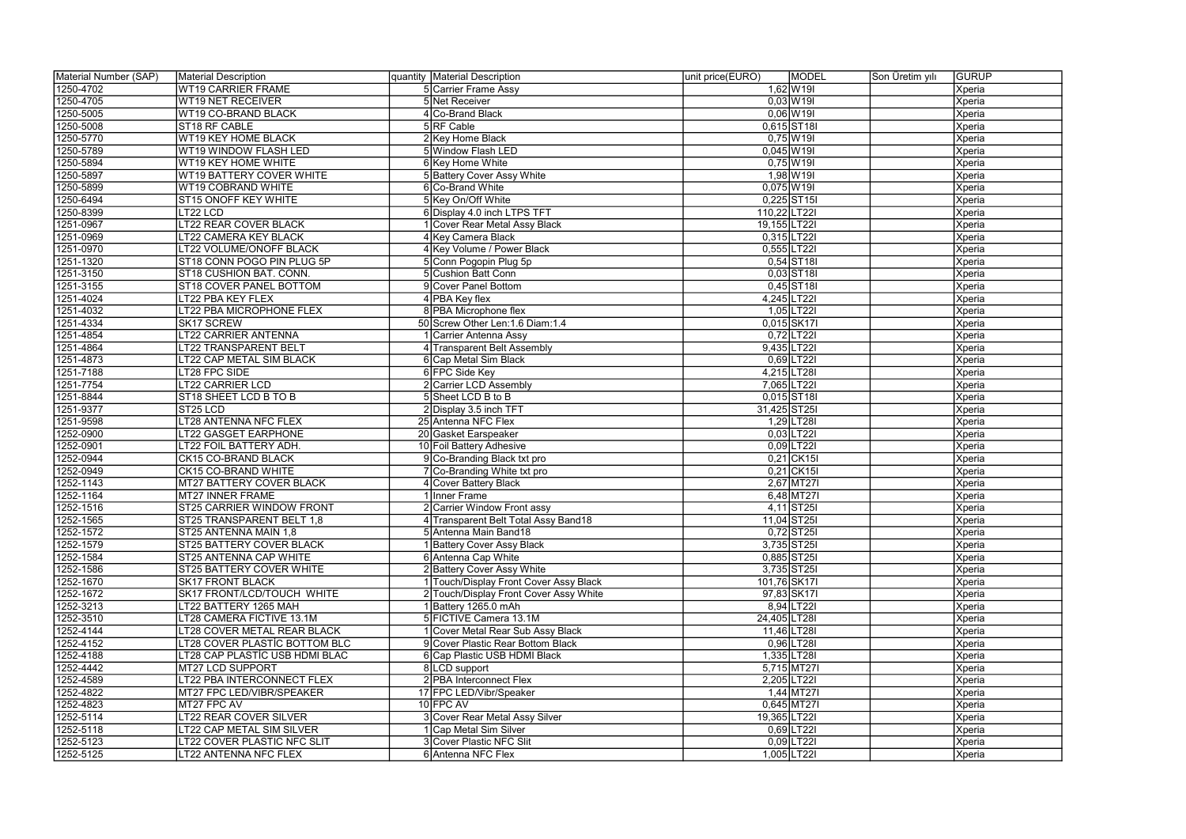| Material Number (SAP) | Material Description            | quantity   Material Description        | unit price(EURO) | <b>MODEL</b>             | Son Üretim yılı | <b>GURUP</b>  |
|-----------------------|---------------------------------|----------------------------------------|------------------|--------------------------|-----------------|---------------|
| 1250-4702             | <b>WT19 CARRIER FRAME</b>       | 5 Carrier Frame Assy                   |                  | $1,62$ W 19I             |                 | Xperia        |
| 1250-4705             | <b>WT19 NET RECEIVER</b>        | 5 Net Receiver                         |                  | $0,03$ W 191             |                 | Xperia        |
| 1250-5005             | WT19 CO-BRAND BLACK             | 4 Co-Brand Black                       |                  | $0,06$ W 19I             |                 | Xperia        |
| 1250-5008             | ST18 RF CABLE                   | 5RF Cable                              |                  | 0,615 ST18I              |                 | Xperia        |
| 1250-5770             | WT19 KEY HOME BLACK             | 2 Key Home Black                       |                  | $0,75$ W19I              |                 | Xperia        |
| 1250-5789             | WT19 WINDOW FLASH LED           | 5 Window Flash LED                     |                  | $0,045$ W19I             |                 | Xperia        |
| 1250-5894             | WT19 KEY HOME WHITE             | 6 Key Home White                       |                  | $0,75$ W19I              |                 | Xperia        |
| 1250-5897             | <b>WT19 BATTERY COVER WHITE</b> | 5 Battery Cover Assy White             |                  | $1,98$ W 19              |                 | Xperia        |
| 1250-5899             | <b>WT19 COBRAND WHITE</b>       | 6 Co-Brand White                       |                  | $0,075$ W19I             |                 | Xperia        |
| 1250-6494             | ST15 ONOFF KEY WHITE            | 5 Key On/Off White                     |                  | $0,225$ ST15I            |                 | Xperia        |
| 1250-8399             | LT22 LCD                        | 6 Display 4.0 inch LTPS TFT            | 110,22 LT22I     |                          |                 | Xperia        |
| 1251-0967             | LT22 REAR COVER BLACK           | Cover Rear Metal Assy Black            | 19,155 LT22I     |                          |                 | Xperia        |
| 1251-0969             | LT22 CAMERA KEY BLACK           | 4 Key Camera Black                     |                  | $0,315$ LT221            |                 | Xperia        |
| 1251-0970             | LT22 VOLUME/ONOFF BLACK         | 4 Key Volume / Power Black             |                  | 0,555 LT221              |                 | Xperia        |
| 1251-1320             | ST18 CONN POGO PIN PLUG 5P      | 5 Conn Pogopin Plug 5p                 |                  | $0,54$ ST18I             |                 | Xperia        |
| 1251-3150             | ST18 CUSHION BAT. CONN.         | 5 Cushion Batt Conn                    |                  | $0,03$ ST <sub>181</sub> |                 | Xperia        |
| 1251-3155             | ST18 COVER PANEL BOTTOM         | 9 Cover Panel Bottom                   |                  | $0,45$ ST18              |                 | Xperia        |
| 1251-4024             | LT22 PBA KEY FLEX               | 4 PBA Key flex                         |                  | 4,245 LT221              |                 | Xperia        |
| 1251-4032             | LT22 PBA MICROPHONE FLEX        | 8 PBA Microphone flex                  |                  | $1,05$ LT22I             |                 | Xperia        |
| 1251-4334             | SK17 SCREW                      | 50 Screw Other Len: 1.6 Diam: 1.4      |                  | 0,015 SK171              |                 | Xperia        |
| 1251-4854             | <b>LT22 CARRIER ANTENNA</b>     | Carrier Antenna Assy                   |                  | $0,72$ LT22I             |                 | Xperia        |
| 1251-4864             | LT22 TRANSPARENT BELT           | 4 Transparent Belt Assembly            |                  | 9,435 LT221              |                 | Xperia        |
| 1251-4873             | LT22 CAP METAL SIM BLACK        | 6 Cap Metal Sim Black                  |                  | $0,69$ LT22I             |                 | Xperia        |
| 1251-7188             | LT28 FPC SIDE                   | 6 FPC Side Key                         |                  | 4,215 LT28I              |                 | Xperia        |
| 1251-7754             | <b>LT22 CARRIER LCD</b>         | 2 Carrier LCD Assembly                 |                  | 7,065 LT22I              |                 | Xperia        |
| 1251-8844             | ST18 SHEET LCD B TO B           | 5 Sheet LCD B to B                     |                  | 0,015 ST18               |                 | Xperia        |
| 1251-9377             | ST <sub>25</sub> LCD            | 2 Display 3.5 inch TFT                 | 31,425 ST25      |                          |                 | Xperia        |
| 1251-9598             | LT28 ANTENNA NFC FLEX           | 25 Antenna NFC Flex                    |                  | 1,29 LT28                |                 | Xperia        |
| 1252-0900             | LT22 GASGET EARPHONE            | 20 Gasket Earspeaker                   |                  | $0,03$ LT22I             |                 | Xperia        |
| 1252-0901             | LT22 FOIL BATTERY ADH.          | 10 Foil Battery Adhesive               |                  | $0,09$ LT22I             |                 | Xperia        |
| 1252-0944             | CK15 CO-BRAND BLACK             | 9 Co-Branding Black txt pro            |                  | $0,21$ CK15I             |                 | Xperia        |
| 1252-0949             | CK15 CO-BRAND WHITE             | 7 Co-Branding White txt pro            |                  | $0,21$ CK15I             |                 | Xperia        |
| 1252-1143             | MT27 BATTERY COVER BLACK        | 4 Cover Battery Black                  |                  | 2,67 MT27I               |                 | Xperia        |
| 1252-1164             | MT27 INNER FRAME                | Inner Frame                            |                  | $6,48$ MT27I             |                 | Xperia        |
| 1252-1516             | ST25 CARRIER WINDOW FRONT       | 2 Carrier Window Front assy            |                  | $4,11$ ST25I             |                 | Xperia        |
| 1252-1565             | ST25 TRANSPARENT BELT 1,8       | 4 Transparent Belt Total Assy Band18   |                  | 11,04 ST25               |                 | Xperia        |
| 1252-1572             | ST25 ANTENNA MAIN 1,8           | 5 Antenna Main Band18                  |                  | $0,72$ ST25I             |                 | Xperia        |
| 1252-1579             | <b>ST25 BATTERY COVER BLACK</b> | <b>Battery Cover Assy Black</b>        |                  | 3,735 ST25               |                 | <b>Xperia</b> |
| 1252-1584             | ST25 ANTENNA CAP WHITE          | 6 Antenna Cap White                    |                  | 0,885 ST25               |                 | <b>Xperia</b> |
| 1252-1586             | ST25 BATTERY COVER WHITE        | 2 Battery Cover Assy White             |                  | 3,735 ST251              |                 | <b>Xperia</b> |
| 1252-1670             | <b>SK17 FRONT BLACK</b>         | 1 Touch/Display Front Cover Assy Black | 101,76 SK171     |                          |                 | Xperia        |
| 1252-1672             | SK17 FRONT/LCD/TOUCH WHITE      | 2 Touch/Display Front Cover Assy White |                  | 97,83 SK171              |                 | <b>Xperia</b> |
| 1252-3213             | LT22 BATTERY 1265 MAH           | 1Battery 1265.0 mAh                    |                  | 8,94 LT221               |                 | <b>Xperia</b> |
| 1252-3510             | LT28 CAMERA FICTIVE 13.1M       | 5 FICTIVE Camera 13.1M                 | 24,405 LT28I     |                          |                 | <b>Xperia</b> |
| 1252-4144             | LT28 COVER METAL REAR BLACK     | Cover Metal Rear Sub Assy Black        |                  | 11,46 LT28               |                 | <b>Xperia</b> |
| 1252-4152             | LT28 COVER PLASTIC BOTTOM BLC   | 9 Cover Plastic Rear Bottom Black      |                  | $0,96$ LT28I             |                 | <b>Xperia</b> |
| 1252-4188             | LT28 CAP PLASTIC USB HDMI BLAC  | 6 Cap Plastic USB HDMI Black           |                  | 1,335 LT28I              |                 | <b>Xperia</b> |
| 1252-4442             | MT27 LCD SUPPORT                | 8 LCD support                          |                  | $5,715$ MT27I            |                 | Xperia        |
| 1252-4589             | LT22 PBA INTERCONNECT FLEX      | 2 PBA Interconnect Flex                |                  | 2,205 LT22I              |                 | Xperia        |
| 1252-4822             | MT27 FPC LED/VIBR/SPEAKER       | 17 FPC LED/Vibr/Speaker                |                  | $1,44$ MT271             |                 | Xperia        |
| 1252-4823             | MT27 FPC AV                     | $10$ FPC AV                            |                  | 0,645 MT27I              |                 | Xperia        |
| 1252-5114             | <b>LT22 REAR COVER SILVER</b>   | 3 Cover Rear Metal Assy Silver         | 19,365 LT22I     |                          |                 | <b>Xperia</b> |
| 1252-5118             | LT22 CAP METAL SIM SILVER       | Cap Metal Sim Silver                   |                  | $0,69$ LT22I             |                 | <b>Xperia</b> |
| 1252-5123             | LT22 COVER PLASTIC NFC SLIT     | 3 Cover Plastic NFC Slit               |                  | $0,09$  LT221            |                 | Xperia        |
| 1252-5125             | LT22 ANTENNA NFC FLEX           | 6 Antenna NFC Flex                     |                  | 1,005 LT221              |                 | Xperia        |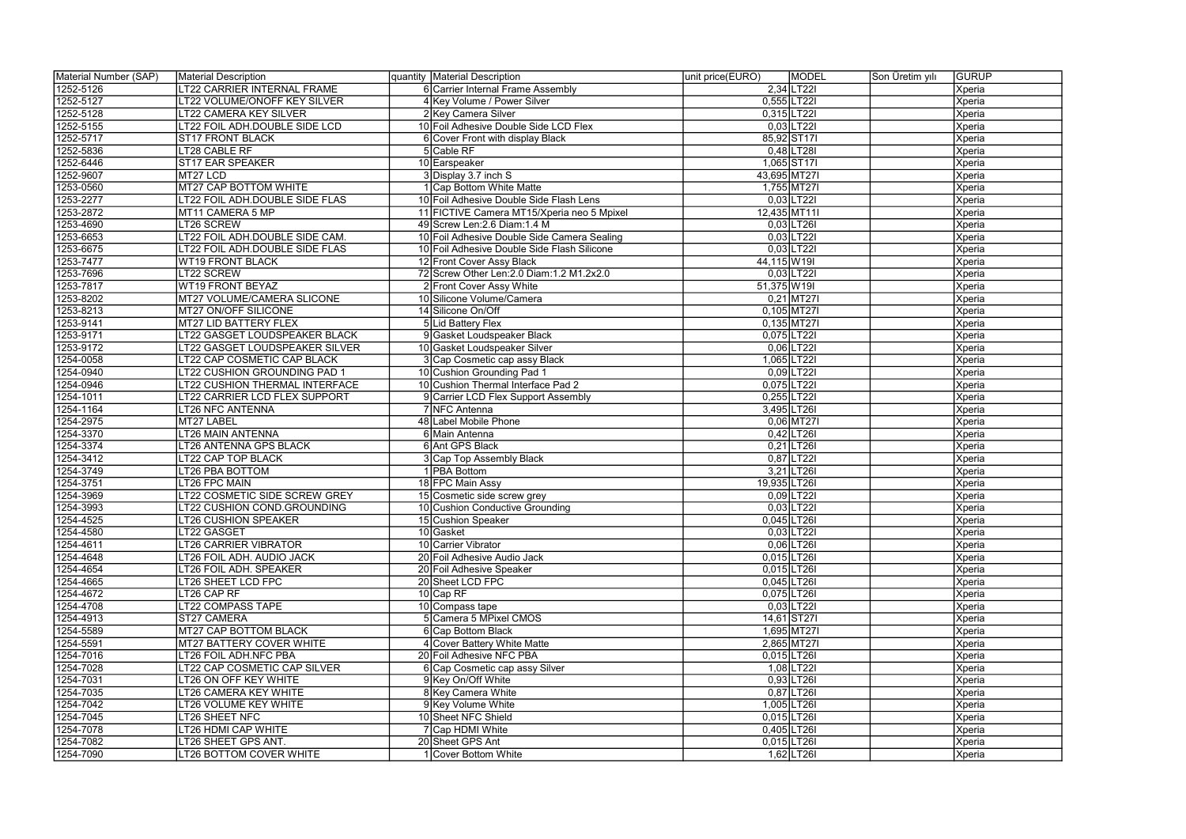| Material Number (SAP) | <b>Material Description</b>    | quantity Material Description               | unit price(EURO)<br><b>MODEL</b> | <b>GURUP</b><br>Son Üretim yılı |
|-----------------------|--------------------------------|---------------------------------------------|----------------------------------|---------------------------------|
| 1252-5126             | T22 CARRIER INTERNAL FRAME     | 6 Carrier Internal Frame Assembly           | 2,34 LT221                       | Xperia                          |
| 1252-5127             | T22 VOLUME/ONOFF KEY SILVER    | 4 Key Volume / Power Silver                 | 0,555 LT221                      | Xperia                          |
| 1252-5128             | T22 CAMERA KEY SILVER          | 2 Key Camera Silver                         | $0,315$ LT22I                    | Xperia                          |
| 1252-5155             | LT22 FOIL ADH.DOUBLE SIDE LCD  | 10 Foil Adhesive Double Side LCD Flex       | $0,03$ LT22I                     | Xperia                          |
| 1252-5717             | <b>ST17 FRONT BLACK</b>        | 6 Cover Front with display Black            | 85,92 ST17I                      | Xperia                          |
| 1252-5836             | LT28 CABLE RF                  | 5 Cable RF                                  | $0,48$  LT28I                    | Xperia                          |
| 1252-6446             | <b>ST17 EAR SPEAKER</b>        | 10 Earspeaker                               | 1,065 ST171                      | Xperia                          |
| 1252-9607             | MT27 LCD                       | 3 Display 3.7 inch S                        | 43,695 MT27I                     | Xperia                          |
| 1253-0560             | <b>MT27 CAP BOTTOM WHITE</b>   | 1 Cap Bottom White Matte                    | 1,755 MT27I                      | Xperia                          |
| 1253-2277             | T22 FOIL ADH.DOUBLE SIDE FLAS  | 10 Foil Adhesive Double Side Flash Lens     | $0,03$ LT221                     | Xperia                          |
| 1253-2872             | MT11 CAMERA 5 MP               | 11 FICTIVE Camera MT15/Xperia neo 5 Mpixel  | 12,435 MT111                     | Xperia                          |
| 1253-4690             | LT26 SCREW                     | 49 Screw Len: 2.6 Diam: 1.4 M               | $0,03$ LT26I                     | Xperia                          |
| 1253-6653             | T22 FOIL ADH.DOUBLE SIDE CAM.  | 10 Foil Adhesive Double Side Camera Sealing | $0,03$ LT221                     | Xperia                          |
| 1253-6675             | LT22 FOIL ADH.DOUBLE SIDE FLAS | 10 Foil Adhesive Double Side Flash Silicone | $0,03$ LT22I                     | Xperia                          |
| 1253-7477             | <b>WT19 FRONT BLACK</b>        | 12 Front Cover Assy Black                   | 44,115 W19I                      | Xperia                          |
| 1253-7696             | LT22 SCREW                     | 72 Screw Other Len: 2.0 Diam: 1.2 M1.2x2.0  | $0,03$ LT22I                     | Xperia                          |
| 1253-7817             | WT19 FRONT BEYAZ               | 2 Front Cover Assy White                    | 51,375 W19I                      | Xperia                          |
| 1253-8202             | MT27 VOLUME/CAMERA SLICONE     | 10 Silicone Volume/Camera                   | $0,21$ MT27I                     | Xperia                          |
| 1253-8213             | MT27 ON/OFF SILICONE           | 14 Silicone On/Off                          | $0,105$ MT27I                    | Xperia                          |
| 1253-9141             | MT27 LID BATTERY FLEX          | 5 Lid Battery Flex                          | 0,135 MT271                      | Xperia                          |
| 1253-9171             | T22 GASGET LOUDSPEAKER BLACK   | 9 Gasket Loudspeaker Black                  | 0,075 LT22I                      | Xperia                          |
| 1253-9172             | LT22 GASGET LOUDSPEAKER SILVER | 10 Gasket Loudspeaker Silver                | $0,06$  LT22I                    | Xperia                          |
| 1254-0058             | LT22 CAP COSMETIC CAP BLACK    | 3 Cap Cosmetic cap assy Black               | 1,065 LT221                      | Xperia                          |
| 1254-0940             | T22 CUSHION GROUNDING PAD 1    | 10 Cushion Grounding Pad 1                  | $0,09$  LT22I                    | Xperia                          |
| 1254-0946             | T22 CUSHION THERMAL INTERFACE  | 10 Cushion Thermal Interface Pad 2          | 0,075 LT22I                      | Xperia                          |
| 1254-1011             | T22 CARRIER LCD FLEX SUPPORT   | 9 Carrier LCD Flex Support Assembly         | 0,255 LT221                      | Xperia                          |
| 1254-1164             | LT26 NFC ANTENNA               | 7 NFC Antenna                               | 3,495 LT261                      | Xperia                          |
| 1254-2975             | MT27 LABEL                     | 48 Label Mobile Phone                       | $0,06$ MT27I                     | Xperia                          |
| 1254-3370             | T26 MAIN ANTENNA               | 6 Main Antenna                              | $0,42$ LT26I                     | Xperia                          |
| 1254-3374             | T26 ANTENNA GPS BLACK          | 6 Ant GPS Black                             | $0,21$ LT26I                     | Xperia                          |
| 1254-3412             | T22 CAP TOP BLACK              | 3 Cap Top Assembly Black                    | $0,87$ LT22I                     | Xperia                          |
| 1254-3749             | T26 PBA BOTTOM                 | 1 PBA Bottom                                | $3,21$ LT26I                     | Xperia                          |
| 1254-3751             | T26 FPC MAIN                   | 18 FPC Main Assy                            | 19,935 LT26I                     | Xperia                          |
| 1254-3969             | T22 COSMETIC SIDE SCREW GREY   | 15 Cosmetic side screw grey                 | $0,09$ LT221                     | Xperia                          |
| 1254-3993             | T22 CUSHION COND.GROUNDING     | 10 Cushion Conductive Grounding             | $0,03$ LT22I                     | Xperia                          |
| 1254-4525             | <b>LT26 CUSHION SPEAKER</b>    | 15 Cushion Speaker                          | $0,045$ LT26I                    | Xperia                          |
| 1254-4580             | LT22 GASGET                    | 10 Gasket                                   | $0,03$ LT22I                     | Xperia                          |
| 1254-4611             | LT26 CARRIER VIBRATOR          | 10 Carrier Vibrator                         | $0.06$ LT26I                     | Xperia                          |
| 1254-4648             | LT26 FOIL ADH. AUDIO JACK      | 20 Foil Adhesive Audio Jack                 | $0,015$ LT26I                    | Xperia                          |
| 1254-4654             | LT26 FOIL ADH. SPEAKER         | 20 Foil Adhesive Speaker                    | $0,015$ LT26I                    | Xperia                          |
| 1254-4665             | T26 SHEET LCD FPC              | 20 Sheet LCD FPC                            | $0,045$ LT26I                    | Xperia                          |
| 1254-4672             | LT26 CAP RF                    | $10$ Cap RF                                 | $0,075$ LT26I                    | Xperia                          |
| 1254-4708             | LT22 COMPASS TAPE              | 10 Compass tape                             | $0,03$ LT221                     | Xperia                          |
| 1254-4913             | ST27 CAMERA                    | 5 Camera 5 MPixel CMOS                      | 14,61 ST271                      | Xperia                          |
| 1254-5589             | MT27 CAP BOTTOM BLACK          | 6 Cap Bottom Black                          | 1,695 MT271                      | Xperia                          |
| 1254-5591             | MT27 BATTERY COVER WHITE       | 4 Cover Battery White Matte                 | 2,865 MT27I                      | Xperia                          |
| 1254-7016             | LT26 FOIL ADH.NFC PBA          | 20 Foil Adhesive NFC PBA                    | $0,015$ LT26I                    | Xperia                          |
| 1254-7028             | LT22 CAP COSMETIC CAP SILVER   | 6 Cap Cosmetic cap assy Silver              | $1,08$ LT221                     | Xperia                          |
| 1254-7031             | T26 ON OFF KEY WHITE           | 9 Key On/Off White                          | $0,93$ LT26I                     | Xperia                          |
| 1254-7035             | T26 CAMERA KEY WHITE           | 8 Key Camera White                          | $0,87$ LT26I                     | Xperia                          |
| 1254-7042             | T26 VOLUME KEY WHITE           | 9 Key Volume White                          | 1,005 LT261                      | Xperia                          |
| 1254-7045             | LT26 SHEET NFC                 | 10 Sheet NFC Shield                         | $0,015$ LT26I                    | Xperia                          |
| 1254-7078             | LT26 HDMI CAP WHITE            | 7 Cap HDMI White                            | $0,405$ LT26I                    | Xperia                          |
| 1254-7082             | LT26 SHEET GPS ANT.            | 20 Sheet GPS Ant                            | $0,015$ LT26I                    | Xperia                          |
| 1254-7090             | LT26 BOTTOM COVER WHITE        | 1 Cover Bottom White                        | 1,62 LT26                        | Xperia                          |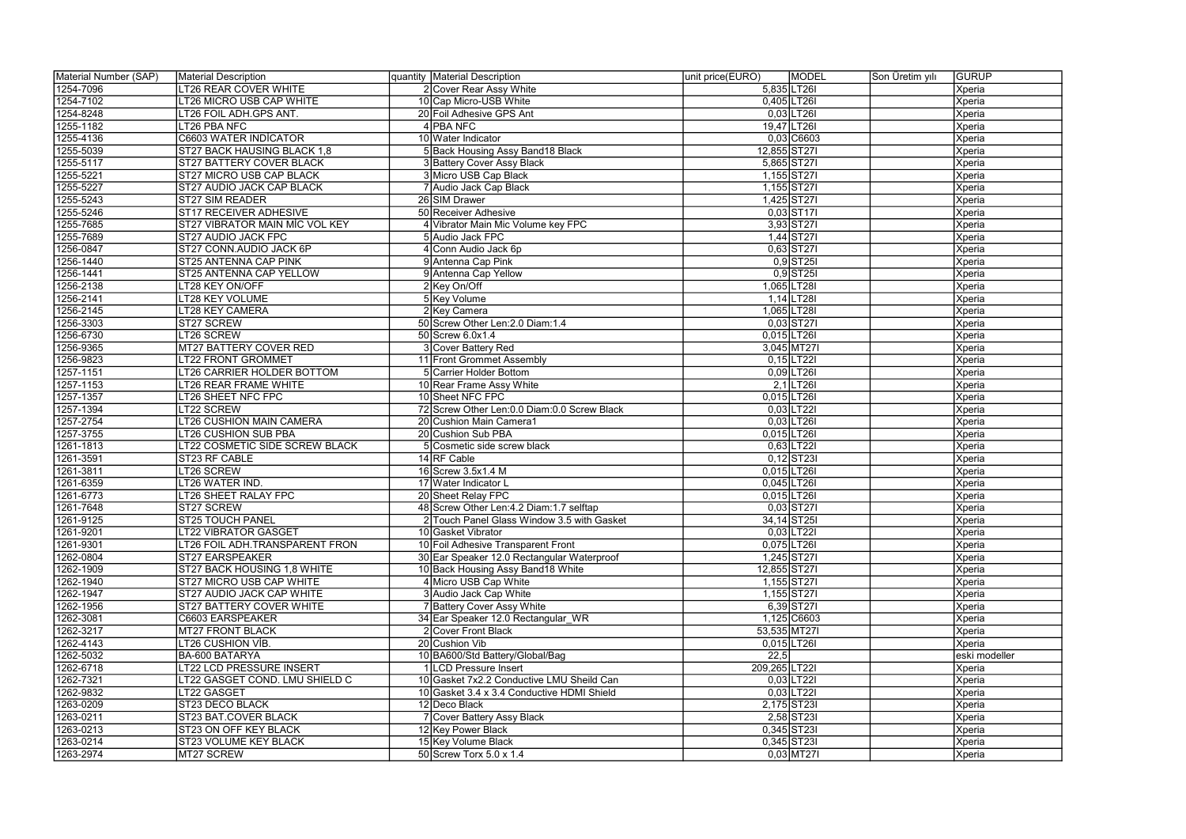| Material Number (SAP) | Material Description             | quantity Material Description                 | unit price(EURO) | MODEL         | Son Üretim yılı | <b>GURUP</b>  |
|-----------------------|----------------------------------|-----------------------------------------------|------------------|---------------|-----------------|---------------|
| 1254-7096             | LT26 REAR COVER WHITE            | 2 Cover Rear Assy White                       | 5,835 LT26I      |               |                 | Xperia        |
| 1254-7102             | LT26 MICRO USB CAP WHITE         | 10 Cap Micro-USB White                        | 0,405 LT26       |               |                 | Xperia        |
| 1254-8248             | LT26 FOIL ADH.GPS ANT.           | 20 Foil Adhesive GPS Ant                      |                  | $0,03$ LT26I  |                 | Xperia        |
| 1255-1182             | LT26 PBA NFC                     | 4 PBA NFC                                     | 19,47 LT26       |               |                 | Xperia        |
| 1255-4136             | <b>C6603 WATER INDICATOR</b>     | 10 Water Indicator                            |                  | $0,03$ C6603  |                 | Xperia        |
| 1255-5039             | ST27 BACK HAUSING BLACK 1,8      | 5 Back Housing Assy Band18 Black              | 12,855 ST271     |               |                 | Xperia        |
| 1255-5117             | ST27 BATTERY COVER BLACK         | 3 Battery Cover Assy Black                    |                  | 5,865 ST271   |                 | Xperia        |
| 1255-5221             | ST27 MICRO USB CAP BLACK         | 3 Micro USB Cap Black                         |                  | 1,155 ST271   |                 | Xperia        |
| 1255-5227             | ST27 AUDIO JACK CAP BLACK        | 7 Audio Jack Cap Black                        | 1,155 ST27       |               |                 | Xperia        |
| 1255-5243             | <b>ST27 SIM READER</b>           | 26 SIM Drawer                                 |                  | 1,425 ST27    |                 | Xperia        |
| 1255-5246             | ST17 RECEIVER ADHESIVE           | 50 Receiver Adhesive                          |                  | $0,03$ ST17I  |                 | Xperia        |
| 1255-7685             | ST27 VIBRATOR MAIN MİC VOL KEY   | 4 Vibrator Main Mic Volume key FPC            |                  | 3,93 ST27     |                 | Xperia        |
| 1255-7689             | ST27 AUDIO JACK FPC              | 5 Audio Jack FPC                              |                  | 1,44 ST271    |                 | Xperia        |
| 1256-0847             | ST27 CONN.AUDIO JACK 6P          | 4 Conn Audio Jack 6p                          |                  | $0,63$ ST27I  |                 | Xperia        |
| 1256-1440             | ST25 ANTENNA CAP PINK            | 9 Antenna Cap Pink                            |                  | $0,9$ ST25I   |                 | Xperia        |
| 1256-1441             | ST25 ANTENNA CAP YELLOW          | 9 Antenna Cap Yellow                          |                  | $0,9$ ST25I   |                 | Xperia        |
| 1256-2138             | LT28 KEY ON/OFF                  | $2$ Key On/Off                                |                  | 1,065 LT28I   |                 | Xperia        |
| 1256-2141             | LT28 KEY VOLUME                  | 5 Key Volume                                  |                  | $1,14$ LT28I  |                 | Xperia        |
| 1256-2145             | LT28 KEY CAMERA                  | 2 Key Camera                                  |                  | 1,065 LT28I   |                 | Xperia        |
| 1256-3303             | ST27 SCREW                       | 50 Screw Other Len: 2.0 Diam: 1.4             |                  | $0,03$ ST27I  |                 | Xperia        |
| 1256-6730             | LT26 SCREW                       | 50 Screw 6.0x1.4                              | 0,015 LT26       |               |                 | Xperia        |
| 1256-9365             | <b>MT27 BATTERY COVER RED</b>    | Cover Battery Red                             |                  | 3,045 MT27I   |                 | Xperia        |
| 1256-9823             | LT22 FRONT GROMMET               | 11 Front Grommet Assembly                     |                  | $0,15$ LT221  |                 | Xperia        |
| 1257-1151             | LT26 CARRIER HOLDER BOTTOM       | 5 Carrier Holder Bottom                       |                  | $0,09$ LT26I  |                 | Xperia        |
| 1257-1153             | LT26 REAR FRAME WHITE            | 10 Rear Frame Assy White                      |                  | $2,1$ LT26I   |                 | Xperia        |
| 1257-1357             | LT26 SHEET NFC FPC               | 10 Sheet NFC FPC                              | 0,015 LT26       |               |                 | Xperia        |
| 1257-1394             | LT22 SCREW                       | 72 Screw Other Len: 0.0 Diam: 0.0 Screw Black |                  | $0,03$ LT22I  |                 | Xperia        |
| 1257-2754             | LT26 CUSHION MAIN CAMERA         | 20 Cushion Main Camera1                       |                  | $0,03$ LT26I  |                 | Xperia        |
| 1257-3755             | <b>LT26 CUSHION SUB PBA</b>      | 20 Cushion Sub PBA                            | 0,015 LT26       |               |                 | Xperia        |
| 1261-1813             | LT22 COSMETIC SIDE SCREW BLACK   | 5 Cosmetic side screw black                   |                  | $0,63$ LT22I  |                 | Xperia        |
| 1261-3591             | ST23 RF CABLE                    | 14 RF Cable                                   |                  | $0,12$ ST23I  |                 | Xperia        |
| 1261-3811             | LT26 SCREW                       | 16 Screw 3.5x1.4 M                            | 0,015 LT26       |               |                 | Xperia        |
| 1261-6359             | LT26 WATER IND.                  | 17 Water Indicator L                          | 0,045 LT26I      |               |                 | Xperia        |
| 1261-6773             | LT26 SHEET RALAY FPC             | 20 Sheet Relay FPC                            | 0,015 LT26       |               |                 | Xperia        |
| 1261-7648             | ST27 SCREW                       | 48 Screw Other Len: 4.2 Diam: 1.7 selftap     |                  | $0,03$ ST27I  |                 | Xperia        |
| 1261-9125             | <b>ST25 TOUCH PANEL</b>          | 2 Touch Panel Glass Window 3.5 with Gasket    |                  | 34,14 ST25I   |                 | Xperia        |
| 1261-9201             | <b>LT22 VIBRATOR GASGET</b>      | 10 Gasket Vibrator                            |                  | $0,03$ LT22I  |                 | Xperia        |
| 1261-9301             | LT26 FOIL ADH.TRANSPARENT FRON   | 10 Foil Adhesive Transparent Front            |                  | 0,075 LT26    |                 | Xperia        |
| 1262-0804             | <b>ST27 EARSPEAKER</b>           | 30 Ear Speaker 12.0 Rectangular Waterproof    |                  | 1,245 ST271   |                 | <b>Xperia</b> |
| 1262-1909             | ST27 BACK HOUSING 1,8 WHITE      | 10 Back Housing Assy Band18 White             | 12,855 ST271     |               |                 | <b>Xperia</b> |
| 1262-1940             | ST27 MICRO USB CAP WHITE         | 4 Micro USB Cap White                         |                  | 1,155 ST271   |                 | Xperia        |
| 1262-1947             | <b>ST27 AUDIO JACK CAP WHITE</b> | 3 Audio Jack Cap White                        |                  | 1,155 ST271   |                 | <b>Xperia</b> |
| 1262-1956             | ST27 BATTERY COVER WHITE         | 7 Battery Cover Assy White                    |                  | $6,39$ ST27I  |                 | Xperia        |
| 1262-3081             | C6603 EARSPEAKER                 | 34 Ear Speaker 12.0 Rectangular WR            |                  | 1,125 C6603   |                 | <b>Xperia</b> |
| 1262-3217             | <b>MT27 FRONT BLACK</b>          | 2 Cover Front Black                           | 53,535 MT27I     |               |                 | <b>Xperia</b> |
| 1262-4143             | LT26 CUSHION VIB.                | 20 Cushion Vib                                |                  | $0,015$ LT26I |                 | Xperia        |
| 1262-5032             | BA-600 BATARYA                   | 10 BA600/Std Battery/Global/Bag               | 22,5             |               |                 | eski modeller |
| 1262-6718             | <b>LT22 LCD PRESSURE INSERT</b>  | <b>ILCD Pressure Insert</b>                   | 209,265 LT22I    |               |                 | Xperia        |
| 1262-7321             | LT22 GASGET COND. LMU SHIELD C   | 10 Gasket 7x2.2 Conductive LMU Sheild Can     |                  | $0,03$ LT22I  |                 | Xperia        |
| 1262-9832             | LT22 GASGET                      | 10 Gasket 3.4 x 3.4 Conductive HDMI Shield    |                  | $0,03$ LT221  |                 | Xperia        |
| 1263-0209             | ST23 DECO BLACK                  | 12 Deco Black                                 |                  | 2,175 ST231   |                 | Xperia        |
| 1263-0211             | ST23 BAT.COVER BLACK             | 7 Cover Battery Assy Black                    |                  | 2,58 ST231    |                 | <b>Xperia</b> |
| 1263-0213             | ST23 ON OFF KEY BLACK            | 12 Key Power Black                            |                  | $0,345$ ST23I |                 | Xperia        |
| 1263-0214             | ST23 VOLUME KEY BLACK            | 15 Key Volume Black                           |                  | $0,345$ ST23I |                 | <b>Xperia</b> |
| 1263-2974             | MT27 SCREW                       | 50 Screw Torx 5.0 x 1.4                       |                  | $0,03$ MT27I  |                 | Xperia        |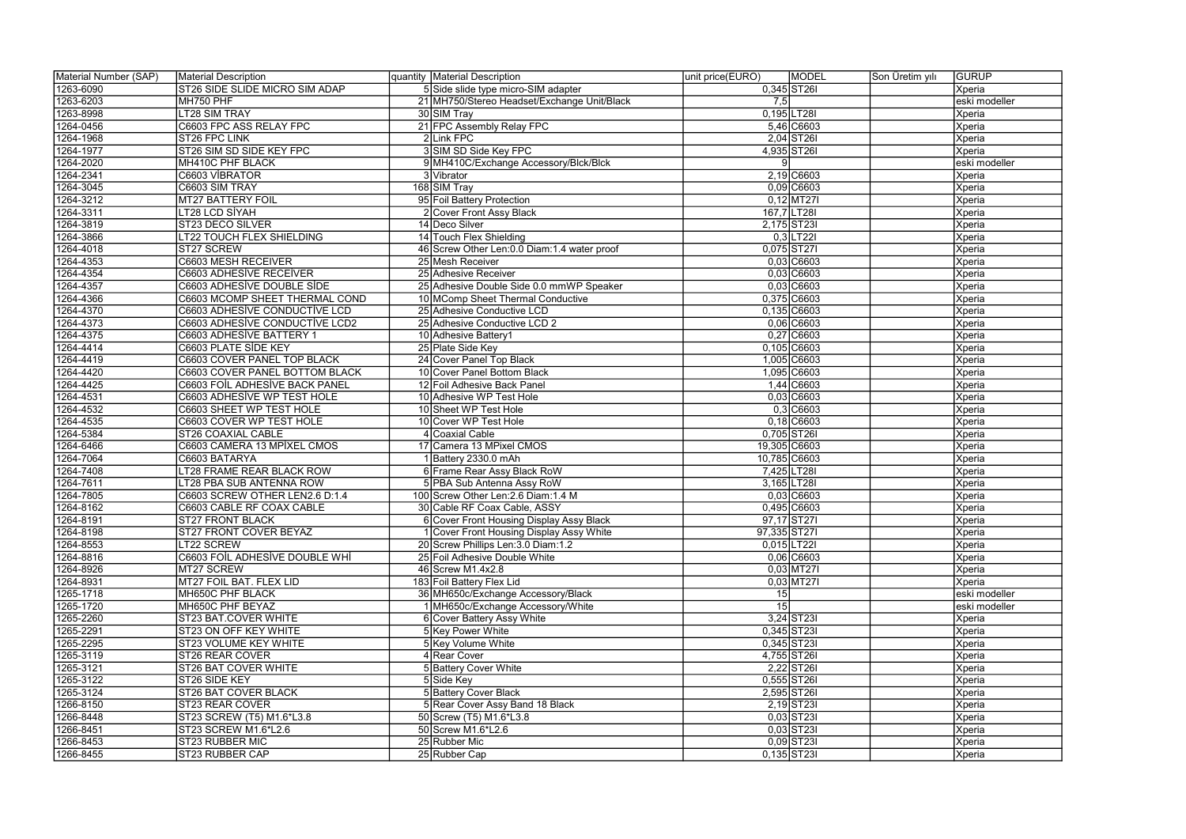| Material Number (SAP) | Material Description           | quantity Material Description                 | unit price(EURO) | MODEL                   | Son Üretim yılı | <b>GURUP</b>  |
|-----------------------|--------------------------------|-----------------------------------------------|------------------|-------------------------|-----------------|---------------|
| 1263-6090             | ST26 SIDE SLIDE MICRO SIM ADAP | 5 Side slide type micro-SIM adapter           | $0,345$ ST26I    |                         |                 | Xperia        |
| 1263-6203             | MH750 PHF                      | 21 MH750/Stereo Headset/Exchange Unit/Black   | 7,5              |                         |                 | eski modeller |
| 1263-8998             | <b>LT28 SIM TRAY</b>           | 30 SIM Tray                                   | 0,195 LT28       |                         |                 | Xperia        |
| 1264-0456             | C6603 FPC ASS RELAY FPC        | 21 FPC Assembly Relay FPC                     |                  | 5,46 C6603              |                 | Xperia        |
| 1264-1968             | ST26 FPC LINK                  | 2Link FPC                                     |                  | $2,04$ ST <sub>26</sub> |                 | Xperia        |
| 1264-1977             | ST26 SIM SD SIDE KEY FPC       | 3 SIM SD Side Key FPC                         | 4,935 ST26       |                         |                 | <b>Xperia</b> |
| 1264-2020             | MH410C PHF BLACK               | 9 MH410C/Exchange Accessory/Blck/Blck         |                  |                         |                 | eski modeller |
| 1264-2341             | C6603 VIBRATOR                 | 3 Vibrator                                    |                  | $2,19$ C6603            |                 | Xperia        |
| 1264-3045             | C6603 SIM TRAY                 | 168 SIM Tray                                  |                  | 0,09 C6603              |                 | Xperia        |
| 1264-3212             | <b>MT27 BATTERY FOIL</b>       | 95 Foil Battery Protection                    |                  | $0,12$ MT27I            |                 | Xperia        |
| 1264-3311             | LT28 LCD SİYAH                 | 2 Cover Front Assy Black                      | 167,7 LT28I      |                         |                 | Xperia        |
| 1264-3819             | ST23 DECO SILVER               | 14 Deco Silver                                | 2,175 ST231      |                         |                 | Xperia        |
| 1264-3866             | LT22 TOUCH FLEX SHIELDING      | 14 Touch Flex Shielding                       |                  | $0,3$ LT22I             |                 | Xperia        |
| 1264-4018             | ST27 SCREW                     | 46 Screw Other Len: 0.0 Diam: 1.4 water proof |                  | 0,075 ST271             |                 | Xperia        |
| 1264-4353             | C6603 MESH RECEIVER            | 25 Mesh Receiver                              |                  | $0,03$ C6603            |                 | Xperia        |
| 1264-4354             | <b>C6603 ADHESİVE RECEİVER</b> | 25 Adhesive Receiver                          |                  | 0,03 C6603              |                 | Xperia        |
| 1264-4357             | C6603 ADHESİVE DOUBLE SİDE     | 25 Adhesive Double Side 0.0 mmWP Speaker      |                  | 0,03 C6603              |                 | Xperia        |
|                       |                                |                                               |                  |                         |                 |               |
| 1264-4366             | C6603 MCOMP SHEET THERMAL COND | 10 MComp Sheet Thermal Conductive             |                  | 0,375 C6603             |                 | Xperia        |
| 1264-4370             | C6603 ADHESİVE CONDUCTİVE LCD  | 25 Adhesive Conductive LCD                    |                  | 0,135 C6603             |                 | Xperia        |
| 1264-4373             | C6603 ADHESİVE CONDUCTİVE LCD2 | 25 Adhesive Conductive LCD 2                  |                  | $0,06$ $C6603$          |                 | Xperia        |
| 1264-4375             | C6603 ADHESİVE BATTERY 1       | 10 Adhesive Battery1                          |                  | 0,27 C6603              |                 | Xperia        |
| 1264-4414             | C6603 PLATE SİDE KEY           | 25 Plate Side Key                             |                  | 0,105 C6603             |                 | Xperia        |
| 1264-4419             | C6603 COVER PANEL TOP BLACK    | 24 Cover Panel Top Black                      |                  | 1,005 C6603             |                 | Xperia        |
| 1264-4420             | C6603 COVER PANEL BOTTOM BLACK | 10 Cover Panel Bottom Black                   |                  | 1,095 C6603             |                 | Xperia        |
| 1264-4425             | C6603 FOIL ADHESIVE BACK PANEL | 12 Foil Adhesive Back Panel                   |                  | 1,44 C6603              |                 | Xperia        |
| 1264-4531             | C6603 ADHESİVE WP TEST HOLE    | 10 Adhesive WP Test Hole                      |                  | 0,03 C6603              |                 | Xperia        |
| 1264-4532             | C6603 SHEET WP TEST HOLE       | 10 Sheet WP Test Hole                         |                  | $0,3$ C6603             |                 | Xperia        |
| 1264-4535             | C6603 COVER WP TEST HOLE       | 10 Cover WP Test Hole                         |                  | $0,18$ C6603            |                 | Xperia        |
| 1264-5384             | ST26 COAXIAL CABLE             | 4 Coaxial Cable                               | 0,705 ST26       |                         |                 | Xperia        |
| 1264-6466             | C6603 CAMERA 13 MPİXEL CMOS    | 17 Camera 13 MPixel CMOS                      | 19,305 C6603     |                         |                 | Xperia        |
| 1264-7064             | C6603 BATARYA                  | 1 Battery 2330.0 mAh                          | 10,785 C6603     |                         |                 | Xperia        |
| 1264-7408             | LT28 FRAME REAR BLACK ROW      | 6 Frame Rear Assy Black RoW                   | 7,425 LT28       |                         |                 | Xperia        |
| 1264-7611             | LT28 PBA SUB ANTENNA ROW       | 5 PBA Sub Antenna Assy RoW                    | 3,165 LT28I      |                         |                 | Xperia        |
| 1264-7805             | C6603 SCREW OTHER LEN2.6 D:1.4 | 100 Screw Other Len: 2.6 Diam: 1.4 M          |                  | $0,03$ C6603            |                 | Xperia        |
| 1264-8162             | C6603 CABLE RF COAX CABLE      | 30 Cable RF Coax Cable, ASSY                  |                  | 0,495 C6603             |                 | Xperia        |
| 1264-8191             | <b>ST27 FRONT BLACK</b>        | 6 Cover Front Housing Display Assy Black      |                  | 97,17 ST271             |                 | Xperia        |
| 1264-8198             | ST27 FRONT COVER BEYAZ         | Cover Front Housing Display Assy White        | 97,335 ST271     |                         |                 | Xperia        |
| 1264-8553             | LT22 SCREW                     | 20 Screw Phillips Len: 3.0 Diam: 1.2          |                  | $0,015$ LT221           |                 | Xperia        |
| 1264-8816             | C6603 FOIL ADHESIVE DOUBLE WHI | 25 Foil Adhesive Double White                 |                  | $0,06$ C6603            |                 | Xperia        |
| 1264-8926             | MT27 SCREW                     | 46 Screw M1.4x2.8                             |                  | $0,03$ MT27I            |                 | Xperia        |
| 1264-8931             | MT27 FOIL BAT. FLEX LID        | 183 Foil Battery Flex Lid                     |                  | $0,03$ MT27I            |                 | Xperia        |
| 1265-1718             | MH650C PHF BLACK               | 36 MH650c/Exchange Accessory/Black            | 15               |                         |                 | eski modeller |
| 1265-1720             | MH650C PHF BEYAZ               | 1 MH650c/Exchange Accessory/White             | 15               |                         |                 | eski modeller |
| 1265-2260             | ST23 BAT.COVER WHITE           | 6 Cover Battery Assy White                    |                  | $3,24$ ST23I            |                 | Xperia        |
| 1265-2291             | ST23 ON OFF KEY WHITE          | 5 Key Power White                             |                  | $0,345$ ST23I           |                 | Xperia        |
| 1265-2295             | <b>ST23 VOLUME KEY WHITE</b>   | 5 Key Volume White                            |                  | $0,345$ ST23I           |                 | Xperia        |
| 1265-3119             | <b>ST26 REAR COVER</b>         | 4 Rear Cover                                  |                  | 4,755 ST261             |                 | Xperia        |
| 1265-3121             | ST26 BAT COVER WHITE           | 5 Battery Cover White                         |                  | 2,22 ST26               |                 | Xperia        |
| 1265-3122             | ST26 SIDE KEY                  | 5 Side Key                                    |                  | $0,555$ ST26I           |                 | Xperia        |
| 1265-3124             | ST26 BAT COVER BLACK           | 5 Battery Cover Black                         |                  | 2,595 ST26              |                 | Xperia        |
| 1266-8150             | ST23 REAR COVER                | 5 Rear Cover Assy Band 18 Black               |                  | $2,19$ ST23I            |                 | Xperia        |
| 1266-8448             | ST23 SCREW (T5) M1.6*L3.8      | 50 Screw (T5) M1.6*L3.8                       |                  | $0,03$ ST23I            |                 | Xperia        |
| 1266-8451             | ST23 SCREW M1.6*L2.6           | 50 Screw M1.6*L2.6                            |                  | $0,03$ ST23I            |                 | Xperia        |
| 1266-8453             | ST23 RUBBER MIC                | 25 Rubber Mic                                 |                  | $0,09$ ST23I            |                 | Xperia        |
| 1266-8455             | ST23 RUBBER CAP                | 25 Rubber Cap                                 |                  | $0,135$ ST23I           |                 | Xperia        |
|                       |                                |                                               |                  |                         |                 |               |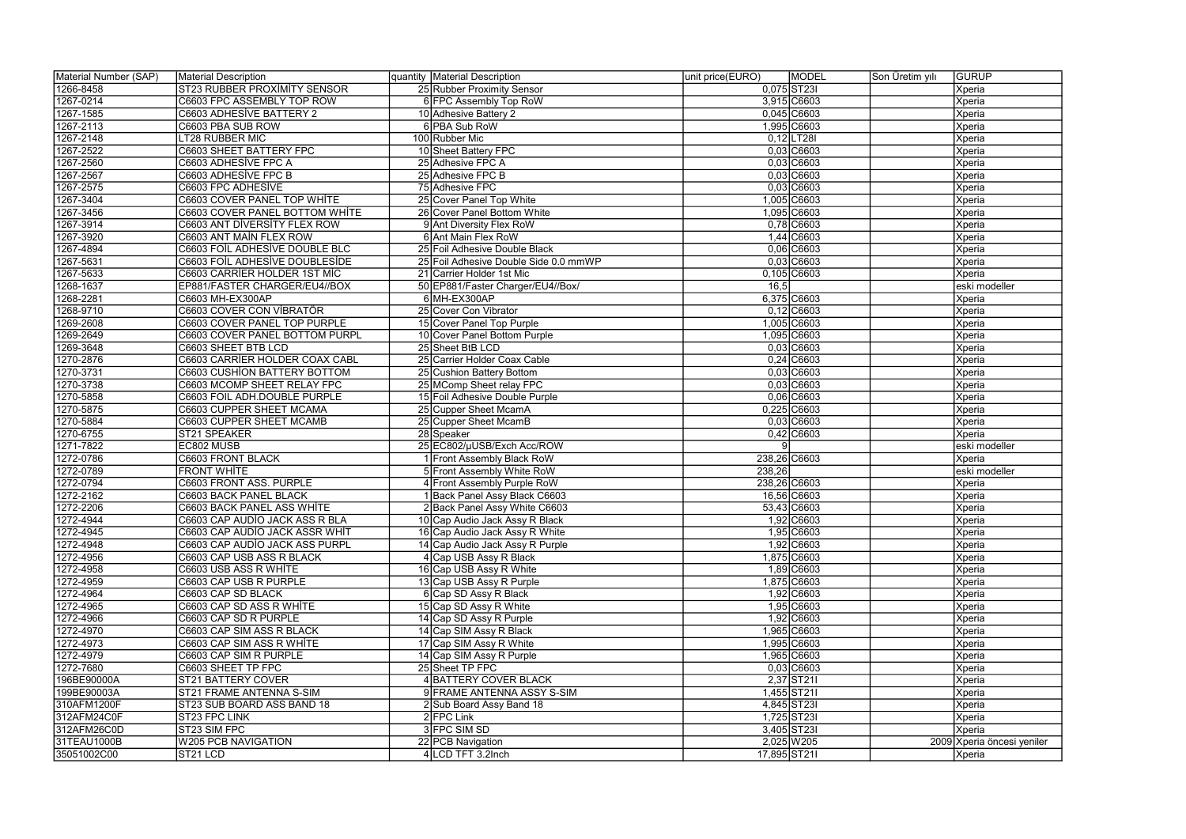| Material Number (SAP) | Material Description                | quantity Material Description         | unit price(EURO) | MODEL          | Son Üretim yılı | <b>GURUP</b>               |
|-----------------------|-------------------------------------|---------------------------------------|------------------|----------------|-----------------|----------------------------|
| 1266-8458             | <b>ST23 RUBBER PROXIMITY SENSOR</b> | 25 Rubber Proximity Sensor            |                  | 0,075 ST23I    |                 | Xperia                     |
| 1267-0214             | C6603 FPC ASSEMBLY TOP ROW          | 6 FPC Assembly Top RoW                |                  | 3,915 C6603    |                 | Xperia                     |
| 1267-1585             | C6603 ADHESİVE BATTERY 2            | 10 Adhesive Battery 2                 |                  | $0,045$ C6603  |                 | Xperia                     |
| 1267-2113             | C6603 PBA SUB ROW                   | 6 PBA Sub RoW                         |                  | 1,995 C6603    |                 | Xperia                     |
| 1267-2148             | LT28 RUBBER MIC                     | 100 Rubber Mic                        |                  | $0,12$ LT28I   |                 | Xperia                     |
| 1267-2522             | C6603 SHEET BATTERY FPC             | 10 Sheet Battery FPC                  |                  | $0,03$ C6603   |                 | Xperia                     |
| 1267-2560             | C6603 ADHESİVE FPC A                | 25 Adhesive FPC A                     |                  | $0,03$ C6603   |                 | Xperia                     |
| 1267-2567             | C6603 ADHESİVE FPC B                | 25 Adhesive FPC B                     |                  | $0,03$ C6603   |                 | Xperia                     |
| 1267-2575             | C6603 FPC ADHESİVE                  | 75 Adhesive FPC                       |                  | $0,03$ C6603   |                 | Xperia                     |
| 1267-3404             | C6603 COVER PANEL TOP WHITE         | 25 Cover Panel Top White              |                  | 1,005 C6603    |                 | Xperia                     |
| 1267-3456             | C6603 COVER PANEL BOTTOM WHITE      | 26 Cover Panel Bottom White           |                  | 1,095 C6603    |                 | Xperia                     |
| 1267-3914             | C6603 ANT DIVERSITY FLEX ROW        | 9 Ant Diversity Flex RoW              |                  | 0,78 C6603     |                 | Xperia                     |
| 1267-3920             | C6603 ANT MAIN FLEX ROW             | 6 Ant Main Flex RoW                   |                  | 1,44 C6603     |                 | Xperia                     |
| 1267-4894             | C6603 FOIL ADHESIVE DOUBLE BLC      | 25 Foil Adhesive Double Black         |                  | 0,06 C6603     |                 | Xperia                     |
| 1267-5631             | C6603 FOIL ADHESIVE DOUBLESIDE      | 25 Foil Adhesive Double Side 0.0 mmWP |                  | $0,03$ $C6603$ |                 | Xperia                     |
| 1267-5633             | C6603 CARRIER HOLDER 1ST MIC        | 21 Carrier Holder 1st Mic             |                  | 0,105 C6603    |                 | Xperia                     |
| 1268-1637             | EP881/FASTER CHARGER/EU4//BOX       | 50 EP881/Faster Charger/EU4//Box/     | 16,5             |                |                 | eski modeller              |
| 1268-2281             | C6603 MH-EX300AP                    | 6MH-EX300AP                           |                  | 6,375 C6603    |                 | Xperia                     |
| 1268-9710             | C6603 COVER CON VİBRATÖR            | 25 Cover Con Vibrator                 |                  | $0,12$ C6603   |                 | Xperia                     |
| 1269-2608             | C6603 COVER PANEL TOP PURPLE        | 15 Cover Panel Top Purple             |                  | 1,005 C6603    |                 | Xperia                     |
| 1269-2649             | C6603 COVER PANEL BOTTOM PURPL      | 10 Cover Panel Bottom Purple          |                  | 1,095 C6603    |                 | Xperia                     |
| 1269-3648             | C6603 SHEET BTB LCD                 | 25 Sheet BtB LCD                      |                  | $0,03$ C6603   |                 | Xperia                     |
| 1270-2876             | C6603 CARRIER HOLDER COAX CABL      | 25 Carrier Holder Coax Cable          |                  | $0,24$ $C6603$ |                 | Xperia                     |
| 1270-3731             | C6603 CUSHION BATTERY BOTTOM        | 25 Cushion Battery Bottom             |                  | $0,03$ C6603   |                 | Xperia                     |
| 1270-3738             | C6603 MCOMP SHEET RELAY FPC         | 25 MComp Sheet relay FPC              |                  | $0,03$ $C6603$ |                 | Xperia                     |
| 1270-5858             | C6603 FOIL ADH.DOUBLE PURPLE        | 15 Foil Adhesive Double Purple        |                  | $0,06$ $C6603$ |                 | Xperia                     |
| 1270-5875             | C6603 CUPPER SHEET MCAMA            | 25 Cupper Sheet McamA                 |                  | 0,225 C6603    |                 | Xperia                     |
| 1270-5884             | C6603 CUPPER SHEET MCAMB            | 25 Cupper Sheet McamB                 |                  | $0,03$ $C6603$ |                 | <b>Xperia</b>              |
| 1270-6755             | ST21 SPEAKER                        | 28 Speaker                            |                  | $0,42$ C6603   |                 | <b>Xperia</b>              |
| 1271-7822             | EC802 MUSB                          | 25 EC802/µUSB/Exch Acc/ROW            |                  |                |                 | eski modeller              |
| 1272-0786             | <b>C6603 FRONT BLACK</b>            | Front Assembly Black RoW              | 238,26 C6603     |                |                 | Xperia                     |
| 1272-0789             | <b>FRONT WHITE</b>                  | 5 Front Assembly White RoW            | 238,26           |                |                 | eski modeller              |
| 1272-0794             | C6603 FRONT ASS. PURPLE             | 4 Front Assembly Purple RoW           | 238,26 C6603     |                |                 | Xperia                     |
| 1272-2162             | C6603 BACK PANEL BLACK              | Back Panel Assy Black C6603           |                  | 16,56 C6603    |                 | Xperia                     |
| 1272-2206             | C6603 BACK PANEL ASS WHITE          | 2 Back Panel Assy White C6603         |                  | 53,43 C6603    |                 | Xperia                     |
| 1272-4944             | C6603 CAP AUDIO JACK ASS R BLA      | 10 Cap Audio Jack Assy R Black        |                  | 1,92 C6603     |                 | Xperia                     |
| 1272-4945             | C6603 CAP AUDIO JACK ASSR WHIT      | 16 Cap Audio Jack Assy R White        |                  | 1,95 C6603     |                 | Xperia                     |
| 1272-4948             | C6603 CAP AUDIO JACK ASS PURPL      | 14 Cap Audio Jack Assy R Purple       |                  | 1,92 C6603     |                 | Xperia                     |
| 1272-4956             | C6603 CAP USB ASS R BLACK           | 4 Cap USB Assy R Black                |                  | 1,875 C6603    |                 | <b>Xperia</b>              |
| 1272-4958             | C6603 USB ASS R WHITE               | 16 Cap USB Assy R White               |                  | 1,89 C6603     |                 | <b>Xperia</b>              |
| 1272-4959             | C6603 CAP USB R PURPLE              | 13 Cap USB Assy R Purple              |                  | 1,875 C6603    |                 | Xperia                     |
| 1272-4964             | C6603 CAP SD BLACK                  | 6 Cap SD Assy R Black                 |                  | 1,92 C6603     |                 | Xperia                     |
| 1272-4965             | C6603 CAP SD ASS R WHITE            | 15 Cap SD Assy R White                |                  | 1,95 C6603     |                 | Xperia                     |
| 1272-4966             | C6603 CAP SD R PURPLE               | 14 Cap SD Assy R Purple               |                  | 1,92 C6603     |                 | <b>Xperia</b>              |
| 1272-4970             | C6603 CAP SIM ASS R BLACK           | 14 Cap SIM Assy R Black               |                  | 1,965 C6603    |                 | <b>Xperia</b>              |
| 1272-4973             | C6603 CAP SIM ASS R WHITE           | 17 Cap SIM Assy R White               |                  | 1,995 C6603    |                 | Xperia                     |
| 1272-4979             | C6603 CAP SIM R PURPLE              | 14 Cap SIM Assy R Purple              |                  | 1,965 C6603    |                 | <b>Xperia</b>              |
| 1272-7680             | C6603 SHEET TP FPC                  | 25 Sheet TP FPC                       |                  | $0,03$ $C6603$ |                 | Xperia                     |
| 196BE90000A           | <b>ST21 BATTERY COVER</b>           | 4 BATTERY COVER BLACK                 |                  | 2,37 ST21      |                 | Xperia                     |
| 199BE90003A           | ST21 FRAME ANTENNA S-SIM            | 9 FRAME ANTENNA ASSY S-SIM            |                  | 1,455 ST211    |                 | Xperia                     |
| 310AFM1200F           | ST23 SUB BOARD ASS BAND 18          | 2 Sub Board Assy Band 18              |                  | 4,845 ST23I    |                 | Xperia                     |
| 312AFM24C0F           | ST23 FPC LINK                       | $2$ FPC Link                          |                  | 1,725 ST23I    |                 | <b>Xperia</b>              |
| 312AFM26C0D           | ST23 SIM FPC                        | 3 FPC SIM SD                          |                  | 3,405 ST23I    |                 | <b>Xperia</b>              |
| 31TEAU1000B           | <b>W205 PCB NAVIGATION</b>          | 22 PCB Navigation                     |                  | 2,025 W 205    |                 | 2009 Xperia öncesi yeniler |
| 35051002C00           | ST21 LCD                            | 4 LCD TFT 3.2Inch                     | 17,895 ST211     |                |                 | Xperia                     |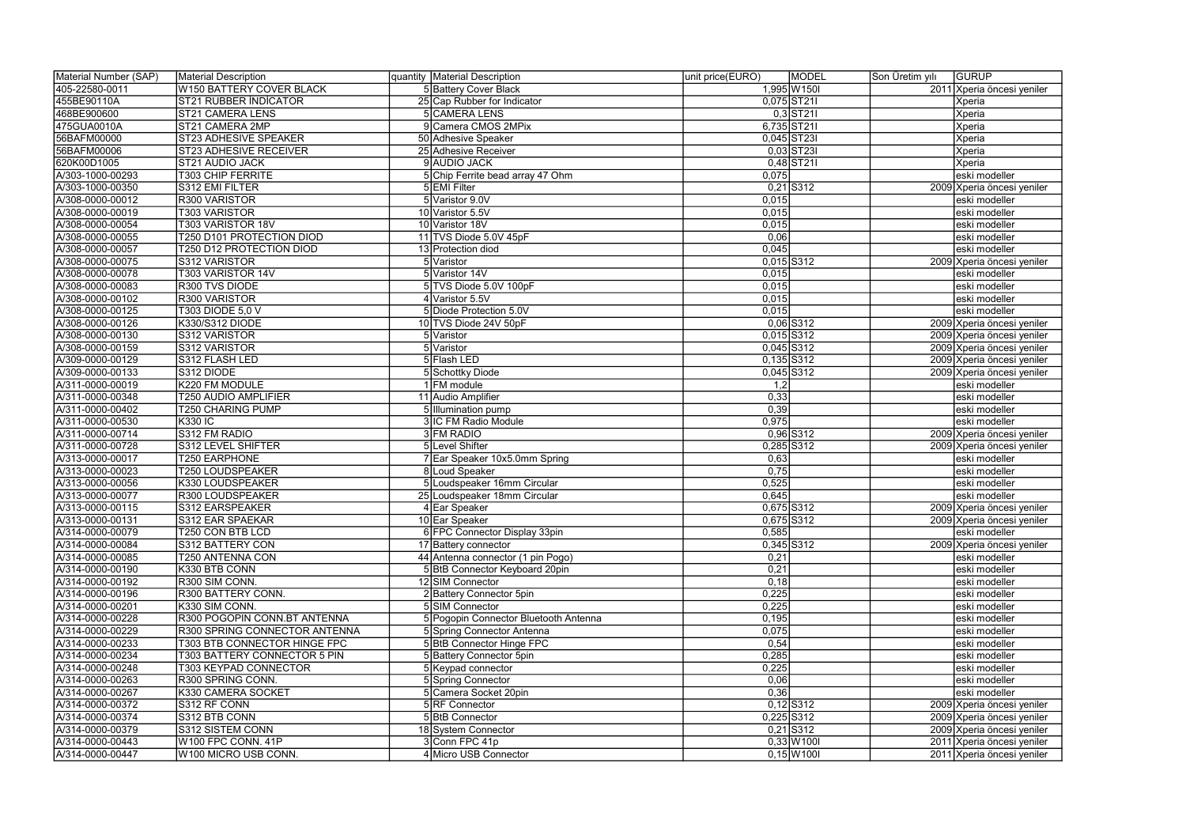| Material Number (SAP)                | Material Description                 | quantity Material Description         | unit price(EURO)<br><b>MODEL</b> | Son Üretim yılı | <b>GURUP</b>                                |
|--------------------------------------|--------------------------------------|---------------------------------------|----------------------------------|-----------------|---------------------------------------------|
| 405-22580-0011                       | <b>W150 BATTERY COVER BLACK</b>      | 5 Battery Cover Black                 | 1,995 W 150                      |                 | 2011 Xperia öncesi yeniler                  |
| 455BE90110A                          | <b>ST21 RUBBER INDICATOR</b>         | 25 Cap Rubber for Indicator           | 0,075 ST211                      |                 | Xperia                                      |
| 468BE900600                          | <b>ST21 CAMERA LENS</b>              | <b>5 CAMERA LENS</b>                  | $0,3$ ST211                      |                 | Xperia                                      |
| 475GUA0010A                          | ST21 CAMERA 2MP                      | 9 Camera CMOS 2MPix                   | 6,735 ST211                      |                 | Xperia                                      |
| 56BAFM00000                          | <b>ST23 ADHESIVE SPEAKER</b>         | 50 Adhesive Speaker                   | $0,045$ ST23I                    |                 | Xperia                                      |
| 56BAFM00006                          | <b>ST23 ADHESIVE RECEIVER</b>        | 25 Adhesive Receiver                  | $0,03$ ST23I                     |                 | Xperia                                      |
| 620K00D1005                          | ST21 AUDIO JACK                      | 9 AUDIO JACK                          | $0,48$ ST211                     |                 | Xperia                                      |
| A/303-1000-00293                     | <b>T303 CHIP FERRITE</b>             | 5 Chip Ferrite bead array 47 Ohm      | 0,075                            |                 | eski modeller                               |
| A/303-1000-00350                     | S312 EMI FILTER                      | 5 EMI Filter                          | $0,21$ S312                      |                 | 2009 Xperia öncesi yeniler                  |
| A/308-0000-00012                     | R300 VARISTOR                        | 5 Varistor 9.0V                       | 0,015                            |                 | eski modeller                               |
| A/308-0000-00019                     | <b>T303 VARISTOR</b>                 | 10 Varistor 5.5V                      | 0,015                            |                 | eski modeller                               |
| A/308-0000-00054                     | T303 VARISTOR 18V                    | 10 Varistor 18V                       | 0,015                            |                 | eski modeller                               |
| A/308-0000-00055                     | T250 D101 PROTECTION DIOD            | 11 TVS Diode 5.0V 45pF                | 0,06                             |                 | eski modeller                               |
| A/308-0000-00057                     | T250 D12 PROTECTION DIOD             | 13 Protection diod                    | 0,045                            |                 | eski modeller                               |
| A/308-0000-00075                     | S312 VARISTOR                        | 5 Varistor                            | $0,015$ S312                     |                 | 2009 Xperia öncesi yeniler                  |
| A/308-0000-00078                     | T303 VARISTOR 14V                    | 5 Varistor 14V                        | 0,015                            |                 | eski modeller                               |
| A/308-0000-00083                     | R300 TVS DIODE                       | 5 TVS Diode 5.0V 100pF                | 0,015                            |                 | eski modeller                               |
| A/308-0000-00102                     | R300 VARISTOR                        | 4 Varistor 5.5V                       | 0,015                            |                 | eski modeller                               |
| A/308-0000-00125                     | T303 DIODE 5,0 V                     | 5 Diode Protection 5.0V               | 0,015                            |                 | eski modeller                               |
| A/308-0000-00126                     | K330/S312 DIODE                      | 10 TVS Diode 24V 50pF                 | $0,06$ S312                      |                 | 2009 Xperia öncesi yeniler                  |
| A/308-0000-00130                     | S312 VARISTOR                        | 5 Varistor                            | $0,015$ S312                     |                 | 2009 Xperia öncesi yeniler                  |
| A/308-0000-00159                     | S312 VARISTOR                        | 5 Varistor                            | $0,045$ S312                     |                 | 2009 Xperia öncesi yeniler                  |
| A/309-0000-00129                     | S312 FLASH LED                       | 5 Flash LED                           | $0,135$ S312                     |                 | 2009 Xperia öncesi yeniler                  |
| A/309-0000-00133                     | S312 DIODE                           | 5 Schottky Diode                      | $0,045$ S312                     |                 | 2009 Xperia öncesi yeniler                  |
| A/311-0000-00019                     | K220 FM MODULE                       | 1 FM module                           | 1,2                              |                 | eski modeller                               |
| A/311-0000-00348                     | T250 AUDIO AMPLIFIER                 | 11 Audio Amplifier                    | 0,33                             |                 | eski modeller                               |
| A/311-0000-00402                     | T250 CHARING PUMP                    | 5 Illumination pump                   | 0,39                             |                 | eski modeller                               |
| A/311-0000-00530                     | <b>K330 IC</b>                       | 3 IC FM Radio Module                  | 0,975                            |                 | eski modeller                               |
| A/311-0000-00714                     | S312 FM RADIO                        | 3 FM RADIO                            | $0,96$ S312                      |                 | 2009 Xperia öncesi yeniler                  |
| A/311-0000-00728                     | S312 LEVEL SHIFTER                   | 5 Level Shifter                       | 0,285 S312                       |                 |                                             |
| A/313-0000-00017                     | <b>T250 EARPHONE</b>                 |                                       |                                  |                 | 2009 Xperia öncesi yeniler<br>eski modeller |
|                                      |                                      | 7 Ear Speaker 10x5.0mm Spring         | 0,63                             |                 |                                             |
| A/313-0000-00023                     | <b>T250 LOUDSPEAKER</b>              | 8 Loud Speaker                        | 0,75                             |                 | eski modeller                               |
| A/313-0000-00056<br>A/313-0000-00077 | K330 LOUDSPEAKER<br>R300 LOUDSPEAKER | 5 Loudspeaker 16mm Circular           | 0,525                            |                 | eski modeller                               |
| A/313-0000-00115                     | S312 EARSPEAKER                      | 25 Loudspeaker 18mm Circular          | 0,645<br>0,675 S312              |                 | eski modeller                               |
| A/313-0000-00131                     | S312 EAR SPAEKAR                     | 4 Ear Speaker                         |                                  |                 | 2009 Xperia öncesi yeniler                  |
|                                      | <b>T250 CON BTB LCD</b>              | 10 Ear Speaker                        | 0,675 S312                       |                 | 2009 Xperia öncesi yeniler                  |
| A/314-0000-00079                     |                                      | 6 FPC Connector Display 33pin         | 0,585                            |                 | eski modeller                               |
| A/314-0000-00084                     | S312 BATTERY CON                     | 17 Battery connector                  | $0,345$ S312                     |                 | 2009 Xperia öncesi yeniler                  |
| A/314-0000-00085                     | T250 ANTENNA CON                     | 44 Antenna connector (1 pin Pogo)     | 0,21                             |                 | eski modeller                               |
| A/314-0000-00190                     | K330 BTB CONN                        | 5 BtB Connector Keyboard 20pin        | 0,21                             |                 | eski modeller                               |
| A/314-0000-00192                     | R300 SIM CONN.                       | 12 SIM Connector                      | 0,18                             |                 | eski modeller                               |
| A/314-0000-00196                     | R300 BATTERY CONN.                   | 2 Battery Connector 5pin              | 0,225                            |                 | eski modeller                               |
| A/314-0000-00201                     | K330 SIM CONN.                       | 5 SIM Connector                       | 0,225                            |                 | eski modeller                               |
| A/314-0000-00228                     | R300 POGOPIN CONN.BT ANTENNA         | 5 Pogopin Connector Bluetooth Antenna | 0,195                            |                 | eski modeller                               |
| A/314-0000-00229                     | R300 SPRING CONNECTOR ANTENNA        | 5 Spring Connector Antenna            | 0,075                            |                 | eski modeller                               |
| A/314-0000-00233                     | T303 BTB CONNECTOR HINGE FPC         | 5 BtB Connector Hinge FPC             | 0,54                             |                 | eski modeller                               |
| A/314-0000-00234                     | T303 BATTERY CONNECTOR 5 PIN         | 5 Battery Connector 5pin              | 0,285                            |                 | eski modeller                               |
| A/314-0000-00248                     | <b>T303 KEYPAD CONNECTOR</b>         | 5 Keypad connector                    | 0,225                            |                 | eski modeller                               |
| A/314-0000-00263                     | R300 SPRING CONN.                    | 5 Spring Connector                    | 0,06                             |                 | eski modeller                               |
| A/314-0000-00267                     | K330 CAMERA SOCKET                   | 5 Camera Socket 20pin                 | 0,36                             |                 | eski modeller                               |
| A/314-0000-00372                     | S312 RF CONN                         | 5 RF Connector                        | $0,12$ S312                      |                 | 2009 Xperia öncesi yeniler                  |
| A/314-0000-00374                     | S312 BTB CONN                        | 5 BtB Connector                       | $0,225$ S312                     |                 | 2009 Xperia öncesi yeniler                  |
| A/314-0000-00379                     | S312 SISTEM CONN                     | 18 System Connector                   | $0,21$ S312                      |                 | 2009 Xperia öncesi yeniler                  |
| A/314-0000-00443                     | W100 FPC CONN. 41P                   | 3 Conn FPC 41p                        | $0,33$ $W1001$                   |                 | 2011 Xperia öncesi yeniler                  |
| A/314-0000-00447                     | W100 MICRO USB CONN.                 | 4 Micro USB Connector                 | $0,15$ W1001                     |                 | 2011 Xperia öncesi yeniler                  |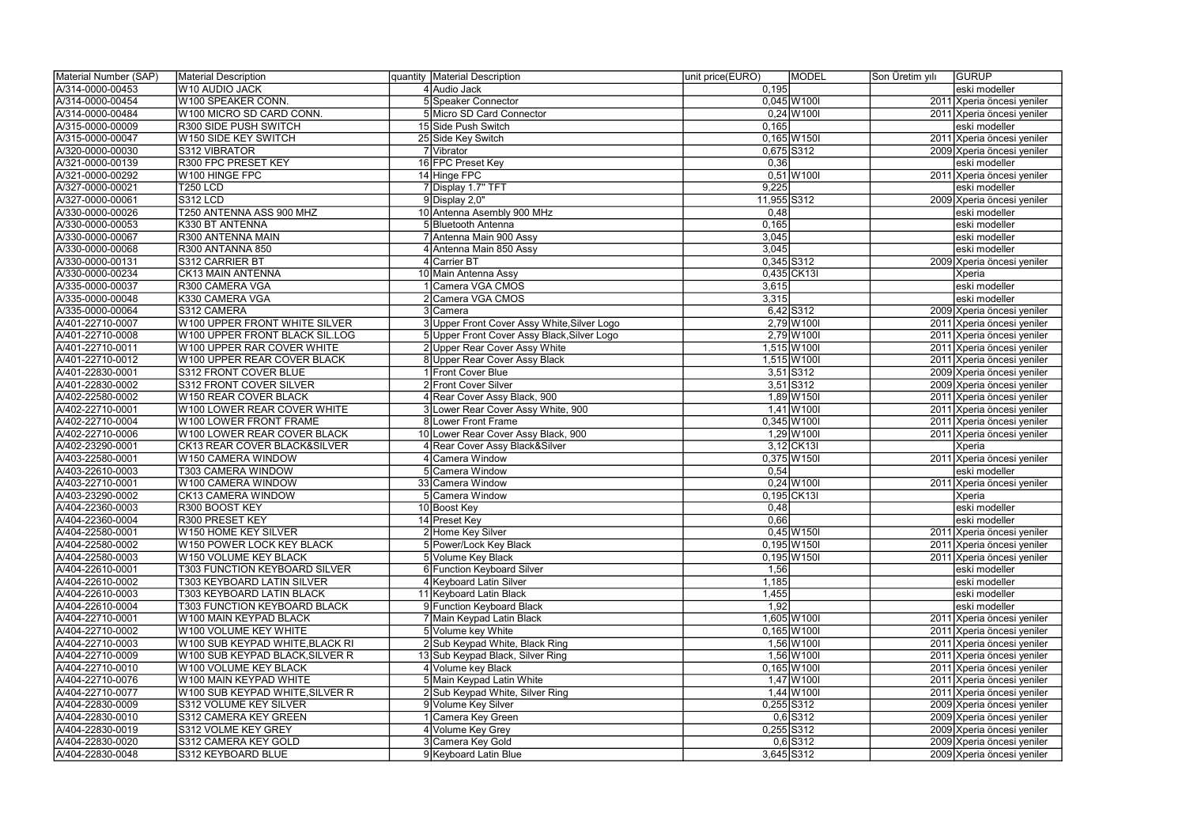| Material Number (SAP)                | <b>Material Description</b>                          | quantity Material Description               | unit price(EURO) | MODEL          | Son Üretim yılı | <b>GURUP</b>               |
|--------------------------------------|------------------------------------------------------|---------------------------------------------|------------------|----------------|-----------------|----------------------------|
| A/314-0000-00453                     | W10 AUDIO JACK                                       | 4 Audio Jack                                | 0,195            |                |                 | eski modeller              |
| A/314-0000-00454                     | W100 SPEAKER CONN.                                   | 5 Speaker Connector                         |                  | $0,045$ W100I  |                 | 2011 Xperia öncesi yeniler |
| A/314-0000-00484                     | W100 MICRO SD CARD CONN.                             | 5 Micro SD Card Connector                   |                  | $0,24$ W1001   |                 | 2011 Xperia öncesi yeniler |
| A/315-0000-00009                     | R300 SIDE PUSH SWITCH                                | 15 Side Push Switch                         | 0,165            |                |                 | eski modeller              |
| A/315-0000-00047                     | W150 SIDE KEY SWITCH                                 | 25 Side Key Switch                          |                  | $0,165$ W150I  |                 | 2011 Xperia öncesi yeniler |
| A/320-0000-00030                     | S312 VIBRATOR                                        | 7 Vibrator                                  | 0,675 S312       |                |                 | 2009 Xperia öncesi yeniler |
| A/321-0000-00139                     | <b>R300 FPC PRESET KEY</b>                           | 16 FPC Preset Key                           | 0,36             |                |                 | eski modeller              |
| A/321-0000-00292                     | W100 HINGE FPC                                       | 14 Hinge FPC                                |                  | $0,51$ W100I   |                 | 2011 Xperia öncesi yeniler |
| A/327-0000-00021                     | <b>T250 LCD</b>                                      | 7 Display 1.7" TFT                          | 9,225            |                |                 | eski modeller              |
| A/327-0000-00061                     | <b>S312 LCD</b>                                      | 9Display 2,0"                               | 11,955 S312      |                |                 | 2009 Xperia öncesi yeniler |
| A/330-0000-00026                     | T250 ANTENNA ASS 900 MHZ                             | 10 Antenna Asembly 900 MHz                  | 0,48             |                |                 | eski modeller              |
| A/330-0000-00053                     | K330 BT ANTENNA                                      | 5 Bluetooth Antenna                         | 0,165            |                |                 | eski modeller              |
| A/330-0000-00067                     | R300 ANTENNA MAIN                                    | 7 Antenna Main 900 Assy                     | 3,045            |                |                 | eski modeller              |
| A/330-0000-00068                     | R300 ANTANNA 850                                     | 4 Antenna Main 850 Assy                     | 3,045            |                |                 | eski modeller              |
| A/330-0000-00131                     | S312 CARRIER BT                                      | 4 Carrier BT                                | $0,345$ S312     |                |                 | 2009 Xperia öncesi yeniler |
| A/330-0000-00234                     | <b>CK13 MAIN ANTENNA</b>                             | 10 Main Antenna Assy                        |                  | 0,435 CK13     |                 | Xperia                     |
| A/335-0000-00037                     | R300 CAMERA VGA                                      | Camera VGA CMOS                             | 3,615            |                |                 | eski modeller              |
| A/335-0000-00048                     | K330 CAMERA VGA                                      | Camera VGA CMOS                             | 3,315            |                |                 | eski modeller              |
| A/335-0000-00064                     | S312 CAMERA                                          | 3 Camera                                    |                  | 6,42 S312      |                 | 2009 Xperia öncesi yeniler |
| A/401-22710-0007                     | W100 UPPER FRONT WHITE SILVER                        | 3 Upper Front Cover Assy White, Silver Logo |                  | 2,79 W1001     |                 | 2011 Xperia öncesi yeniler |
| A/401-22710-0008                     | W100 UPPER FRONT BLACK SIL.LOG                       | 5 Upper Front Cover Assy Black, Silver Logo |                  | 2,79 W 100     |                 | 2011 Xperia öncesi yeniler |
| A/401-22710-0011                     | W100 UPPER RAR COVER WHITE                           | 2 Upper Rear Cover Assy White               |                  | 1,515 W 100    |                 | 2011 Xperia öncesi yeniler |
| A/401-22710-0012                     | W100 UPPER REAR COVER BLACK                          | 8 Upper Rear Cover Assy Black               |                  | 1,515 W100I    |                 | 2011 Xperia öncesi yeniler |
| A/401-22830-0001                     | S312 FRONT COVER BLUE                                | 1 Front Cover Blue                          |                  | $3,51$ S312    |                 |                            |
| A/401-22830-0002                     | S312 FRONT COVER SILVER                              | 2 Front Cover Silver                        |                  | $3,51$ S312    |                 | 2009 Xperia öncesi yeniler |
|                                      |                                                      |                                             |                  |                |                 | 2009 Xperia öncesi yeniler |
| A/402-22580-0002<br>A/402-22710-0001 | W150 REAR COVER BLACK<br>W100 LOWER REAR COVER WHITE | 4 Rear Cover Assy Black, 900                |                  | 1,89 W150      |                 | 2011 Xperia öncesi yeniler |
|                                      |                                                      | 3 Lower Rear Cover Assy White, 900          |                  | $1,41$ W100I   |                 | 2011 Xperia öncesi yeniler |
| A/402-22710-0004                     | W100 LOWER FRONT FRAME                               | 8 Lower Front Frame                         |                  | $0,345$ W100I  |                 | 2011 Xperia öncesi yeniler |
| A/402-22710-0006                     | W100 LOWER REAR COVER BLACK                          | 10 Lower Rear Cover Assy Black, 900         |                  | $1,29$ W 1001  |                 | 2011 Xperia öncesi yeniler |
| A/402-23290-0001                     | CK13 REAR COVER BLACK&SILVER                         | 4 Rear Cover Assy Black&Silver              |                  | $3,12$ CK13I   |                 | Xperia                     |
| A/403-22580-0001                     | W150 CAMERA WINDOW                                   | 4 Camera Window                             |                  | $0,375$ W150I  |                 | 2011 Xperia öncesi yeniler |
| A/403-22610-0003                     | <b>T303 CAMERA WINDOW</b>                            | 5 Camera Window                             | 0,54             |                |                 | eski modeller              |
| A/403-22710-0001                     | W100 CAMERA WINDOW                                   | 33 Camera Window                            |                  | $0,24$ W 100   |                 | 2011 Xperia öncesi yeniler |
| A/403-23290-0002                     | CK13 CAMERA WINDOW                                   | Camera Window                               |                  | 0,195 CK13I    |                 | Xperia                     |
| A/404-22360-0003                     | R300 BOOST KEY                                       | 10 Boost Key                                | 0,48             |                |                 | eski modeller              |
| A/404-22360-0004                     | R300 PRESET KEY                                      | 14 Preset Key                               | 0,66             |                |                 | eski modeller              |
| A/404-22580-0001                     | W150 HOME KEY SILVER                                 | 2 Home Key Silver                           |                  | $0,45$ W 150   |                 | 2011 Xperia öncesi yeniler |
| A/404-22580-0002                     | W150 POWER LOCK KEY BLACK                            | 5 Power/Lock Key Black                      |                  | $0,195$ W 150  |                 | 2011 Xperia öncesi yeniler |
| A/404-22580-0003                     | W150 VOLUME KEY BLACK                                | 5 Volume Key Black                          |                  | $0,195$ W 150  |                 | 2011 Xperia öncesi yeniler |
| A/404-22610-0001                     | T303 FUNCTION KEYBOARD SILVER                        | 6 Function Keyboard Silver                  | 1,56             |                |                 | eski modeller              |
| A/404-22610-0002                     | <b>T303 KEYBOARD LATIN SILVER</b>                    | 4 Keyboard Latin Silver                     | 1,185            |                |                 | eski modeller              |
| A/404-22610-0003                     | T303 KEYBOARD LATIN BLACK                            | 11 Keyboard Latin Black                     | 1,455            |                |                 | eski modeller              |
| A/404-22610-0004                     | T303 FUNCTION KEYBOARD BLACK                         | 9 Function Keyboard Black                   | 1,92             |                |                 | eski modeller              |
| A/404-22710-0001                     | W100 MAIN KEYPAD BLACK                               | 7 Main Keypad Latin Black                   |                  | 1,605 W100I    |                 | 2011 Xperia öncesi yeniler |
| A/404-22710-0002                     | W100 VOLUME KEY WHITE                                | 5 Volume key White                          |                  | $0,165$ W 1001 |                 | 2011 Xperia öncesi yeniler |
| A/404-22710-0003                     | W100 SUB KEYPAD WHITE,BLACK RI                       | 2 Sub Keypad White, Black Ring              |                  | $1,56$ W 100   |                 | 2011 Xperia öncesi yeniler |
| A/404-22710-0009                     | W100 SUB KEYPAD BLACK, SILVER R                      | 13 Sub Keypad Black, Silver Ring            |                  | $1,56$ W 100   |                 | 2011 Xperia öncesi yeniler |
| A/404-22710-0010                     | W100 VOLUME KEY BLACK                                | 4 Volume key Black                          |                  | $0,165$ W 100I |                 | 2011 Xperia öncesi yeniler |
| A/404-22710-0076                     | W100 MAIN KEYPAD WHITE                               | 5 Main Keypad Latin White                   |                  | $1,47$ W 100   |                 | 2011 Xperia öncesi yeniler |
| A/404-22710-0077                     | W100 SUB KEYPAD WHITE, SILVER R                      | 2 Sub Keypad White, Silver Ring             |                  | $1,44$ W 100   |                 | 2011 Xperia öncesi yeniler |
| A/404-22830-0009                     | S312 VOLUME KEY SILVER                               | 9 Volume Key Silver                         | 0,255 S312       |                |                 | 2009 Xperia öncesi yeniler |
| A/404-22830-0010                     | S312 CAMERA KEY GREEN                                | Camera Key Green                            |                  | $0,6$ S312     |                 | 2009 Xperia öncesi yeniler |
| A/404-22830-0019                     | S312 VOLME KEY GREY                                  | 4 Volume Key Grey                           | $0,255$ S312     |                |                 | 2009 Xperia öncesi yeniler |
| A/404-22830-0020                     | S312 CAMERA KEY GOLD                                 | 3 Camera Key Gold                           |                  | $0,6$ S312     |                 | 2009 Xperia öncesi yeniler |
| A/404-22830-0048                     | S312 KEYBOARD BLUE                                   | 9 Keyboard Latin Blue                       | $3,645$ S312     |                |                 | 2009 Xperia öncesi yeniler |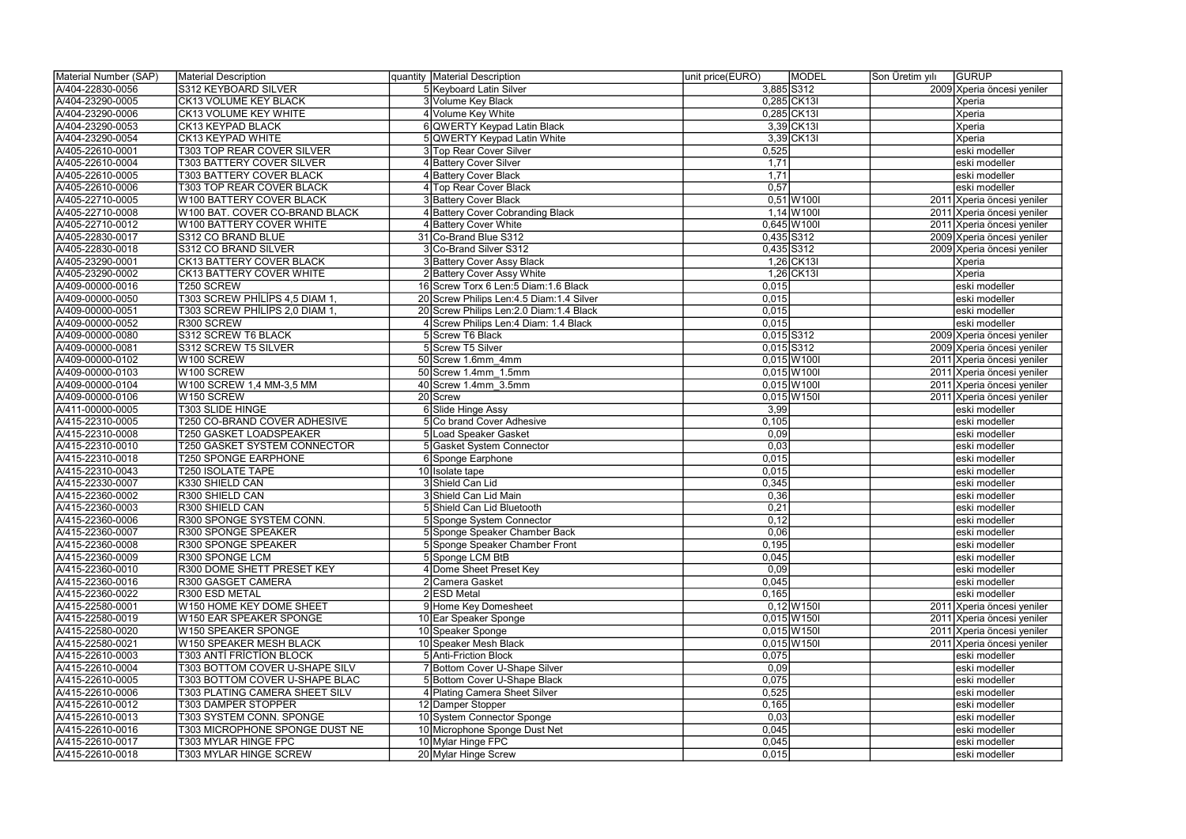| Material Number (SAP) | Material Description                | quantity Material Description                            | <b>MODEL</b><br>unit price(EURO) | Son Üretim yılı | <b>GURUP</b>               |
|-----------------------|-------------------------------------|----------------------------------------------------------|----------------------------------|-----------------|----------------------------|
| A/404-22830-0056      | S312 KEYBOARD SILVER                | 5 Keyboard Latin Silver                                  | 3,885 S312                       |                 | 2009 Xperia öncesi yeniler |
| A/404-23290-0005      | <b>CK13 VOLUME KEY BLACK</b>        | 3 Volume Key Black                                       | 0,285 CK13I                      |                 | Xperia                     |
| A/404-23290-0006      | <b>CK13 VOLUME KEY WHITE</b>        | 4 Volume Key White                                       | 0,285 CK13I                      |                 | Xperia                     |
| A/404-23290-0053      | CK13 KEYPAD BLACK                   | 6 QWERTY Keypad Latin Black                              | 3,39 CK13                        |                 | Xperia                     |
| A/404-23290-0054      | CK13 KEYPAD WHITE                   | 5 QWERTY Keypad Latin White                              | 3,39 CK13                        |                 | Xperia                     |
| A/405-22610-0001      | T303 TOP REAR COVER SILVER          | 3 Top Rear Cover Silver                                  | 0,525                            |                 | eski modeller              |
| A/405-22610-0004      | <b>T303 BATTERY COVER SILVER</b>    | 4 Battery Cover Silver                                   | 1,71                             |                 | eski modeller              |
| A/405-22610-0005      | T303 BATTERY COVER BLACK            | 4 Battery Cover Black                                    | 1,71                             |                 | eski modeller              |
| A/405-22610-0006      | T303 TOP REAR COVER BLACK           | 4 Top Rear Cover Black                                   | 0,57                             |                 | eski modeller              |
| A/405-22710-0005      | W100 BATTERY COVER BLACK            | 3 Battery Cover Black                                    | $0,51$ W100I                     |                 | 2011 Xperia öncesi yeniler |
| A/405-22710-0008      | W100 BAT. COVER CO-BRAND BLACK      | 4 Battery Cover Cobranding Black                         | $1,14$ W <sub>100</sub>          |                 | 2011 Xperia öncesi yeniler |
| A/405-22710-0012      | W100 BATTERY COVER WHITE            | 4 Battery Cover White                                    | $0,645$ W100I                    |                 | 2011 Xperia öncesi yeniler |
| A/405-22830-0017      | S312 CO BRAND BLUE                  | 31 Co-Brand Blue S312                                    | $0,435$ S312                     |                 | 2009 Xperia öncesi yeniler |
| A/405-22830-0018      | S312 CO BRAND SILVER                | 3 Co-Brand Silver S312                                   | 0,435 S312                       |                 | 2009 Xperia öncesi yeniler |
| A/405-23290-0001      | <b>CK13 BATTERY COVER BLACK</b>     |                                                          | $1,26$ CK13I                     |                 |                            |
|                       |                                     | 3 Battery Cover Assy Black<br>2 Battery Cover Assy White | $1,26$ CK13I                     |                 | Xperia                     |
| A/405-23290-0002      | <b>CK13 BATTERY COVER WHITE</b>     |                                                          |                                  |                 | Xperia                     |
| A/409-00000-0016      | T250 SCREW                          | 16 Screw Torx 6 Len:5 Diam:1.6 Black                     | 0,015                            |                 | eski modeller              |
| A/409-00000-0050      | T303 SCREW PHİLİPS 4,5 DIAM 1,      | 20 Screw Philips Len: 4.5 Diam: 1.4 Silver               | 0,015                            |                 | eski modeller              |
| A/409-00000-0051      | T303 SCREW PHİLİPS 2,0 DIAM 1,      | 20 Screw Philips Len: 2.0 Diam: 1.4 Black                | 0,015                            |                 | eski modeller              |
| A/409-00000-0052      | R300 SCREW                          | 4 Screw Philips Len: 4 Diam: 1.4 Black                   | 0,015                            |                 | eski modeller              |
| A/409-00000-0080      | S312 SCREW T6 BLACK                 | 5 Screw T6 Black                                         | $0,015$ S312                     |                 | 2009 Xperia öncesi yeniler |
| A/409-00000-0081      | S312 SCREW T5 SILVER                | 5 Screw T5 Silver                                        | $0,015$ S312                     |                 | 2009 Xperia öncesi yeniler |
| A/409-00000-0102      | W100 SCREW                          | 50 Screw 1.6mm 4mm                                       | $0,015$ W100I                    |                 | 2011 Xperia öncesi yeniler |
| A/409-00000-0103      | W <sub>100</sub> SCREW              | 50 Screw 1.4mm 1.5mm                                     | $0,015$ $W1001$                  |                 | 2011 Xperia öncesi yeniler |
| A/409-00000-0104      | W100 SCREW 1,4 MM-3,5 MM            | 40 Screw 1.4mm 3.5mm                                     | $0,015$ W100I                    |                 | 2011 Xperia öncesi yeniler |
| A/409-00000-0106      | W <sub>150</sub> SCREW              | 20 Screw                                                 | $0,015$ W150I                    |                 | 2011 Xperia öncesi yeniler |
| A/411-00000-0005      | <b>T303 SLIDE HINGE</b>             | 6 Slide Hinge Assy                                       | 3,99                             |                 | eski modeller              |
| A/415-22310-0005      | T250 CO-BRAND COVER ADHESIVE        | 5 Co brand Cover Adhesive                                | 0,105                            |                 | eski modeller              |
| A/415-22310-0008      | T250 GASKET LOADSPEAKER             | 5 Load Speaker Gasket                                    | 0,09                             |                 | eski modeller              |
| A/415-22310-0010      | <b>T250 GASKET SYSTEM CONNECTOR</b> | 5 Gasket System Connector                                | 0,03                             |                 | eski modeller              |
| A/415-22310-0018      | <b>T250 SPONGE EARPHONE</b>         | 6 Sponge Earphone                                        | 0,015                            |                 | eski modeller              |
| A/415-22310-0043      | <b>T250 ISOLATE TAPE</b>            | 10 Isolate tape                                          | 0,015                            |                 | eski modeller              |
| A/415-22330-0007      | K330 SHIELD CAN                     | 3 Shield Can Lid                                         | 0,345                            |                 | eski modeller              |
| A/415-22360-0002      | R300 SHIELD CAN                     | 3 Shield Can Lid Main                                    | 0,36                             |                 | eski modeller              |
| A/415-22360-0003      | R300 SHIELD CAN                     | 5 Shield Can Lid Bluetooth                               | 0,21                             |                 | eski modeller              |
| A/415-22360-0006      | R300 SPONGE SYSTEM CONN.            | 5 Sponge System Connector                                | 0,12                             |                 | Jeski modeller             |
| A/415-22360-0007      | R300 SPONGE SPEAKER                 | 5 Sponge Speaker Chamber Back                            | 0,06                             |                 | eski modeller              |
| A/415-22360-0008      | R300 SPONGE SPEAKER                 | 5 Sponge Speaker Chamber Front                           | 0,195                            |                 | eski modeller              |
| A/415-22360-0009      | R300 SPONGE LCM                     | 5 Sponge LCM BtB                                         | 0,045                            |                 | eski modeller              |
| A/415-22360-0010      | R300 DOME SHETT PRESET KEY          | 4 Dome Sheet Preset Key                                  | 0,09                             |                 | eski modeller              |
| A/415-22360-0016      | R300 GASGET CAMERA                  | 2 Camera Gasket                                          | 0,045                            |                 | eski modeller              |
| A/415-22360-0022      | R300 ESD METAL                      | 2 ESD Metal                                              | 0,165                            |                 | eski modeller              |
| A/415-22580-0001      | W150 HOME KEY DOME SHEET            | 9 Home Key Domesheet                                     | $0,12$ W 150                     |                 | 2011 Xperia öncesi yeniler |
| A/415-22580-0019      | W150 EAR SPEAKER SPONGE             | 10 Ear Speaker Sponge                                    | $0,015$ W150I                    |                 | 2011 Xperia öncesi yeniler |
| A/415-22580-0020      | W150 SPEAKER SPONGE                 | 10 Speaker Sponge                                        | $0,015$ W150I                    |                 | 2011 Xperia öncesi yeniler |
| A/415-22580-0021      | W150 SPEAKER MESH BLACK             | 10 Speaker Mesh Black                                    | $0,015$ W150I                    |                 | 2011 Xperia öncesi yeniler |
|                       | <b>T303 ANTİ FRİCTİON BLOCK</b>     | 5 Anti-Friction Block                                    |                                  |                 | eski modeller              |
| A/415-22610-0003      | T303 BOTTOM COVER U-SHAPE SILV      | 7 Bottom Cover U-Shape Silver                            | 0,075                            |                 | leski modeller             |
| A/415-22610-0004      |                                     |                                                          | 0,09                             |                 |                            |
| A/415-22610-0005      | T303 BOTTOM COVER U-SHAPE BLAC      | 5 Bottom Cover U-Shape Black                             | 0,075                            |                 | eski modeller              |
| A/415-22610-0006      | T303 PLATING CAMERA SHEET SILV      | 4 Plating Camera Sheet Silver                            | 0,525                            |                 | eski modeller              |
| A/415-22610-0012      | T303 DAMPER STOPPER                 | 12 Damper Stopper                                        | 0,165                            |                 | eski modeller              |
| A/415-22610-0013      | T303 SYSTEM CONN. SPONGE            | 10 System Connector Sponge                               | 0,03                             |                 | eski modeller              |
| A/415-22610-0016      | T303 MICROPHONE SPONGE DUST NE      | 10 Microphone Sponge Dust Net                            | 0,045                            |                 | eski modeller              |
| A/415-22610-0017      | T303 MYLAR HINGE FPC                | 10 Mylar Hinge FPC                                       | 0,045                            |                 | eski modeller              |
| A/415-22610-0018      | T303 MYLAR HINGE SCREW              | 20 Mylar Hinge Screw                                     | 0,015                            |                 | eski modeller              |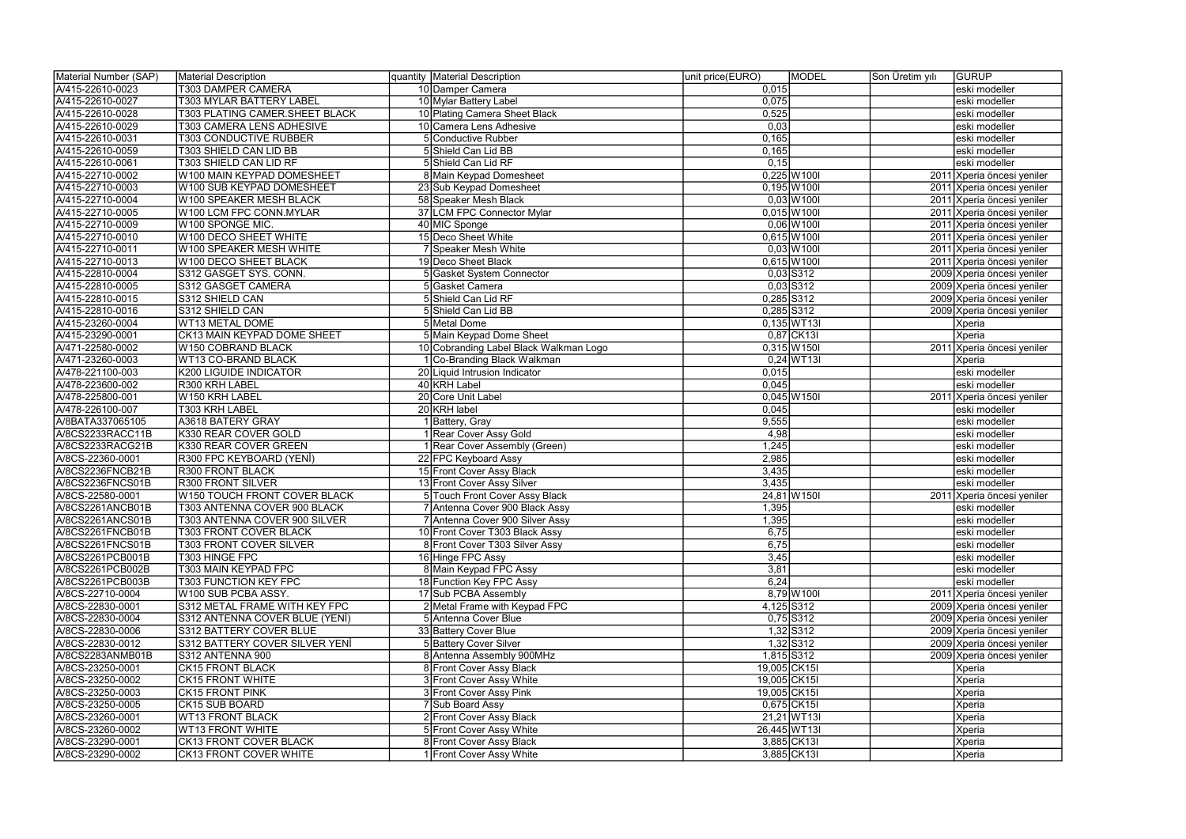| Material Number (SAP) | Material Description                  | quantity Material Description          | MODEL<br>unit price(EURO) | Son Üretim yılı | <b>GURUP</b>               |
|-----------------------|---------------------------------------|----------------------------------------|---------------------------|-----------------|----------------------------|
| A/415-22610-0023      | <b>T303 DAMPER CAMERA</b>             | 10 Damper Camera                       | 0,015                     |                 | eski modeller              |
| A/415-22610-0027      | T303 MYLAR BATTERY LABEL              | 10 Mylar Battery Label                 | 0,075                     |                 | eski modeller              |
| A/415-22610-0028      | <b>T303 PLATING CAMER.SHEET BLACK</b> | 10 Plating Camera Sheet Black          | 0,525                     |                 | eski modeller              |
| A/415-22610-0029      | T303 CAMERA LENS ADHESIVE             | 10 Camera Lens Adhesive                | 0,03                      |                 | eski modeller              |
| A/415-22610-0031      | <b>T303 CONDUCTIVE RUBBER</b>         | Conductive Rubber                      | 0,165                     |                 | eski modeller              |
| A/415-22610-0059      | T303 SHIELD CAN LID BB                | 5 Shield Can Lid BB                    | 0,165                     |                 | eski modeller              |
| A/415-22610-0061      | T303 SHIELD CAN LID RF                | 5 Shield Can Lid RF                    | 0,15                      |                 | eski modeller              |
| A/415-22710-0002      | W100 MAIN KEYPAD DOMESHEET            | 8 Main Keypad Domesheet                | $0,225$ W100I             |                 | 2011 Xperia öncesi yeniler |
| A/415-22710-0003      | W100 SUB KEYPAD DOMESHEET             | 23 Sub Keypad Domesheet                | $0,195$ W100I             |                 | 2011 Xperia öncesi yeniler |
| A/415-22710-0004      | W100 SPEAKER MESH BLACK               | 58 Speaker Mesh Black                  | $0,03$ W 100              |                 | 2011 Xperia öncesi yeniler |
| A/415-22710-0005      | W100 LCM FPC CONN.MYLAR               | 37 LCM FPC Connector Mylar             | $0,015$ W100I             |                 | 2011 Xperia öncesi yeniler |
| A/415-22710-0009      | W100 SPONGE MIC.                      | 40 MIC Sponge                          | $0,06$ W 100I             |                 | 2011 Xperia öncesi yeniler |
| A/415-22710-0010      | W100 DECO SHEET WHITE                 | 15 Deco Sheet White                    | 0,615 W100I               |                 | 2011 Xperia öncesi yeniler |
| A/415-22710-0011      | W100 SPEAKER MESH WHITE               | 7 Speaker Mesh White                   | $0,03$ W 100              |                 | 2011 Xperia öncesi yeniler |
| A/415-22710-0013      | W100 DECO SHEET BLACK                 | 19 Deco Sheet Black                    | 0,615 W100I               |                 | 2011 Xperia öncesi yeniler |
| A/415-22810-0004      | S312 GASGET SYS. CONN.                | 5 Gasket System Connector              | $0,03$ S312               |                 | 2009 Xperia öncesi yeniler |
| A/415-22810-0005      | S312 GASGET CAMERA                    | Gasket Camera                          | $0,03$ S312               |                 | 2009 Xperia öncesi yeniler |
| A/415-22810-0015      | S312 SHIELD CAN                       | 5 Shield Can Lid RF                    | 0,285 S312                |                 | 2009 Xperia öncesi yeniler |
| A/415-22810-0016      | S312 SHIELD CAN                       | 5 Shield Can Lid BB                    | 0,285 S312                |                 | 2009 Xperia öncesi yeniler |
| A/415-23260-0004      | WT13 METAL DOME                       | 5 Metal Dome                           | 0,135 WT13I               |                 | Xperia                     |
| A/415-23290-0001      | CK13 MAIN KEYPAD DOME SHEET           | 5 Main Keypad Dome Sheet               | 0,87 CK13                 |                 | Xperia                     |
| A/471-22580-0002      | W150 COBRAND BLACK                    | 10 Cobranding Label Black Walkman Logo | $0,315$ W 150             |                 | 2011 Xperia öncesi yeniler |
| A/471-23260-0003      | WT13 CO-BRAND BLACK                   | Co-Branding Black Walkman              | $0,24$ WT13I              |                 | Xperia                     |
| A/478-221100-003      | K200 LIGUIDE INDICATOR                | 20 Liquid Intrusion Indicator          | 0,015                     |                 | eski modeller              |
| A/478-223600-002      | R300 KRH LABEL                        | 40 KRH Label                           | 0,045                     |                 | eski modeller              |
| A/478-225800-001      | W150 KRH LABEL                        | 20 Core Unit Label                     | 0,045 W150I               |                 | 2011 Xperia öncesi yeniler |
| A/478-226100-007      | T303 KRH LABEL                        | 20 KRH label                           | 0,045                     |                 | eski modeller              |
| A/8BATA337065105      | A3618 BATERY GRAY                     | Battery, Gray                          | 9,555                     |                 | eski modeller              |
| A/8CS2233RACC11B      | K330 REAR COVER GOLD                  | 1 Rear Cover Assy Gold                 | 4,98                      |                 | eski modeller              |
| A/8CS2233RACG21B      | K330 REAR COVER GREEN                 | 1 Rear Cover Assembly (Green)          | 1,245                     |                 | eski modeller              |
| A/8CS-22360-0001      | R300 FPC KEYBOARD (YENİ)              | 22 FPC Keyboard Assy                   | 2,985                     |                 | eski modeller              |
| A/8CS2236FNCB21B      | <b>R300 FRONT BLACK</b>               | 15 Front Cover Assy Black              | 3,435                     |                 | eski modeller              |
| A/8CS2236FNCS01B      | R300 FRONT SILVER                     | 13 Front Cover Assy Silver             | 3,435                     |                 | eski modeller              |
| A/8CS-22580-0001      | W150 TOUCH FRONT COVER BLACK          | 5 Touch Front Cover Assy Black         | 24,81 W150I               |                 | 2011 Xperia öncesi yeniler |
| A/8CS2261ANCB01B      | T303 ANTENNA COVER 900 BLACK          | 7 Antenna Cover 900 Black Assy         | 1,395                     |                 | eski modeller              |
| A/8CS2261ANCS01B      | T303 ANTENNA COVER 900 SILVER         | 7 Antenna Cover 900 Silver Assy        | 1,395                     |                 | Jeski modeller             |
| A/8CS2261FNCB01B      | <b>T303 FRONT COVER BLACK</b>         | 10 Front Cover T303 Black Assy         | 6,75                      |                 | eski modeller              |
| A/8CS2261FNCS01B      | <b>T303 FRONT COVER SILVER</b>        | 8 Front Cover T303 Silver Assy         | 6,75                      |                 | eski modeller              |
| A/8CS2261PCB001B      | T303 HINGE FPC                        | 16 Hinge FPC Assy                      | 3,45                      |                 | eski modeller              |
| A/8CS2261PCB002B      | T303 MAIN KEYPAD FPC                  | 8 Main Keypad FPC Assy                 | 3,81                      |                 | eski modeller              |
| A/8CS2261PCB003B      | T303 FUNCTION KEY FPC                 | 18 Function Key FPC Assy               | 6,24                      |                 | eski modeller              |
| A/8CS-22710-0004      | W100 SUB PCBA ASSY.                   | 17 Sub PCBA Assembly                   | 8,79 W1001                |                 | 2011 Xperia öncesi yeniler |
| A/8CS-22830-0001      | S312 METAL FRAME WITH KEY FPC         | 2 Metal Frame with Keypad FPC          | 4,125 S312                |                 | 2009 Xperia öncesi yeniler |
| A/8CS-22830-0004      | S312 ANTENNA COVER BLUE (YENİ)        | 5 Antenna Cover Blue                   | $0,75$ S312               |                 | 2009 Xperia öncesi yeniler |
| A/8CS-22830-0006      | S312 BATTERY COVER BLUE               | 33 Battery Cover Blue                  | $1,32$ S312               |                 | 2009 Xperia öncesi yeniler |
| A/8CS-22830-0012      | S312 BATTERY COVER SILVER YENİ        | 5 Battery Cover Silver                 | $1,32$ S312               |                 | 2009 Xperia öncesi yeniler |
| A/8CS2283ANMB01B      | S312 ANTENNA 900                      | 8 Antenna Assembly 900MHz              | 1,815 S312                |                 | 2009 Xperia öncesi yeniler |
| A/8CS-23250-0001      | CK15 FRONT BLACK                      | 8 Front Cover Assy Black               | 19,005 CK15               |                 | Xperia                     |
| A/8CS-23250-0002      | <b>CK15 FRONT WHITE</b>               | 3 Front Cover Assy White               | 19,005 CK15               |                 | Xperia                     |
| A/8CS-23250-0003      | <b>CK15 FRONT PINK</b>                | 3 Front Cover Assy Pink                | 19,005 CK15               |                 | Xperia                     |
| A/8CS-23250-0005      | CK15 SUB BOARD                        | 7 Sub Board Assy                       | 0,675 CK15                |                 | Xperia                     |
| A/8CS-23260-0001      | <b>WT13 FRONT BLACK</b>               | 2 Front Cover Assy Black               | 21,21 WT13I               |                 | Xperia                     |
| A/8CS-23260-0002      | <b>WT13 FRONT WHITE</b>               | 5 Front Cover Assy White               | 26,445 WT13I              |                 | Xperia                     |
| A/8CS-23290-0001      | CK13 FRONT COVER BLACK                | 8 Front Cover Assy Black               | 3,885 CK131               |                 | Xperia                     |
| A/8CS-23290-0002      | CK13 FRONT COVER WHITE                | 1 Front Cover Assy White               | 3,885 CK131               |                 | Xperia                     |
|                       |                                       |                                        |                           |                 |                            |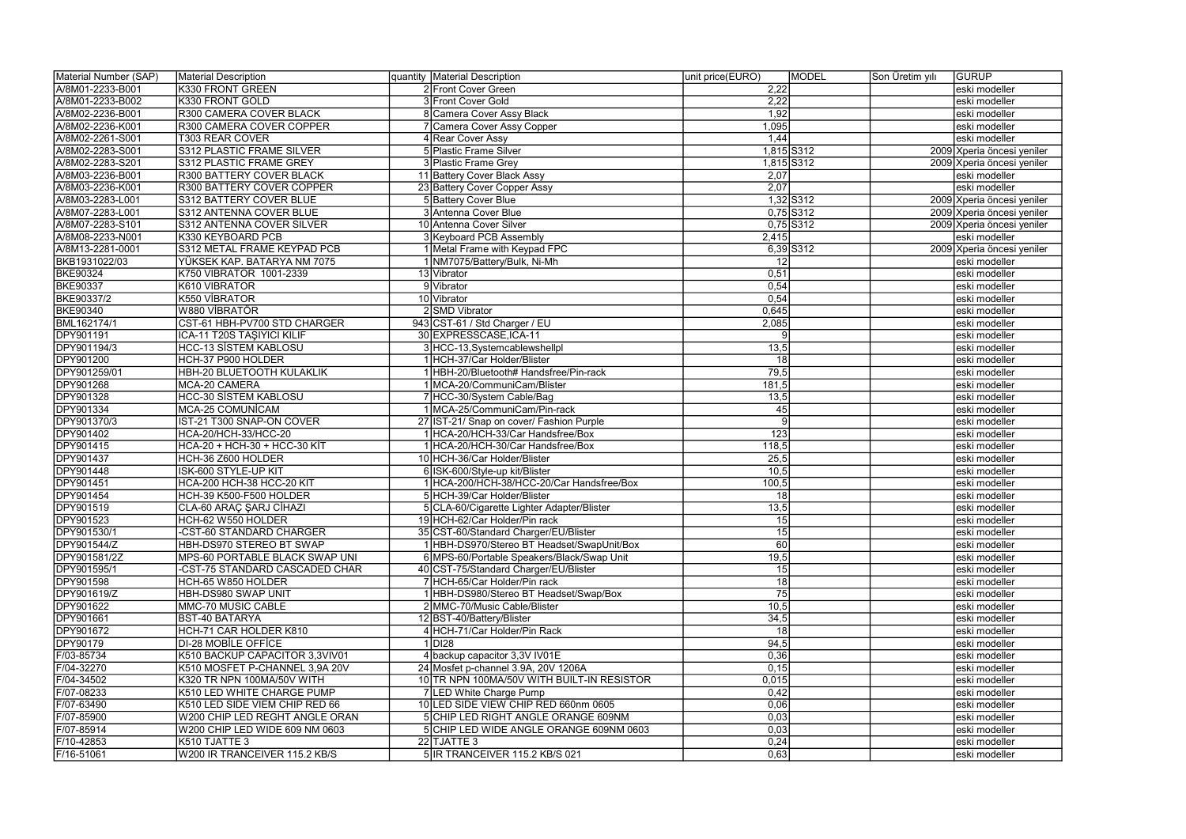| Material Number (SAP) | Material Description              | quantity Material Description              | unit price(EURO)        | <b>MODEL</b> | Son Üretim yılı | <b>GURUP</b>               |
|-----------------------|-----------------------------------|--------------------------------------------|-------------------------|--------------|-----------------|----------------------------|
| A/8M01-2233-B001      | K330 FRONT GREEN                  | 2 Front Cover Green                        | 2,22                    |              |                 | eski modeller              |
| A/8M01-2233-B002      | K330 FRONT GOLD                   | 3 Front Cover Gold                         | 2,22                    |              |                 | eski modeller              |
| A/8M02-2236-B001      | R300 CAMERA COVER BLACK           | 8 Camera Cover Assy Black                  | 1,92                    |              |                 | eski modeller              |
| A/8M02-2236-K001      | R300 CAMERA COVER COPPER          | Camera Cover Assy Copper                   | 1,095                   |              |                 | eski modeller              |
| A/8M02-2261-S001      | T303 REAR COVER                   | 4 Rear Cover Assy                          | 1,44                    |              |                 | eski modeller              |
| A/8M02-2283-S001      | S312 PLASTIC FRAME SILVER         | 5 Plastic Frame Silver                     |                         | 1,815 S312   |                 | 2009 Xperia öncesi yeniler |
| A/8M02-2283-S201      | S312 PLASTIC FRAME GREY           | 3 Plastic Frame Grey                       |                         | 1,815 S312   |                 | 2009 Xperia öncesi yeniler |
| A/8M03-2236-B001      | R300 BATTERY COVER BLACK          | 11 Battery Cover Black Assy                | 2,07                    |              |                 | eski modeller              |
| A/8M03-2236-K001      | R300 BATTERY COVER COPPER         | 23 Battery Cover Copper Assy               | 2,07                    |              |                 | eski modeller              |
| A/8M03-2283-L001      | S312 BATTERY COVER BLUE           | 5 Battery Cover Blue                       |                         | 1,32 S312    |                 | 2009 Xperia öncesi yeniler |
| A/8M07-2283-L001      | S312 ANTENNA COVER BLUE           | 3 Antenna Cover Blue                       |                         | $0,75$ S312  |                 | 2009 Xperia öncesi yeniler |
| A/8M07-2283-S101      | S312 ANTENNA COVER SILVER         | 10 Antenna Cover Silver                    |                         | $0,75$ S312  |                 | 2009 Xperia öncesi yeniler |
| A/8M08-2233-N001      | K330 KEYBOARD PCB                 | 3 Keyboard PCB Assembly                    | 2,415                   |              |                 | eski modeller              |
| A/8M13-2281-0001      | S312 METAL FRAME KEYPAD PCB       | 1 Metal Frame with Keypad FPC              |                         | $6,39$ S312  |                 | 2009 Xperia öncesi yeniler |
| BKB1931022/03         | YÜKSEK KAP. BATARYA NM 7075       | 1 NM7075/Battery/Bulk, Ni-Mh               | 12                      |              |                 | eski modeller              |
| <b>BKE90324</b>       | K750 VIBRATOR 1001-2339           | 13 Vibrator                                | 0,51                    |              |                 | eski modeller              |
| <b>BKE90337</b>       | K610 VIBRATOR                     | 9 Vibrator                                 | 0,54                    |              |                 | eski modeller              |
| BKE90337/2            | K550 VİBRATOR                     | 10 Vibrator                                | 0,54                    |              |                 | eski modeller              |
| <b>BKE90340</b>       | W880 VİBRATÖR                     | 2 SMD Vibrator                             | 0,645                   |              |                 | eski modeller              |
| <b>BML162174/1</b>    | CST-61 HBH-PV700 STD CHARGER      | 943 CST-61 / Std Charger / EU              | 2,085                   |              |                 | eski modeller              |
| <b>DPY901191</b>      | <b>ICA-11 T20S TAŞIYICI KILIF</b> | 30 EXPRESSCASE, ICA-11                     | $\vert 9 \vert$         |              |                 | eski modeller              |
| DPY901194/3           | <b>HCC-13 SİSTEM KABLOSU</b>      |                                            |                         |              |                 |                            |
| <b>DPY901200</b>      |                                   | 3 HCC-13, Systemcablewshellpl              | 13,5<br>$\overline{18}$ |              |                 | eski modeller              |
|                       | HCH-37 P900 HOLDER                | 1 HCH-37/Car Holder/Blister                |                         |              |                 | eski modeller              |
| DPY901259/01          | HBH-20 BLUETOOTH KULAKLIK         | 1 HBH-20/Bluetooth# Handsfree/Pin-rack     | 79,5                    |              |                 | eski modeller              |
| <b>DPY901268</b>      | MCA-20 CAMERA                     | 1 MCA-20/CommuniCam/Blister                | 181,5                   |              |                 | eski modeller              |
| DPY901328             | <b>HCC-30 SİSTEM KABLOSU</b>      | 7 HCC-30/System Cable/Bag                  | 13,5                    |              |                 | eski modeller              |
| <b>DPY901334</b>      | <b>MCA-25 COMUNICAM</b>           | 1 MCA-25/CommuniCam/Pin-rack               | $\overline{45}$         |              |                 | eski modeller              |
| DPY901370/3           | IST-21 T300 SNAP-ON COVER         | 27 IST-21/ Snap on cover/ Fashion Purple   | $\vert 9 \vert$         |              |                 | eski modeller              |
| <b>DPY901402</b>      | HCA-20/HCH-33/HCC-20              | 1 HCA-20/HCH-33/Car Handsfree/Box          | 123                     |              |                 | eski modeller              |
| DPY901415             | HCA-20 + HCH-30 + HCC-30 KİT      | 1 HCA-20/HCH-30/Car Handsfree/Box          | 118,5                   |              |                 | eski modeller              |
| DPY901437             | HCH-36 Z600 HOLDER                | 10 HCH-36/Car Holder/Blister               | 25,5                    |              |                 | eski modeller              |
| DPY901448             | ISK-600 STYLE-UP KIT              | 6 ISK-600/Style-up kit/Blister             | 10,5                    |              |                 | eski modeller              |
| DPY901451             | HCA-200 HCH-38 HCC-20 KIT         | 1 HCA-200/HCH-38/HCC-20/Car Handsfree/Box  | 100,5                   |              |                 | eski modeller              |
| <b>DPY901454</b>      | HCH-39 K500-F500 HOLDER           | 5 HCH-39/Car Holder/Blister                | 18                      |              |                 | eski modeller              |
| <b>DPY901519</b>      | CLA-60 ARAÇ ŞARJ CİHAZI           | 5 CLA-60/Cigarette Lighter Adapter/Blister | 13,5                    |              |                 | eski modeller              |
| <b>DPY901523</b>      | HCH-62 W550 HOLDER                | 19IHCH-62/Car Holder/Pin rack              | 15                      |              |                 | Jeski modeller             |
| DPY901530/1           | -CST-60 STANDARD CHARGER          | 35 CST-60/Standard Charger/EU/Blister      | 15                      |              |                 | eski modeller              |
| <b>DPY901544/Z</b>    | HBH-DS970 STEREO BT SWAP          | 1 HBH-DS970/Stereo BT Headset/SwapUnit/Box | 60                      |              |                 | eski modeller              |
| <b>DPY901581/2Z</b>   | MPS-60 PORTABLE BLACK SWAP UNI    | 6 MPS-60/Portable Speakers/Black/Swap Unit | 19,5                    |              |                 | eski modeller              |
| <b>DPY901595/1</b>    | -CST-75 STANDARD CASCADED CHAR    | 40 CST-75/Standard Charger/EU/Blister      | 15                      |              |                 | eski modeller              |
| <b>DPY901598</b>      | HCH-65 W850 HOLDER                | 7 HCH-65/Car Holder/Pin rack               | 18                      |              |                 | eski modeller              |
| DPY901619/Z           | HBH-DS980 SWAP UNIT               | 1 HBH-DS980/Stereo BT Headset/Swap/Box     | 75                      |              |                 | eski modeller              |
| <b>DPY901622</b>      | MMC-70 MUSIC CABLE                | 2 MMC-70/Music Cable/Blister               | 10,5                    |              |                 | eski modeller              |
| DPY901661             | <b>BST-40 BATARYA</b>             | 12 BST-40/Battery/Blister                  | 34,5                    |              |                 | eski modeller              |
| <b>DPY901672</b>      | HCH-71 CAR HOLDER K810            | 4 HCH-71/Car Holder/Pin Rack               | 18                      |              |                 | eski modeller              |
| <b>DPY90179</b>       | <b>DI-28 MOBİLE OFFİCE</b>        | 1 DI28                                     | 94,5                    |              |                 | eski modeller              |
| F/03-85734            | K510 BACKUP CAPACITOR 3,3VIV01    | 4 backup capacitor 3,3V IV01E              | 0,36                    |              |                 | eski modeller              |
| F/04-32270            | K510 MOSFET P-CHANNEL 3,9A 20V    | 24 Mosfet p-channel 3.9A, 20V 1206A        | 0,15                    |              |                 | eski modeller              |
| F/04-34502            | K320 TR NPN 100MA/50V WITH        | 10 TR NPN 100MA/50V WITH BUILT-IN RESISTOR | 0,015                   |              |                 | eski modeller              |
| F/07-08233            | K510 LED WHITE CHARGE PUMP        | 7 LED White Charge Pump                    | 0,42                    |              |                 | eski modeller              |
| F/07-63490            | K510 LED SIDE VIEM CHIP RED 66    | 10 LED SIDE VIEW CHIP RED 660nm 0605       | 0,06                    |              |                 | eski modeller              |
| F/07-85900            | W200 CHIP LED REGHT ANGLE ORAN    | 5 CHIP LED RIGHT ANGLE ORANGE 609NM        | 0,03                    |              |                 | eski modeller              |
| F/07-85914            | W200 CHIP LED WIDE 609 NM 0603    | 5 CHIP LED WIDE ANGLE ORANGE 609NM 0603    | 0,03                    |              |                 | eski modeller              |
| F/10-42853            | K510 TJATTE 3                     | 22 TJATTE 3                                | 0,24                    |              |                 | eski modeller              |
| F/16-51061            | W200 IR TRANCEIVER 115.2 KB/S     | 5 IR TRANCEIVER 115.2 KB/S 021             | 0,63                    |              |                 | eski modeller              |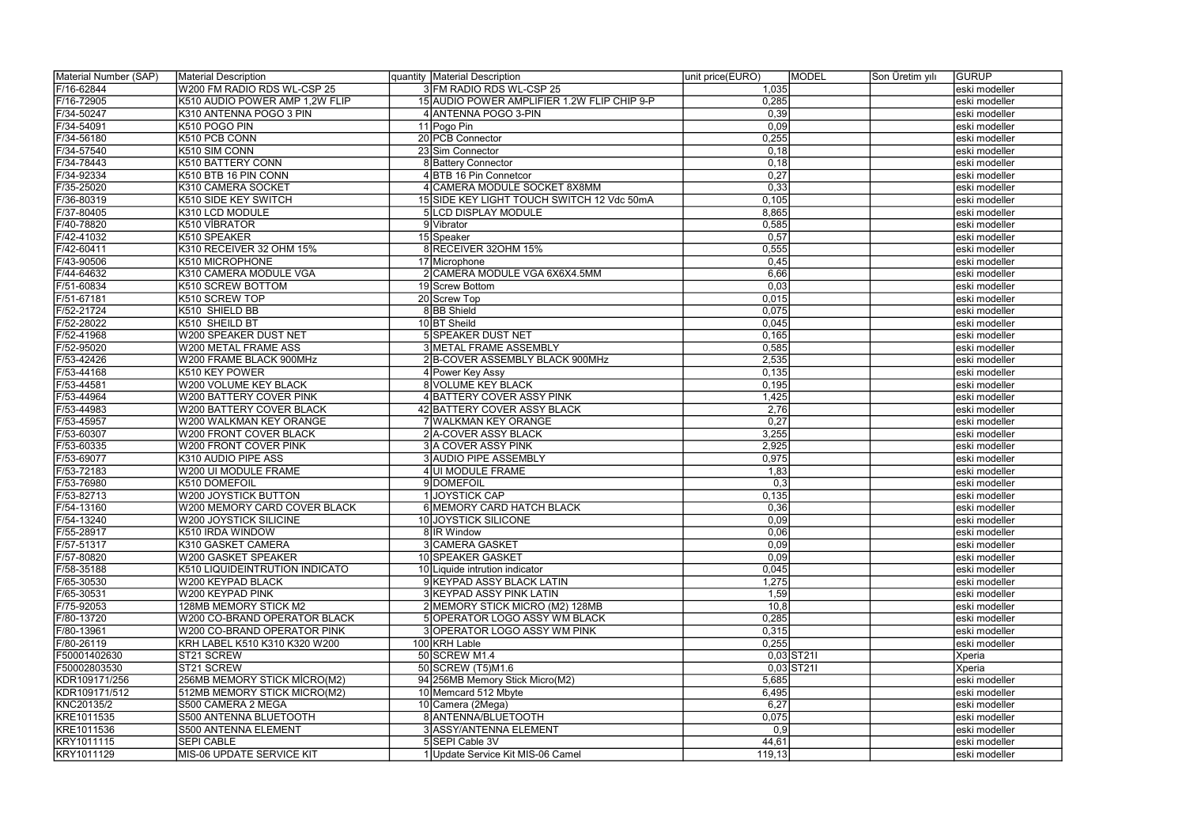| Material Number (SAP) | <b>Material Description</b>     | quantity Material Description               | unit price(EURO) | <b>MODEL</b><br>Son Üretim yılı | <b>GURUP</b>  |
|-----------------------|---------------------------------|---------------------------------------------|------------------|---------------------------------|---------------|
| F/16-62844            | W200 FM RADIO RDS WL-CSP 25     | 3 FM RADIO RDS WL-CSP 25                    | 1,035            |                                 | eski modeller |
| F/16-72905            | K510 AUDIO POWER AMP 1,2W FLIP  | 15 AUDIO POWER AMPLIFIER 1.2W FLIP CHIP 9-P | 0,285            |                                 | eski modeller |
| F/34-50247            | K310 ANTENNA POGO 3 PIN         | 4 ANTENNA POGO 3-PIN                        | 0,39             |                                 | eski modeller |
| F/34-54091            | K510 POGO PIN                   | 11 Pogo Pin                                 | 0,09             |                                 | eski modeller |
| F/34-56180            | K510 PCB CONN                   | 20 PCB Connector                            | 0,255            |                                 | eski modeller |
| F/34-57540            | K510 SIM CONN                   | 23 Sim Connector                            | 0,18             |                                 | eski modeller |
| F/34-78443            | K510 BATTERY CONN               | 8 Battery Connector                         | 0,18             |                                 | eski modeller |
| F/34-92334            | K510 BTB 16 PIN CONN            | 4 BTB 16 Pin Connetcor                      | 0,27             |                                 | eski modeller |
| F/35-25020            | K310 CAMERA SOCKET              | 4 CAMERA MODULE SOCKET 8X8MM                | 0,33             |                                 | eski modeller |
| F/36-80319            | K510 SIDE KEY SWITCH            | 15 SIDE KEY LIGHT TOUCH SWITCH 12 Vdc 50mA  | 0,105            |                                 | eski modeller |
| F/37-80405            | K310 LCD MODULE                 | 5 LCD DISPLAY MODULE                        | 8,865            |                                 | eski modeller |
| F/40-78820            | K510 VİBRATOR                   | 9 Vibrator                                  | 0,585            |                                 | eski modeller |
| F/42-41032            | K510 SPEAKER                    | 15 Speaker                                  | 0,57             |                                 | eski modeller |
| F/42-60411            | K310 RECEIVER 32 OHM 15%        | 8 RECEIVER 320HM 15%                        | 0,555            |                                 | eski modeller |
| F/43-90506            | K510 MICROPHONE                 | 17 Microphone                               | 0,45             |                                 | eski modeller |
| F/44-64632            | K310 CAMERA MODULE VGA          | 2 CAMERA MODULE VGA 6X6X4.5MM               | 6,66             |                                 | eski modeller |
| F/51-60834            | K510 SCREW BOTTOM               | 19 Screw Bottom                             | 0,03             |                                 | eski modeller |
| F/51-67181            | K510 SCREW TOP                  | 20 Screw Top                                | 0,015            |                                 | eski modeller |
| F/52-21724            | K510 SHIELD BB                  | 8BB Shield                                  | 0,075            |                                 | eski modeller |
| F/52-28022            | K510 SHEILD BT                  | 10 BT Sheild                                | 0,045            |                                 | eski modeller |
| F/52-41968            | W200 SPEAKER DUST NET           | 5 SPEAKER DUST NET                          | 0,165            |                                 | eski modeller |
| F/52-95020            | W200 METAL FRAME ASS            | 3 METAL FRAME ASSEMBLY                      | 0,585            |                                 | eski modeller |
| F/53-42426            | W200 FRAME BLACK 900MHz         | 2B-COVER ASSEMBLY BLACK 900MHz              | 2,535            |                                 | eski modeller |
| F/53-44168            | K510 KEY POWER                  | 4 Power Key Assy                            | 0,135            |                                 | eski modeller |
| F/53-44581            | W200 VOLUME KEY BLACK           | 8 VOLUME KEY BLACK                          | 0,195            |                                 | eski modeller |
| $F/53 - 44964$        | W200 BATTERY COVER PINK         | 4 BATTERY COVER ASSY PINK                   | 1,425            |                                 | eski modeller |
| F/53-44983            | <b>W200 BATTERY COVER BLACK</b> | 42 BATTERY COVER ASSY BLACK                 | 2,76             |                                 | eski modeller |
| F/53-45957            | W200 WALKMAN KEY ORANGE         | WALKMAN KEY ORANGE                          | 0,27             |                                 | eski modeller |
| F/53-60307            | <b>W200 FRONT COVER BLACK</b>   | 2 A-COVER ASSY BLACK                        | 3,255            |                                 | eski modeller |
| F/53-60335            | W200 FRONT COVER PINK           | 3 A COVER ASSY PINK                         | 2,925            |                                 | eski modeller |
| F/53-69077            | K310 AUDIO PIPE ASS             | 3 AUDIO PIPE ASSEMBLY                       | 0,975            |                                 | eski modeller |
| F/53-72183            | W200 UI MODULE FRAME            | 4 UI MODULE FRAME                           | 1,83             |                                 | eski modeller |
| F/53-76980            | K510 DOMEFOIL                   | 9DOMEFOIL                                   | 0,3              |                                 | eski modeller |
| F/53-82713            | W200 JOYSTICK BUTTON            | <b>JOYSTICK CAP</b>                         | 0,135            |                                 | eski modeller |
| F/54-13160            | W200 MEMORY CARD COVER BLACK    | 6 MEMORY CARD HATCH BLACK                   | 0,36             |                                 | eski modeller |
| F/54-13240            | W200 JOYSTICK SILICINE          | 10 JOYSTICK SILICONE                        | 0,09             |                                 | eski modeller |
| F/55-28917            | K510 IRDA WINDOW                | 8 IR Window                                 | 0,06             |                                 | eski modeller |
| F/57-51317            | K310 GASKET CAMERA              | 3 CAMERA GASKET                             | 0,09             |                                 | eski modeller |
| F/57-80820            | W200 GASKET SPEAKER             | 10 SPEAKER GASKET                           | 0,09             |                                 | eski modeller |
| F/58-35188            | K510 LIQUIDEINTRUTION INDICATO  | 10 Liquide intrution indicator              | 0,045            |                                 | eski modeller |
| F/65-30530            | W200 KEYPAD BLACK               | 9 KEYPAD ASSY BLACK LATIN                   | 1,275            |                                 | eski modeller |
| F/65-30531            | W200 KEYPAD PINK                | 3 KEYPAD ASSY PINK LATIN                    | 1,59             |                                 | eski modeller |
| F/75-92053            | 128MB MEMORY STICK M2           | 2 MEMORY STICK MICRO (M2) 128MB             | 10,8             |                                 | eski modeller |
| F/80-13720            | W200 CO-BRAND OPERATOR BLACK    | 5 OPERATOR LOGO ASSY WM BLACK               | 0,285            |                                 | eski modeller |
| F/80-13961            | W200 CO-BRAND OPERATOR PINK     | 3 OPERATOR LOGO ASSY WM PINK                | 0,315            |                                 | eski modeller |
| F/80-26119            | KRH LABEL K510 K310 K320 W200   | 100 KRH Lable                               | 0,255            |                                 | eski modeller |
| F50001402630          | ST21 SCREW                      | 50 SCREW M1.4                               |                  | $0,03$ ST211                    | Xperia        |
| F50002803530          | ST21 SCREW                      | 50 SCREW (T5)M1.6                           |                  | $0,03$ ST211                    | Xperia        |
| KDR109171/256         | 256MB MEMORY STICK MICRO(M2)    | 94 256MB Memory Stick Micro(M2)             | 5,685            |                                 | eski modeller |
| KDR109171/512         | 512MB MEMORY STICK MICRO(M2)    | 10 Memcard 512 Mbyte                        | 6,495            |                                 | eski modeller |
| KNC20135/2            | S500 CAMERA 2 MEGA              | 10 Camera (2Mega)                           | 6,27             |                                 | eski modeller |
| KRE1011535            | S500 ANTENNA BLUETOOTH          | 8 ANTENNA/BLUETOOTH                         | 0,075            |                                 | eski modeller |
| KRE1011536            | S500 ANTENNA ELEMENT            | 3 ASSY/ANTENNA ELEMENT                      | 0,9              |                                 | eski modeller |
| KRY1011115            | <b>SEPI CABLE</b>               | 5 SEPI Cable 3V                             | 44,61            |                                 | eski modeller |
| KRY1011129            | MIS-06 UPDATE SERVICE KIT       | 1 Update Service Kit MIS-06 Camel           | 119, 13          |                                 | eski modeller |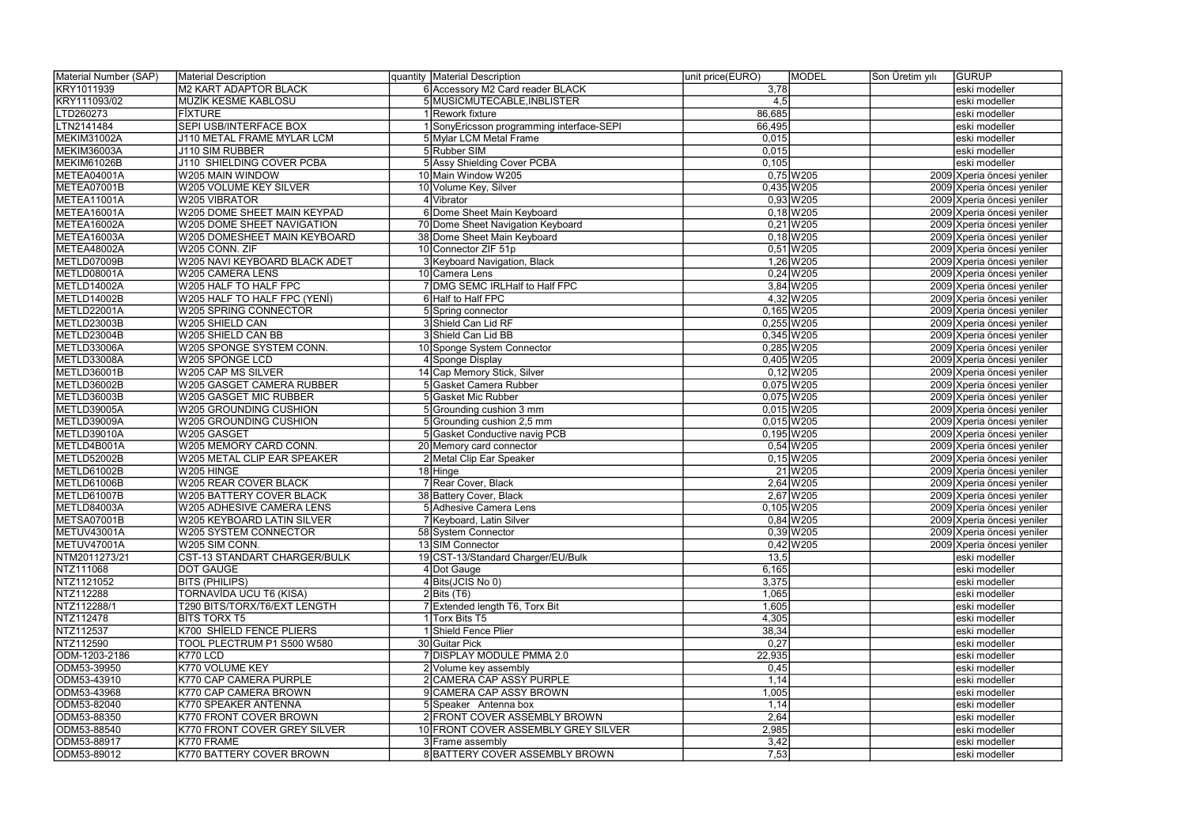| Material Number (SAP)<br>Material Description<br>quantity Material Description<br>unit price(EURO)<br>MODEL | Son Üretim yılı<br><b>GURUP</b> |
|-------------------------------------------------------------------------------------------------------------|---------------------------------|
| 6 Accessory M2 Card reader BLACK<br>KRY1011939<br>M2 KART ADAPTOR BLACK<br>3,78                             | eski modeller                   |
| KRY111093/02<br><b>MÜZİK KESME KABLOSU</b><br>5 MUSICMUTECABLE, INBLISTER<br>4,5                            | eski modeller                   |
| LTD260273<br>1 Rework fixture<br>86,685<br><b>FIXTURE</b>                                                   | eski modeller                   |
| <b>SEPI USB/INTERFACE BOX</b><br>LTN2141484<br>I SonyEricsson programming interface-SEPI<br>66,495          | eski modeller                   |
| <b>MEKIM31002A</b><br>5 Mylar LCM Metal Frame<br>J110 METAL FRAME MYLAR LCM<br>0,015                        | eski modeller                   |
| 5 Rubber SIM<br>MEKIM36003A<br>0,015<br><b>J110 SIM RUBBER</b>                                              | eski modeller                   |
| 5 Assy Shielding Cover PCBA<br>MEKIM61026B<br>J110 SHIELDING COVER PCBA<br>0,105                            | eski modeller                   |
| $0,75$ W205<br>METEA04001A<br>10 Main Window W205<br>W205 MAIN WINDOW                                       | 2009 Xperia öncesi yeniler      |
| METEA07001B<br>W205 VOLUME KEY SILVER<br>10 Volume Key, Silver<br>$0,435$ W205                              | 2009 Xperia öncesi yeniler      |
| $0,93$ W205<br>METEA11001A<br>W205 VIBRATOR<br>4 Vibrator                                                   | 2009 Xperia öncesi yeniler      |
| METEA16001A<br>W205 DOME SHEET MAIN KEYPAD<br>6 Dome Sheet Main Keyboard<br>$0,18$ W205                     | 2009 Xperia öncesi yeniler      |
| $0,21$ W205<br>METEA16002A<br>W205 DOME SHEET NAVIGATION<br>70 Dome Sheet Navigation Keyboard               | 2009 Xperia öncesi yeniler      |
| $0,18$ W205<br>METEA16003A<br>W205 DOMESHEET MAIN KEYBOARD<br>38 Dome Sheet Main Keyboard                   | 2009 Xperia öncesi yeniler      |
| $0,51$ W205<br>METEA48002A<br>W205 CONN. ZIF<br>10 Connector ZIF 51p                                        | 2009 Xperia öncesi yeniler      |
| 1,26 W205<br>METLD07009B<br>W205 NAVI KEYBOARD BLACK ADET<br>3 Keyboard Navigation, Black                   | 2009 Xperia öncesi yeniler      |
| $0,24$ W205<br>METLD08001A<br>W205 CAMERA LENS<br>10 Camera Lens                                            | 2009 Xperia öncesi yeniler      |
| 7 DMG SEMC IRLHalf to Half FPC<br>3,84 W205<br>METLD14002A<br>W205 HALF TO HALF FPC                         | 2009 Xperia öncesi yeniler      |
| 6 Half to Half FPC                                                                                          |                                 |
| 4,32 W205<br>METLD14002B<br>W205 HALF TO HALF FPC (YENI)<br>$0,165$ W205<br>METLD22001A                     | 2009 Xperia öncesi yeniler      |
| W205 SPRING CONNECTOR<br>5 Spring connector                                                                 | 2009 Xperia öncesi yeniler      |
| $0,255$ W205<br>METLD23003B<br>3 Shield Can Lid RF<br>W205 SHIELD CAN                                       | 2009 Xperia öncesi yeniler      |
| $0,345$ W205<br>METLD23004B<br>W205 SHIELD CAN BB<br>3 Shield Can Lid BB                                    | 2009 Xperia öncesi yeniler      |
| $0,285$ W205<br>METLD33006A<br>W205 SPONGE SYSTEM CONN.<br>10 Sponge System Connector                       | 2009 Xperia öncesi yeniler      |
| METLD33008A<br>$0,405$ W205<br>W205 SPONGE LCD<br>4 Sponge Display                                          | 2009 Xperia öncesi yeniler      |
| METLD36001B<br>W205 CAP MS SILVER<br>14 Cap Memory Stick, Silver<br>$0,12$ W 205                            | 2009 Xperia öncesi yeniler      |
| METLD36002B<br>$0,075$ W205<br>W205 GASGET CAMERA RUBBER<br>5 Gasket Camera Rubber                          | 2009 Xperia öncesi yeniler      |
| $0,075$ W205<br>METLD36003B<br>W205 GASGET MIC RUBBER<br>5 Gasket Mic Rubber                                | 2009 Xperia öncesi yeniler      |
| METLD39005A<br>$0,015$ W205<br>W205 GROUNDING CUSHION<br>5 Grounding cushion 3 mm                           | 2009 Xperia öncesi yeniler      |
| $0,015$ W205<br>METLD39009A<br>W205 GROUNDING CUSHION<br>5 Grounding cushion 2,5 mm                         | 2009 Xperia öncesi yeniler      |
| $0,195$ W205<br>METLD39010A<br>W205 GASGET<br>5 Gasket Conductive navig PCB                                 | 2009 Xperia öncesi yeniler      |
| $0,54$ W205<br>METLD4B001A<br>W205 MEMORY CARD CONN.<br>20 Memory card connector                            | 2009 Xperia öncesi yeniler      |
| $0,15$ W205<br>METLD52002B<br>W205 METAL CLIP EAR SPEAKER<br>2 Metal Clip Ear Speaker                       | 2009 Xperia öncesi yeniler      |
| 21 W205<br>METLD61002B<br>W205 HINGE<br>18 Hinge                                                            | 2009 Xperia öncesi yeniler      |
| 2,64 W205<br>METLD61006B<br>W205 REAR COVER BLACK<br>7 Rear Cover, Black                                    | 2009 Xperia öncesi yeniler      |
| 2,67 W205<br>METLD61007B<br>38 Battery Cover, Black<br>W205 BATTERY COVER BLACK                             | 2009 Xperia öncesi yeniler      |
| $0,105$ W205<br>METLD84003A<br>5 Adhesive Camera Lens<br><b>W205 ADHESIVE CAMERA LENS</b>                   | 2009 Xperia öncesi yeniler      |
| METSA07001B<br>$0,84$ W205<br>W205 KEYBOARD LATIN SILVER<br>7 Keyboard, Latin Silver                        | 2009 Xperia öncesi yeniler      |
| $0,39$ W 205<br>METUV43001A<br>W205 SYSTEM CONNECTOR<br>58 System Connector                                 | 2009 Xperia öncesi yeniler      |
| $0,42$ W 205<br>METUV47001A<br>13 SIM Connector<br>W205 SIM CONN.                                           | 2009 Xperia öncesi yeniler      |
| NTM2011273/21<br>19 CST-13/Standard Charger/EU/Bulk<br>13,5<br>CST-13 STANDART CHARGER/BULK                 | eski modeller                   |
| NTZ111068<br><b>DOT GAUGE</b><br>4 Dot Gauge<br>6,165                                                       | eski modeller                   |
| NTZ1121052<br>4 Bits (JCIS No 0)<br>3,375<br><b>BITS (PHILIPS)</b>                                          | eski modeller                   |
| NTZ112288<br>TORNAVÍDA UCU T6 (KISA)<br>$2  \text{Bits (T6)} $<br>1,065                                     | eski modeller                   |
| NTZ112288/1<br>7 Extended length T6, Torx Bit<br>T290 BITS/TORX/T6/EXT LENGTH<br>1,605                      | eski modeller                   |
| NTZ112478<br><b>BITS TORX T5</b><br>4,305<br>1 Torx Bits T5                                                 | eski modeller                   |
| 38,34<br>NTZ112537<br>K700 SHİELD FENCE PLIERS<br>1 Shield Fence Plier                                      | eski modeller                   |
| NTZ112590<br>0,27<br>TOOL PLECTRUM P1 S500 W580<br>30 Guitar Pick                                           | eski modeller                   |
| ODM-1203-2186<br>K770 LCD<br>22,935<br>7 DISPLAY MODULE PMMA 2.0                                            | eski modeller                   |
| ODM53-39950<br>0,45<br>K770 VOLUME KEY<br>2 Volume key assembly                                             | eski modeller                   |
| ODM53-43910<br>K770 CAP CAMERA PURPLE<br>2 CAMERA CAP ASSY PURPLE<br>1,14                                   | eski modeller                   |
| ODM53-43968<br>1,005<br>K770 CAP CAMERA BROWN<br>9 CAMERA CAP ASSY BROWN                                    | eski modeller                   |
| ODM53-82040<br>K770 SPEAKER ANTENNA<br>1,14<br>5 Speaker Antenna box                                        | eski modeller                   |
| 2,64<br>ODM53-88350<br>2 FRONT COVER ASSEMBLY BROWN<br>K770 FRONT COVER BROWN                               | eski modeller                   |
| 2,985<br>ODM53-88540<br>K770 FRONT COVER GREY SILVER<br>10 FRONT COVER ASSEMBLY GREY SILVER                 | eski modeller                   |
| ODM53-88917<br>3,42<br>K770 FRAME<br>3 Frame assembly                                                       | eski modeller                   |
| 8 BATTERY COVER ASSEMBLY BROWN<br>7,53<br>ODM53-89012<br>K770 BATTERY COVER BROWN                           | eski modeller                   |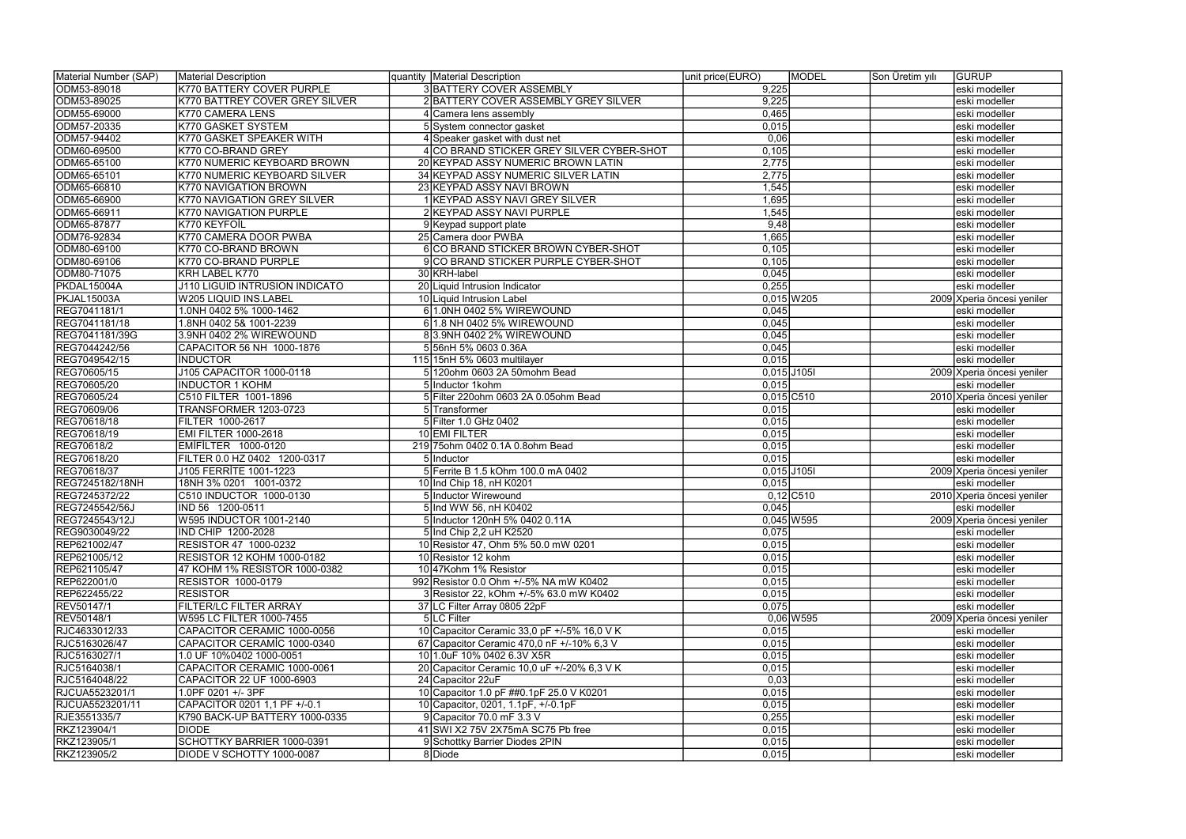| Material Number (SAP) | <b>Material Description</b>       | quantity Material Description               | MODEL<br>unit price(EURO) | Son Üretim yılı | <b>GURUP</b>               |
|-----------------------|-----------------------------------|---------------------------------------------|---------------------------|-----------------|----------------------------|
| ODM53-89018           | K770 BATTERY COVER PURPLE         | 3 BATTERY COVER ASSEMBLY                    | 9,225                     |                 | eski modeller              |
| ODM53-89025           | K770 BATTREY COVER GREY SILVER    | 2 BATTERY COVER ASSEMBLY GREY SILVER        | 9,225                     |                 | eski modeller              |
| ODM55-69000           | K770 CAMERA LENS                  | Camera lens assembly                        | 0,465                     |                 | eski modeller              |
| ODM57-20335           | K770 GASKET SYSTEM                | 5 System connector gasket                   | 0,015                     |                 | eski modeller              |
| ODM57-94402           | K770 GASKET SPEAKER WITH          | 4 Speaker gasket with dust net              | 0,06                      |                 | eski modeller              |
| ODM60-69500           | K770 CO-BRAND GREY                | 4 CO BRAND STICKER GREY SILVER CYBER-SHOT   | 0,105                     |                 | eski modeller              |
| ODM65-65100           | K770 NUMERIC KEYBOARD BROWN       | 20 KEYPAD ASSY NUMERIC BROWN LATIN          | 2,775                     |                 | eski modeller              |
| ODM65-65101           | K770 NUMERIC KEYBOARD SILVER      | 34 KEYPAD ASSY NUMERIC SILVER LATIN         | 2,775                     |                 | eski modeller              |
| ODM65-66810           | K770 NAVIGATION BROWN             | 23 KEYPAD ASSY NAVI BROWN                   | 1,545                     |                 | eski modeller              |
| ODM65-66900           | K770 NAVIGATION GREY SILVER       | KEYPAD ASSY NAVI GREY SILVER                | 1,695                     |                 | eski modeller              |
| ODM65-66911           | K770 NAVIGATION PURPLE            | 2 KEYPAD ASSY NAVI PURPLE                   | 1,545                     |                 | eski modeller              |
| ODM65-87877           | K770 KEYFOİL                      | 9 Keypad support plate                      | 9,48                      |                 | eski modeller              |
| ODM76-92834           | K770 CAMERA DOOR PWBA             | 25 Camera door PWBA                         | 1,665                     |                 | eski modeller              |
| ODM80-69100           | K770 CO-BRAND BROWN               | 6 CO BRAND STICKER BROWN CYBER-SHOT         | 0,105                     |                 | eski modeller              |
| ODM80-69106           | K770 CO-BRAND PURPLE              | 9 CO BRAND STICKER PURPLE CYBER-SHOT        | 0,105                     |                 | eski modeller              |
| ODM80-71075           | KRH LABEL K770                    | 30 KRH-label                                | 0,045                     |                 | eski modeller              |
| PKDAL15004A           | J110 LIGUID INTRUSION INDICATO    | 20 Liquid Intrusion Indicator               | 0,255                     |                 | eski modeller              |
| PKJAL15003A           | W205 LIQUID INS.LABEL             | 10 Liquid Intrusion Label                   | $0,015$ W205              |                 | 2009 Xperia öncesi yeniler |
| REG7041181/1          | 1.0NH 0402 5% 1000-1462           | 1.0NH 0402 5% WIREWOUND                     | 0,045                     |                 | eski modeller              |
| REG7041181/18         | 1.8NH 0402 5& 1001-2239           | 1.8 NH 0402 5% WIREWOUND                    | 0,045                     |                 | eski modeller              |
| REG7041181/39G        | 3.9NH 0402 2% WIREWOUND           | 83.9NH 0402 2% WIREWOUND                    | 0,045                     |                 | eski modeller              |
| REG7044242/56         | CAPACITOR 56 NH 1000-1876         | 556nH 5% 0603 0.36A                         | 0,045                     |                 | eski modeller              |
| REG7049542/15         | <b>INDUCTOR</b>                   | 115 15nH 5% 0603 multilayer                 | 0,015                     |                 | eski modeller              |
| REG70605/15           | J105 CAPACITOR 1000-0118          | 5 120 ohm 0603 2A 50 mohm Bead              | $0,015$ J105I             |                 | 2009 Xperia öncesi yeniler |
| REG70605/20           | <b>INDUCTOR 1 KOHM</b>            | 5 Inductor 1 kohm                           | 0,015                     |                 | eski modeller              |
| REG70605/24           | C510 FILTER 1001-1896             | 5 Filter 220ohm 0603 2A 0.05ohm Bead        | $0,015$ C510              |                 | 2010 Xperia öncesi yeniler |
| REG70609/06           | TRANSFORMER 1203-0723             | 5 Transformer                               | 0,015                     |                 | eski modeller              |
| REG70618/18           | FILTER 1000-2617                  | 5 Filter 1.0 GHz 0402                       | 0,015                     |                 | eski modeller              |
| REG70618/19           | <b>EMI FILTER 1000-2618</b>       | 10EMI FILTER                                | 0,015                     |                 | eski modeller              |
| REG70618/2            | EMIFILTER 1000-0120               | 219 75 ohm 0402 0.1A 0.8 ohm Bead           | 0,015                     |                 | eski modeller              |
| REG70618/20           | FILTER 0.0 HZ 0402 1200-0317      | 5 Inductor                                  | 0,015                     |                 | eski modeller              |
| REG70618/37           | J105 FERRİTE 1001-1223            | 5 Ferrite B 1.5 kOhm 100.0 mA 0402          | $0,015$ J105I             |                 | 2009 Xperia öncesi yeniler |
| REG7245182/18NH       | 18NH 3% 0201 1001-0372            | 10 Ind Chip 18, nH K0201                    | 0,015                     |                 | eski modeller              |
| REG7245372/22         | C510 INDUCTOR 1000-0130           | 5 Inductor Wirewound                        | $0,12$ C510               |                 | 2010 Xperia öncesi yeniler |
| REG7245542/56J        | IND 56 1200-0511                  | 5 Ind WW 56, nH K0402                       | 0,045                     |                 | eski modeller              |
| REG7245543/12J        | W595 INDUCTOR 1001-2140           | 5 Inductor 120nH 5% 0402 0.11A              | $0,045$ W595              |                 | 2009 Xperia öncesi yeniler |
| REG9030049/22         | IND CHIP 1200-2028                | 5 Ind Chip 2,2 uH K2520                     | 0,075                     |                 | eski modeller              |
| REP621002/47          | <b>RESISTOR 47 1000-0232</b>      | 10 Resistor 47, Ohm 5% 50.0 mW 0201         | 0,015                     |                 | eski modeller              |
| REP621005/12          | <b>RESISTOR 12 KOHM 1000-0182</b> | 10 Resistor 12 kohm                         | 0,015                     |                 | eski modeller              |
| REP621105/47          | 47 KOHM 1% RESISTOR 1000-0382     | 10 47 Kohm 1% Resistor                      | 0,015                     |                 | leski modeller             |
| REP622001/0           | <b>RESISTOR 1000-0179</b>         | 992 Resistor 0.0 Ohm +/-5% NA mW K0402      | 0,015                     |                 | eski modeller              |
| REP622455/22          | <b>RESISTOR</b>                   | 3 Resistor 22, kOhm +/-5% 63.0 mW K0402     | 0,015                     |                 | eski modeller              |
| REV50147/1            | FILTER/LC FILTER ARRAY            | 37 LC Filter Array 0805 22pF                | 0,075                     |                 | eski modeller              |
| REV50148/1            | W595 LC FILTER 1000-7455          | 5 LC Filter                                 | $0,06$ W595               |                 | 2009 Xperia öncesi yeniler |
| RJC4633012/33         | CAPACITOR CERAMIC 1000-0056       | 10 Capacitor Ceramic 33,0 pF +/-5% 16,0 V K | 0,015                     |                 | eski modeller              |
| RJC5163026/47         | CAPACITOR CERAMIC 1000-0340       | 67 Capacitor Ceramic 470,0 nF +/-10% 6,3 V  | 0,015                     |                 | eski modeller              |
| RJC5163027/1          | 1.0 UF 10%0402 1000-0051          | 10 1.0 UP 10% 0402 6.3 V X5R                | 0,015                     |                 | eski modeller              |
| RJC5164038/1          | CAPACITOR CERAMIC 1000-0061       | 20 Capacitor Ceramic 10,0 uF +/-20% 6,3 V K | 0,015                     |                 | eski modeller              |
| RJC5164048/22         | CAPACITOR 22 UF 1000-6903         | 24 Capacitor 22uF                           | 0,03                      |                 | eski modeller              |
| RJCUA5523201/1        | 1.0PF 0201 +/-3PF                 | 10 Capacitor 1.0 pF ##0.1pF 25.0 V K0201    | 0,015                     |                 | eski modeller              |
| RJCUA5523201/11       | CAPACITOR 0201 1,1 PF +/-0.1      | 10 Capacitor, 0201, 1.1pF, +/-0.1pF         | 0,015                     |                 | eski modeller              |
| RJE3551335/7          | K790 BACK-UP BATTERY 1000-0335    | 9 Capacitor 70.0 mF 3.3 V                   | 0,255                     |                 | eski modeller              |
| RKZ123904/1           | <b>DIODE</b>                      | 41 SWI X2 75V 2X75mA SC75 Pb free           | 0,015                     |                 | eski modeller              |
| RKZ123905/1           | SCHOTTKY BARRIER 1000-0391        | 9 Schottky Barrier Diodes 2PIN              | 0,015                     |                 | eski modeller              |
| RKZ123905/2           | DIODE V SCHOTTY 1000-0087         | 8 Diode                                     | 0,015                     |                 | eski modeller              |
|                       |                                   |                                             |                           |                 |                            |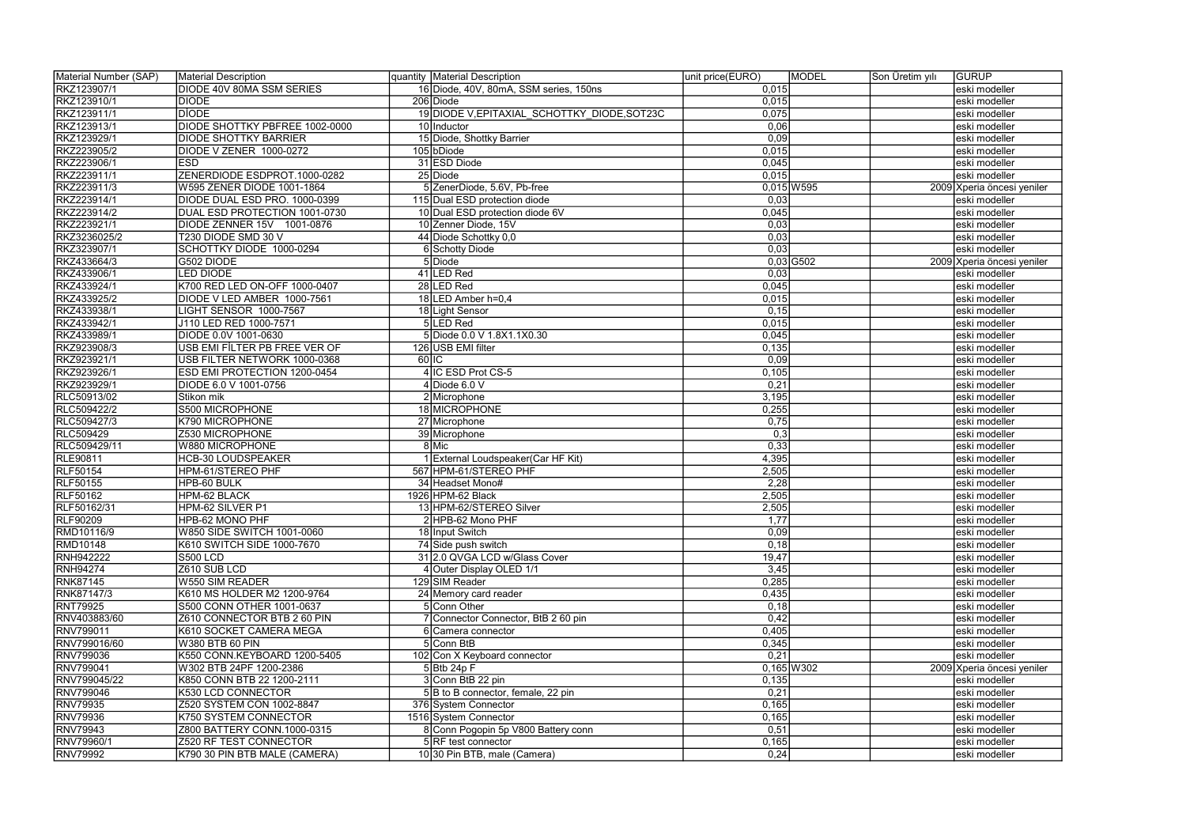| Material Number (SAP) | Material Description                |    | quantity   Material Description              | unit price(EURO) | <b>MODEL</b> | Son Üretim yılı | <b>GURUP</b>               |
|-----------------------|-------------------------------------|----|----------------------------------------------|------------------|--------------|-----------------|----------------------------|
| RKZ123907/1           | <b>DIODE 40V 80MA SSM SERIES</b>    |    | 16 Diode, 40V, 80mA, SSM series, 150ns       | 0,015            |              |                 | eski modeller              |
| RKZ123910/1           | <b>DIODE</b>                        |    | 206 Diode                                    | 0,015            |              |                 | eski modeller              |
| RKZ123911/1           | <b>DIODE</b>                        |    | 19 DIODE V, EPITAXIAL SCHOTTKY DIODE, SOT23C | 0,075            |              |                 | eski modeller              |
| RKZ123913/1           | DIODE SHOTTKY PBFREE 1002-0000      |    | 10 Inductor                                  | 0,06             |              |                 | eski modeller              |
| RKZ123929/1           | <b>DIODE SHOTTKY BARRIER</b>        |    | 15 Diode, Shottky Barrier                    | 0,09             |              |                 | eski modeller              |
| RKZ223905/2           | DIODE V ZENER 1000-0272             |    | 105 bDiode                                   | 0,015            |              |                 | eski modeller              |
| RKZ223906/1           | <b>ESD</b>                          |    | 31 ESD Diode                                 | 0,045            |              |                 | eski modeller              |
| RKZ223911/1           | ZENERDIODE ESDPROT.1000-0282        |    | 25 Diode                                     | 0,015            |              |                 | eski modeller              |
| RKZ223911/3           | W595 ZENER DIODE 1001-1864          |    | 5 ZenerDiode, 5.6V, Pb-free                  |                  | $0,015$ W595 |                 | 2009 Xperia öncesi yeniler |
| RKZ223914/1           | DIODE DUAL ESD PRO. 1000-0399       |    | 115 Dual ESD protection diode                | 0,03             |              |                 | eski modeller              |
| RKZ223914/2           | DUAL ESD PROTECTION 1001-0730       |    | 10 Dual ESD protection diode 6V              | 0,045            |              |                 | eski modeller              |
| RKZ223921/1           | DIODE ZENNER 15V 1001-0876          |    | 10 Zenner Diode, 15V                         | 0,03             |              |                 | eski modeller              |
| RKZ3236025/2          | T230 DIODE SMD 30 V                 |    | 44 Diode Schottky 0,0                        | 0,03             |              |                 | eski modeller              |
| RKZ323907/1           | SCHOTTKY DIODE 1000-0294            |    | 6 Schotty Diode                              | 0,03             |              |                 | eski modeller              |
| RKZ433664/3           | G502 DIODE                          |    | 5Diode                                       |                  | $0,03$ G502  |                 | 2009 Xperia öncesi yeniler |
| RKZ433906/1           | <b>LED DIODE</b>                    |    | 41 LED Red                                   | 0,03             |              |                 | eski modeller              |
| RKZ433924/1           | K700 RED LED ON-OFF 1000-0407       |    | 28 LED Red                                   | 0,045            |              |                 | eski modeller              |
| RKZ433925/2           | DIODE V LED AMBER 1000-7561         |    | 18 LED Amber h=0,4                           | 0,015            |              |                 | eski modeller              |
| RKZ433938/1           | LIGHT SENSOR 1000-7567              |    | 18 Light Sensor                              | 0,15             |              |                 | eski modeller              |
| RKZ433942/1           | J110 LED RED 1000-7571              |    | 5LED Red                                     | 0,015            |              |                 | eski modeller              |
| RKZ433989/1           | DIODE 0.0V 1001-0630                |    | 5 Diode 0.0 V 1.8X1.1X0.30                   | 0,045            |              |                 | eski modeller              |
| RKZ923908/3           | USB EMI FİLTER PB FREE VER OF       |    | 126 USB EMI filter                           | 0,135            |              |                 | eski modeller              |
| RKZ923921/1           | USB FILTER NETWORK 1000-0368        | 60 |                                              | 0,09             |              |                 | eski modeller              |
| RKZ923926/1           | <b>ESD EMI PROTECTION 1200-0454</b> |    | 4 IC ESD Prot CS-5                           | 0,105            |              |                 | eski modeller              |
| RKZ923929/1           | DIODE 6.0 V 1001-0756               |    | $4$ Diode 6.0 V                              | 0,21             |              |                 | eski modeller              |
| RLC50913/02           | Stikon mik                          |    | 2 Microphone                                 | 3,195            |              |                 | eski modeller              |
| RLC509422/2           | S500 MICROPHONE                     |    | 18 MICROPHONE                                | 0,255            |              |                 | eski modeller              |
| RLC509427/3           | K790 MICROPHONE                     |    | 27 Microphone                                | 0,75             |              |                 | eski modeller              |
| <b>RLC509429</b>      | Z530 MICROPHONE                     |    | 39 Microphone                                | 0,3              |              |                 | eski modeller              |
| RLC509429/11          | W880 MICROPHONE                     |    | 8 Mic                                        | 0,33             |              |                 | eski modeller              |
| <b>RLE90811</b>       | <b>HCB-30 LOUDSPEAKER</b>           |    | 1 External Loudspeaker (Car HF Kit)          | 4,395            |              |                 | eski modeller              |
| <b>RLF50154</b>       | HPM-61/STEREO PHF                   |    | 567 HPM-61/STEREO PHF                        | 2,505            |              |                 | eski modeller              |
| <b>RLF50155</b>       | HPB-60 BULK                         |    | 34 Headset Mono#                             | 2,28             |              |                 | eski modeller              |
| RLF50162              | HPM-62 BLACK                        |    | 1926 HPM-62 Black                            | 2,505            |              |                 | eski modeller              |
| RLF50162/31           | HPM-62 SILVER P1                    |    | 13 HPM-62/STEREO Silver                      | 2,505            |              |                 | eski modeller              |
| <b>RLF90209</b>       | HPB-62 MONO PHF                     |    | 2 HPB-62 Mono PHF                            | 1,77             |              |                 | eski modeller              |
| RMD10116/9            | W850 SIDE SWITCH 1001-0060          |    | 18 Input Switch                              | 0,09             |              |                 | eski modeller              |
| <b>RMD10148</b>       | K610 SWITCH SIDE 1000-7670          |    | 74 Side push switch                          | 0,18             |              |                 | eski modeller              |
| <b>RNH942222</b>      | <b>S500 LCD</b>                     |    | 31 2.0 QVGA LCD w/Glass Cover                | 19,47            |              |                 | eski modeller              |
| <b>RNH94274</b>       | Z610 SUB LCD                        |    | 4 Outer Display OLED 1/1                     | 3,45             |              |                 | eski modeller              |
| <b>RNK87145</b>       | <b>W550 SIM READER</b>              |    | 129 SIM Reader                               | 0,285            |              |                 | eski modeller              |
| RNK87147/3            | K610 MS HOLDER M2 1200-9764         |    | 24 Memory card reader                        | 0,435            |              |                 | eski modeller              |
| <b>RNT79925</b>       | S500 CONN OTHER 1001-0637           |    | 5 Conn Other                                 | 0,18             |              |                 | eski modeller              |
| RNV403883/60          | Z610 CONNECTOR BTB 2 60 PIN         |    | 7 Connector Connector, BtB 2 60 pin          | 0,42             |              |                 | eski modeller              |
| RNV799011             | K610 SOCKET CAMERA MEGA             |    | 6 Camera connector                           | 0,405            |              |                 | eski modeller              |
| RNV799016/60          | <b>W380 BTB 60 PIN</b>              |    | 5 Conn BtB                                   | 0,345            |              |                 | eski modeller              |
| RNV799036             | K550 CONN.KEYBOARD 1200-5405        |    | 102 Con X Keyboard connector                 | 0,21             |              |                 | eski modeller              |
| RNV799041             | W302 BTB 24PF 1200-2386             |    | $5$ Btb 24p F                                |                  | $0,165$ W302 |                 | 2009 Xperia öncesi yeniler |
| RNV799045/22          | K850 CONN BTB 22 1200-2111          |    | 3 Conn BtB 22 pin                            | 0,135            |              |                 | eski modeller              |
| RNV799046             | K530 LCD CONNECTOR                  |    | 5B to B connector, female, 22 pin            | 0,21             |              |                 | eski modeller              |
| RNV79935              | Z520 SYSTEM CON 1002-8847           |    | 376 System Connector                         | 0,165            |              |                 | eski modeller              |
| RNV79936              | K750 SYSTEM CONNECTOR               |    | 1516 System Connector                        | 0,165            |              |                 | eski modeller              |
| RNV79943              | Z800 BATTERY CONN.1000-0315         |    | 8 Conn Pogopin 5p V800 Battery conn          | 0,51             |              |                 | eski modeller              |
| RNV79960/1            | Z520 RF TEST CONNECTOR              |    | 5 RF test connector                          | 0,165            |              |                 | eski modeller              |
| RNV79992              | K790 30 PIN BTB MALE (CAMERA)       |    | 10 30 Pin BTB, male (Camera)                 | 0,24             |              |                 | eski modeller              |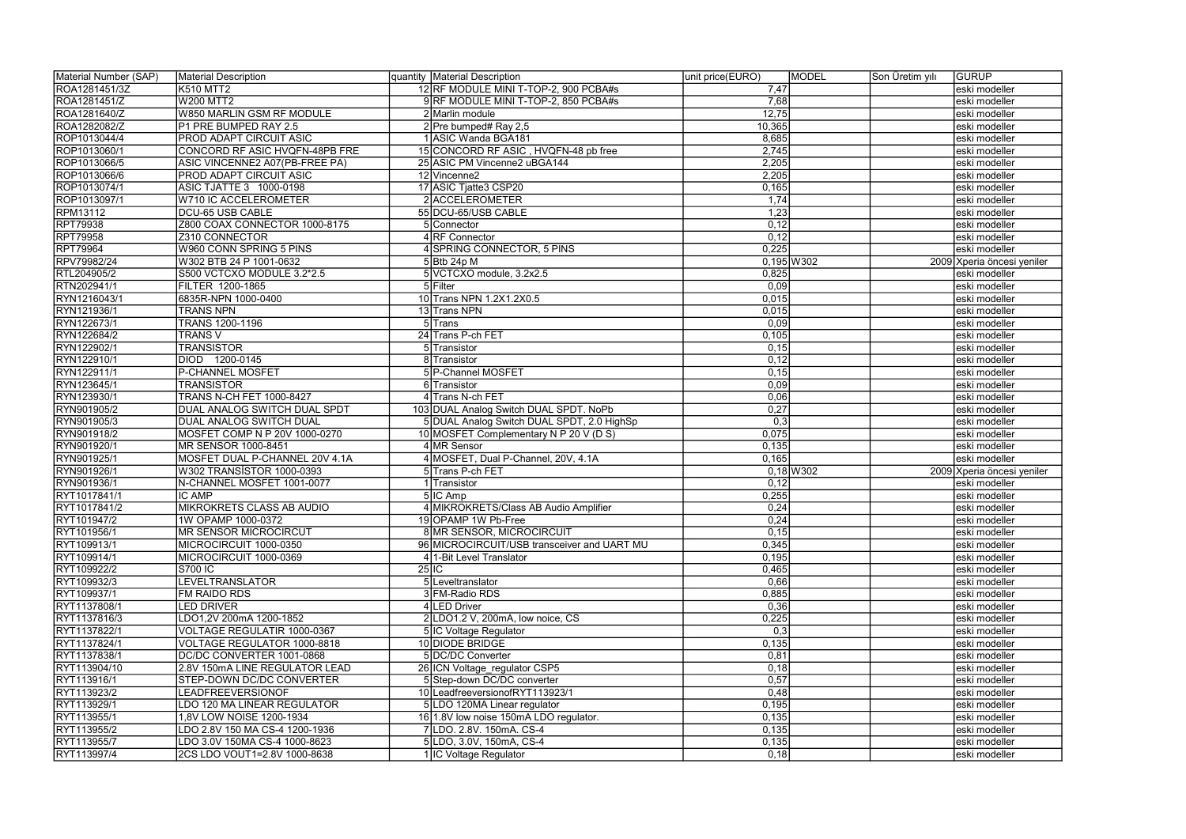| 12 RF MODULE MINI T-TOP-2, 900 PCBA#s<br>K510 MTT2<br>7,47<br>eski modeller<br>7,68<br><b>W200 MTT2</b><br>9 RF MODULE MINI T-TOP-2, 850 PCBA#s<br>eski modeller<br>12,75<br>ROA1281640/Z<br>W850 MARLIN GSM RF MODULE<br>2 Marlin module<br>eski modeller<br>ROA1282082/Z<br>10,365<br>P1 PRE BUMPED RAY 2.5<br>2 Pre bumped# Ray 2,5<br>eski modeller<br>ROP1013044/4<br>8,685<br>PROD ADAPT CIRCUIT ASIC<br>1 ASIC Wanda BGA181<br>eski modeller<br>ROP1013060/1<br>15 CONCORD RF ASIC, HVQFN-48 pb free<br>2,745<br>CONCORD RF ASIC HVQFN-48PB FRE<br>eski modeller<br>ROP1013066/5<br>ASIC VINCENNE2 A07(PB-FREE PA)<br>25 ASIC PM Vincenne2 uBGA144<br>2,205<br>eski modeller<br>ROP1013066/6<br><b>PROD ADAPT CIRCUIT ASIC</b><br>12 Vincenne2<br>2,205<br>eski modeller<br>17 ASIC Tjatte3 CSP20<br>0,165<br>ROP1013074/1<br>ASIC TJATTE 3 1000-0198<br>eski modeller<br>2 ACCELEROMETER<br>1,74<br>ROP1013097/1<br>W710 IC ACCELEROMETER<br>eski modeller<br><b>RPM13112</b><br><b>DCU-65 USB CABLE</b><br>55 DCU-65/USB CABLE<br>1,23<br>eski modeller<br><b>RPT79938</b><br>0,12<br>Z800 COAX CONNECTOR 1000-8175<br>5 Connector<br>eski modeller<br><b>RPT79958</b><br>Z310 CONNECTOR<br>4 RF Connector<br>0,12<br>eski modeller<br><b>RPT79964</b><br>0,225<br>4 SPRING CONNECTOR, 5 PINS<br>W960 CONN SPRING 5 PINS<br>eski modeller<br>RPV79982/24<br>W302 BTB 24 P 1001-0632<br>$0,195$ W302<br>$5$ Btb 24p M<br>2009 Xperia öncesi yeniler<br>RTL204905/2<br>S500 VCTCXO MODULE 3.2*2.5<br>5 VCTCXO module, 3.2x2.5<br>0,825<br>eski modeller<br>RTN202941/1<br>5Filter<br>0,09<br>FILTER 1200-1865<br>eski modeller<br>10 Trans NPN 1.2X1.2X0.5<br>0,015<br>RYN1216043/1<br>6835R-NPN 1000-0400<br>eski modeller<br>0,015<br>RYN121936/1<br><b>TRANS NPN</b><br>13 Trans NPN<br>eski modeller<br>RYN122673/1<br>0,09<br>$5$ Trans<br>TRANS 1200-1196<br>eski modeller<br>0,105<br>RYN122684/2<br><b>TRANS V</b><br>24 Trans P-ch FET<br>eski modeller<br>RYN122902/1<br><b>TRANSISTOR</b><br>5 Transistor<br>0, 15<br>eski modeller<br>RYN122910/1<br>DIOD 1200-0145<br>0,12<br>8 Transistor<br>eski modeller<br>RYN122911/1<br>P-CHANNEL MOSFET<br>5 P-Channel MOSFET<br>0,15<br>eski modeller<br>RYN123645/1<br><b>TRANSISTOR</b><br>6 Transistor<br>0,09<br>eski modeller<br><b>TRANS N-CH FET 1000-8427</b><br>RYN123930/1<br>4 Trans N-ch FET<br>0,06<br>eski modeller<br>103 DUAL Analog Switch DUAL SPDT. NoPb<br>0,27<br>RYN901905/2<br>DUAL ANALOG SWITCH DUAL SPDT<br>eski modeller<br>RYN901905/3<br><b>DUAL ANALOG SWITCH DUAL</b><br>5 DUAL Analog Switch DUAL SPDT, 2.0 HighSp<br>0,3<br>eski modeller<br>RYN901918/2<br>0,075<br>MOSFET COMP N P 20V 1000-0270<br>10 MOSFET Complementary N P 20 V (D S)<br>eski modeller<br>RYN901920/1<br>4 MR Sensor<br>0,135<br>MR SENSOR 1000-8451<br>eski modeller<br>4 MOSFET, Dual P-Channel, 20V, 4.1A<br>MOSFET DUAL P-CHANNEL 20V 4.1A<br>0,165<br>RYN901925/1<br>eski modeller<br>W302 TRANSISTOR 1000-0393<br>$0,18$ W302<br>RYN901926/1<br>5 Trans P-ch FET<br>2009 Xperia öncesi yeniler<br>RYN901936/1<br>N-CHANNEL MOSFET 1001-0077<br>Transistor<br>0,12<br>eski modeller<br><b>IC AMP</b><br>0,255<br>RYT1017841/1<br>5 IC Amp<br>eski modeller<br>0,24<br>RYT1017841/2<br><b>MIKROKRETS CLASS AB AUDIO</b><br>4 MIKROKRETS/Class AB Audio Amplifier<br>eski modeller<br>RYT101947/2<br>0,24<br>1W OPAMP 1000-0372<br>19 OPAMP 1W Pb-Free<br>Jeski modeller<br>0,15<br><b>8 MR SENSOR, MICROCIRCUIT</b><br>RYT101956/1<br>MR SENSOR MICROCIRCUT<br>eski modeller<br>RYT109913/1<br>0,345<br>MICROCIRCUIT 1000-0350<br>96 MICROCIRCUIT/USB transceiver and UART MU<br>eski modeller<br>RYT109914/1<br>0,195<br>MICROCIRCUIT 1000-0369<br>1-Bit Level Translator<br>eski modeller<br>RYT109922/2<br><b>S700 IC</b><br>$25$ IC<br>0,465<br>eski modeller<br>RYT109932/3<br><b>LEVELTRANSLATOR</b><br>0,66<br>5 Leveltranslator<br>eski modeller<br>RYT109937/1<br>3 FM-Radio RDS<br>FM RAIDO RDS<br>0,885<br>eski modeller<br>4 LED Driver<br>RYT1137808/1<br><b>LED DRIVER</b><br>0,36<br>eski modeller<br>0,225<br>RYT1137816/3<br>LDO1,2V 200mA 1200-1852<br>2 LDO1.2 V, 200mA, low noice, CS<br>eski modeller<br>0,3<br>RYT1137822/1<br>VOLTAGE REGULATIR 1000-0367<br>5 IC Voltage Regulator<br>eski modeller<br>RYT1137824/1<br>10 DIODE BRIDGE<br>0,135<br>VOLTAGE REGULATOR 1000-8818<br>eski modeller<br>5 DC/DC Converter<br>RYT1137838/1<br>DC/DC CONVERTER 1001-0868<br>0,81<br>eski modeller<br>RYT113904/10<br>2.8V 150mA LINE REGULATOR LEAD<br>26 ICN Voltage regulator CSP5<br>0,18<br>eski modeller<br>0,57<br>STEP-DOWN DC/DC CONVERTER<br>5 Step-down DC/DC converter<br>eski modeller<br>RYT113923/2<br>10 Leadfreeversion of RYT113923/1<br>0,48<br>LEADFREEVERSIONOF<br>eski modeller<br>0,195<br>LDO 120 MA LINEAR REGULATOR<br>5 LDO 120MA Linear regulator<br>eski modeller<br>0,135<br>,8V LOW NOISE 1200-1934<br>16 1.8 V low noise 150 m LDO regulator.<br>eski modeller<br>0,135<br>LDO 2.8V 150 MA CS-4 1200-1936<br>7 LDO. 2.8V. 150 m A. CS-4<br>eski modeller<br>0,135<br>5LDO, 3.0V, 150mA, CS-4<br>LDO 3.0V 150MA CS-4 1000-8623<br>eski modeller<br>0,18<br>2CS LDO VOUT1=2.8V 1000-8638<br>1 IC Voltage Regulator<br>eski modeller | Material Number (SAP) | Material Description | quantity Material Description | unit price(EURO) | <b>MODEL</b> | Son Üretim yılı | <b>GURUP</b> |
|-----------------------------------------------------------------------------------------------------------------------------------------------------------------------------------------------------------------------------------------------------------------------------------------------------------------------------------------------------------------------------------------------------------------------------------------------------------------------------------------------------------------------------------------------------------------------------------------------------------------------------------------------------------------------------------------------------------------------------------------------------------------------------------------------------------------------------------------------------------------------------------------------------------------------------------------------------------------------------------------------------------------------------------------------------------------------------------------------------------------------------------------------------------------------------------------------------------------------------------------------------------------------------------------------------------------------------------------------------------------------------------------------------------------------------------------------------------------------------------------------------------------------------------------------------------------------------------------------------------------------------------------------------------------------------------------------------------------------------------------------------------------------------------------------------------------------------------------------------------------------------------------------------------------------------------------------------------------------------------------------------------------------------------------------------------------------------------------------------------------------------------------------------------------------------------------------------------------------------------------------------------------------------------------------------------------------------------------------------------------------------------------------------------------------------------------------------------------------------------------------------------------------------------------------------------------------------------------------------------------------------------------------------------------------------------------------------------------------------------------------------------------------------------------------------------------------------------------------------------------------------------------------------------------------------------------------------------------------------------------------------------------------------------------------------------------------------------------------------------------------------------------------------------------------------------------------------------------------------------------------------------------------------------------------------------------------------------------------------------------------------------------------------------------------------------------------------------------------------------------------------------------------------------------------------------------------------------------------------------------------------------------------------------------------------------------------------------------------------------------------------------------------------------------------------------------------------------------------------------------------------------------------------------------------------------------------------------------------------------------------------------------------------------------------------------------------------------------------------------------------------------------------------------------------------------------------------------------------------------------------------------------------------------------------------------------------------------------------------------------------------------------------------------------------------------------------------------------------------------------------------------------------------------------------------------------------------------------------------------------------------------------------------------------------------------------------------------------------------------------------------------------------------------------------------------------------------------------------------------------------------------------------------------------------------------------------------------------------------------------------------------------------------------------------------------------------------------------------------------------------------------------------------------------------------------------------------------------------------------------------------------|-----------------------|----------------------|-------------------------------|------------------|--------------|-----------------|--------------|
|                                                                                                                                                                                                                                                                                                                                                                                                                                                                                                                                                                                                                                                                                                                                                                                                                                                                                                                                                                                                                                                                                                                                                                                                                                                                                                                                                                                                                                                                                                                                                                                                                                                                                                                                                                                                                                                                                                                                                                                                                                                                                                                                                                                                                                                                                                                                                                                                                                                                                                                                                                                                                                                                                                                                                                                                                                                                                                                                                                                                                                                                                                                                                                                                                                                                                                                                                                                                                                                                                                                                                                                                                                                                                                                                                                                                                                                                                                                                                                                                                                                                                                                                                                                                                                                                                                                                                                                                                                                                                                                                                                                                                                                                                                                                                                                                                                                                                                                                                                                                                                                                                                                                                                                                                                                           | ROA1281451/3Z         |                      |                               |                  |              |                 |              |
|                                                                                                                                                                                                                                                                                                                                                                                                                                                                                                                                                                                                                                                                                                                                                                                                                                                                                                                                                                                                                                                                                                                                                                                                                                                                                                                                                                                                                                                                                                                                                                                                                                                                                                                                                                                                                                                                                                                                                                                                                                                                                                                                                                                                                                                                                                                                                                                                                                                                                                                                                                                                                                                                                                                                                                                                                                                                                                                                                                                                                                                                                                                                                                                                                                                                                                                                                                                                                                                                                                                                                                                                                                                                                                                                                                                                                                                                                                                                                                                                                                                                                                                                                                                                                                                                                                                                                                                                                                                                                                                                                                                                                                                                                                                                                                                                                                                                                                                                                                                                                                                                                                                                                                                                                                                           | ROA1281451/Z          |                      |                               |                  |              |                 |              |
|                                                                                                                                                                                                                                                                                                                                                                                                                                                                                                                                                                                                                                                                                                                                                                                                                                                                                                                                                                                                                                                                                                                                                                                                                                                                                                                                                                                                                                                                                                                                                                                                                                                                                                                                                                                                                                                                                                                                                                                                                                                                                                                                                                                                                                                                                                                                                                                                                                                                                                                                                                                                                                                                                                                                                                                                                                                                                                                                                                                                                                                                                                                                                                                                                                                                                                                                                                                                                                                                                                                                                                                                                                                                                                                                                                                                                                                                                                                                                                                                                                                                                                                                                                                                                                                                                                                                                                                                                                                                                                                                                                                                                                                                                                                                                                                                                                                                                                                                                                                                                                                                                                                                                                                                                                                           |                       |                      |                               |                  |              |                 |              |
|                                                                                                                                                                                                                                                                                                                                                                                                                                                                                                                                                                                                                                                                                                                                                                                                                                                                                                                                                                                                                                                                                                                                                                                                                                                                                                                                                                                                                                                                                                                                                                                                                                                                                                                                                                                                                                                                                                                                                                                                                                                                                                                                                                                                                                                                                                                                                                                                                                                                                                                                                                                                                                                                                                                                                                                                                                                                                                                                                                                                                                                                                                                                                                                                                                                                                                                                                                                                                                                                                                                                                                                                                                                                                                                                                                                                                                                                                                                                                                                                                                                                                                                                                                                                                                                                                                                                                                                                                                                                                                                                                                                                                                                                                                                                                                                                                                                                                                                                                                                                                                                                                                                                                                                                                                                           |                       |                      |                               |                  |              |                 |              |
|                                                                                                                                                                                                                                                                                                                                                                                                                                                                                                                                                                                                                                                                                                                                                                                                                                                                                                                                                                                                                                                                                                                                                                                                                                                                                                                                                                                                                                                                                                                                                                                                                                                                                                                                                                                                                                                                                                                                                                                                                                                                                                                                                                                                                                                                                                                                                                                                                                                                                                                                                                                                                                                                                                                                                                                                                                                                                                                                                                                                                                                                                                                                                                                                                                                                                                                                                                                                                                                                                                                                                                                                                                                                                                                                                                                                                                                                                                                                                                                                                                                                                                                                                                                                                                                                                                                                                                                                                                                                                                                                                                                                                                                                                                                                                                                                                                                                                                                                                                                                                                                                                                                                                                                                                                                           |                       |                      |                               |                  |              |                 |              |
|                                                                                                                                                                                                                                                                                                                                                                                                                                                                                                                                                                                                                                                                                                                                                                                                                                                                                                                                                                                                                                                                                                                                                                                                                                                                                                                                                                                                                                                                                                                                                                                                                                                                                                                                                                                                                                                                                                                                                                                                                                                                                                                                                                                                                                                                                                                                                                                                                                                                                                                                                                                                                                                                                                                                                                                                                                                                                                                                                                                                                                                                                                                                                                                                                                                                                                                                                                                                                                                                                                                                                                                                                                                                                                                                                                                                                                                                                                                                                                                                                                                                                                                                                                                                                                                                                                                                                                                                                                                                                                                                                                                                                                                                                                                                                                                                                                                                                                                                                                                                                                                                                                                                                                                                                                                           |                       |                      |                               |                  |              |                 |              |
|                                                                                                                                                                                                                                                                                                                                                                                                                                                                                                                                                                                                                                                                                                                                                                                                                                                                                                                                                                                                                                                                                                                                                                                                                                                                                                                                                                                                                                                                                                                                                                                                                                                                                                                                                                                                                                                                                                                                                                                                                                                                                                                                                                                                                                                                                                                                                                                                                                                                                                                                                                                                                                                                                                                                                                                                                                                                                                                                                                                                                                                                                                                                                                                                                                                                                                                                                                                                                                                                                                                                                                                                                                                                                                                                                                                                                                                                                                                                                                                                                                                                                                                                                                                                                                                                                                                                                                                                                                                                                                                                                                                                                                                                                                                                                                                                                                                                                                                                                                                                                                                                                                                                                                                                                                                           |                       |                      |                               |                  |              |                 |              |
|                                                                                                                                                                                                                                                                                                                                                                                                                                                                                                                                                                                                                                                                                                                                                                                                                                                                                                                                                                                                                                                                                                                                                                                                                                                                                                                                                                                                                                                                                                                                                                                                                                                                                                                                                                                                                                                                                                                                                                                                                                                                                                                                                                                                                                                                                                                                                                                                                                                                                                                                                                                                                                                                                                                                                                                                                                                                                                                                                                                                                                                                                                                                                                                                                                                                                                                                                                                                                                                                                                                                                                                                                                                                                                                                                                                                                                                                                                                                                                                                                                                                                                                                                                                                                                                                                                                                                                                                                                                                                                                                                                                                                                                                                                                                                                                                                                                                                                                                                                                                                                                                                                                                                                                                                                                           |                       |                      |                               |                  |              |                 |              |
|                                                                                                                                                                                                                                                                                                                                                                                                                                                                                                                                                                                                                                                                                                                                                                                                                                                                                                                                                                                                                                                                                                                                                                                                                                                                                                                                                                                                                                                                                                                                                                                                                                                                                                                                                                                                                                                                                                                                                                                                                                                                                                                                                                                                                                                                                                                                                                                                                                                                                                                                                                                                                                                                                                                                                                                                                                                                                                                                                                                                                                                                                                                                                                                                                                                                                                                                                                                                                                                                                                                                                                                                                                                                                                                                                                                                                                                                                                                                                                                                                                                                                                                                                                                                                                                                                                                                                                                                                                                                                                                                                                                                                                                                                                                                                                                                                                                                                                                                                                                                                                                                                                                                                                                                                                                           |                       |                      |                               |                  |              |                 |              |
|                                                                                                                                                                                                                                                                                                                                                                                                                                                                                                                                                                                                                                                                                                                                                                                                                                                                                                                                                                                                                                                                                                                                                                                                                                                                                                                                                                                                                                                                                                                                                                                                                                                                                                                                                                                                                                                                                                                                                                                                                                                                                                                                                                                                                                                                                                                                                                                                                                                                                                                                                                                                                                                                                                                                                                                                                                                                                                                                                                                                                                                                                                                                                                                                                                                                                                                                                                                                                                                                                                                                                                                                                                                                                                                                                                                                                                                                                                                                                                                                                                                                                                                                                                                                                                                                                                                                                                                                                                                                                                                                                                                                                                                                                                                                                                                                                                                                                                                                                                                                                                                                                                                                                                                                                                                           |                       |                      |                               |                  |              |                 |              |
|                                                                                                                                                                                                                                                                                                                                                                                                                                                                                                                                                                                                                                                                                                                                                                                                                                                                                                                                                                                                                                                                                                                                                                                                                                                                                                                                                                                                                                                                                                                                                                                                                                                                                                                                                                                                                                                                                                                                                                                                                                                                                                                                                                                                                                                                                                                                                                                                                                                                                                                                                                                                                                                                                                                                                                                                                                                                                                                                                                                                                                                                                                                                                                                                                                                                                                                                                                                                                                                                                                                                                                                                                                                                                                                                                                                                                                                                                                                                                                                                                                                                                                                                                                                                                                                                                                                                                                                                                                                                                                                                                                                                                                                                                                                                                                                                                                                                                                                                                                                                                                                                                                                                                                                                                                                           |                       |                      |                               |                  |              |                 |              |
|                                                                                                                                                                                                                                                                                                                                                                                                                                                                                                                                                                                                                                                                                                                                                                                                                                                                                                                                                                                                                                                                                                                                                                                                                                                                                                                                                                                                                                                                                                                                                                                                                                                                                                                                                                                                                                                                                                                                                                                                                                                                                                                                                                                                                                                                                                                                                                                                                                                                                                                                                                                                                                                                                                                                                                                                                                                                                                                                                                                                                                                                                                                                                                                                                                                                                                                                                                                                                                                                                                                                                                                                                                                                                                                                                                                                                                                                                                                                                                                                                                                                                                                                                                                                                                                                                                                                                                                                                                                                                                                                                                                                                                                                                                                                                                                                                                                                                                                                                                                                                                                                                                                                                                                                                                                           |                       |                      |                               |                  |              |                 |              |
|                                                                                                                                                                                                                                                                                                                                                                                                                                                                                                                                                                                                                                                                                                                                                                                                                                                                                                                                                                                                                                                                                                                                                                                                                                                                                                                                                                                                                                                                                                                                                                                                                                                                                                                                                                                                                                                                                                                                                                                                                                                                                                                                                                                                                                                                                                                                                                                                                                                                                                                                                                                                                                                                                                                                                                                                                                                                                                                                                                                                                                                                                                                                                                                                                                                                                                                                                                                                                                                                                                                                                                                                                                                                                                                                                                                                                                                                                                                                                                                                                                                                                                                                                                                                                                                                                                                                                                                                                                                                                                                                                                                                                                                                                                                                                                                                                                                                                                                                                                                                                                                                                                                                                                                                                                                           |                       |                      |                               |                  |              |                 |              |
|                                                                                                                                                                                                                                                                                                                                                                                                                                                                                                                                                                                                                                                                                                                                                                                                                                                                                                                                                                                                                                                                                                                                                                                                                                                                                                                                                                                                                                                                                                                                                                                                                                                                                                                                                                                                                                                                                                                                                                                                                                                                                                                                                                                                                                                                                                                                                                                                                                                                                                                                                                                                                                                                                                                                                                                                                                                                                                                                                                                                                                                                                                                                                                                                                                                                                                                                                                                                                                                                                                                                                                                                                                                                                                                                                                                                                                                                                                                                                                                                                                                                                                                                                                                                                                                                                                                                                                                                                                                                                                                                                                                                                                                                                                                                                                                                                                                                                                                                                                                                                                                                                                                                                                                                                                                           |                       |                      |                               |                  |              |                 |              |
|                                                                                                                                                                                                                                                                                                                                                                                                                                                                                                                                                                                                                                                                                                                                                                                                                                                                                                                                                                                                                                                                                                                                                                                                                                                                                                                                                                                                                                                                                                                                                                                                                                                                                                                                                                                                                                                                                                                                                                                                                                                                                                                                                                                                                                                                                                                                                                                                                                                                                                                                                                                                                                                                                                                                                                                                                                                                                                                                                                                                                                                                                                                                                                                                                                                                                                                                                                                                                                                                                                                                                                                                                                                                                                                                                                                                                                                                                                                                                                                                                                                                                                                                                                                                                                                                                                                                                                                                                                                                                                                                                                                                                                                                                                                                                                                                                                                                                                                                                                                                                                                                                                                                                                                                                                                           |                       |                      |                               |                  |              |                 |              |
|                                                                                                                                                                                                                                                                                                                                                                                                                                                                                                                                                                                                                                                                                                                                                                                                                                                                                                                                                                                                                                                                                                                                                                                                                                                                                                                                                                                                                                                                                                                                                                                                                                                                                                                                                                                                                                                                                                                                                                                                                                                                                                                                                                                                                                                                                                                                                                                                                                                                                                                                                                                                                                                                                                                                                                                                                                                                                                                                                                                                                                                                                                                                                                                                                                                                                                                                                                                                                                                                                                                                                                                                                                                                                                                                                                                                                                                                                                                                                                                                                                                                                                                                                                                                                                                                                                                                                                                                                                                                                                                                                                                                                                                                                                                                                                                                                                                                                                                                                                                                                                                                                                                                                                                                                                                           |                       |                      |                               |                  |              |                 |              |
|                                                                                                                                                                                                                                                                                                                                                                                                                                                                                                                                                                                                                                                                                                                                                                                                                                                                                                                                                                                                                                                                                                                                                                                                                                                                                                                                                                                                                                                                                                                                                                                                                                                                                                                                                                                                                                                                                                                                                                                                                                                                                                                                                                                                                                                                                                                                                                                                                                                                                                                                                                                                                                                                                                                                                                                                                                                                                                                                                                                                                                                                                                                                                                                                                                                                                                                                                                                                                                                                                                                                                                                                                                                                                                                                                                                                                                                                                                                                                                                                                                                                                                                                                                                                                                                                                                                                                                                                                                                                                                                                                                                                                                                                                                                                                                                                                                                                                                                                                                                                                                                                                                                                                                                                                                                           |                       |                      |                               |                  |              |                 |              |
|                                                                                                                                                                                                                                                                                                                                                                                                                                                                                                                                                                                                                                                                                                                                                                                                                                                                                                                                                                                                                                                                                                                                                                                                                                                                                                                                                                                                                                                                                                                                                                                                                                                                                                                                                                                                                                                                                                                                                                                                                                                                                                                                                                                                                                                                                                                                                                                                                                                                                                                                                                                                                                                                                                                                                                                                                                                                                                                                                                                                                                                                                                                                                                                                                                                                                                                                                                                                                                                                                                                                                                                                                                                                                                                                                                                                                                                                                                                                                                                                                                                                                                                                                                                                                                                                                                                                                                                                                                                                                                                                                                                                                                                                                                                                                                                                                                                                                                                                                                                                                                                                                                                                                                                                                                                           |                       |                      |                               |                  |              |                 |              |
|                                                                                                                                                                                                                                                                                                                                                                                                                                                                                                                                                                                                                                                                                                                                                                                                                                                                                                                                                                                                                                                                                                                                                                                                                                                                                                                                                                                                                                                                                                                                                                                                                                                                                                                                                                                                                                                                                                                                                                                                                                                                                                                                                                                                                                                                                                                                                                                                                                                                                                                                                                                                                                                                                                                                                                                                                                                                                                                                                                                                                                                                                                                                                                                                                                                                                                                                                                                                                                                                                                                                                                                                                                                                                                                                                                                                                                                                                                                                                                                                                                                                                                                                                                                                                                                                                                                                                                                                                                                                                                                                                                                                                                                                                                                                                                                                                                                                                                                                                                                                                                                                                                                                                                                                                                                           |                       |                      |                               |                  |              |                 |              |
|                                                                                                                                                                                                                                                                                                                                                                                                                                                                                                                                                                                                                                                                                                                                                                                                                                                                                                                                                                                                                                                                                                                                                                                                                                                                                                                                                                                                                                                                                                                                                                                                                                                                                                                                                                                                                                                                                                                                                                                                                                                                                                                                                                                                                                                                                                                                                                                                                                                                                                                                                                                                                                                                                                                                                                                                                                                                                                                                                                                                                                                                                                                                                                                                                                                                                                                                                                                                                                                                                                                                                                                                                                                                                                                                                                                                                                                                                                                                                                                                                                                                                                                                                                                                                                                                                                                                                                                                                                                                                                                                                                                                                                                                                                                                                                                                                                                                                                                                                                                                                                                                                                                                                                                                                                                           |                       |                      |                               |                  |              |                 |              |
|                                                                                                                                                                                                                                                                                                                                                                                                                                                                                                                                                                                                                                                                                                                                                                                                                                                                                                                                                                                                                                                                                                                                                                                                                                                                                                                                                                                                                                                                                                                                                                                                                                                                                                                                                                                                                                                                                                                                                                                                                                                                                                                                                                                                                                                                                                                                                                                                                                                                                                                                                                                                                                                                                                                                                                                                                                                                                                                                                                                                                                                                                                                                                                                                                                                                                                                                                                                                                                                                                                                                                                                                                                                                                                                                                                                                                                                                                                                                                                                                                                                                                                                                                                                                                                                                                                                                                                                                                                                                                                                                                                                                                                                                                                                                                                                                                                                                                                                                                                                                                                                                                                                                                                                                                                                           |                       |                      |                               |                  |              |                 |              |
|                                                                                                                                                                                                                                                                                                                                                                                                                                                                                                                                                                                                                                                                                                                                                                                                                                                                                                                                                                                                                                                                                                                                                                                                                                                                                                                                                                                                                                                                                                                                                                                                                                                                                                                                                                                                                                                                                                                                                                                                                                                                                                                                                                                                                                                                                                                                                                                                                                                                                                                                                                                                                                                                                                                                                                                                                                                                                                                                                                                                                                                                                                                                                                                                                                                                                                                                                                                                                                                                                                                                                                                                                                                                                                                                                                                                                                                                                                                                                                                                                                                                                                                                                                                                                                                                                                                                                                                                                                                                                                                                                                                                                                                                                                                                                                                                                                                                                                                                                                                                                                                                                                                                                                                                                                                           |                       |                      |                               |                  |              |                 |              |
|                                                                                                                                                                                                                                                                                                                                                                                                                                                                                                                                                                                                                                                                                                                                                                                                                                                                                                                                                                                                                                                                                                                                                                                                                                                                                                                                                                                                                                                                                                                                                                                                                                                                                                                                                                                                                                                                                                                                                                                                                                                                                                                                                                                                                                                                                                                                                                                                                                                                                                                                                                                                                                                                                                                                                                                                                                                                                                                                                                                                                                                                                                                                                                                                                                                                                                                                                                                                                                                                                                                                                                                                                                                                                                                                                                                                                                                                                                                                                                                                                                                                                                                                                                                                                                                                                                                                                                                                                                                                                                                                                                                                                                                                                                                                                                                                                                                                                                                                                                                                                                                                                                                                                                                                                                                           |                       |                      |                               |                  |              |                 |              |
|                                                                                                                                                                                                                                                                                                                                                                                                                                                                                                                                                                                                                                                                                                                                                                                                                                                                                                                                                                                                                                                                                                                                                                                                                                                                                                                                                                                                                                                                                                                                                                                                                                                                                                                                                                                                                                                                                                                                                                                                                                                                                                                                                                                                                                                                                                                                                                                                                                                                                                                                                                                                                                                                                                                                                                                                                                                                                                                                                                                                                                                                                                                                                                                                                                                                                                                                                                                                                                                                                                                                                                                                                                                                                                                                                                                                                                                                                                                                                                                                                                                                                                                                                                                                                                                                                                                                                                                                                                                                                                                                                                                                                                                                                                                                                                                                                                                                                                                                                                                                                                                                                                                                                                                                                                                           |                       |                      |                               |                  |              |                 |              |
|                                                                                                                                                                                                                                                                                                                                                                                                                                                                                                                                                                                                                                                                                                                                                                                                                                                                                                                                                                                                                                                                                                                                                                                                                                                                                                                                                                                                                                                                                                                                                                                                                                                                                                                                                                                                                                                                                                                                                                                                                                                                                                                                                                                                                                                                                                                                                                                                                                                                                                                                                                                                                                                                                                                                                                                                                                                                                                                                                                                                                                                                                                                                                                                                                                                                                                                                                                                                                                                                                                                                                                                                                                                                                                                                                                                                                                                                                                                                                                                                                                                                                                                                                                                                                                                                                                                                                                                                                                                                                                                                                                                                                                                                                                                                                                                                                                                                                                                                                                                                                                                                                                                                                                                                                                                           |                       |                      |                               |                  |              |                 |              |
|                                                                                                                                                                                                                                                                                                                                                                                                                                                                                                                                                                                                                                                                                                                                                                                                                                                                                                                                                                                                                                                                                                                                                                                                                                                                                                                                                                                                                                                                                                                                                                                                                                                                                                                                                                                                                                                                                                                                                                                                                                                                                                                                                                                                                                                                                                                                                                                                                                                                                                                                                                                                                                                                                                                                                                                                                                                                                                                                                                                                                                                                                                                                                                                                                                                                                                                                                                                                                                                                                                                                                                                                                                                                                                                                                                                                                                                                                                                                                                                                                                                                                                                                                                                                                                                                                                                                                                                                                                                                                                                                                                                                                                                                                                                                                                                                                                                                                                                                                                                                                                                                                                                                                                                                                                                           |                       |                      |                               |                  |              |                 |              |
|                                                                                                                                                                                                                                                                                                                                                                                                                                                                                                                                                                                                                                                                                                                                                                                                                                                                                                                                                                                                                                                                                                                                                                                                                                                                                                                                                                                                                                                                                                                                                                                                                                                                                                                                                                                                                                                                                                                                                                                                                                                                                                                                                                                                                                                                                                                                                                                                                                                                                                                                                                                                                                                                                                                                                                                                                                                                                                                                                                                                                                                                                                                                                                                                                                                                                                                                                                                                                                                                                                                                                                                                                                                                                                                                                                                                                                                                                                                                                                                                                                                                                                                                                                                                                                                                                                                                                                                                                                                                                                                                                                                                                                                                                                                                                                                                                                                                                                                                                                                                                                                                                                                                                                                                                                                           |                       |                      |                               |                  |              |                 |              |
|                                                                                                                                                                                                                                                                                                                                                                                                                                                                                                                                                                                                                                                                                                                                                                                                                                                                                                                                                                                                                                                                                                                                                                                                                                                                                                                                                                                                                                                                                                                                                                                                                                                                                                                                                                                                                                                                                                                                                                                                                                                                                                                                                                                                                                                                                                                                                                                                                                                                                                                                                                                                                                                                                                                                                                                                                                                                                                                                                                                                                                                                                                                                                                                                                                                                                                                                                                                                                                                                                                                                                                                                                                                                                                                                                                                                                                                                                                                                                                                                                                                                                                                                                                                                                                                                                                                                                                                                                                                                                                                                                                                                                                                                                                                                                                                                                                                                                                                                                                                                                                                                                                                                                                                                                                                           |                       |                      |                               |                  |              |                 |              |
|                                                                                                                                                                                                                                                                                                                                                                                                                                                                                                                                                                                                                                                                                                                                                                                                                                                                                                                                                                                                                                                                                                                                                                                                                                                                                                                                                                                                                                                                                                                                                                                                                                                                                                                                                                                                                                                                                                                                                                                                                                                                                                                                                                                                                                                                                                                                                                                                                                                                                                                                                                                                                                                                                                                                                                                                                                                                                                                                                                                                                                                                                                                                                                                                                                                                                                                                                                                                                                                                                                                                                                                                                                                                                                                                                                                                                                                                                                                                                                                                                                                                                                                                                                                                                                                                                                                                                                                                                                                                                                                                                                                                                                                                                                                                                                                                                                                                                                                                                                                                                                                                                                                                                                                                                                                           |                       |                      |                               |                  |              |                 |              |
|                                                                                                                                                                                                                                                                                                                                                                                                                                                                                                                                                                                                                                                                                                                                                                                                                                                                                                                                                                                                                                                                                                                                                                                                                                                                                                                                                                                                                                                                                                                                                                                                                                                                                                                                                                                                                                                                                                                                                                                                                                                                                                                                                                                                                                                                                                                                                                                                                                                                                                                                                                                                                                                                                                                                                                                                                                                                                                                                                                                                                                                                                                                                                                                                                                                                                                                                                                                                                                                                                                                                                                                                                                                                                                                                                                                                                                                                                                                                                                                                                                                                                                                                                                                                                                                                                                                                                                                                                                                                                                                                                                                                                                                                                                                                                                                                                                                                                                                                                                                                                                                                                                                                                                                                                                                           |                       |                      |                               |                  |              |                 |              |
|                                                                                                                                                                                                                                                                                                                                                                                                                                                                                                                                                                                                                                                                                                                                                                                                                                                                                                                                                                                                                                                                                                                                                                                                                                                                                                                                                                                                                                                                                                                                                                                                                                                                                                                                                                                                                                                                                                                                                                                                                                                                                                                                                                                                                                                                                                                                                                                                                                                                                                                                                                                                                                                                                                                                                                                                                                                                                                                                                                                                                                                                                                                                                                                                                                                                                                                                                                                                                                                                                                                                                                                                                                                                                                                                                                                                                                                                                                                                                                                                                                                                                                                                                                                                                                                                                                                                                                                                                                                                                                                                                                                                                                                                                                                                                                                                                                                                                                                                                                                                                                                                                                                                                                                                                                                           |                       |                      |                               |                  |              |                 |              |
|                                                                                                                                                                                                                                                                                                                                                                                                                                                                                                                                                                                                                                                                                                                                                                                                                                                                                                                                                                                                                                                                                                                                                                                                                                                                                                                                                                                                                                                                                                                                                                                                                                                                                                                                                                                                                                                                                                                                                                                                                                                                                                                                                                                                                                                                                                                                                                                                                                                                                                                                                                                                                                                                                                                                                                                                                                                                                                                                                                                                                                                                                                                                                                                                                                                                                                                                                                                                                                                                                                                                                                                                                                                                                                                                                                                                                                                                                                                                                                                                                                                                                                                                                                                                                                                                                                                                                                                                                                                                                                                                                                                                                                                                                                                                                                                                                                                                                                                                                                                                                                                                                                                                                                                                                                                           |                       |                      |                               |                  |              |                 |              |
|                                                                                                                                                                                                                                                                                                                                                                                                                                                                                                                                                                                                                                                                                                                                                                                                                                                                                                                                                                                                                                                                                                                                                                                                                                                                                                                                                                                                                                                                                                                                                                                                                                                                                                                                                                                                                                                                                                                                                                                                                                                                                                                                                                                                                                                                                                                                                                                                                                                                                                                                                                                                                                                                                                                                                                                                                                                                                                                                                                                                                                                                                                                                                                                                                                                                                                                                                                                                                                                                                                                                                                                                                                                                                                                                                                                                                                                                                                                                                                                                                                                                                                                                                                                                                                                                                                                                                                                                                                                                                                                                                                                                                                                                                                                                                                                                                                                                                                                                                                                                                                                                                                                                                                                                                                                           |                       |                      |                               |                  |              |                 |              |
|                                                                                                                                                                                                                                                                                                                                                                                                                                                                                                                                                                                                                                                                                                                                                                                                                                                                                                                                                                                                                                                                                                                                                                                                                                                                                                                                                                                                                                                                                                                                                                                                                                                                                                                                                                                                                                                                                                                                                                                                                                                                                                                                                                                                                                                                                                                                                                                                                                                                                                                                                                                                                                                                                                                                                                                                                                                                                                                                                                                                                                                                                                                                                                                                                                                                                                                                                                                                                                                                                                                                                                                                                                                                                                                                                                                                                                                                                                                                                                                                                                                                                                                                                                                                                                                                                                                                                                                                                                                                                                                                                                                                                                                                                                                                                                                                                                                                                                                                                                                                                                                                                                                                                                                                                                                           |                       |                      |                               |                  |              |                 |              |
|                                                                                                                                                                                                                                                                                                                                                                                                                                                                                                                                                                                                                                                                                                                                                                                                                                                                                                                                                                                                                                                                                                                                                                                                                                                                                                                                                                                                                                                                                                                                                                                                                                                                                                                                                                                                                                                                                                                                                                                                                                                                                                                                                                                                                                                                                                                                                                                                                                                                                                                                                                                                                                                                                                                                                                                                                                                                                                                                                                                                                                                                                                                                                                                                                                                                                                                                                                                                                                                                                                                                                                                                                                                                                                                                                                                                                                                                                                                                                                                                                                                                                                                                                                                                                                                                                                                                                                                                                                                                                                                                                                                                                                                                                                                                                                                                                                                                                                                                                                                                                                                                                                                                                                                                                                                           |                       |                      |                               |                  |              |                 |              |
|                                                                                                                                                                                                                                                                                                                                                                                                                                                                                                                                                                                                                                                                                                                                                                                                                                                                                                                                                                                                                                                                                                                                                                                                                                                                                                                                                                                                                                                                                                                                                                                                                                                                                                                                                                                                                                                                                                                                                                                                                                                                                                                                                                                                                                                                                                                                                                                                                                                                                                                                                                                                                                                                                                                                                                                                                                                                                                                                                                                                                                                                                                                                                                                                                                                                                                                                                                                                                                                                                                                                                                                                                                                                                                                                                                                                                                                                                                                                                                                                                                                                                                                                                                                                                                                                                                                                                                                                                                                                                                                                                                                                                                                                                                                                                                                                                                                                                                                                                                                                                                                                                                                                                                                                                                                           |                       |                      |                               |                  |              |                 |              |
|                                                                                                                                                                                                                                                                                                                                                                                                                                                                                                                                                                                                                                                                                                                                                                                                                                                                                                                                                                                                                                                                                                                                                                                                                                                                                                                                                                                                                                                                                                                                                                                                                                                                                                                                                                                                                                                                                                                                                                                                                                                                                                                                                                                                                                                                                                                                                                                                                                                                                                                                                                                                                                                                                                                                                                                                                                                                                                                                                                                                                                                                                                                                                                                                                                                                                                                                                                                                                                                                                                                                                                                                                                                                                                                                                                                                                                                                                                                                                                                                                                                                                                                                                                                                                                                                                                                                                                                                                                                                                                                                                                                                                                                                                                                                                                                                                                                                                                                                                                                                                                                                                                                                                                                                                                                           |                       |                      |                               |                  |              |                 |              |
|                                                                                                                                                                                                                                                                                                                                                                                                                                                                                                                                                                                                                                                                                                                                                                                                                                                                                                                                                                                                                                                                                                                                                                                                                                                                                                                                                                                                                                                                                                                                                                                                                                                                                                                                                                                                                                                                                                                                                                                                                                                                                                                                                                                                                                                                                                                                                                                                                                                                                                                                                                                                                                                                                                                                                                                                                                                                                                                                                                                                                                                                                                                                                                                                                                                                                                                                                                                                                                                                                                                                                                                                                                                                                                                                                                                                                                                                                                                                                                                                                                                                                                                                                                                                                                                                                                                                                                                                                                                                                                                                                                                                                                                                                                                                                                                                                                                                                                                                                                                                                                                                                                                                                                                                                                                           |                       |                      |                               |                  |              |                 |              |
|                                                                                                                                                                                                                                                                                                                                                                                                                                                                                                                                                                                                                                                                                                                                                                                                                                                                                                                                                                                                                                                                                                                                                                                                                                                                                                                                                                                                                                                                                                                                                                                                                                                                                                                                                                                                                                                                                                                                                                                                                                                                                                                                                                                                                                                                                                                                                                                                                                                                                                                                                                                                                                                                                                                                                                                                                                                                                                                                                                                                                                                                                                                                                                                                                                                                                                                                                                                                                                                                                                                                                                                                                                                                                                                                                                                                                                                                                                                                                                                                                                                                                                                                                                                                                                                                                                                                                                                                                                                                                                                                                                                                                                                                                                                                                                                                                                                                                                                                                                                                                                                                                                                                                                                                                                                           |                       |                      |                               |                  |              |                 |              |
|                                                                                                                                                                                                                                                                                                                                                                                                                                                                                                                                                                                                                                                                                                                                                                                                                                                                                                                                                                                                                                                                                                                                                                                                                                                                                                                                                                                                                                                                                                                                                                                                                                                                                                                                                                                                                                                                                                                                                                                                                                                                                                                                                                                                                                                                                                                                                                                                                                                                                                                                                                                                                                                                                                                                                                                                                                                                                                                                                                                                                                                                                                                                                                                                                                                                                                                                                                                                                                                                                                                                                                                                                                                                                                                                                                                                                                                                                                                                                                                                                                                                                                                                                                                                                                                                                                                                                                                                                                                                                                                                                                                                                                                                                                                                                                                                                                                                                                                                                                                                                                                                                                                                                                                                                                                           |                       |                      |                               |                  |              |                 |              |
|                                                                                                                                                                                                                                                                                                                                                                                                                                                                                                                                                                                                                                                                                                                                                                                                                                                                                                                                                                                                                                                                                                                                                                                                                                                                                                                                                                                                                                                                                                                                                                                                                                                                                                                                                                                                                                                                                                                                                                                                                                                                                                                                                                                                                                                                                                                                                                                                                                                                                                                                                                                                                                                                                                                                                                                                                                                                                                                                                                                                                                                                                                                                                                                                                                                                                                                                                                                                                                                                                                                                                                                                                                                                                                                                                                                                                                                                                                                                                                                                                                                                                                                                                                                                                                                                                                                                                                                                                                                                                                                                                                                                                                                                                                                                                                                                                                                                                                                                                                                                                                                                                                                                                                                                                                                           |                       |                      |                               |                  |              |                 |              |
|                                                                                                                                                                                                                                                                                                                                                                                                                                                                                                                                                                                                                                                                                                                                                                                                                                                                                                                                                                                                                                                                                                                                                                                                                                                                                                                                                                                                                                                                                                                                                                                                                                                                                                                                                                                                                                                                                                                                                                                                                                                                                                                                                                                                                                                                                                                                                                                                                                                                                                                                                                                                                                                                                                                                                                                                                                                                                                                                                                                                                                                                                                                                                                                                                                                                                                                                                                                                                                                                                                                                                                                                                                                                                                                                                                                                                                                                                                                                                                                                                                                                                                                                                                                                                                                                                                                                                                                                                                                                                                                                                                                                                                                                                                                                                                                                                                                                                                                                                                                                                                                                                                                                                                                                                                                           |                       |                      |                               |                  |              |                 |              |
|                                                                                                                                                                                                                                                                                                                                                                                                                                                                                                                                                                                                                                                                                                                                                                                                                                                                                                                                                                                                                                                                                                                                                                                                                                                                                                                                                                                                                                                                                                                                                                                                                                                                                                                                                                                                                                                                                                                                                                                                                                                                                                                                                                                                                                                                                                                                                                                                                                                                                                                                                                                                                                                                                                                                                                                                                                                                                                                                                                                                                                                                                                                                                                                                                                                                                                                                                                                                                                                                                                                                                                                                                                                                                                                                                                                                                                                                                                                                                                                                                                                                                                                                                                                                                                                                                                                                                                                                                                                                                                                                                                                                                                                                                                                                                                                                                                                                                                                                                                                                                                                                                                                                                                                                                                                           |                       |                      |                               |                  |              |                 |              |
|                                                                                                                                                                                                                                                                                                                                                                                                                                                                                                                                                                                                                                                                                                                                                                                                                                                                                                                                                                                                                                                                                                                                                                                                                                                                                                                                                                                                                                                                                                                                                                                                                                                                                                                                                                                                                                                                                                                                                                                                                                                                                                                                                                                                                                                                                                                                                                                                                                                                                                                                                                                                                                                                                                                                                                                                                                                                                                                                                                                                                                                                                                                                                                                                                                                                                                                                                                                                                                                                                                                                                                                                                                                                                                                                                                                                                                                                                                                                                                                                                                                                                                                                                                                                                                                                                                                                                                                                                                                                                                                                                                                                                                                                                                                                                                                                                                                                                                                                                                                                                                                                                                                                                                                                                                                           |                       |                      |                               |                  |              |                 |              |
|                                                                                                                                                                                                                                                                                                                                                                                                                                                                                                                                                                                                                                                                                                                                                                                                                                                                                                                                                                                                                                                                                                                                                                                                                                                                                                                                                                                                                                                                                                                                                                                                                                                                                                                                                                                                                                                                                                                                                                                                                                                                                                                                                                                                                                                                                                                                                                                                                                                                                                                                                                                                                                                                                                                                                                                                                                                                                                                                                                                                                                                                                                                                                                                                                                                                                                                                                                                                                                                                                                                                                                                                                                                                                                                                                                                                                                                                                                                                                                                                                                                                                                                                                                                                                                                                                                                                                                                                                                                                                                                                                                                                                                                                                                                                                                                                                                                                                                                                                                                                                                                                                                                                                                                                                                                           |                       |                      |                               |                  |              |                 |              |
|                                                                                                                                                                                                                                                                                                                                                                                                                                                                                                                                                                                                                                                                                                                                                                                                                                                                                                                                                                                                                                                                                                                                                                                                                                                                                                                                                                                                                                                                                                                                                                                                                                                                                                                                                                                                                                                                                                                                                                                                                                                                                                                                                                                                                                                                                                                                                                                                                                                                                                                                                                                                                                                                                                                                                                                                                                                                                                                                                                                                                                                                                                                                                                                                                                                                                                                                                                                                                                                                                                                                                                                                                                                                                                                                                                                                                                                                                                                                                                                                                                                                                                                                                                                                                                                                                                                                                                                                                                                                                                                                                                                                                                                                                                                                                                                                                                                                                                                                                                                                                                                                                                                                                                                                                                                           |                       |                      |                               |                  |              |                 |              |
|                                                                                                                                                                                                                                                                                                                                                                                                                                                                                                                                                                                                                                                                                                                                                                                                                                                                                                                                                                                                                                                                                                                                                                                                                                                                                                                                                                                                                                                                                                                                                                                                                                                                                                                                                                                                                                                                                                                                                                                                                                                                                                                                                                                                                                                                                                                                                                                                                                                                                                                                                                                                                                                                                                                                                                                                                                                                                                                                                                                                                                                                                                                                                                                                                                                                                                                                                                                                                                                                                                                                                                                                                                                                                                                                                                                                                                                                                                                                                                                                                                                                                                                                                                                                                                                                                                                                                                                                                                                                                                                                                                                                                                                                                                                                                                                                                                                                                                                                                                                                                                                                                                                                                                                                                                                           |                       |                      |                               |                  |              |                 |              |
|                                                                                                                                                                                                                                                                                                                                                                                                                                                                                                                                                                                                                                                                                                                                                                                                                                                                                                                                                                                                                                                                                                                                                                                                                                                                                                                                                                                                                                                                                                                                                                                                                                                                                                                                                                                                                                                                                                                                                                                                                                                                                                                                                                                                                                                                                                                                                                                                                                                                                                                                                                                                                                                                                                                                                                                                                                                                                                                                                                                                                                                                                                                                                                                                                                                                                                                                                                                                                                                                                                                                                                                                                                                                                                                                                                                                                                                                                                                                                                                                                                                                                                                                                                                                                                                                                                                                                                                                                                                                                                                                                                                                                                                                                                                                                                                                                                                                                                                                                                                                                                                                                                                                                                                                                                                           |                       |                      |                               |                  |              |                 |              |
|                                                                                                                                                                                                                                                                                                                                                                                                                                                                                                                                                                                                                                                                                                                                                                                                                                                                                                                                                                                                                                                                                                                                                                                                                                                                                                                                                                                                                                                                                                                                                                                                                                                                                                                                                                                                                                                                                                                                                                                                                                                                                                                                                                                                                                                                                                                                                                                                                                                                                                                                                                                                                                                                                                                                                                                                                                                                                                                                                                                                                                                                                                                                                                                                                                                                                                                                                                                                                                                                                                                                                                                                                                                                                                                                                                                                                                                                                                                                                                                                                                                                                                                                                                                                                                                                                                                                                                                                                                                                                                                                                                                                                                                                                                                                                                                                                                                                                                                                                                                                                                                                                                                                                                                                                                                           | RYT113916/1           |                      |                               |                  |              |                 |              |
|                                                                                                                                                                                                                                                                                                                                                                                                                                                                                                                                                                                                                                                                                                                                                                                                                                                                                                                                                                                                                                                                                                                                                                                                                                                                                                                                                                                                                                                                                                                                                                                                                                                                                                                                                                                                                                                                                                                                                                                                                                                                                                                                                                                                                                                                                                                                                                                                                                                                                                                                                                                                                                                                                                                                                                                                                                                                                                                                                                                                                                                                                                                                                                                                                                                                                                                                                                                                                                                                                                                                                                                                                                                                                                                                                                                                                                                                                                                                                                                                                                                                                                                                                                                                                                                                                                                                                                                                                                                                                                                                                                                                                                                                                                                                                                                                                                                                                                                                                                                                                                                                                                                                                                                                                                                           |                       |                      |                               |                  |              |                 |              |
|                                                                                                                                                                                                                                                                                                                                                                                                                                                                                                                                                                                                                                                                                                                                                                                                                                                                                                                                                                                                                                                                                                                                                                                                                                                                                                                                                                                                                                                                                                                                                                                                                                                                                                                                                                                                                                                                                                                                                                                                                                                                                                                                                                                                                                                                                                                                                                                                                                                                                                                                                                                                                                                                                                                                                                                                                                                                                                                                                                                                                                                                                                                                                                                                                                                                                                                                                                                                                                                                                                                                                                                                                                                                                                                                                                                                                                                                                                                                                                                                                                                                                                                                                                                                                                                                                                                                                                                                                                                                                                                                                                                                                                                                                                                                                                                                                                                                                                                                                                                                                                                                                                                                                                                                                                                           | RYT113929/1           |                      |                               |                  |              |                 |              |
|                                                                                                                                                                                                                                                                                                                                                                                                                                                                                                                                                                                                                                                                                                                                                                                                                                                                                                                                                                                                                                                                                                                                                                                                                                                                                                                                                                                                                                                                                                                                                                                                                                                                                                                                                                                                                                                                                                                                                                                                                                                                                                                                                                                                                                                                                                                                                                                                                                                                                                                                                                                                                                                                                                                                                                                                                                                                                                                                                                                                                                                                                                                                                                                                                                                                                                                                                                                                                                                                                                                                                                                                                                                                                                                                                                                                                                                                                                                                                                                                                                                                                                                                                                                                                                                                                                                                                                                                                                                                                                                                                                                                                                                                                                                                                                                                                                                                                                                                                                                                                                                                                                                                                                                                                                                           | RYT113955/1           |                      |                               |                  |              |                 |              |
|                                                                                                                                                                                                                                                                                                                                                                                                                                                                                                                                                                                                                                                                                                                                                                                                                                                                                                                                                                                                                                                                                                                                                                                                                                                                                                                                                                                                                                                                                                                                                                                                                                                                                                                                                                                                                                                                                                                                                                                                                                                                                                                                                                                                                                                                                                                                                                                                                                                                                                                                                                                                                                                                                                                                                                                                                                                                                                                                                                                                                                                                                                                                                                                                                                                                                                                                                                                                                                                                                                                                                                                                                                                                                                                                                                                                                                                                                                                                                                                                                                                                                                                                                                                                                                                                                                                                                                                                                                                                                                                                                                                                                                                                                                                                                                                                                                                                                                                                                                                                                                                                                                                                                                                                                                                           | RYT113955/2           |                      |                               |                  |              |                 |              |
|                                                                                                                                                                                                                                                                                                                                                                                                                                                                                                                                                                                                                                                                                                                                                                                                                                                                                                                                                                                                                                                                                                                                                                                                                                                                                                                                                                                                                                                                                                                                                                                                                                                                                                                                                                                                                                                                                                                                                                                                                                                                                                                                                                                                                                                                                                                                                                                                                                                                                                                                                                                                                                                                                                                                                                                                                                                                                                                                                                                                                                                                                                                                                                                                                                                                                                                                                                                                                                                                                                                                                                                                                                                                                                                                                                                                                                                                                                                                                                                                                                                                                                                                                                                                                                                                                                                                                                                                                                                                                                                                                                                                                                                                                                                                                                                                                                                                                                                                                                                                                                                                                                                                                                                                                                                           | RYT113955/7           |                      |                               |                  |              |                 |              |
|                                                                                                                                                                                                                                                                                                                                                                                                                                                                                                                                                                                                                                                                                                                                                                                                                                                                                                                                                                                                                                                                                                                                                                                                                                                                                                                                                                                                                                                                                                                                                                                                                                                                                                                                                                                                                                                                                                                                                                                                                                                                                                                                                                                                                                                                                                                                                                                                                                                                                                                                                                                                                                                                                                                                                                                                                                                                                                                                                                                                                                                                                                                                                                                                                                                                                                                                                                                                                                                                                                                                                                                                                                                                                                                                                                                                                                                                                                                                                                                                                                                                                                                                                                                                                                                                                                                                                                                                                                                                                                                                                                                                                                                                                                                                                                                                                                                                                                                                                                                                                                                                                                                                                                                                                                                           | RYT113997/4           |                      |                               |                  |              |                 |              |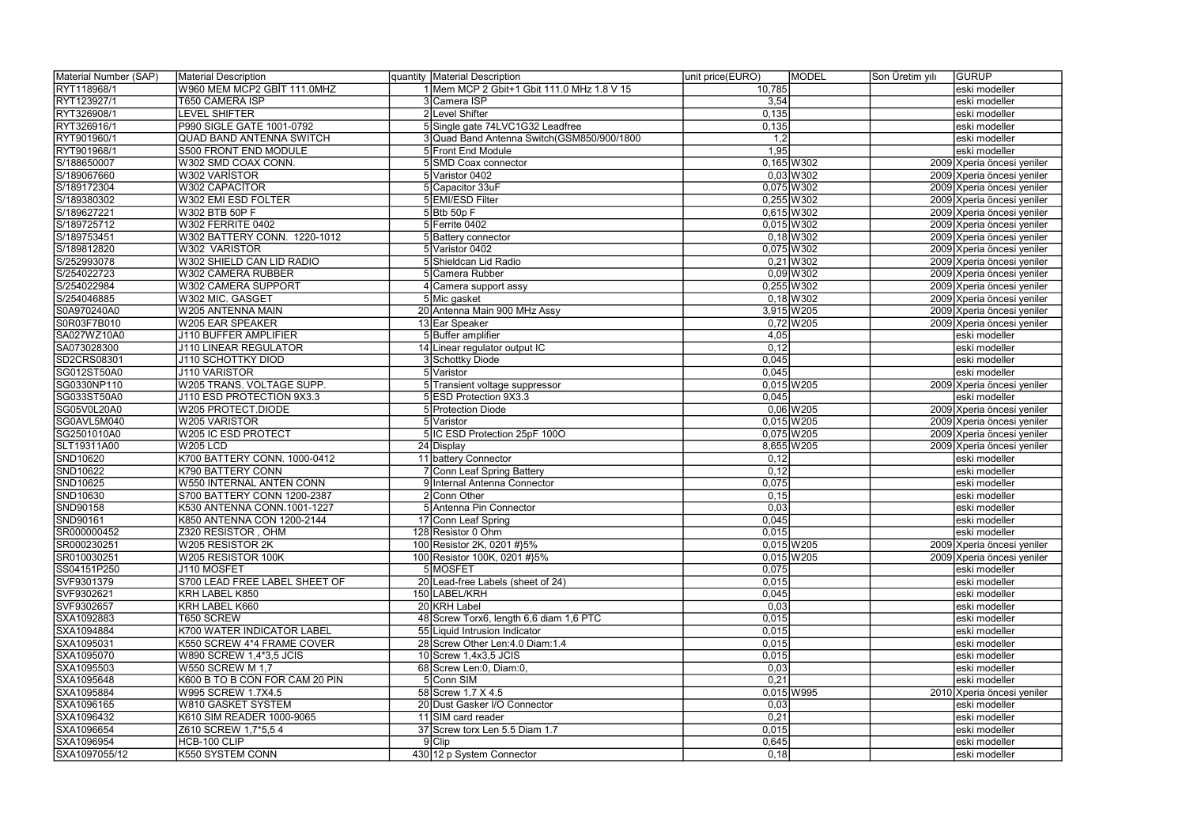| Material Number (SAP) | Material Description            | quantity Material Description               | unit price(EURO)<br><b>MODEL</b> | <b>GURUP</b><br>Son Üretim yılı |
|-----------------------|---------------------------------|---------------------------------------------|----------------------------------|---------------------------------|
| RYT118968/1           | W960 MEM MCP2 GBİT 111.0MHZ     | 1 Mem MCP 2 Gbit+1 Gbit 111.0 MHz 1.8 V 15  | 10,785                           | eski modeller                   |
| RYT123927/1           | T650 CAMERA ISP                 | 3 Camera ISP                                | 3,54                             | eski modeller                   |
| RYT326908/1           | <b>LEVEL SHIFTER</b>            | 2 Level Shifter                             | 0,135                            | eski modeller                   |
| RYT326916/1           | P990 SIGLE GATE 1001-0792       | 5 Single gate 74LVC1G32 Leadfree            | 0,135                            | eski modeller                   |
| RYT901960/1           | <b>QUAD BAND ANTENNA SWITCH</b> | 3 Quad Band Antenna Switch (GSM850/900/1800 | $\overline{1,2}$                 | eski modeller                   |
| RYT901968/1           | S500 FRONT END MODULE           | 5 Front End Module                          | 1,95                             | eski modeller                   |
| S/188650007           | W302 SMD COAX CONN.             | 5 SMD Coax connector                        | $0,165$ W302                     | 2009 Xperia öncesi yeniler      |
| S/189067660           | W302 VARISTOR                   | 5 Varistor 0402                             | $0,03$ W 302                     | 2009 Xperia öncesi yeniler      |
| S/189172304           | W302 CAPACITOR                  | 5 Capacitor 33uF                            | $0,075$ W302                     | 2009 Xperia öncesi yeniler      |
| S/189380302           | W302 EMI ESD FOLTER             | 5 EMI/ESD Filter                            | $0,255$ W302                     | 2009 Xperia öncesi yeniler      |
| S/189627221           | W302 BTB 50P F                  | $5$ Btb 50p F                               | $0,615$ W302                     | 2009 Xperia öncesi yeniler      |
| S/189725712           | <b>W302 FERRITE 0402</b>        | $5$ Ferrite 0402                            | $0,015$ W302                     | 2009 Xperia öncesi yeniler      |
| S/189753451           | W302 BATTERY CONN. 1220-1012    | 5 Battery connector                         | $0,18$ W 302                     | 2009 Xperia öncesi yeniler      |
| S/189812820           | W302 VARISTOR                   | 5 Varistor 0402                             | $0,075$ W302                     | 2009 Xperia öncesi yeniler      |
| S/252993078           | W302 SHIELD CAN LID RADIO       | 5 Shieldcan Lid Radio                       | $0,21$ W302                      | 2009 Xperia öncesi yeniler      |
| S/254022723           | W302 CAMERA RUBBER              | 5 Camera Rubber                             | $0,09$ W 302                     | 2009 Xperia öncesi yeniler      |
| S/254022984           | <b>W302 CAMERA SUPPORT</b>      | 4 Camera support assy                       | $0,255$ W302                     | 2009 Xperia öncesi yeniler      |
| S/254046885           | W302 MIC. GASGET                | 5 Mic gasket                                | $0,18$ W 302                     | 2009 Xperia öncesi yeniler      |
| S0A970240A0           | W205 ANTENNA MAIN               | 20 Antenna Main 900 MHz Assy                | 3,915 W205                       | 2009 Xperia öncesi yeniler      |
| S0R03F7B010           | W205 EAR SPEAKER                | 13 Ear Speaker                              | $0,72$ W 205                     | 2009 Xperia öncesi yeniler      |
| SA027WZ10A0           | <b>J110 BUFFER AMPLIFIER</b>    | 5 Buffer amplifier                          | 4,05                             | eski modeller                   |
| SA073028300           | J110 LINEAR REGULATOR           | 14 Linear regulator output IC               | 0,12                             | eski modeller                   |
| SD2CRS08301           | J110 SCHOTTKY DIOD              | 3 Schottky Diode                            | 0,045                            | eski modeller                   |
| SG012ST50A0           | J110 VARISTOR                   | 5 Varistor                                  | 0,045                            | eski modeller                   |
| SG0330NP110           | W205 TRANS. VOLTAGE SUPP.       | 5 Transient voltage suppressor              | $0,015$ W205                     | 2009 Xperia öncesi yeniler      |
| SG033ST50A0           | J110 ESD PROTECTION 9X3.3       | 5 ESD Protection 9X3.3                      | 0,045                            | eski modeller                   |
| SG05V0L20A0           | <b>W205 PROTECT.DIODE</b>       | 5 Protection Diode                          | $0,06$ W205                      | 2009 Xperia öncesi yeniler      |
| SG0AVL5M040           | W205 VARISTOR                   | 5 Varistor                                  | $0,015$ W205                     | 2009 Xperia öncesi yeniler      |
| SG2501010A0           | W205 IC ESD PROTECT             | 5 IC ESD Protection 25pF 100O               | $0,075$ W205                     | 2009 Xperia öncesi yeniler      |
| SLT19311A00           | <b>W205 LCD</b>                 | 24 Display                                  | 8,655 W205                       | 2009 Xperia öncesi yeniler      |
| SND10620              | K700 BATTERY CONN. 1000-0412    | 11 battery Connector                        | 0,12                             | eski modeller                   |
| SND10622              | K790 BATTERY CONN               | 7 Conn Leaf Spring Battery                  | 0,12                             | eski modeller                   |
| SND10625              | <b>W550 INTERNAL ANTEN CONN</b> | 9 Internal Antenna Connector                | 0,075                            | eski modeller                   |
| SND10630              | S700 BATTERY CONN 1200-2387     | 2 Conn Other                                | 0,15                             | eski modeller                   |
| SND90158              | K530 ANTENNA CONN.1001-1227     | 5 Antenna Pin Connector                     | 0,03                             | eski modeller                   |
| SND90161              | K850 ANTENNA CON 1200-2144      | 17 Conn Leaf Spring                         | 0,045                            | eski modeller                   |
| SR000000452           | Z320 RESISTOR, OHM              | 128 Resistor 0 Ohm                          | 0,015                            | eski modeller                   |
| SR000230251           | W205 RESISTOR 2K                | 100 Resistor 2K, 0201 #}5%                  | $0,015$ W205                     | 2009 Xperia öncesi yeniler      |
| SR010030251           | W205 RESISTOR 100K              | 100 Resistor 100K, 0201 #}5%                | $0,015$ W205                     | 2009 Xperia öncesi yeniler      |
| SS04151P250           | J110 MOSFET                     | 5 MOSFET                                    | 0,075                            | eski modeller                   |
| SVF9301379            | S700 LEAD FREE LABEL SHEET OF   | 20 Lead-free Labels (sheet of 24)           | 0,015                            | eski modeller                   |
| SVF9302621            | KRH LABEL K850                  | 150 LABEL/KRH                               | 0,045                            | eski modeller                   |
| SVF9302657            | KRH LABEL K660                  | 20 KRH Label                                | 0,03                             | eski modeller                   |
| SXA1092883            | <b>T650 SCREW</b>               | 48 Screw Torx6, length 6,6 diam 1,6 PTC     | 0,015                            | eski modeller                   |
| SXA1094884            | K700 WATER INDICATOR LABEL      | 55 Liquid Intrusion Indicator               | 0,015                            | eski modeller                   |
| SXA1095031            | K550 SCREW 4*4 FRAME COVER      | 28 Screw Other Len: 4.0 Diam: 1.4           | 0,015                            | eski modeller                   |
| SXA1095070            | W890 SCREW 1,4*3,5 JCIS         | $10$ Screw 1,4x3,5 JCIS                     | 0,015                            | eski modeller                   |
| SXA1095503            | <b>W550 SCREW M 1,7</b>         | 68 Screw Len:0, Diam:0,                     | 0,03                             | eski modeller                   |
| SXA1095648            | K600 B TO B CON FOR CAM 20 PIN  | 5 Conn SIM                                  | 0,21                             | eski modeller                   |
| SXA1095884            | W995 SCREW 1.7X4.5              | 58 Screw 1.7 X 4.5                          | $0,015$ W995                     | 2010 Xperia öncesi yeniler      |
| SXA1096165            | W810 GASKET SYSTEM              | 20 Dust Gasker I/O Connector                | 0,03                             | eski modeller                   |
| SXA1096432            | K610 SIM READER 1000-9065       | 11 SIM card reader                          | 0,21                             | eski modeller                   |
| SXA1096654            | Z610 SCREW 1,7*5,54             | 37 Screw torx Len 5.5 Diam 1.7              | 0,015                            | eski modeller                   |
| SXA1096954            | HCB-100 CLIP                    | $9$ Clip                                    | 0,645                            | eski modeller                   |
| SXA1097055/12         | K550 SYSTEM CONN                | 430 12 p System Connector                   | 0,18                             | eski modeller                   |
|                       |                                 |                                             |                                  |                                 |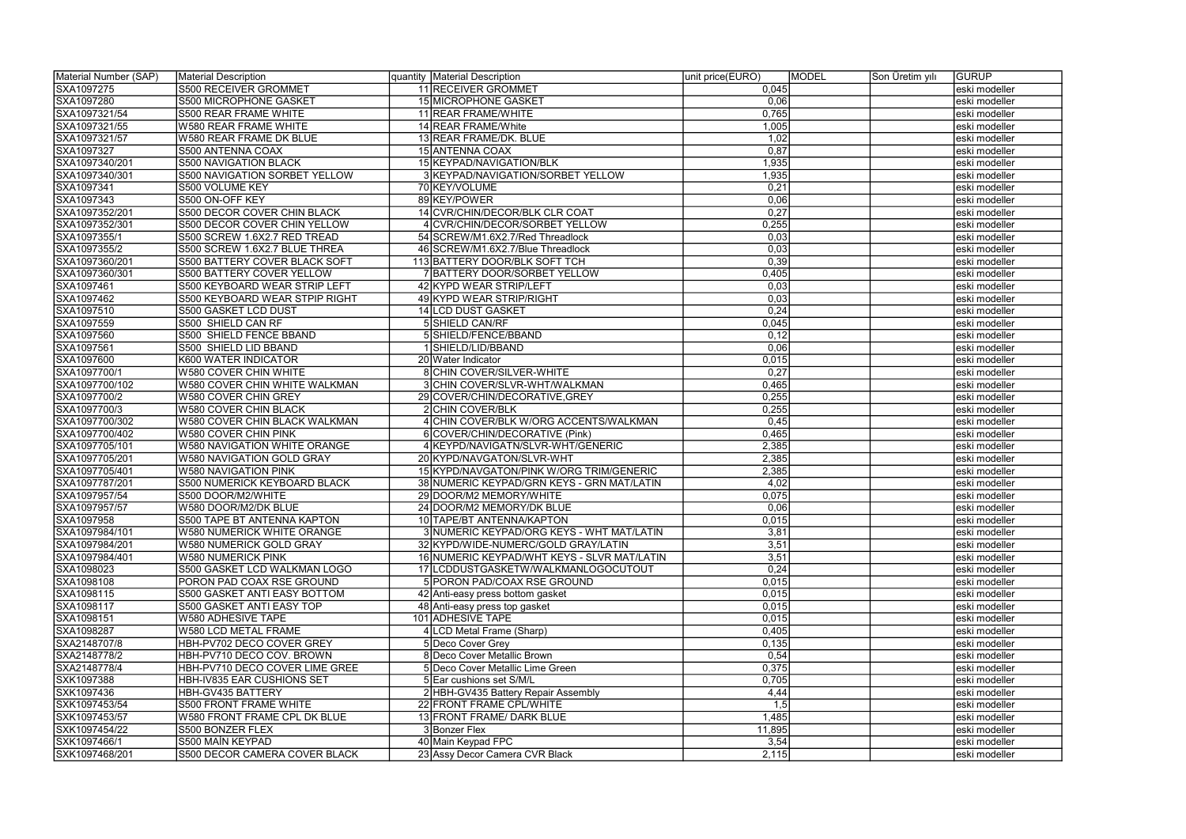| Material Number (SAP) | Material Description             | quantity   Material Description             | unit price(EURO) | <b>MODEL</b> | Son Üretim yılı | <b>GURUP</b>  |
|-----------------------|----------------------------------|---------------------------------------------|------------------|--------------|-----------------|---------------|
| SXA1097275            | <b>S500 RECEIVER GROMMET</b>     | 11 RECEIVER GROMMET                         | 0,045            |              |                 | eski modeller |
| SXA1097280            | S500 MICROPHONE GASKET           | 15 MICROPHONE GASKET                        | 0,06             |              |                 | eski modeller |
| SXA1097321/54         | S500 REAR FRAME WHITE            | 11 REAR FRAME/WHITE                         | 0,765            |              |                 | eski modeller |
| SXA1097321/55         | <b>W580 REAR FRAME WHITE</b>     | 14 REAR FRAME/White                         | 1,005            |              |                 | eski modeller |
| SXA1097321/57         | W580 REAR FRAME DK BLUE          | 13 REAR FRAME/DK. BLUE                      | 1,02             |              |                 | eski modeller |
| SXA1097327            | S500 ANTENNA COAX                | 15 ANTENNA COAX                             | 0,87             |              |                 | eski modeller |
| SXA1097340/201        | <b>S500 NAVIGATION BLACK</b>     | 15 KEYPAD/NAVIGATION/BLK                    | 1,935            |              |                 | eski modeller |
| SXA1097340/301        | S500 NAVIGATION SORBET YELLOW    | 3 KEYPAD/NAVIGATION/SORBET YELLOW           | 1,935            |              |                 | eski modeller |
| SXA1097341            | <b>S500 VOLUME KEY</b>           | 70 KEY/VOLUME                               | 0,21             |              |                 | eski modeller |
| SXA1097343            | S500 ON-OFF KEY                  | 89 KEY/POWER                                | 0,06             |              |                 | eski modeller |
| SXA1097352/201        | S500 DECOR COVER CHIN BLACK      | 14 CVR/CHIN/DECOR/BLK CLR COAT              | 0,27             |              |                 | eski modeller |
| SXA1097352/301        | S500 DECOR COVER CHIN YELLOW     | 4 CVR/CHIN/DECOR/SORBET YELLOW              | 0,255            |              |                 | eski modeller |
| SXA1097355/1          | S500 SCREW 1.6X2.7 RED TREAD     | 54 SCREW/M1.6X2.7/Red Threadlock            | 0,03             |              |                 | eski modeller |
| SXA1097355/2          | S500 SCREW 1.6X2.7 BLUE THREA    | 46 SCREW/M1.6X2.7/Blue Threadlock           | 0,03             |              |                 | eski modeller |
| SXA1097360/201        | S500 BATTERY COVER BLACK SOFT    | 113 BATTERY DOOR/BLK SOFT TCH               | 0,39             |              |                 | eski modeller |
| SXA1097360/301        | <b>S500 BATTERY COVER YELLOW</b> | 7 BATTERY DOOR/SORBET YELLOW                | 0,405            |              |                 | eski modeller |
| SXA1097461            | S500 KEYBOARD WEAR STRIP LEFT    | 42 KYPD WEAR STRIP/LEFT                     | 0,03             |              |                 | eski modeller |
| SXA1097462            | S500 KEYBOARD WEAR STPIP RIGHT   | 49 KYPD WEAR STRIP/RIGHT                    | 0,03             |              |                 | eski modeller |
| SXA1097510            | S500 GASKET LCD DUST             | 14 LCD DUST GASKET                          | 0,24             |              |                 | eski modeller |
| SXA1097559            | S500 SHIELD CAN RF               | 5 SHIELD CAN/RF                             | 0,045            |              |                 | eski modeller |
| SXA1097560            | S500 SHIELD FENCE BBAND          | 5 SHIELD/FENCE/BBAND                        | 0,12             |              |                 | eski modeller |
| SXA1097561            | S500 SHIELD LID BBAND            | 1 SHIELD/LID/BBAND                          | 0,06             |              |                 | eski modeller |
| SXA1097600            | K600 WATER INDICATOR             | 20 Water Indicator                          | 0,015            |              |                 | eski modeller |
| SXA1097700/1          | W580 COVER CHIN WHITE            | 8 CHIN COVER/SILVER-WHITE                   | 0,27             |              |                 | eski modeller |
| SXA1097700/102        | W580 COVER CHIN WHITE WALKMAN    | 3 CHIN COVER/SLVR-WHT/WALKMAN               | 0,465            |              |                 | eski modeller |
| SXA1097700/2          | W580 COVER CHIN GREY             | 29 COVER/CHIN/DECORATIVE, GREY              | 0,255            |              |                 | eski modeller |
| SXA1097700/3          | <b>W580 COVER CHIN BLACK</b>     | 2 CHIN COVER/BLK                            | 0,255            |              |                 | eski modeller |
| SXA1097700/302        | W580 COVER CHIN BLACK WALKMAN    | 4 CHIN COVER/BLK W/ORG ACCENTS/WALKMAN      | 0,45             |              |                 | eski modeller |
| SXA1097700/402        | W580 COVER CHIN PINK             | 6 COVER/CHIN/DECORATIVE (Pink)              | 0,465            |              |                 | eski modeller |
| SXA1097705/101        | W580 NAVIGATION WHITE ORANGE     | 4 KEYPD/NAVIGATN/SLVR-WHT/GENERIC           | 2,385            |              |                 | eski modeller |
| SXA1097705/201        | W580 NAVIGATION GOLD GRAY        | 20 KYPD/NAVGATON/SLVR-WHT                   | 2,385            |              |                 | eski modeller |
| SXA1097705/401        | <b>W580 NAVIGATION PINK</b>      | 15 KYPD/NAVGATON/PINK W/ORG TRIM/GENERIC    | 2,385            |              |                 | eski modeller |
| SXA1097787/201        | S500 NUMERICK KEYBOARD BLACK     | 38 NUMERIC KEYPAD/GRN KEYS - GRN MAT/LATIN  | 4,02             |              |                 | eski modeller |
| SXA1097957/54         | S500 DOOR/M2/WHITE               | 29 DOOR/M2 MEMORY/WHITE                     | 0,075            |              |                 | eski modeller |
| SXA1097957/57         | W580 DOOR/M2/DK BLUE             | 24 DOOR/M2 MEMORY/DK BLUE                   | 0,06             |              |                 | eski modeller |
| SXA1097958            | S500 TAPE BT ANTENNA KAPTON      | 10 TAPE/BT ANTENNA/KAPTON                   | 0,015            |              |                 | eski modeller |
| SXA1097984/101        | W580 NUMERICK WHITE ORANGE       | 3 NUMERIC KEYPAD/ORG KEYS - WHT MAT/LATIN   | 3,81             |              |                 | eski modeller |
| SXA1097984/201        | W580 NUMERICK GOLD GRAY          | 32 KYPD/WIDE-NUMERC/GOLD GRAY/LATIN         | 3,51             |              |                 | eski modeller |
| SXA1097984/401        | W580 NUMERICK PINK               | 16 NUMERIC KEYPAD/WHT KEYS - SLVR MAT/LATIN | 3,51             |              |                 | eski modeller |
| SXA1098023            | S500 GASKET LCD WALKMAN LOGO     | 17 LCDDUSTGASKETW/WALKMANLOGOCUTOUT         | 0,24             |              |                 | eski modeller |
| SXA1098108            | PORON PAD COAX RSE GROUND        | 5 PORON PAD/COAX RSE GROUND                 | 0,015            |              |                 | eski modeller |
| SXA1098115            | S500 GASKET ANTI EASY BOTTOM     | 42 Anti-easy press bottom gasket            | 0,015            |              |                 | eski modeller |
| SXA1098117            | S500 GASKET ANTI EASY TOP        | 48 Anti-easy press top gasket               | 0,015            |              |                 | eski modeller |
| SXA1098151            | <b>W580 ADHESIVE TAPE</b>        | 101 ADHESIVE TAPE                           | 0,015            |              |                 | eski modeller |
| SXA1098287            | <b>W580 LCD METAL FRAME</b>      | 4 LCD Metal Frame (Sharp)                   | 0,405            |              |                 | eski modeller |
| SXA2148707/8          | HBH-PV702 DECO COVER GREY        | 5 Deco Cover Grey                           | 0,135            |              |                 | eski modeller |
| SXA2148778/2          | HBH-PV710 DECO COV. BROWN        | 8 Deco Cover Metallic Brown                 | 0,54             |              |                 | eski modeller |
| SXA2148778/4          | HBH-PV710 DECO COVER LIME GREE   | 5 Deco Cover Metallic Lime Green            | 0,375            |              |                 | eski modeller |
| SXK1097388            | HBH-IV835 EAR CUSHIONS SET       | 5 Ear cushions set S/M/L                    | 0,705            |              |                 | eski modeller |
| SXK1097436            | HBH-GV435 BATTERY                | 2 HBH-GV435 Battery Repair Assembly         | 4,44             |              |                 | eski modeller |
| SXK1097453/54         | S500 FRONT FRAME WHITE           | 22 FRONT FRAME CPL/WHITE                    | 1,5              |              |                 | eski modeller |
| SXK1097453/57         | W580 FRONT FRAME CPL DK BLUE     | 13 FRONT FRAME/ DARK BLUE                   | 1,485            |              |                 | eski modeller |
| SXK1097454/22         | S500 BONZER FLEX                 | 3 Bonzer Flex                               | 11,895           |              |                 | eski modeller |
| SXK1097466/1          | S500 MAIN KEYPAD                 | 40 Main Keypad FPC                          | 3,54             |              |                 | eski modeller |
| SXK1097468/201        | S500 DECOR CAMERA COVER BLACK    | 23 Assy Decor Camera CVR Black              | 2,115            |              |                 | eski modeller |